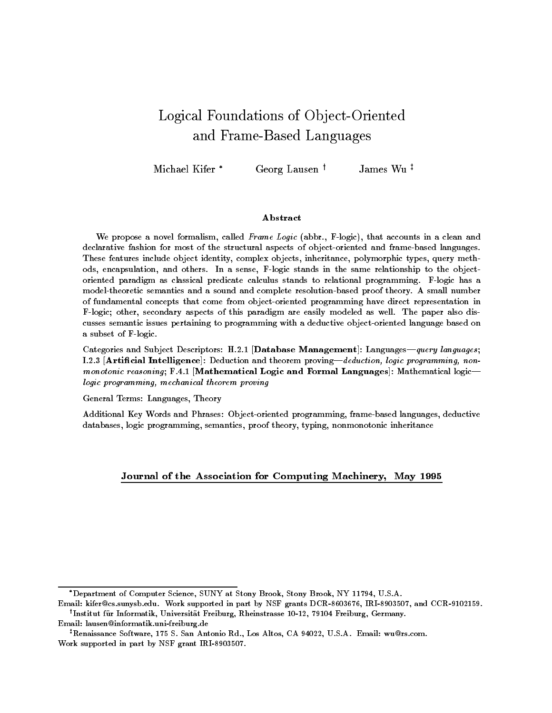# Logical Foundations of Object-Oriented and Frame-Based Languages

Michael KiferGeorg Lausen<sup>†</sup> James Wu<sup> $\ddagger$ </sup>

## **Abstract**

we propose a novel formalism, called *Frame Logic* (abbr., F-logic), that accounts in a clean and declarative fashion for most of the structural aspects of object-oriented and frame-based languages. These features include object identity, complex objects, inheritance, polymorphic types, query methods, encapsulation, and others. In a sense, F-logic stands in the same relationship to the objectoriented paradigm as classical predicate calculus stands to relational programming. F-logic has a model-theoretic semantics and a sound and complete resolution-based proof theory. A small number of fundamental concepts that come from object-oriented programming have direct representation in F-logic; other, secondary aspects of this paradigm are easily modeled as well. The paper also discusses semantic issues pertaining to programming with a deductive object-oriented language based on a subset of F-logic.

Categories and Subject Descriptors.  $\bm{\mu}$ .  $\bm{\mu}$  atabase Management). Languages—query languages,  $1.2.5$   $\vert$  Artificial Theongence  $\vert$ . Deduction and theorem proving—academon, logic programming, non $m$ onotonic reasoning, F.+.1 |Niathematical logic and Formal Languages|. Mathematical logic logic programming, mechanical theorem proving

General Terms: Languages, Theory

Additional Key Words and Phrases: Object-oriented programming, frame-based languages, deductive databases, logic programming, semantics, proof theory, typing, nonmonotonic inheritance

# Journal of the Association for Computing Machinery May -

Department of Computer Science, SUNY at Stony Brook, Stony Brook, NY 11794, U.S.A.

email control the supporter the completence of part by NSF grants DCR (CRO) and the control of the control of 'Institut fur Informatik, Universitat Freiburg, Kheinstrasse 10-12, 79104 Freiburg, Germany.

Email: lausen@informatik.uni-freiburg.de

<sup>&</sup>quot;Renaissance Software, 175 S. San Antonio Rd., Los Altos, CA 94022, U.S.A. Email: wu@rs.com. Work supported in part by NSF grant IRI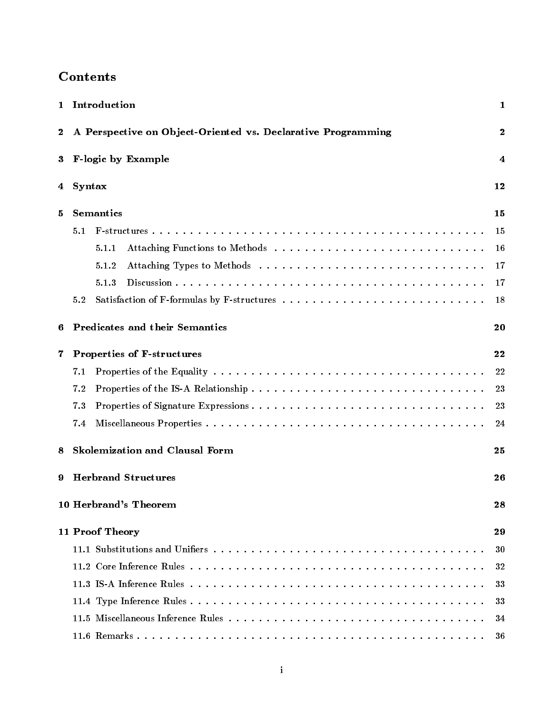# Contents

| 1            |                                                              | Introduction                          | 1  |  |
|--------------|--------------------------------------------------------------|---------------------------------------|----|--|
| $\mathbf{2}$ | A Perspective on Object-Oriented vs. Declarative Programming |                                       |    |  |
| 3            | F-logic by Example                                           |                                       |    |  |
| 4            |                                                              | <b>Syntax</b>                         | 12 |  |
| 5            |                                                              | <b>Semantics</b>                      | 15 |  |
|              | 5.1                                                          |                                       | 15 |  |
|              |                                                              | 5.1.1                                 | 16 |  |
|              |                                                              | 5.1.2                                 | 17 |  |
|              |                                                              | 5.1.3                                 | 17 |  |
|              | 5.2                                                          |                                       | 18 |  |
| 6            |                                                              | <b>Predicates and their Semantics</b> | 20 |  |
| 7            | Properties of F-structures                                   |                                       |    |  |
|              | 7.1                                                          |                                       | 22 |  |
|              | 7.2                                                          |                                       | 23 |  |
|              | 7.3                                                          |                                       | 23 |  |
|              | 7.4                                                          |                                       | 24 |  |
| 8            |                                                              | <b>Skolemization and Clausal Form</b> | 25 |  |
| 9            |                                                              | <b>Herbrand Structures</b>            | 26 |  |
|              |                                                              | 10 Herbrand's Theorem                 | 28 |  |
|              |                                                              | 11 Proof Theory                       | 29 |  |
|              |                                                              |                                       | 30 |  |
|              |                                                              |                                       | 32 |  |
|              |                                                              |                                       | 33 |  |
|              |                                                              |                                       | 33 |  |
|              |                                                              |                                       | 34 |  |
|              |                                                              |                                       | 36 |  |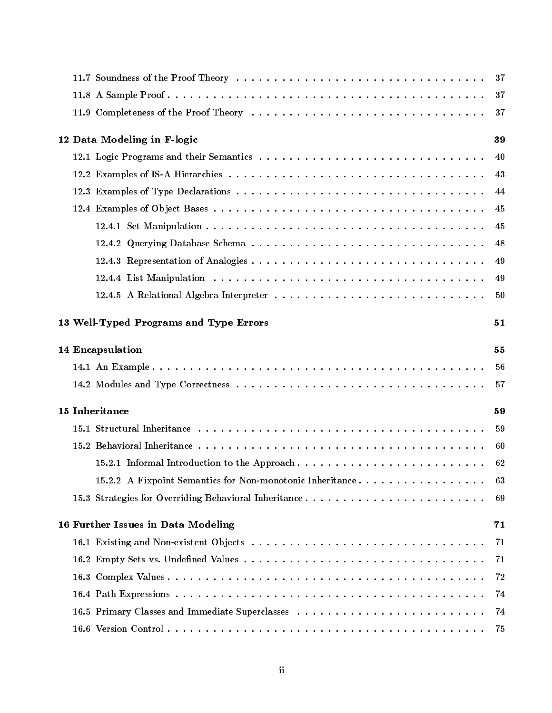|                                   |                                                           | 37 |  |
|-----------------------------------|-----------------------------------------------------------|----|--|
|                                   |                                                           | 37 |  |
| 12 Data Modeling in F-logic<br>39 |                                                           |    |  |
|                                   |                                                           | 40 |  |
|                                   |                                                           | 43 |  |
|                                   |                                                           | 44 |  |
|                                   |                                                           | 45 |  |
|                                   |                                                           | 45 |  |
|                                   |                                                           | 48 |  |
|                                   |                                                           | 49 |  |
|                                   |                                                           | 49 |  |
|                                   |                                                           | 50 |  |
|                                   | 13 Well-Typed Programs and Type Errors                    | 51 |  |
|                                   | 14 Encapsulation                                          | 55 |  |
|                                   |                                                           | 56 |  |
|                                   |                                                           | 57 |  |
|                                   | 15 Inheritance                                            | 59 |  |
|                                   |                                                           | 59 |  |
|                                   |                                                           | 60 |  |
|                                   | 15.2.1 Informal Introduction to the Approach              | 62 |  |
|                                   | 15.2.2 A Fixpoint Semantics for Non-monotonic Inheritance | 63 |  |
|                                   |                                                           | 69 |  |
|                                   | 16 Further Issues in Data Modeling                        | 71 |  |
|                                   |                                                           | 71 |  |
|                                   |                                                           | 71 |  |
|                                   |                                                           | 72 |  |
|                                   |                                                           | 74 |  |
|                                   |                                                           | 74 |  |
|                                   |                                                           | 75 |  |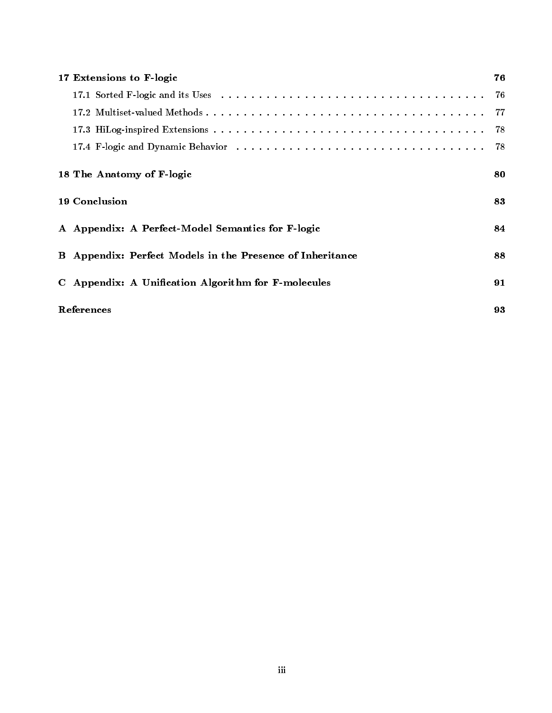| 17 Extensions to F-logic                                  |     |  |
|-----------------------------------------------------------|-----|--|
|                                                           | -76 |  |
|                                                           |     |  |
|                                                           |     |  |
|                                                           |     |  |
| 18 The Anatomy of F-logic                                 | 80  |  |
| 19 Conclusion                                             | 83  |  |
| A Appendix: A Perfect-Model Semantics for F-logic         | 84  |  |
| B Appendix: Perfect Models in the Presence of Inheritance |     |  |
| C Appendix: A Unification Algorithm for F-molecules       | 91  |  |
| References                                                | 93  |  |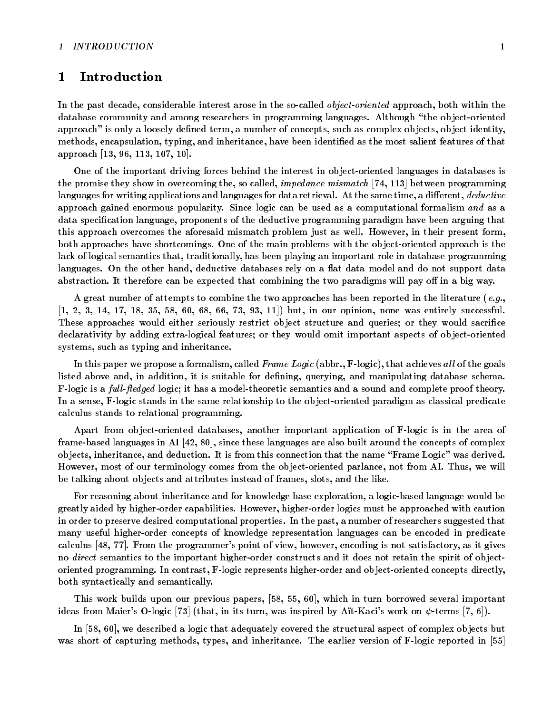### 1 INTRODUCTION 1

#### $\mathbf{1}$ Introduction

In the past decade, considerable interest arose in the so-called *object-oriented* approach, both within the addatabase community and among researchers in programming languages-community and complete and continuous approach" is only a loosely defined term, a number of concepts, such as complex objects, object identity, methods, encapsulation, typing, and inheritance, have been identified as the most salient features of that  $approcch [13, 96, 113, 107, 10].$ 

One of the important driving forces behind the interest in object-oriented languages in databases is the promise they show in overcoming the so called impedance mismatch between programming languages for writing applications and languages for data retrieval- At the same time a dierent deductive approach gained enormous popularity- Since logic can be used as a computational formalism and as a data specification language, proponents of the deductive programming paradigm have been arguing that this approach overcomes the aforesaid mismatch problem just as well- However in their present form both approaches have shortcomings- One of the main problems with the ob jectoriented approach is the lack of logical semantics that, traditionally, has been playing an important role in database programming languages- On the other hand deductive databases rely on a at data model and do not support data abstraction- It therefore can be expected that combining the two paradigms will pay o in a big way-

A great number of attempts to combine the two approaches has been reported in the literature e-g but in our opinion opinion and was entirely successful-complete species successful-contractions. These approaches would either seriously restrict object structure and queries; or they would sacrifice declarativity by adding extra-logical features; or they would omit important aspects of object-oriented systems, such as typing and inheritance.

In this paper we propose a formalism called Frame Logic abbr- Flogic that achieves all of the goals listed above and, in addition, it is suitable for defining, querying, and manipulating database schema. F-logic is a full-fledged logic; it has a model-theoretic semantics and a sound and complete proof theory. In a sense, F-logic stands in the same relationship to the object-oriented paradigm as classical predicate calculus stands to relational programming-

Apart from object-oriented databases, another important application of F-logic is in the area of framebased languages in AI also built around the concepts of complex  $\mathbf{f}(\mathbf{a})$ ob jects inheritance and deduction- It is from this connection that the name Frame Logic was derived-However most of our terminology comes from the ob jectoriented parlance not from AI- Thus we will be talking about objects and attributes instead of frames, slots, and the like.

For reasoning about inheritance and for knowledge base exploration, a logic-based language would be greatly aided by highers-decided by however higher called progress causes at approached with cautions and in order to preserve desired computational properties- In the past a number of researchers suggested that many useful higher-order concepts of knowledge representation languages can be encoded in predicate calculus - From the programmers point of view however encoding is not satisfactory as it gives no direct semantics to the important higher-order constructs and it does not retain the spirit of objectoriented programming- in contrast flogic represents ingents transferred concepts directly for the concepts directly both syntactically and semantically-

This work builds upon our previous papers,  $[58, 55, 60]$ , which in turn borrowed several important ideas from Maiers Ologic that in its turn was inspired by AtKacis work on -terms -

In  $[58, 60]$ , we described a logic that adequately covered the structural aspect of complex objects but was short of capturing methods types and inheritance-term and inheritance-term of Flogic reported in the earlier version of Flogic reported in the earlier version of Flogic reported in the earlier version of Flogic reporte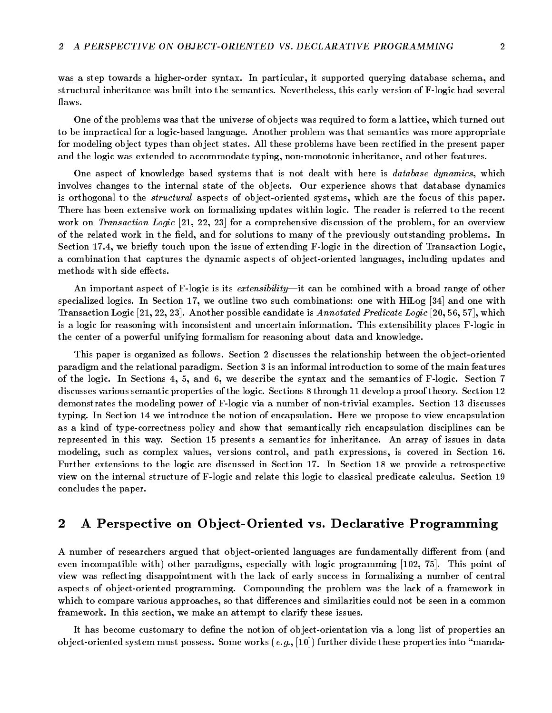was a step towards a higherorder syntax-syntax-syntax-syntax-syntax-syntax-syntax-syntax-syntax-syntax-syntaxstructural indication in the semantic into the semantics-collection of the second second several several colle flaws.

One of the problems was that the universe of objects was required to form a lattice, which turned out to be impractical for a logicbased language- Another problem was that semantics was more appropriate for modeling ob ject types than ob ject states- All these problems have been rectied in the present paper and the logic was extended to accommodate typing, non-monotonic inheritance, and other features.

One aspect of knowledge based systems that is not dealt with here is *database dynamics*, which involves changes to the internal state of the ob jects- Our experience shows that database dynamics is orthogonal to the *structural* aspects of object-oriented systems, which are the focus of this paper. There has been extensive work on formalizing updates within logic- The reader is referred to the recent work on *Transaction Logic*  $[21, 22, 23]$  for a comprehensive discussion of the problem, for an overview of the related work in the eld and for solutions to many of the previously outstanding problems- In section - we brief to issue of the issue of the indication  $\pi$  is the direction of Transaction Logic a combination that captures the dynamic aspects of object-oriented languages, including updates and methods with side effects.

An important aspect of F-logic is its *extensibility*—it can be combined with a broad range of other specialized logical contracts the compiler that the minimum compiles one with Hilog Compiles and the compiles Transaction Logic - Another possible candidate is Annotated Predicate Logic  which is a logic for reasoning with inconsistent and uncertain information- This extensibility places Flogic in the center of a powerful unifying formalism for reasoning about data and knowledge-

This paper is organized as follows- Section discusses the relationship between the ob jectoriented paradigm and the relation paradigm- section to some of the main features in the main features features in of the logic-time the sections in Sections and the symphony and the semantics of Flogic-time the section of  $\mathcal{S}$ discusses various semantic properties of the logic- Sections through develop a proof theory- Section demonstrates the modeling power of Flogic via a number of nontrivial exampless contributed and the section of typing- in section is the notion of the notion-to-complement in propose to view encapsulationas a kind of typecorrectness policy and show that semantically rich encapsulation disciplines can be represented in this way- Section presents a semantics for inheritance- An array of issues in data modeling, such as complex values, versions control, and path expressions, is covered in Section 16. Further extensions to the logic are discussed in Section - In Section we provide a retrospective .... in the internal structure of Flogic and relate this logic to classical prediction calculus- and control concludes the paper.

#### -A Perspective on Object-Oriented vs. Declarative Programming

A number of researchers argued that object-oriented languages are fundamentally different from (and even incompatible with other paradigms especially with logic programming  - This point of view was reflecting disappointment with the lack of early success in formalizing a number of central aspects of object contenting programming- the problem  $\rho$  framework in the lack of a framework in the lack of which to compare various approaches, so that differences and similarities could not be seen in a common framework- In this section we make an attempt to clarify these issues-

It has become customary to define the notion of object-orientation via a long list of properties an ob ject technically come must possesse a comet officially properties and mandale properties and mandales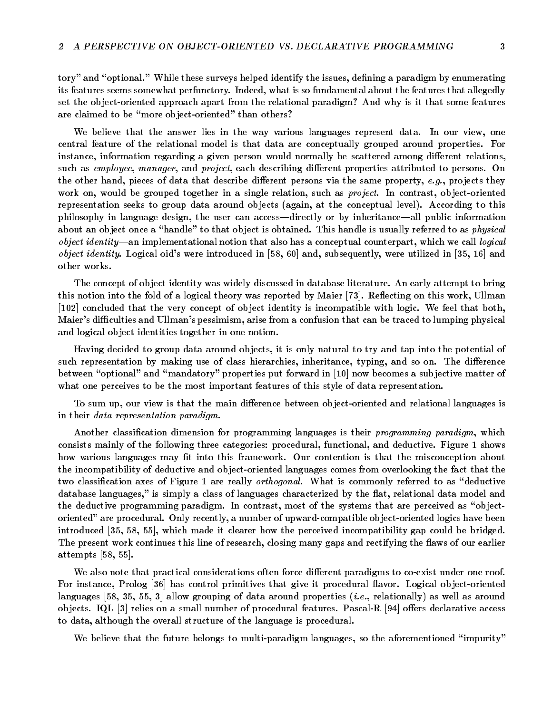tory and optional- While these surveys helped identify the issues dening a paradigm by enumerating its features stations station perfunction perfunction is so fundamental about the features that alleged  $\mu$ set the object-oriented approach apart from the relational paradigm? And why is it that some features are claimed to be "more object-oriented" than others?

We believe that the answer lies in the way various languages represent data- In our view one central feature of the relationship model is that data are conceptually grouped around properties- --instance, information regarding a given person would normally be scattered among different relations, such as employee manager and project each describing dierent properties attributed to persons- On the other hand pieces of data that describe dierent persons via the same property e-g- pro jects they work only work as grouped together in a single relation such as project-material such a single relation representation seeks to group data around ob jects again at the conceptual level- According to this philosophy in language design, the user can access—directly or by inheritance—all public information about an object once a handle to that object is obtained that is no handle is usually referred to as physically  $object\ identity$ —an implementational notion that also has a conceptual counterpart, which we call *logical* object identity- Logical oids were introduced in  and subsequently were utilized in and other works-

The concept of ob ject identity was widely discussed in database literature- An early attempt to bring this notion into the fold of a logical theory was reported by Maier - provided by Maier - and the company of th  concluded that the very concept of ob ject identity is incompatible with logic- We feel that both Maier's difficulties and Ullman's pessimism, arise from a confusion that can be traced to lumping physical and logical object identities together in one notion.

Having decided to group data around objects, it is only natural to try and tap into the potential of such representation by making use of class hierarchies inheritance typing and so on- The dierence between "optional" and "mandatory" properties put forward in  $[10]$  now becomes a subjective matter of what one perceives to be the most important features of this style of data representation.

To sum up, our view is that the main difference between object-oriented and relational languages is in their data representation paradigm.

Another classification dimension for programming languages is their *programming paradigm*, which consists mainly of the following three categories procedural functional functional functional functional functional functional functional functional functional functional functional functional functional functional functio how various languages may t into this framework- Our contention is that the misconception about the incompatibility of deductive and object-oriented languages comes from overlooking the fact that the the commonly classication at Figure . And is commonly referred to assume the commonly referred to as determined database languages," is simply a class of languages characterized by the flat, relational data model and the deductive programming paradigm- in contrast most contrast most of the systems that are perceived as object oriented are procedural-dominated are procedural-dominated logical-dominated logical-dominated logical-dominated logical-dominated logical-dominated logical-dominated logical-dominated logical-dominated logics have been de introduced  $\left[ 35, 58, 55 \right]$ , which made it clearer how the perceived incompatibility gap could be bridged. The present work continues this line of research, closing many gaps and rectifying the flaws of our earlier attempts  $[58, 55]$ .

We also note that practical considerations often force different paradigms to co-exist under one roof. For instance Prolog has control primitives that give it procedural avor- Logical ob jectoriented languages allow grouping of data around properties i-e- relationally as well as around objects- IQL relies on a small mumber of procedural features- oers access access access access to data, although the overall structure of the language is procedural.

We believe that the future belongs to multi-paradigm languages, so the aforementioned "impurity"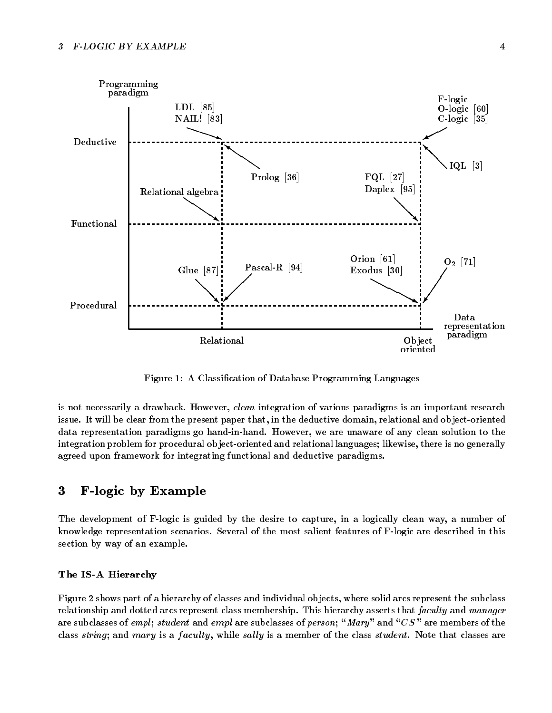

Figure 1: A Classification of Database Programming Languages

is not necessarily a drawback- However clean integration of various paradigms is an important research issue- It will be clear from the present paper that in the deductive domain relational and ob jectoriented data representation paradigms go handinhand- However we are unaware of any clean solution to the integration problem for procedural object-oriented and relational languages; likewise, there is no generally agreed upon framework for integrating functional and deductive paradigms-

#### 3 Flogic by Example

The development of F-logic is guided by the desire to capture, in a logically clean way, a number of knowledge representation scenarios- Several of the most salient features of Flogic are described in this section by way of an example.

# The IS-A Hierarchy

Figure 2 shows part of a hierarchy of classes and individual objects, where solid arcs represent the subclass relationship and dotted arcs represent class membership- This hierarchy asserts that faculty and manager are subclasses of empl; student and empl are subclasses of person; "Mary" and "CS" are members of the class string is and mary is a f aculty while sally is a member of the classes student-classes student-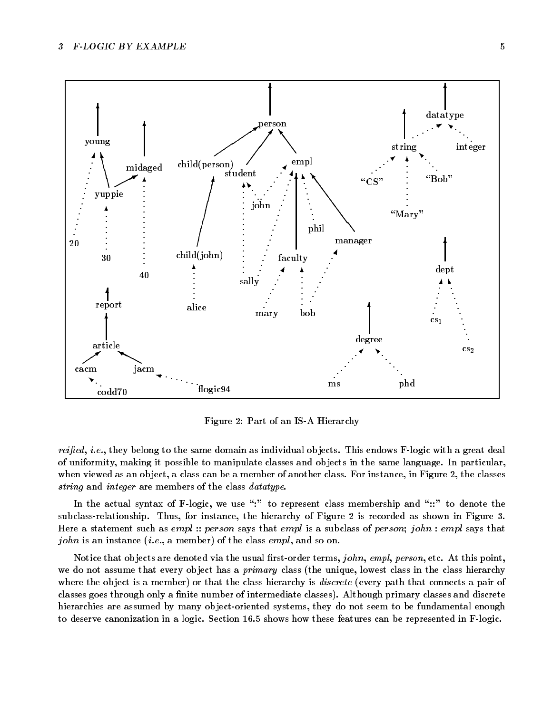

Figure 2: Part of an IS-A Hierarchy

reied i-e- they belong to the same domain as individual ob jects- This endows Flogic with a great deal of uniformity making it possible to making make classes and ob jects in the same language- and particularly the when viewed as an observed as an observed as an observed as another class-instance in Figure . The classes of a string and integer are members of the class *datatype*.

In the actual syntax of F-logic, we use ":" to represent class membership and "::" to denote the subclass for instance the form instance the highest contract in Figure . The shown in Figure . The state of  $\sim$ Here a statement such as *empl* :: *person* says that *empl* is a subclass of *person*; *john* : *empl* says that john is an instance i-definition i-definition i-definition i-definition i-definition i-definition i-definition i-definition i-definition i-definition i-definition i-definition i-definition i-definition i-definition i-defi

Notice that ob jects are denoted via the usual rstorder terms john empl person etc- At this point we do not assume that every object has a *primary* class (the unique, lowest class in the class hierarchy where the object is a member) or that the class hierarchy is *discrete* (every path that connects a pair of classes goes through only a nite number of intermediate classes- Although primary classes and discrete hierarchies are assumed by many object-oriented systems, they do not seem to be fundamental enough to deserve canonization in a logic-strategie can be represented in Flogic-strategie can be represented in Flo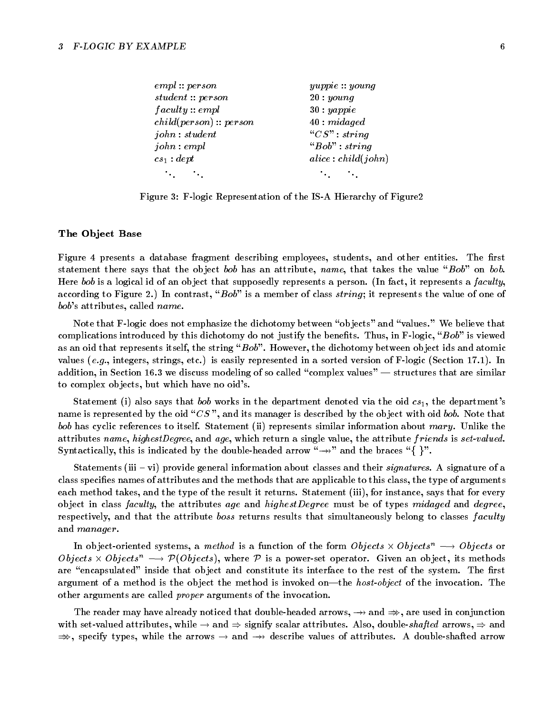| empl::person            | yuppe::young        |
|-------------------------|---------------------|
| student::person         | 20: young           |
| faculty :: empl         | 30: yappie          |
| child(person) :: person | 40: midaged         |
| john: student           | C'S'' : string      |
| john:empl               | "Bob": string       |
| $cs_1 : dept$           | alice : child(john) |
|                         |                     |

Figure 3: F-logic Representation of the IS-A Hierarchy of Figure2

# The Ob ject Base

Figure presents a database fragment describing employees students and other entities- The rst statement there says that the object bob has an attribute, name, that takes the value "Bob" on bob. Here bob is a logical id of an ob ject that supposedly represents a person- In fact it represents a faculty according to Figure - In contrast Bob is a member of class string it represents the value of one of  $bob$ 's attributes, called name.

Note that Flogic does not emphasize the dichotomy between ob jects and values- We believe that complications introduced by this dichotomy do not justify the benefit the benefit the benefit the benefit the as an oid that represents itself the string Bob- However the dichotomy between ob ject ids and atomic ....... is easily represented in a sorted in a sorted in a sorted in a sorted in a sorted version of  $\sim$   $\sim$ addition in Section - we discuss modeling of so called complex values  $\mathbf{a}$ to complex objects, but which have no oid's.

 $\begin{array}{cc} S \setminus I & \text{if} & \text{if} & \text{if} & \text{if} & \text{if} & \text{if} & \text{if} & \text{if} & \text{if} & \text{if} & \text{if} & \text{if} & \text{if} & \text{if} & \text{if} & \text{if} & \text{if} & \text{if} & \text{if} & \text{if} & \text{if} & \text{if} & \text{if} & \text{if} & \text{if} & \text{if} & \text{if} & \text{if} & \text{if} & \text{if} & \text{if} & \text{if} & \text{if} & \text{if} & \text{$ name is represented by the oid CS and its and its manager is described by the object with restrictions and th bob has cyclic references to itself- Statement ii represents similar information about mary- Unlike the attributes name, highestDegree, and age, which return a single value, the attribute friends is set-valued. Syntactically, this is indicated by the double-headed arrow " $\rightarrow$ " and the braces "{ }".

Statements iii vi provide general information about classes and their signatures- A signature of a class specifies names of attributes and the methods that are applicable to this class, the type of arguments each method takes and the type of the result it returns-that for it returns-that for it returns - that for every object in class faculty, the attributes age and highest  $Degree$  must be of types midaged and degree, respectively, and that the attribute boss returns results that simultaneously belong to classes faculty and *manager*.

In object-oriented systems, a *method* is a function of the form  $Objects \times Objects^* \longrightarrow Objects$  or  $Objects \times Objects^n \longrightarrow \mathcal{P}(Objects)$ , where  $\mathcal P$  is a power-set operator. Given an object, its methods are encapsulated inside that ob ject and constitute its interface to the rest of the system- The rst argument of a method is the object the method is involved the the the involved onthe hostobility of the involved other arguments are called *proper* arguments of the invocation.

The reader may have already noticed that double-headed arrows,  $\rightarrow$  and  $\Rightarrow$ , are used in conjunction with set-valued attributes, while  $\to$  and  $\Rightarrow$  signify scalar attributes. Also, double-*shafted* arrows,  $\Rightarrow$  and  $\Rightarrow$ , specify types, while the arrows  $\rightarrow$  and  $\rightarrow$  describe values of attributes. A double-shafted arrow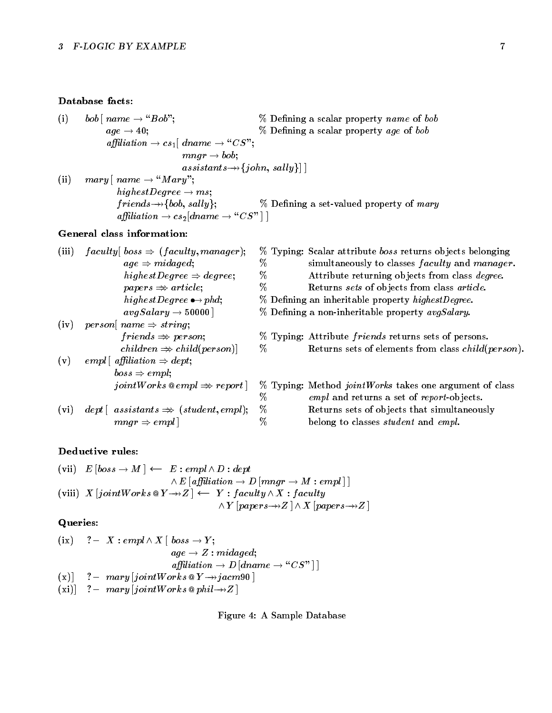# Database facts

(i) bob  $\lceil name \rightarrow "Bob";$  % Defining a scalar property name of bob  $age \rightarrow 40;$  $%$  Defining a scalar property age of bob affination  $\rightarrow cs_1$  aname  $\rightarrow \neg \cup s$ ;  $mngr \rightarrow bob;$  $\emph{assistants} \rightarrow \emph{\{john, sally\}}]$ (ii)  $\quad mary [name \rightarrow "Mary";$  $highestDegree \rightarrow ms;$  $friends \rightarrow \{bob, \, sally\};$  % Defining a set-valued property of mary  $\alpha$ ffiliation  $\rightarrow cs_2[drame \rightarrow "C S"]$ 

# General class information

| (iii) | $\,faculty[$ boss $\Rightarrow$ (faculty, manager); |      | % Typing: Scalar attribute boss returns objects belonging     |
|-------|-----------------------------------------------------|------|---------------------------------------------------------------|
|       | $age \Rightarrow midaged;$                          | %    | simultaneously to classes <i>faculty</i> and <i>manager</i> . |
|       | highestDegree $\Rightarrow$ degree;                 | %    | Attribute returning objects from class degree.                |
|       | papers $\Rightarrow$ article;                       | %    | Returns sets of objects from class article.                   |
|       | highest $Degree \rightarrow phd$ ;                  |      | % Defining an inheritable property highestDegree.             |
|       | $avgSalary \rightarrow 50000$                       |      | % Defining a non-inheritable property avgSalary.              |
| (iv)  | <i>person</i> $name \Rightarrow string$             |      |                                                               |
|       | friends $\Rightarrow$ person;                       |      | % Typing: Attribute friends returns sets of persons.          |
|       | $children \Rightarrow child (person)$               | %    | Returns sets of elements from class <i>child(person)</i> .    |
| (v)   | empl $\lceil$ affiliation $\Rightarrow$ dept;       |      |                                                               |
|       | $\textit{boss} \Rightarrow \textit{empl};$          |      |                                                               |
|       | jointW orks $\mathbf{Q}$ empl $\Rightarrow$ report  |      | % Typing: Method joint Works takes one argument of class      |
|       |                                                     | %    | <i>empl</i> and returns a set of <i>report</i> -objects.      |
| (vi)  | $\vert \det(t) \vert$                               | $\%$ | Returns sets of objects that simultaneously                   |
|       | $m n q r \Rightarrow e m p l$                       | %    | belong to classes <i>student</i> and <i>empl.</i>             |
|       |                                                     |      |                                                               |

# Deductive rules

$$
\begin{array}{ll}\n\text{(vii)} & E\left[ boss \rightarrow M\right] \leftarrow E: empl \land D: dept \\
& \land E\left[affilation \rightarrow D\left[mmgr \rightarrow M: empl\right]\right] \\
\text{(viii)} & X\left[jointWorks \t\t@Y \rightarrowtail Z\right] \leftarrow Y: faculty \land X: faculty \\
& \land Y\left[paper \rightarrowtail Z\right] \land X\left[paper \rightarrowtail Z\right]\n\end{array}
$$

# Queries

$$
\begin{array}{ll} \text{(ix)} & ?- & X: \mathit{empl} \wedge X \,[\; \mathit{boss} \rightarrow Y; \\ & \mathit{age} \rightarrow Z: \mathit{midaged}; \\ & \mathit{affiliation} \rightarrow D \,[ \mathit{dname} \rightarrow ``CS" \, ] \, ] \\ \text{(x)}] & ?- & \mathit{mary}\,[ \mathit{jointWorks} \, @\, Y \rightarrow \mathit{jacm90} \, ] \\ \text{(xi)}] & ?- & \mathit{mary}\,[ \mathit{jointWorks} \, @\, \mathit{phil} \rightarrowtail Z \, ] \end{array}
$$

Figure A Sample Database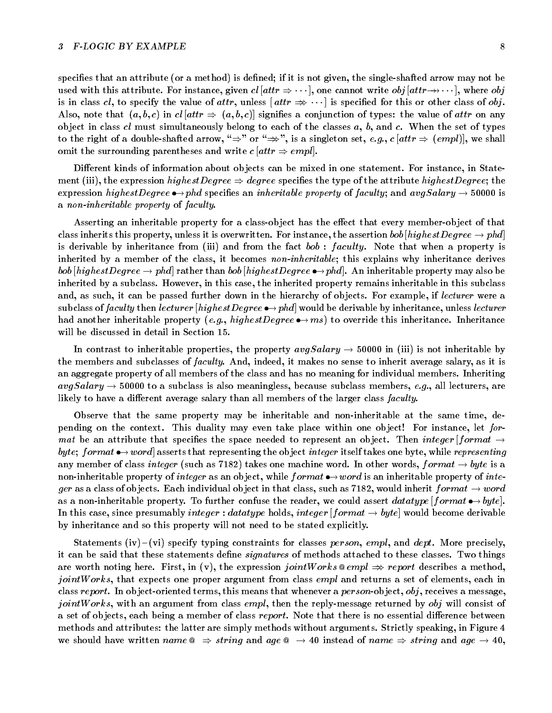specifies that an attribute (or a method) is defined; if it is not given, the single-shafted arrow may not be used with this attribute. For instance, given  $cl$   $|attr \Rightarrow \cdots |$ , one cannot write  $ob_l|attr \rightarrow \cdots |$ , where  $ob_l$ is in class cl, to specify the value of attr, unless  $[attr \Rightarrow \cdots]$  is specified for this or other class of obj. Also, note that  $(a, b, c)$  in  $cl [attr \Rightarrow (a, b, c)]$  signifies a conjunction of types: the value of attr on any object in class class class class can be and consequent the complete and complete a b and co-c-c-c-c-c-c-c-c-c to the right of a double-shafted arrow, " $\Rightarrow$ " or " $\Rightarrow$ ", is a singleton set, e.g., c  $|attr \Rightarrow$   $|empty|$ , we shall omit the surrounding parentheses and write  $c$  [attr  $\Rightarrow$  empl].

Dierent kinds of information about ob jects can be mixed in one statement- For instance in State ment (iii), the expression highestDegree  $\Rightarrow$  degree specifies the type of the attribute highestDegree; the expression highestDegree  $\rightarrow$  phd specifies an inheritable property of faculty; and  $avgSalary \rightarrow 50000$  is a non-inheritable property of faculty.

Asserting an inheritable property for a class-object has the effect that every member-object of that class inherits this property, unless it is overwritten. For instance, the assertion bob  $\vert n \iota q n e s t D e q r e e \rightarrow p n a \vert$ is derivative by inheritance from index from the fact bob . In and fact the fact border when  $\mu$  and  $\mu$ inherited by a member of the class, it becomes non-inheritable; this explains why inheritance derives bob  $|nq$ nest $D$ e $q$ ree  $\rightarrow$   $p$ n $a$ | rather than bob  $|nq$ nest $D$ e $q$ ree  $\rightarrow$   $p$ n $a$ |. An inheritable property may also be inherited by a subclassification of inheritable international case the inheritable international cases in this and as such it can be passed further down in the hierarchy of ob jects. It is inducted if the lecturer were a subclass of faculty then lecturer [highestDegree  $\rightarrow$  phd] would be derivable by inheritance, unless lecturer nad another inheritable property (*e.g., nighestDegree*  $\rightarrow$   $ms$ ) to override this inheritance. Inheritance will be discussed in detail in Section 15.

In contrast to inheritable properties, the property  $avgSalary \rightarrow 50000$  in (iii) is not inheritable by the members and subclasses of faculty- And indeed it makes no sense to inherit average salary as it is an aggregate property of all members of the class and has no meaning for individual members- Inheriting  $avg\,Sular\,y \rightarrow$  50000 to a subclass is also meaningless, because subclass members, e.q., all lecturers, are likely to have a different average salary than all members of the larger class  $\emph{faculty.}$ 

Observe that the same property may be inheritable and non-inheritable at the same time, depending on the context- This duality may even take place within one ob ject For instance let for  $\emph{ma}$ t be an attribute that specifies the space needed to represent an object. Then  $\emph{integer}$  format  $\rightarrow$ byte; format  $\rightarrow$  word asserts that representing the object integer itself takes one byte, while representing any member of class  $\mathit{integer}$  (such as  $\mathit{t}$  takes one machine word. In other words,  $\mathit{format} \rightarrow \mathit{byte}$  is a non-inheritable property of integer as an object, while format  $\rightarrow$  word is an inheritable property of inte $ger$  as a class of objects. Each individual object in that class, such as  $\mu$  is 2, would inherit  $\tau \sigma r m$   $\to w \sigma r$ as a non-inheritable property. To further confuse the reader, we could assert  $\emph{a}$ atatype format  $\leftrightarrow$  oyte). In this case, since presumably *integer* : *datatype* holds, *integer* [format  $\rightarrow$  byte] would become derivable by inheritance and so this property will not need to be stated explicitly-

stationistic iv vi specify typing constraints for contraint personal and depth-oneses personally it can be said that these statements denes signatures of methods at these classes constants in the complete are worth noting here. First, in (v), the expression *jointW orks* @ *empl*  $\Rightarrow$  *report* describes a method, jointW orks, that expects one proper argument from class empl and returns a set of elements, each in class reporter means the person that whenever a means that whenever a personal criterial completes a message o jointWorks, with an argument from class empl, then the reply-message returned by obj will consist of a set of ob jects each being a member of class report- Note that there is no essential dierence between methods attributes the latter are simply methods without arguments-strictly speaking in Figure . we should have written  $name@ \Rightarrow string$  and  $age@ \rightarrow 40$  instead of  $name \Rightarrow string$  and  $age \rightarrow 40,$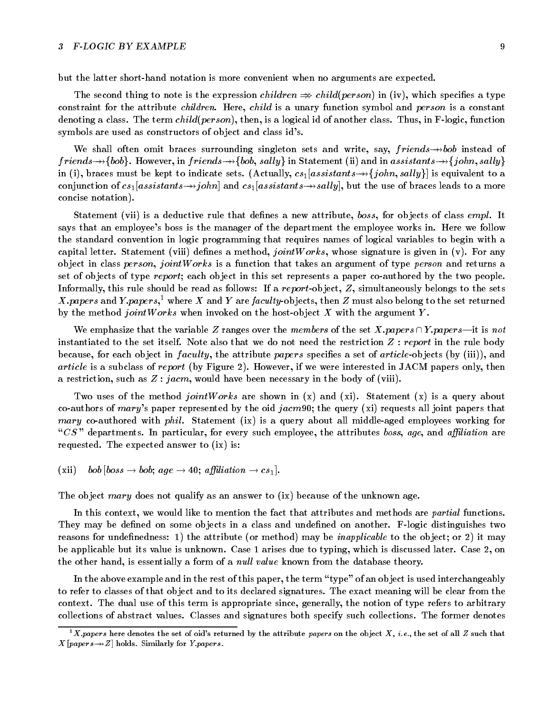# 3 F-LOGIC BY EXAMPLE 9

but the latter short-hand notation is more convenient when no arguments are expected.

The second thing to note is the expression *children*  $\Rightarrow$  *child(person)* in (iv), which specifies a type constraint for the attribute children-children-child is a unity function symmetry function at the symbol and a construction the term children is a logical ideas of another class-class-class-class-class-class-class-class symbols are used as constructors of object and class id's.

We shall often omit braces surrounding singleton sets and write, say,  $friends \rightarrow bob$  instead of  $friends{\rightarrowtail} \{bob\}$ . However, in  $friends{\rightarrowtail} \{bob, sally\}$  in Statement (ii) and in  $assistants{\rightarrowtail} \{john, sally\}$ in (i), braces must be kept to indicate sets. (Actually,  $cs_1[assistants{\rightarrow}\verb+\{john,sally}\!]$  is equivalent to a conjunction of  $cs_1 |assistants{\,\rightarrow\,}jonn|$  and  $cs_1 |assistants{\,\rightarrow\,}sality|,$  but the use of braces leads to a more concise notation).

Statement vii is a deductive rule that denes a new attribute boss for ob jects of class empl- It says that an employees boss is the manager of the department the employee works in- Here we follow the standard convention in logic programming that requires names of logical variables to begin with a capital letter- Statement viii denes a method jointW orks whose signature is given in v- For any object in class person, jointWorks is a function that takes an argument of type person and returns a set of objects of type report; each object in this set represents a paper co-authored by the two people. Informally, this rule should be read as follows: If a report-object,  $Z$ , simultaneously belongs to the sets  $\Lambda$  papers and Y papers, where  $\Lambda$  and Y are faculty objects, then  $Z$  must also belong to the set returned by the method joint W orks when invoked on the host-object X with the argument Y.

We emphasize that the variable Z ranges over the members of the set X papers  $\cap$  Y papers—it is not instantiated to the set itself- Note also that we do not need the restriction Z report in the rule body because, for each object in *faculty*, the attribute *papers* specifies a set of *article*-objects (by (iii)), and article is a subclass of report  $\{x_i\}$  if we were interested in the subclass of the papers only the model in a restriction, such as  $Z$  : jacm, would have been necessary in the body of (viii).

two uses of the method joint with methods are shown in  $\mathcal{S}$  is a shown in  $\mathcal{S}$  is a query about  $\mathcal{S}$ co-authors of mary's paper represented by the oid jacm90; the query  $(xi)$  requests all joint papers that mary coauthored with phil- Statement ix is a query about all middleaged employees working for . In particular for particular for every such employee the attributes boss, age, when alliation are a requested-by-contract and the expected-by-contract answer to intervention of the expected-by-contract and the expected-by-contract and the expected-by-contract and the expected-by-contract and the expected-by-contract and

$$
\text{(xii)}\quad \textit{bob}\;[\textit{boss}\rightarrow\textit{bob};\, \textit{age}\rightarrow 40;\, \textit{affiliation}\rightarrow\textit{cs}_1].
$$

The object mary does not qualify as an answer to  $(ix)$  because of the unknown age.

In this context, we would like to mention the fact that attributes and methods are *partial* functions. They may be dened on some ob jects in a class and undened on another- Flogic distinguishes two reasons for undefinedness: 1) the attribute (or method) may be *inapplicable* to the object; or 2) it may ... appendixed a discussed are announced to the to the top the top which is discussed and the case of the case of the the other hand, is essentially a form of a *null value* known from the database theory.

In the above example and in the rest of this paper, the term "type" of an object is used interchangeably to refer to classes of that ob ject and to its declared signatures- The exact meaning will be clear from the context- the dual use of this term is appropriate since  $\mu$  the notion of type refers to arbitrary collections of abstract values-such collections-second-collections-second-collections-second-collections-second-

 $\tau$   $\Lambda$  papers here denotes the set of oid's returned by the attribute papers on the object  $\Lambda$  ,  $\imath$  e., the set of all  $\varDelta$  such that  $\Lambda$  |papers  $\rightarrow$  Z | noids. Similarly for Y papers.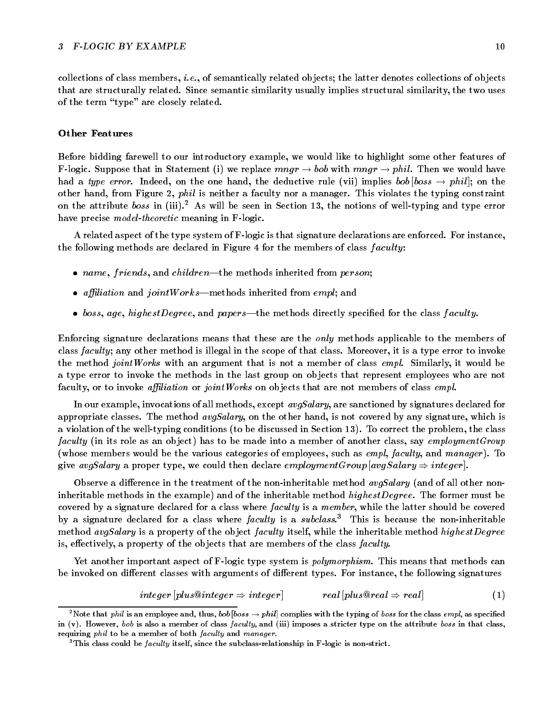collections of class members i-e- of semantically related ob jects the latter denotes collections of ob jects that are structured- structure similarity implies similarity usually implies structured and the two uses two u of the term "type" are closely related.

# Other Features

Before bidding farewell to our introductory example, we would like to highlight some other features of F-logic. Suppose that in Statement (1) we replace  $m n q r \rightarrow$  000 with  $m n q r \rightarrow p n u$ . Then we would have had a *type error*. Indeed, on the one hand, the deductive rule (vii) implies *bob* [*boss*  $\rightarrow$  *phil*]; on the other hand from Figure phil is neither a faculty nor a manager- This violates the typing constraint on the attribute  $ooss$  in (iii). As will be seen in Section 13, the notions of well-typing and type error have precise model-theoretic meaning in F-logic.

A related aspect of the type system of Flogic is that signature declarations are enforced- For instance the following methods are declared in Figure for the members of class f aculty

- $\bullet$   $name,$   $p$ riends, and children $\leftarrow$ the methods inherited from person;
- $\bullet$  -*affination* and *jointw orks—*methods inherited from  $empi;$  and
- $\bullet$  *boss, age, nignestDegree,* and  $papers$ —the methods directly specified for the class faculty.

Enforcing signature declarations means that these are the only methods applicable to the members of class faculty is in the method in the scope of the scope of that class-controlled in the score it is a type error the method is not argument that is not a member of class  $\mathbb{R}^n$  . The member of class employees employees a type error to invoke the methods in the last group on objects that represent employees who are not faculty, or to invoke *affiliation* or *jointWorks* on objects that are not members of class *empl.* 

In our example, invocations of all methods, except *avgSalary*, are sanctioned by signatures declared for appropriate classes-in the method avgsalary on the other hand is not covered by any signature which is not co a violation of the welltyping conditions to be discussed in Section -  $\mathbf{M}$ faculty (in its role as an object) has to be made into a member of another class, say employment Group whose members would be the various categories of employees such as employees such as employees such as employees give avgSalary a proper type, we could then declare employmentGroup  $\left[avgSalary \Rightarrow integer\right]$ .

Observe a difference in the treatment of the non-inheritable method *avgSalary* (and of all other noninheritable methods in the the inheritable methods in the inheritable method in and of the indicate method in t covered by a signature declared for a class where *faculty* is a *member*, while the latter should be covered by a signature declared for a class where *faculty* is a *subclass*. This is because the non-inneritable method avgSalary is a property of the object faculty itself, while the inheritable method highestDegree is, effectively, a property of the objects that are members of the class faculty.

Yet another important aspect of Flogic type system is polymorphism- This means that methods can be invoked on dierent terrent verschen tegenseis of dierent types- instance the following signatures.

$$
integer \, [plus@integer \Rightarrow integer] \qquad \qquad real \, [plus@real \Rightarrow real] \qquad \qquad (1)
$$

<sup>&</sup>quot;Note that  $p hil$  is an employee and, thus,  $bob|boss \to p hil|$  complies with the typing of boss for the class  $empl,$  as specified in  $(v)$ . However, bob is also a member of class faculty, and (iii) imposes a stricter type on the attribute boss in that class, requiring phil to be a member of both faculty and manager.

<sup>&</sup>lt;sup>3</sup>This class could be *faculty* itself, since the subclass-relationship in F-logic is non-strict.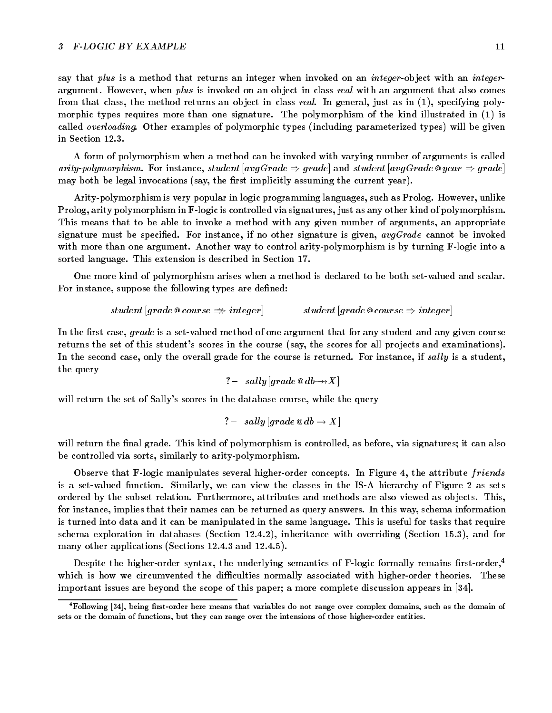# 3 F-LOGIC BY EXAMPLE 11

say that plus is a method that returns an integer when invoked on an *integer*-object with an *integer*argument-is is invoked on an observer when an observer the comes real with an argument that also comes that als from that class the method returns an ob ject in class real- In general just as in specifying poly morphic types requires more than one signature- The polymorphism of the kind illustrated in is called over examples of the called the polymorphic types in parameterized the called types will be given a second

A form of polymorphism when a method can be invoked with varying number of arguments is called arity-polymorphism. For instance, student  $|avgGrade \Rightarrow grad$  and student  $|avgGrade \otimes year \Rightarrow grad$ may both be legal invocations (say, the first implicitly assuming the current year).

Aritypolymorphism is very popular in logic programming languages such as Prolog- However unlike Prolog, arity polymorphism in F-logic is controlled via signatures, just as any other kind of polymorphism. This means that to be able to invoke a method with any given number of arguments, an appropriate signature must be specied- For instance if no other signature is given avgGrade cannot be invoked with more than one arguments-control arity is the control polymorphism is a processing Florence in sorted language- This extension is described in Section -

One more kind of polymorphism arises when a method is declared to be both set-valued and scalar. For instance, suppose the following types are defined:

$$
student\left[grade\ @\ course\ \Rightarrow\ integer\right]\qquad\qquad student\left[grade\ @\ course\ \Rightarrow\ integer\right]
$$

In the first case, grade is a set-valued method of one argument that for any student and any given course returns the set of this student's scores in the course (say, the scores for all projects and examinations). In the second case only the overall grade for the course is returned- For instance if sally is a student the query

$$
? - \quad sally \, [grade \otimes db {\,\rightarrow\hspace{-.5ex}{\rightarrow}\,} X]
$$

will return the set of Sally's scores in the database course, while the query

$$
? - \hspace{5pt} sally \hspace{5pt} [grade \, @ \hspace{5pt} db \rightarrow X]
$$

will return the natural grade-based-as before via polymorphism is controlled as before via signature it can also be controlled via sorts, similarly to arity-polymorphism.

observe that Flogic manipulates several higher concepts- and algebra in Figure f riendsis a setvalued function- Similarly we can view the classes in the ISA hierarchy of Figure as sets ordered by the subset relation- Furthermore attributes and methods are also viewed as ob jects- This for instance implies that their names can be returned as query answers- In this way schema information is turned into data and it can be manipulated in the same language- where it is useful for the same  $\sim$ schema exploration in databases Section - - inheritance with overriding Section - and for many other applications Sections - - and - --

Despite the higher-order syntax, the underlying semantics of F-logic formally remains first-order,<sup>4</sup> which is how we circumvented the difficulties normally associated with higher-order theories. These important issues are beyond the scope of this paper a more complete discussion appears in -

<sup>&</sup>lt;sup>4</sup>Following [34], being first-order here means that variables do not range over complex domains, such as the domain of sets or the domain of functions, but they can range over the intensions of those higher-order entities.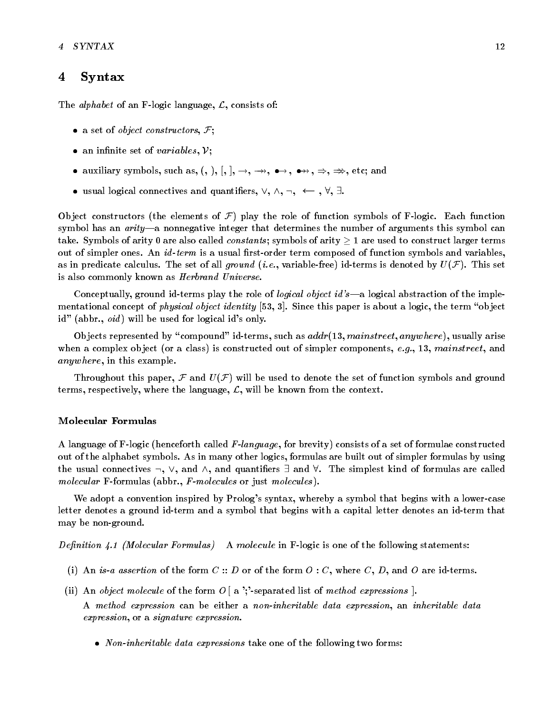#### 4 Syntax

The *alphabet* of an F-logic language,  $\mathcal{L}$ , consists of:

- a set of *object constructors*,  $\mathcal{F}$ :
- $\bullet$  an infinite set of  $variables, \mathcal{V};$
- auxiliary symbols, such as,  $( , ) , | , | , \rightarrow, \rightarrow, \bullet \rightarrow, \bullet \rightarrow, \Rightarrow, \Rightarrow, \Rightarrow$ , etc; and
- usual logical connectives and quantifiers,  $\vee$ ,  $\wedge$ ,  $\neg$ ,  $\leftarrow$  ,  $\forall$ ,  $\exists$ .

Object constructors (the elements of  $\mathcal{F}$ ) play the role of function symbols of F-logic. Each function symbol has an  $arity$ —a nonnegative integer that determines the number of arguments this symbol can take. Symbols of arity 0 are also called  $constants;$  symbols of arity  $\geq 1$  are used to construct larger terms out of simpler ones- An id term is a usual rstorder term composed of function symbols and variables as in predicate calculus. The set of all *ground* (*i.e.*, variable-free) id-terms is denoted by  $U(\mathcal{F})$ . This set is also commonly known as *Herbrand Universe*.

Conceptually, ground id-terms play the role of *logical object id's*—a logical abstraction of the implementational concept of physical object identity - Since this paper is about a logic the term ob ject id abbr- oid will be used for logical ids only-

Objects represented by "compound" id-terms, such as  $addr(13, main street, anywhere)$ , usually arise when a complex ob ject or a class is constructed out of simpler components e-g- mainstreet and  $anywhere, in this example.$ 

Throughout this paper, F and  $U(\mathcal{F})$  will be used to denote the set of function symbols and ground terms, respectively, where the language,  $\mathcal{L}$ , will be known from the context.

# Molecular Formulas

A language of F-logic (henceforth called F-language, for brevity) consists of a set of formulae constructed ... ... .... in many other logical contracts for any other logical communication for simpler formulas by using the usual connectives  $\neg, \vee,$  and  $\wedge,$  and quantifiers  $\exists$  and  $\forall$ . The simplest kind of formulas are called molecular Factor abbre- abbre- in the molecules or  $\mathcal{F}_1$  above molecules  $\mathcal{F}_2$ 

We adopt a convention inspired by Prolog's syntax, whereby a symbol that begins with a lower-case letter denotes a ground id-term and a symbol that begins with a capital letter denotes an id-term that may be non-ground.

denis and the contract of the contract of the contract of the contract of the contract of the contract of the c A molecule in F-logic is one of the following statements:

- (i) An is-a assertion of the form  $C : D$  or of the form  $O : C$ , where  $C, D$ , and  $O$  are id-terms.
- (ii) An object molecule of the form  $O \mid a$  ';'-separated list of method expressions ].

A method expression can be either a non-inheritable data expression, an inheritable data expression, or a signature expression.

 $\bullet$  *INon-inheritable data expressions* take one of the following two forms: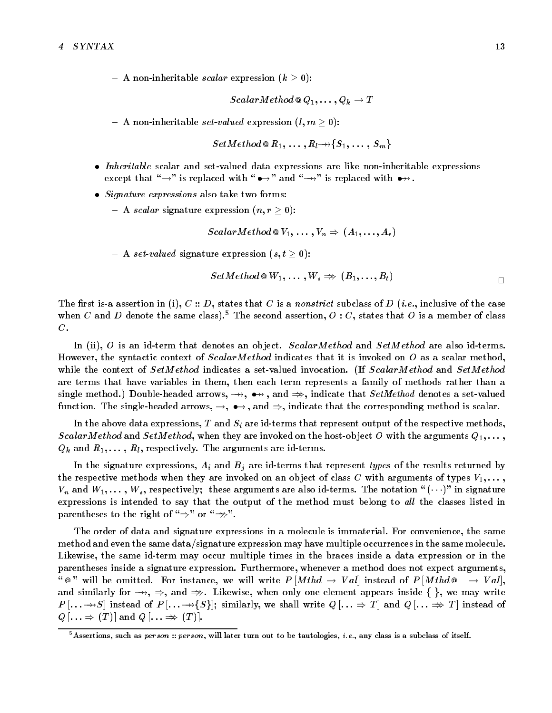- A non-inheritable scalar expression  $(k > 0)$ :

$$
ScalarMethod \, @ \, Q_1, \ldots \, , Q_k \rightarrow T
$$

- A non-inheritable set-valued expression  $(l, m \geq 0)$ :

$$
SetMethod @. R_1, \, \ldots \, , R_l{\twoheadrightarrow} \{ S_1, \, \ldots \, , \, S_m \}
$$

- $\bullet$  *Inheritable* scalar and set-valued data expressions are like non-inheritable expressions except that " $\rightarrow$ " is replaced with " $\rightarrow$ " and " $\rightarrow$ " is replaced with  $\rightarrow$ .
- $\bullet\$  *Signature expressions* also take two forms:
	- $A$  scalar signature expression  $(n, r \geq 0)$ :

$$
ScalarMethod \ @ \ V_1, \ \ldots \ , V_n \ \Rightarrow \ (A_1, \ldots \ , A_r)
$$

- A set-valued signature expression  $(s, t > 0)$ :

$$
SetMethod @W_1, \ldots, W_s \Rightarrow (B_1, \ldots, B_t) \qquad \qquad \Box
$$

the rest is assertion in it, a non-detection include that cases of D i-cases of D i-cases of the cases of the c when  $\cup$  and  $D$  denote the same class). The second assertion,  $\cup$  :  $\cup$  , states that  $\cup$  is a member of class  $C<sub>1</sub>$ 

In ii O is an idterm that denotes an ob ject- ScalarM ethod and SetM ethod are also idterms-However, the syntactic context of  $Scalar Method$  indicates that it is invoked on  $O$  as a scalar method, while the context of SetM ethod indicates a set while involved in an operator in the set  $\alpha$  setM ethod and are terms that have variables in them then each term represents a family of methods rather than a single method.) Double-headed arrows,  $\twoheadrightarrow$  ,  $\bullet$  and  $\Rightarrow$  , indicate that  $SetMethod$  denotes a set-valued function. The single-headed arrows,  $\rightarrow$  ,  $\rightarrow$  , and  $\Rightarrow$ , indicate that the corresponding method is scalar.

In the above data expressions,  $T$  and  $S_i$  are id-terms that represent output of the respective methods, Scalar M ethod when the state when  $\gamma$  and they are invoked on the host O  $\gamma$  with the arguments  $\gamma$   $\gamma$  $\mathcal{L}$  arguments are identically arguments are identically arguments are identically are identically are identically are in

In the signature expressions,  $A_i$  and  $B_j$  are id-terms that represent types of the results returned by the respective methods when they are invoked on an observed on an observed on an observed on an observed on an  $v_n$  and  $w_1, \ldots, w_s$ , respectively; these arguments are also id-terms. The notation  $(\cdots)$  in signature expressions is intended to say that the output of the method must belong to all the classes listed in parentheses to the right of " $\Rightarrow$ " or " $\Rightarrow$ ".

The order of data and signature expressions in a molecule is immaterial-  $\mathbf{F}$ method and even the same data/signature expression may have multiple occurrences in the same molecule. Likewise, the same id-term may occur multiple times in the braces inside a data expression or in the parameters inside a signature expression- a method does not expect are whenever an  $\eta$  method we will be omitted. For instance, we will write  $P$   $|$   $M$  thd  $\rightarrow$  V  $al$  instead of  $P$   $|$   $M$  thd  $@$   $\rightarrow$  V  $al$   $|$ , and similarly for  $\to$ ,  $\Rightarrow$ , and  $\Rightarrow$ . Likewise, when only one element appears inside { }, we may write  $P[\ldots \rightarrow S]$  instead of  $P[\ldots \rightarrow \{S\}]$ ; similarly, we shall write  $Q[\ldots \Rightarrow T]$  and  $Q[\ldots \Rightarrow T]$  instead of  $Q \, | \ldots \Rightarrow (T)|$  and  $Q \, | \ldots \Rightarrow (T)|.$ 

 $\frac{1}{6}$ Assertions, such as *person* :: *person*, will later turn out to be tautologies, *i.e.*, any class is a subclass of itself.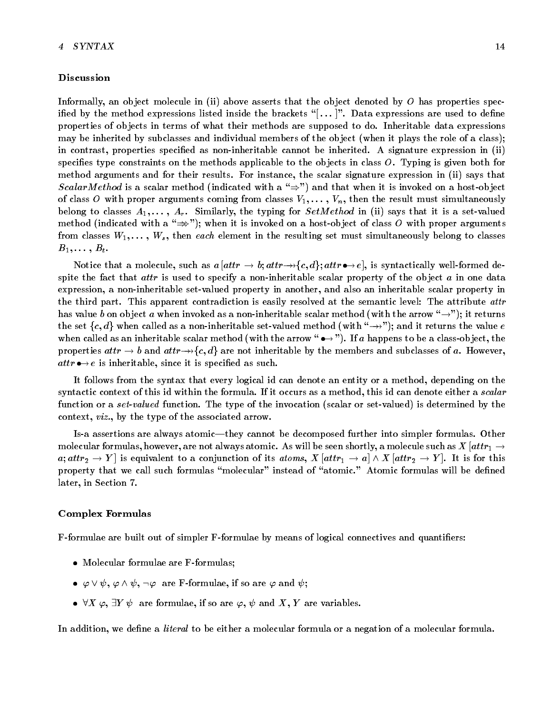## Discussion

 $-$  17  $-$  1  $-$  1  $-$  1

Informally, an object molecule in (ii) above asserts that the object denoted by O has properties specied by the method expressions listed inside the brackets - Data expressions are used to dene properties of ob jects in terms of what their methods are supposed to do- Inheritable data expressions may be inherited by subclasses and individual members of the object (when it plays the role of a class); in contrast properties specied as noninheritable cannot be inherited- A signature expression in ii species type constraints on the methods applicable to the ob jects in class O- Typing is given both for method arguments and for their results- For instance the scalar signature expression in ii says that ScalarMethod is a scalar method (indicated with a " $\Rightarrow$ ") and that when it is invoked on a host-object of class O with proper arguments community coming from classes  $V$  then the result must simultaneously community community community community community community community community community community community communit belong to classes a-1) ii jihal - setmentenyi ii says the time that it is a set  $\mathcal{A}$  in it is a set is a set when method (indicated with a " $\Rightarrow$ "); when it is invoked on a host-object of class O with proper arguments resulting was defined with a set must set must set must simultaneously belong the result of the results of the

Notice that a molecule, such as  $a [attr \rightarrow b; attr \rightarrow \{c, d\}; attr \rightarrow e],$  is syntactically well-formed despite the fact that  $attr$  is used to specify a non-inheritable scalar property of the object  $a$  in one data expression, a non-inheritable set-valued property in another, and also an inheritable scalar property in the third part- This apparent contradiction is easily resolved at the semantic level The attribute attr has value b on object a when invoked as a non-inheritable scalar method (with the arrow " $\rightarrow$ "); it returns the set  $\{c, d\}$  when called as a non-inheritable set-valued method (with " $\rightarrow$ "); and it returns the value e when called as an inheritable scalar method (with the arrow "  $\rightarrow$  " ). If  $a$  happens to be a class-object, the properties  $attr \rightarrow b$  and  $attr {\rightarrow} \{c, d\}$  are not inheritable by the members and subclasses of  $a.$  However, attr  $\rightarrow e$  is inheritable, since it is specified as such.

It follows from the syntax that every logical id can denote an entity or a method, depending on the syntactic context of this idea in this idea in the formula-denote either as a method this idea in the formulathe type of the two sets and the type of the involution-the involution scalar or setting in the involution of the i context viz- by the type of the associated arrow-

Isa assertions are always atomicthey cannot be decomposed further into simpler formulas- Other molecular formulas, however, are not always atomic. As will be seen shortly, a molecule such as  $X$   $|attr_1 \rightarrow$ a; attr<sub>2</sub>  $\rightarrow$  Y | is equivalent to a conjunction of its atoms, X |attr<sub>1</sub>  $\rightarrow$  a|  $\wedge$  X |attr<sub>2</sub>  $\rightarrow$  Y |. It is for this property that we can such formulas molecular instead of atomic- the atomic- the such atomiclater, in Section 7.

# Complex Formulas

F-formulae are built out of simpler F-formulae by means of logical connectives and quantifiers:

- $\bullet\,$  Molecular formulae are F-formulas;  $\,$
- $\bullet\;\;\varphi\vee\psi,\;\varphi\wedge\psi,\;\neg\varphi\;\;$  are F-formulae, it so are  $\varphi$  and  $\psi;\;$
- $\forall X \varphi, \exists Y \psi \text{ are formulae, if so are } \varphi, \psi \text{ and } X, Y \text{ are variables.}$

In addition, we define a *literal* to be either a molecular formula or a negation of a molecular formula.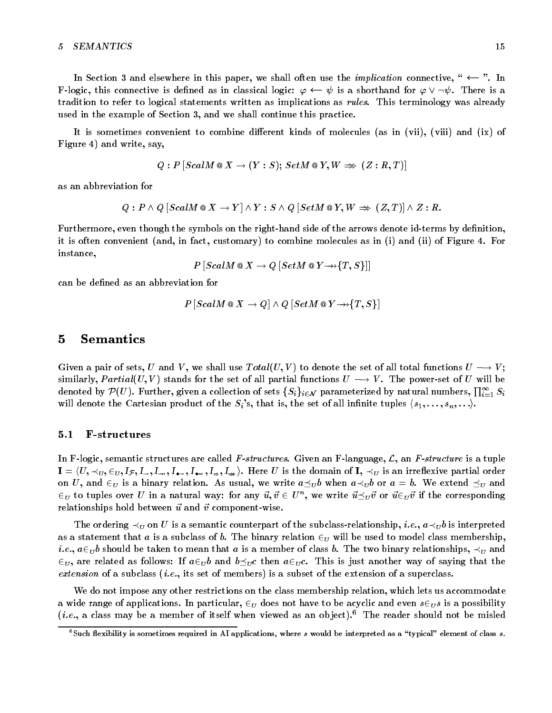### 5 SEMANTICS 15

In Section and the shall of this paper we shall often use the implication connective - - - - - -F-logic, this connective is defined as in classical logic:  $\varphi \leftarrow \psi$  is a shorthand for  $\varphi \vee \neg \psi$ . There is a tradition to refer to  $\Gamma$  implications written as implications as rules-was rules-was already was already was already was already was already was already was already was already was already was already was already was al used in the example of Section 3, and we shall continue this practice.

It is sometimes convenient to combine different kinds of molecules (as in (vii), (viii) and (ix) of Figure and write say

$$
Q: P\left[Scal M\circledast X\rightarrow (Y:S);\, Set M\circledast Y, W \Rightarrow \left(Z:R,T\right)\right]
$$

as an abbreviation for

$$
Q: P \wedge Q \ [\mathit{ScalM} \ @ \ X \rightarrow Y] \wedge Y: S \wedge Q \ [\mathit{SetM} \ @ \ Y, W \Rightarrow \ (Z,T)] \wedge Z: R.
$$

Furthermore, even though the symbols on the right-hand side of the arrows denote id-terms by definition, it is often convenient and in fact customary to combine  $\mathbf{f}$  in in in in in in in in in infact customary to combine  $\mathbf{f}$ instance

 $P [ScalM \otimes X \rightarrow Q [SetM \otimes Y \rightarrow \{T, S\}]]$ 

can be defined as an abbreviation for

$$
P\left[Scal\,M\,\mathfrak{A}\,\,X\,\rightarrow\,Q\,\right]\wedge\,Q\left[Set\,M\,\mathfrak{A}\,Y\mathbin{\rightarrow\!\!\!\rightarrow} \{T,S\}\right]
$$

# 5 Semantics

Given a pair of sets, U and V, we shall use  $Total(U, V)$  to denote the set of all total functions  $U \rightarrow V$ ; similarly,  $Partition(V, V)$  stands for the set of all partial functions  $U \longrightarrow V$  . The power-set of  $U$  will be denoted by  $\mathcal{P}(U).$  Further, given a collection of sets  $\{S_i\}_{i\in\mathcal{N}}$  parameterized by natural numbers,  $\prod_{i=1}^\infty S_i$ will denote the Cartesian product of the  $S_i$ 's, that is, the set of all infinite tuples  $\langle s_1,\ldots,s_n,\ldots\rangle$ .

#### $5.1$ F-structures

In F-logic, semantic structures are called *F-structures*. Given an F-language,  $\mathcal{L}$ , an *F-structure* is a tuple  ${\bf I}=\langle U,\prec_v,\in_v,I_{\cal F},I_\to,I_\to,I_\bullet,I_\to,I_\to,I_\to\rangle.$  Here  $U$  is the domain of  ${\bf I},\prec_v$  is an irreflexive partial order on U, and  $\in_{U}$  is a binary relation. As usual, we write  $a\preceq_{U} b$  when  $a\prec_{U} b$  or  $a=b$ . We extend  $\preceq_{U}$  and  $\in_U$  to tuples over  $U$  in a natural way: for any  $\vec u, \vec v \in U^n,$  we write  $\vec u\preceq_U\vec v$  or  $\vec u\in_U\vec v$  if the corresponding relationships hold between  $\vec{u}$  and  $\vec{v}$  component-wise.

The ordering  $\prec_U$  on  $U$  is a semantic counterpart of the subclass-relationship, i.e.,  $a\prec_U b$  is interpreted as a statement that  $a$  is a subclass of  $b$ . The binary relation  $\in_U$  will be used to model class membership, *i.e.*,  $a \in U$  should be taken to mean that a is a member of class b. The two binary relationships,  $\prec_U$  and  $\in_U$ , are related as follows: If  $a\in_U b$  and  $b\preceq_U c$  then  $a\in_U c$ . This is just another way of saying that the extension of a subclass i-e- its set of members is a subset of the extension of a superclass-

We do not impose any other restrictions on the class membership relation, which lets us accommodate a wide range of applications. In particular,  $\in_U$  does not have to be acyclic and even  $s\in _{U}s$  is a possibility  $(i.\ell.,$  a class may be a member of itself when viewed as an object). The reader should not be misled

 $6$ Such flexibility is sometimes required in AI applications, where s would be interpreted as a "typical" element of class s.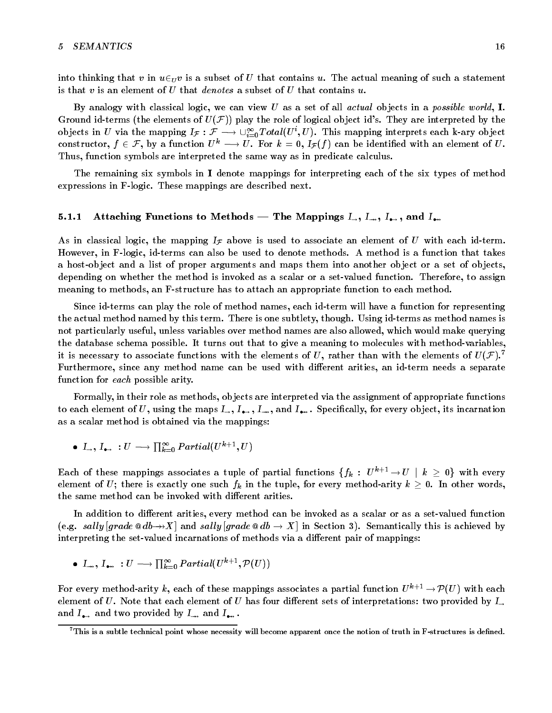into thinking that  $v$  in  $u \in_{\scriptscriptstyle{U}} v$  is a subset of  $U$  that contains  $u$ . The actual meaning of such a statement is that v is an element of U that *denotes* a subset of U that contains u.

By analogy with classical logic, we can view U as a set of all *actual* objects in a *possible world*, I. Ground id-terms (the elements of  $U(\mathcal{F})$ ) play the role of logical object id's. They are interpreted by the objects in  $U$  via the mapping  $I_{\cal F}: {\cal F} \longrightarrow \cup_{i=0}^\infty Total(U^i,U).$  This mapping interprets each k-ary object constructor,  $f \in \mathcal{F}$ , by a function  $U^k \longrightarrow U$ . For  $k=0,$   $I_{\mathcal{F}}(f)$  can be identified with an element of  $U$ . Thus, function symbols are interpreted the same way as in predicate calculus.

The remaining six symbols in I denote mappings for interpreting each of the six types of method expressions in Flogic- These mappings are described next-

## Attaching Functions to Methods — The Mappings  $I_{\rightarrow}$ ,  $I_{\rightarrow}$ ,  $I_{\leftarrow}$ , and  $I_{\leftarrow}$

As in classical logic, the mapping  $I_{\mathcal{F}}$  above is used to associate an element of U with each id-term. However in Flogic idterms can also be used to denote methods- A method is a function that takes a host-object and a list of proper arguments and maps them into another object or a set of objects, depending on whether the method is invoked as a scalar or a setvalued function- Therefore to assign meaning to methods, an F-structure has to attach an appropriate function to each method.

Since id-terms can play the role of method names, each id-term will have a function for representing the actual method named by this term- There is one subtlety though- Using idterms as method names is not particularly useful, unless variables over method names are also allowed, which would make querying the database schema possible-to-give a meaning that to give a meaning to  $\mathbf{u}$ it is necessary to associate functions with the elements of U, rather than with the elements of  $U(\mathcal{F})$ . Furthermore, since any method name can be used with different arities, an id-term needs a separate function for each possible arity.

Formally, in their role as methods, objects are interpreted via the assignment of appropriate functions to each element of U, using the maps  $I_\rightarrow$ ,  $I_\leftarrow$ ,  $I_\rightarrow$ , and  $I_\leftarrow$ . Specifically, for every object, its incarnation as a scalar method is obtained via the mappings

$$
\bullet\ \ I_\rightarrow,\ I_\bullet\rightarrow\ U\ \mathbin{\longrightarrow}\ \textstyle{\prod_{k=0}^\infty \mathit{Partial}(U^{k+1},U)}
$$

Each of these mappings associates a tuple of partial functions  $\{f_k \, : \; U^{k+1} \to U \,\mid\, k\, \geq\, 0\}$  with every element of U; there is exactly one such  $f_k$  in the tuple, for every method-arity  $k\geq 0$ . In other words, the same method can be invoked with different arities.

In addition to different arities, every method can be invoked as a scalar or as a set-valued function (e.g. sally grade  $\cup$  alo  $\rightarrow$   $\lambda$  ) and sally grade  $\cup$  ab  $\rightarrow$   $\lambda$  ) in Section 3). Semantically this is achieved by interpreting the set-valued incarnations of methods via a different pair of mappings:

 $\bullet$   $I_{\twoheadrightarrow}, I_{\bullet \twoheadrightarrow}: U \longrightarrow \prod_{k=0}^{\infty} Partial(U^{k+1}, {\mathcal P}(U))$ 

For every method-arity  $k$ , each of these mappings associates a partial function  $U^{k+1}\to {\mathcal P}(U)$  with each element of U. Note that each element of U has four different sets of interpretations: two provided by  $I_{\rightarrow}$ and  $I_{\bullet\bullet}$  and two provided by  $I_{\bullet\bullet}$  and  $I_{\bullet\bullet\bullet}$ .

 $^\tau$ This is a subtle technical point whose necessity will become apparent once the notion of truth in F-structures is defined.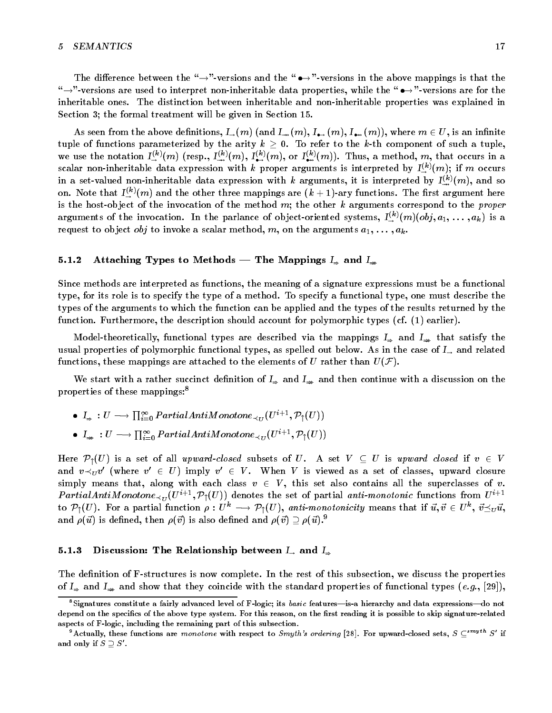The difference between the " $\rightarrow$ "-versions and the " $\rightarrow$ "-versions in the above mappings is that the " $\rightarrow$ "-versions are used to interpret non-inheritable data properties, while the " $\rightarrow$ "-versions are for the inheritable ones- The distinction between inheritable and noninheritable properties was explained in Section 3; the formal treatment will be given in Section 15.

As seen from the above definitions,  $I_\rightarrow(m)$  (and  $I_\rightarrow(m)$ ,  $I_\leftarrow(m)$ ,  $I_\leftarrow(m)$ ), where  $m \in U$ , is an infinite tuple of functions parameterized by the arity  $k\geq 0$ . To refer to the k-th component of such a tuple, we use the notation  $I^{\scriptscriptstyle{(k)}}_{\scriptscriptstyle{\rightarrow}}(m)$  (resp.,  $I^{\scriptscriptstyle{(k)}}_{\scriptscriptstyle{\rightarrow}}(m)$ ,  $I^{\scriptscriptstyle{(k)}}_{\scriptscriptstyle{\rightarrow}}(m)$ , or  $I^{\scriptscriptstyle{(k)}}_{\scriptscriptstyle{\rightarrow}}(m)$ ). Thus, a method, m, that occurs in a scalar non-inheritable data expression with  $k$  proper arguments is interpreted by  $I_{\to}^{(k)}(m);$  if  $m$  occurs in a set-valued non-inheritable data expression with k arguments, it is interpreted by  $I_{\infty}^{(\kappa)}(m)$ , and so on. Note that  $I^{(n)}_{\gamma}(m)$  and the other three mappings are  $(k+1)$ -ary functions. The first argument here is the host-object of the invocation of the method  $m$ ; the other k arguments correspond to the proper arguments of the invocation. In the parlance of object-oriented systems,  $I_{\to}^{(\kappa)}(m)(obj, a_1, \ldots, a_k)$  is a request to ob ject obj to invoke a scalar method m on the arguments a- ak-

#### 5.1.2 Attaching Types to Methods — The Mappings  $I_{\Rightarrow}$  and  $I_{\Rightarrow}$

Since methods are interpreted as functions, the meaning of a signature expressions must be a functional type for its role is to specify the type of a method- To specify a functional type one must describe the types of the arguments to which the function can be applied and the types of the results returned by the function- Furthermore the description should account for polymorphic types cf- earlier-

Model-theoretically, functional types are described via the mappings  $I_{\Rightarrow}$  and  $I_{\Rightarrow}$  that satisfy the usual properties of polymorphic functional types, as spelled out below. As in the case of  $I_\rightarrow$  and related functions, these mappings are attached to the elements of U rather than  $U(\mathcal{F})$ .

We start with a rather succinct definition of  $I_{\Rightarrow}$  and  $I_{\Rightarrow}$  and then continue with a discussion on the properties of these mappings

- $\Psi \colon L \to \prod_{i=0}^\infty \operatorname{PartialAntiMonotone}_{\prec_U} (U^{i+1}, {\mathcal P}_\uparrow (U))$
- $\bullet\;\; I_{\Rightarrow}\; : U \longrightarrow \prod_{i=0}^{\infty} PartialAntiMonotone_{\prec_U} (U^{i+1}, {\mathcal P}_{\uparrow}(U))$

Here  ${\mathcal P}_1(U)$  is a set of all upward-closed subsets of U. A set  $V\, \subseteq\, U$  is upward closed if  $v\, \in\, V$ and  $v \prec_U v'$  (where  $v' \in U$ ) imply  $v' \in V$ . When V is viewed as a set of classes, upward closure simply means that, along with each class  $v \in V$ , this set also contains all the superclasses of v. Partial Anti Monotone<sub> $\prec_U(U^{i+1}, {\cal P}_\uparrow(U))$  denotes the set of partial anti-monotonic functions from  $U^{i+1}$ </sub> to  $\mathcal{P}_1(U)$ . For a partial function  $\rho: U^* \longrightarrow \mathcal{P}_1(U)$ , anti-monotonicity means that if  $\vec{u}, \vec{v} \in U^k$ ,  $\vec{v} \preceq_U \vec{u}$ , and  $\rho(\vec{u})$  is defined, then  $\rho(\vec{v})$  is also defined and  $\rho(\vec{v}) \supseteq \rho(\vec{u})$ .

#### 5.1.3 .3 Discussion: The Relationship between  $I_{\rightarrow}$  and  $I_{\Rightarrow}$

. The denition of Fstructures is now complete: An the rest of the properties the properties the properties of of  $I_{\Rightarrow}$  and  $I_{\Rightarrow}$  and show that they coincide with the standard properties of functional types (e.g., [29]),

 ${}^{8}$ Signatures constitute a fairly advanced level of F-logic; its basic features-is-a hierarchy and data expressions-do not depend on the specifics of the above type system. For this reason, on the first reading it is possible to skip signature-related aspects of F-logic, including the remaining part of this subsection.

<sup>&</sup>quot;Actually, these functions are *monotone* with respect to *Smyth's ordering* [28]. For upward-closed sets,  $S \subseteq^{symy,n} S'$  if and only if  $S \supseteq S'$ .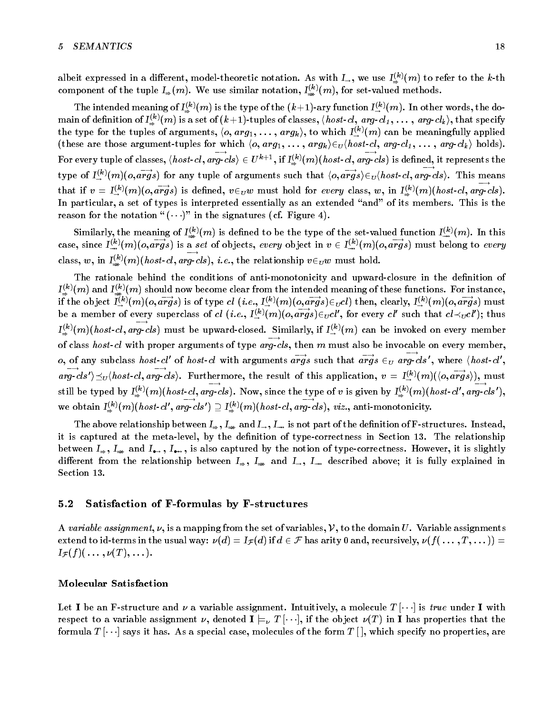albeit expressed in a different, model-theoretic notation. As with  $I_\rightarrow$ , we use  $I_\pm^{(\kappa)}(m)$  to refer to the  $k$ -th component of the tuple  $I_{\Rightarrow}(m)$ . We use similar notation,  $I_{\Rightarrow}^{(k)}(m)$ , for set-valued methods.

The intended meaning of  $I_{\succeq}^{(\kappa)}(m)$  is the type of the  $(k+1)$ -ary function  $I_{\succeq}^{(\kappa)}(m)$ . In other words, the domain of definition of  $I_{\Rightarrow}^{(k)}(m)$  is a set of  $(k+1)$ -tuples of classes,  $\langle host\ cl,\ arg\ cl_1,\ \ldots\ ,\ arg\ cl_k\rangle,$  that specify the type for the tuples of arguments,  $\langle o, \, arg_1, \, \ldots, \, arg_k \rangle,$  to which  $I^{(k)}_{\to}(m)$  can be meaningfully applied (these are those argument-tuples for which  $\langle o, arg_1, \ldots, arg_k \rangle \in_{U} \langle host\text{-}cl, arg\text{-}cl_1, \ldots, arg\text{-}cl_k \rangle$  holds). For every tuple of classes,  $\langle host\text{-}cl, arg\text{-}cls\rangle\in U^{k+1},$  if  $I^{(k)}_{\Rightarrow}(m)(host\text{-}cl, arg\text{-}cls)$  is defined, it represents the type of  $I^{(k)}_\to(m)(o,a\vec{rg}s)$  for any tuple of arguments such that  $\langle o,a\vec{rg}s\rangle \in _{\sigma}\langle host\text{-}cl, arg\text{-}cls\rangle.$  This means that if  $v\,=\,I^{(k)}_{\to}(m)(o,\vec{args})$  is defined,  $v\in_Uw$  must hold for every class,  $w,$  in  $I^{(k)}_{\Rightarrow}(m)(host\cdot cl,\,arg\cdot cls).$ In particular a set of types is interpreted essentially as an extended and of its members- This is the  $r$  reason for the notation  $(r \cdot r)$  and the signatures (cf. Figure 4).

Similarly, the meaning of  $I_{\infty}^{(\kappa)}(m)$  is defined to be the type of the set-valued function  $I_{\infty}^{(\kappa)}(m)$ . In this case, since  $I_{\to}^{(k)}(m)(o, a\vec{rg}s)$  is a set of objects, every object in  $v\in I_{\to}^{(k)}(m)(o, a\vec{rg}s)$  must belong to every class, w, in  $I_{\nArr}^{(k)}(m)$ (host-cl, arg-cls), i.e., the relationship  $v \in Uw$  must hold.

The rationale behind the conditions of anti-monotonicity and upward-closure in the definition of  $I_{\omega}^{(\kappa)}(m)$  and  $I_{\omega}^{(\kappa)}(m)$  should now become clear from the intended meaning of these functions. For instance, if the object  $I^{(\kappa)}_\pm(m)(o,args)$  is of type  $cl$   $(i.e., I^{(\kappa)}_\pm(m)(o,args) \in _{\sigma} cl)$  then, clearly,  $I^{(\kappa)}_\pm(m)(o,args)$  must --be a member of every superclass of  $cl$  (i.e.,  $I^{{\scriptscriptstyle (k)}}_{\rightarrow}(m)(o,args) {\in}_C cl'$ , for every  $cl'$  such that  $cl {\prec}_C cl'$ ); thus  $I_{\Rightarrow}^{(k)}(m) (host\text{-}cl, arg\text{-}cls)$  must be upward-closed. Similarly, if  $I_{\rightarrow}^{(k)}(m)$  can be invoked on every member of class host-cl with proper arguments of type  $arg-cls$ , then m must also be invocable on every member, o, of any subclass host-cl' of host-cl with arguments  $a\vec{r}g\vec{s}$  such that  $a\vec{r}g\vec{s} \in_{U} a\vec{r}g$ -cls', where  $\langle host-cl',$  $arg\text{-}cls'\rangle \leq_U \langle host\text{-}cl, arg\text{-}cls\rangle$ . Furthermore, the result of this application,  $v = I_{\rightarrow}^{(k)}(m)(\langle o, \overrightarrow{args}\rangle)$ , must still be typed by  $I_{\Rightarrow}^{(k)}(m) (host\text{-}cl,\text{arg}\text{-}cls)$ . Now, since the type of  $v$  is given by  $I_{\Rightarrow}^{(k)}(m) (host\text{-}cl',\text{arg}\text{-}cls'),$ we obtain  $I_{\Rightarrow}^{(k)}(m)$  (host-cl', arg-cls')  $\supseteq I_{\Rightarrow}^{(k)}(m)$  (host-cl, arg-cls), viz., anti-monotonicity.

The above relationship between  $I_\Rightarrow$  ,  $I_\Rightarrow$  and  $I_\rightarrow$  ,  $I_\rightarrow$  is not part of the definition of F-structures. Instead, it is captured at the metalevel by the denition of typecorrectness in Section - The relationship between  $I_\Rightarrow$ ,  $I_\Rightarrow$  and  $I_\bullet$ ,  $I_\bullet$ , is also captured by the notion of type-correctness. However, it is slightly different from the relationship between  $I_\Rightarrow$ ,  $I_\Rightarrow$  and  $I_\rightarrow$ ,  $I_\rightarrow$  described above; it is fully explained in Section 13.

#### $5.2$ Satisfaction of  $F$ -formulas by  $F$ -structures

A variable assignment,  $\nu$ , is a mapping from the set of variables,  $\mathcal V$ , to the domain U. Variable assignments extend to id-terms in the usual way:  $\nu(d) = I_{\mathcal{F}}(d)$  if  $d \in \mathcal{F}$  has arity 0 and, recursively,  $\nu(f(\ldots, T, \ldots)) =$  $I_{\mathcal{F}}(f)(\ldots,\nu(T),\ldots).$ 

# Molecular Satisfaction

Let I be an F-structure and  $\nu$  a variable assignment. Intuitively, a molecule I  $|\cdot|$  is true under I with respect to a variable assignment  $\nu$ , denoted  $I \models_{\nu} T [\cdots]$ , if the object  $\nu(T)$  in I has properties that the formula  $I$   $|\cdots|$  says it has. As a special case, molecules of the form  $I$   $||$ , which specify no properties, are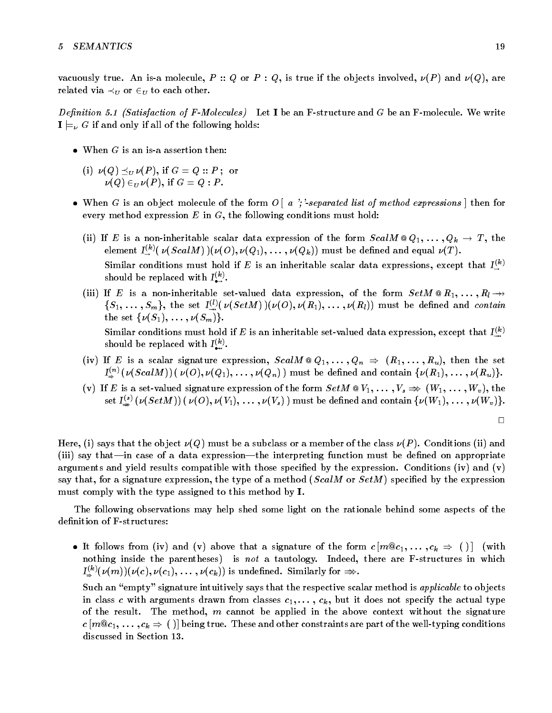vacuously true- An isa molecule P Q orP Q is true if the ob jects involved P and Q are related via  $\prec_U$  or  $\in_U$  to each other.

denition - Satisfaction - Satisfaction of FMO let I be an Fmolecule-Be and G be an Fmolecule-Be and G be an Fmo  $\mathbf{I} \models_{\nu} G$  if and only if all of the following holds:

 $\bullet\,$  when  $\sigma$  is an is-a assertion then:

(i)  $\nu(Q) \preceq_{U} \nu(P)$ , if  $G = Q :: P$ ; or  $\nu(Q) \in_U \nu(P)$ , if  $G = Q : P$ .

- $\bullet$  When G is an object molecule of the form  $O+a$  ; separated list of method expressions | then for every method expression  $E$  in  $G$ , the following conditions must hold:
	- (ii) If E is a non-inheritable scalar data expression of the form  $\textit{ScainM}\otimes Q_1,\ldots,Q_k\rightarrow T,$  the element  $I^{(\kappa)}_\rightarrow(\,\nu(ScalM\,))(\nu(O),\nu(Q_1),\,\ldots\,,\nu(Q_k))$  must be defined and equal  $\nu(T).$ Similar conditions must hold if E is an inheritable scalar data expressions, except that  $I^{(k)}$ should be replaced with  $I^{(k)}$  .
	- (iii) if E is a non-inheritable set-valued data expression, of the form  $S$ etM  $\otimes$   $R_1, \ldots, R_l \rightarrowtail$  $\{S_1,\,\ldots\,,S_m\},$  the set  $I^{(\iota)}_\rightarrow(\nu(Set M)\,)(\nu(O),\nu(R_1),\,\ldots\,,\nu(R_l))$  must be defined and contain the set  $\{\nu(S_1), \ldots, \nu(S_m)\}.$

Similar conditions must hold if E is an inheritable set-valued data expression, except that  $I_{\cdot}^{(k)}$ should be replaced with  $I^{(k)}$  .

- (iv) If E is a scalar signature expression,  $Scal M \otimes Q_1, \ldots, Q_n \Rightarrow (R_1, \ldots, R_u)$ , then the set  $I^{(n)}_\Rightarrow(\nu(ScalM))(\,\nu(O),\nu(Q_1),\,\ldots\,,\nu(Q_n)\,)$  must be defined and contain  $\{\nu(R_1),\,\ldots\,,\nu(R_u)\}.$
- (v) If E is a set-valued signature expression of the form  $Set M @ V_1, \ldots, V_s \Rightarrow (W_1, \ldots, W_v)$ , the set  $I^{(s)}_\ncong(\nu(Set M))$  (  $\nu(O), \nu(V_1), \ldots, \nu(V_s)$  ) must be defined and contain  $\{\nu(W_1), \ldots, \nu(W_v)\}.$

 $\Box$ 

Here i says that the ob ject Q must be a subclass or a member of the class P - Conditions ii and (iii) say that—in case of a data expression—the interpreting function must be defined on appropriate arguments and yield results compatible with the experiments in the expression- compatible yield by the expression say that, for a signature expression, the type of a method  $(ScalM$  or  $SetM)$  specified by the expression must comply with the type assigned to this method by I-

The following observations may help shed some light on the rationale behind some aspects of the definition of F-structures:

• It follows from (iv) and (v) above that a signature of the form  $c \, | m@c_1, \ldots, c_k \, \Rightarrow \,$  ( )) (with nothing inside the parentheses is not a tautology- Indeed there are Fstructures in which  $I^{(\kappa)}_\Rightarrow(\nu(m))(\nu(c),\nu(c_1),\,\ldots\,,\nu(c_k))$  is undefined. Similarly for  $\Rightarrow$ 

Such an "empty" signature intuitively says that the respective scalar method is applicable to objects in class complete arguments drawn from collection  $\cdot$  ,  $\cdot$  ,  $\cdot$  ,  $\cdot$  ,  $\cdot$  ,  $\cdot$  ,  $\cdot$  ,  $\cdot$  ,  $\cdot$  ,  $\cdot$  ,  $\cdot$  ,  $\cdot$  ,  $\cdot$  ,  $\cdot$  ,  $\cdot$  ,  $\cdot$  ,  $\cdot$  ,  $\cdot$  ,  $\cdot$  ,  $\cdot$  ,  $\cdot$  ,  $\cdot$  ,  $\cdot$  ,  $\cdot$  ,  $\cdot$ of the context - method method in the signature in the above context without the signature the signature of th  $c | m@c_1, \ldots, c_k \Rightarrow |$  ) being true. These and other constraints are part of the well-typing conditions discussed in Section 13.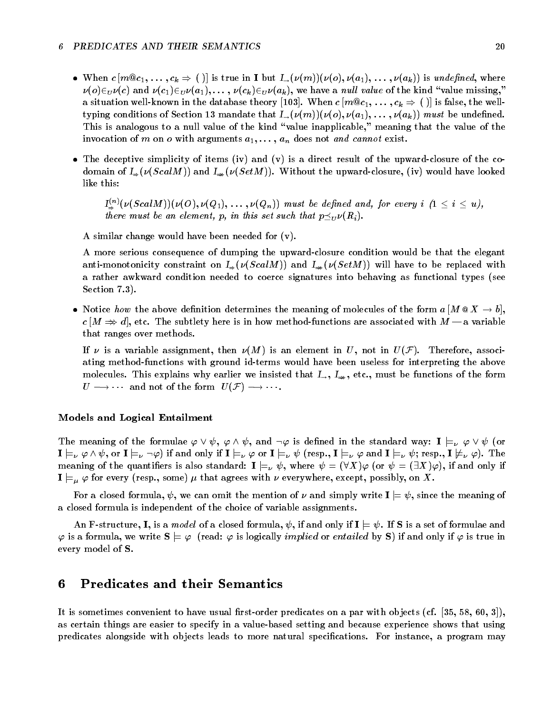- When  $c | m@c_1, \ldots, c_k \Rightarrow$  () is true in I but  $I_+(v(m))(\nu(o), \nu(a_1), \ldots, \nu(a_k))$  is undefined, where  $\nu(o) \in_U \nu(c)$  and  $\nu(c_1) \in_U \nu(a_1), \ldots, \nu(c_k) \in_U \nu(a_k)$ , we have a null value of the kind "value missing," a situation well-known in the database theory  $|103|$ . When  $c$   $|m \mathbb{C} q_1, \ldots, c_k \Rightarrow |$   $|$  is false, the welltyping conditions of Section 13 mandate that  $I_{\rightarrow}(\nu(m))(\nu(o), \nu(a_1), \ldots, \nu(a_k))$  must be undefined. This is analogous to a null value of the kind "value inapplicable," meaning that the value of the invocation of m on o with arguments a- an does not and cannot exist-
- $\bullet$  The deceptive simplicity of items (iv) and (v) is a direct result of the upward-closure of the codomain of  $I=(\nu(ScalM))$  and  $I=\nu(SetM)$ ). Without the upward-closure, (iv) would have looked like this

 $I^{(n)}_\omega(\nu(ScalM))(\nu(O),\nu(Q_1),\ldots,\nu(Q_n))$  must be defined and, for every  $i$   $(1\leq i\leq u),$ there must be an element, p, in this set such that  $p\preceq_{U} \nu(R_i)$ .

A similar change would have been needed for  $(v)$ .

A more serious consequence of dumping the upward-closure condition would be that the elegant anti-monotonicity constraint on  $I_{\Rightarrow}(v(ScalM))$  and  $I_{\Rightarrow}(v(SetM))$  will have to be replaced with a rather awkward condition needed to coerce signatures into behaving as functional types (see Section --

 $\bullet$  Notice now the above definition determines the meaning of molecules of the form  $a$   $\vert$   $\!\! M$   $\otimes$   $\!$   $\to$   $\;\! o$   $\vert$ ,  $c\, | M \Rightarrow d |,$  etc. The subtlety here is in how method-functions are associated with  $M$  — a variable that ranges over methods-

If  $\nu$  is a variable assignment, then  $\nu(M)$  is an element in  $U,$  not in  $U(\mathcal{F}).$  Therefore, associating method-functions with ground id-terms would have been useless for interpreting the above molecules. This explains why earlier we insisted that  $I_\rightarrow$ ,  $I_\Rightarrow$ , etc., must be functions of the form  $U \longrightarrow \cdots$  and not of the form  $U(\mathcal{F}) \longrightarrow \cdots$ .

# Models and Logical Entailment

The meaning of the formulae  $\varphi \lor \psi, \, \varphi \land \psi,$  and  $\neg \varphi$  is defined in the standard way:  $\textbf{I} \models_\nu \varphi \lor \psi$  (or  ${\rm\bf I} \models_\nu \varphi \wedge \psi,$  or  ${\rm\bf I} \models_\nu \neg \varphi)$  if and only if  ${\rm\bf I} \models_\nu \varphi$  or  ${\rm\bf I} \models_\nu \psi$  (resp.,  ${\rm\bf I} \models_\nu \varphi$  and  ${\rm\bf I} \models_\nu \psi;$  resp.,  ${\rm\bf I} \not\models_\nu \varphi).$  The meaning of the quantifiers is also standard:  ${\rm\bf I}\models_\nu \psi,$  where  $\psi=(\forall X)\varphi$  (or  $\psi=(\exists X)\varphi),$  if and only if  $\mathbf{I} \models_{\mu} \varphi$  for every (resp., some)  $\mu$  that agrees with  $\nu$  everywhere, except, possibly, on X.

For a closed formula,  $\psi,$  we can omit the mention of  $\nu$  and simply write  ${\rm\bf I} \models \psi,$  since the meaning of a closed formula is independent of the choice of variable assignments-

An F-structure, I, is a  $\textit{model}$  of a closed formula,  $\psi,$  if and only if  ${\rm I}\models \psi.$  If  ${\rm \bf S}$  is a set of formulae and  $\varphi$  is a formula, we write  $S \models \varphi$  (read:  $\varphi$  is logically *implied* or *entailed* by S) if and only if  $\varphi$  is true in every model of S.

# Predicates and their Semantics

It is sometimes convenient to have usual rstorder predicates on a par with ob jects cf  as certain things are easier to specify in a valuebased setting and because experience shows that using predicates alongside with ob jects leads to more natural specications- For instance a program may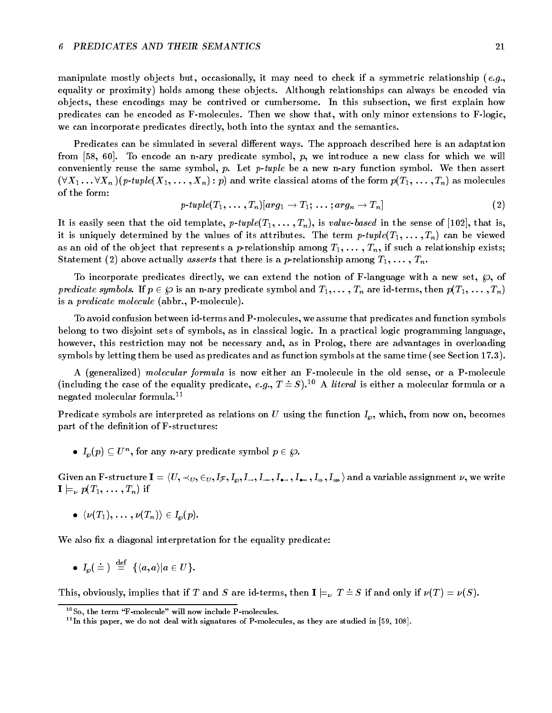manipulate mostly ob jects but occasionally it may need to check if a symmetric relationship e-g equality or proximity from although these objects- amounting relationships can always be encoded via ob jects these encodings may be contrived or cumbersome- In this subsection we rst explain how predicates can be encoded as Fmolecules- Then we show that with only minor extensions to Flogic we can incorporate predicates directly, both into the syntax and the semantics.

Predicates can be simulated in several dierent ways- The approach described here is an adaptation from proposal and there are no predicated a predicate symbol p will be controlled the symbol will want to will conveniently reuse the same symbol p-same symbol p-same symbol-particle be a new nary function symbol-particle  $(\forall X_1 \ldots \forall X_n)(p\text{-tuple}(X_1, \ldots, X_n): p)$  and write classical atoms of the form  $p(T_1, \ldots, T_n)$  as molecules of the form

$$
p\text{-}\text{tuple}(T_1,\ldots,T_n)[\text{arg}_1\to T_1;\ldots;\text{arg}_n\to T_n] \qquad \qquad (2)
$$

It is easily seen that the oid temperature problem in the sense of the sense of  $\mathbb{R}^n$ it is uniquely determined by the values of its attributes-the first cannot purple  $\mathbf{r}$  and  $\mathbf{r}$  and the viewed as an oid that represents a prelationship and the prelationship and the prelationship and the prelationship and  $\begin{array}{ccc} S & I & I & I \end{array}$ 

To incorporate predicates directly, we can extend the notion of F-language with a new set,  $\wp$ , of predicate symbols. If  $p \in \emptyset$  is an n-ary predicate symbol and  $T_1, \ldots, T_n$  are id-terms, then  $p(T_1, \ldots, T_n)$ is a predicate molecule abbr- Pmolecule-

To avoid confusion between id-terms and P-molecules, we assume that predicates and function symbols belong to two disjoint sets of symbols as in classical logic-calculation programming languages, the however, this restriction may not be necessary and, as in Prolog, there are advantages in overloading symmetry is the used them be used as function as function as function symmetry and assumption section in the s

A (generalized) molecular formula is now either an F-molecule in the old sense, or a P-molecule (including the case of the equality predicate, e.g.,  $T = S$ ).  $\sim$  A *literal* is either a molecular formula or a negated molecular formula.

Predicate symbols are interpreted as relations on U using the function  $I_{\varphi}$ , which, from now on, becomes part of the definition of F-structures:

•  $I_{\varphi}(p) \subseteq U^{n}$ , for any n-ary predicate symbol  $p \in \varphi$ .

Given an F-structure  ${\bf I}=\langle U,\prec_{\upsilon},\in_{\upsilon}, I_{\mathcal F},I_\varphi,I_\to,I_\to,I_\bullet,I_\star,I_\star,I_\to,I_\Rightarrow\rangle$  and a variable assignment  $\nu,$  we write  $\mathbf{I} \models_{\nu} p(T_1, \ldots, T_n)$  if

 $\bullet \ \langle \nu(T_1), \ldots, \nu(T_n) \rangle \in I_{\wp}(p).$ 

We also fix a diagonal interpretation for the equality predicate:

• 
$$
I_{\wp}(\doteq)
$$
  $\stackrel{\text{def}}{=} \{ \langle a, a \rangle | a \in U \}.$ 

This, obviously, implies that if  $T$  and  $S$  are id-terms, then  $\mathbf{I} \models_{\nu} T = S$  if and only if  $\nu(T) = \nu(S).$ 

 $\lceil$  So, the term "F-molecule" will now include P-molecules.

 $\lceil$  In this paper, we do not deal with signatures of P-molecules, as they are studied in  $\lvert \mathfrak{dd} \rvert$  ,  $\lvert \mathsf{U8} \rvert$ .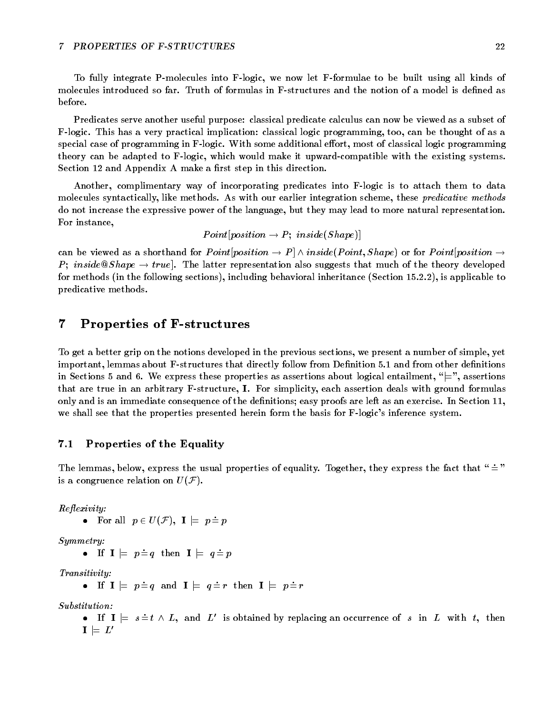To fully integrate P-molecules into F-logic, we now let F-formulae to be built using all kinds of before.

Predicates serve another useful purpose: classical predicate calculus can now be viewed as a subset of Flogic- This has a very practical implication classical logic programming too can be thought of as a special case of programming in Flogic-Collections additional exception is classical logic programming theory can be adapted to F-logic, which would make it upward-compatible with the existing systems. Section 12 and Appendix A make a first step in this direction.

Another, complimentary way of incorporating predicates into F-logic is to attach them to data molecules syntactically like methods- As with our earlier integration scheme these predicative methods do not increase the expressive power of the language, but they may lead to more natural representation. For instance

 $Point[position \rightarrow P; inside(Shape)]$ 

can be viewed as a shorthand for  $Point[position \rightarrow P] \wedge inside(Point, Shape)$  or for  $Point[position \rightarrow$  $P$ ;  $\it insiae$   $\omega$   $\it base$   $\rightarrow$   $\it true$  . The latter representation also suggests that much of the theory developed for methods in the following sections including behavioral inheritance Section -- is applicable to predicative methods-

#### $\overline{7}$ Properties of F-structures

To get a better grip on the notions developed in the previous sections, we present a number of simple, yet important lemmas about Fstructures that directly follow from Denition - and from other denitions in Sections 5 and 6. We express these properties as assertions about logical entailment, " $\models$  ", assertions that are true in an arbitrary Fstructure III. I-maximum is simplicity each assertion deals with ground  $\mathbf{M}$ only and is an immediate consequence of the denitions easy proofs are left as an exercise- In Section we shall see that the properties presented herein form the basis for F-logic's inference system.

#### -Properties of the Equality

The lemmas, below, express the usual properties of equality. Together, they express the fact that "  $\pm$  " is a congruence relation on  $U(\mathcal{F})$ .

 $Reflexivity:$ 

 $\bullet \quad \text{For all} \quad p \in U(\mathcal{F}), \ \ \mathbf{I} \ \models \ \ p \doteq p$ 

Symmetry

 $\bullet$  If  $\mathbf{I} \models p = q$  then  $\mathbf{I} \models q = p$ 

Transitivity

 $\bullet$  If  $\mathbf{I} \models p = q$  and  $\mathbf{I} \models q = r$  then  $\mathbf{I} \models p = r$ 

Substitution:

 $\bullet$  If  $\textbf{I} \models s = t \, \land \, L, \, \text{ and } \, \, L' \,$  is obtained by replacing an occurrence of  $s$  in  $\, L \,$  with  $\, t, \,$  then  $I \models L'$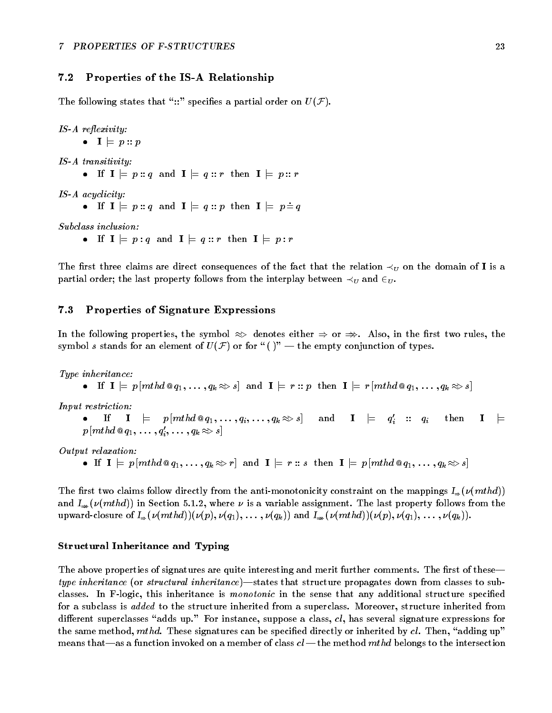#### $7.2$ Properties of the IS-A Relationship

The following states that "::" specifies a partial order on  $U(\mathcal{F})$ .

IS-A reflexivity:  $\bullet$   $\;\mathbf{I}\;=\;p::p$  $IS-A$  transitivity:  $\bullet\quad\mathrm{If}\;\; \mathbf{I}\;\models\; p::q\;\;\mathrm{and}\;\;\mathbf{I}\;\models\; q::r\;\;\mathrm{then}\;\;\mathbf{I}\;\models\; p::r$  $IS-A$  acyclicity:  $\bullet\quad \mathrm{If}\;\; \mathbf{I}\;\models\; p::q\;\;\mathrm{and}\;\;\mathbf{I}\;\models\; q::p\;\;\mathrm{then}\;\;\mathbf{I}\;\models\; p \ \dot{=} \ q$ Subclass inclusion  $\bullet\quad\text{If}\;\;{\mathbf{I}}\;{\models}\;p:q\;\;\text{and}\;\;{\mathbf{I}}\;{\models}\;q::r\;\; \text{then}\;\;{\mathbf{I}}\;{\models}\;p:r$ 

The first three claims are direct consequences of the fact that the relation  $\prec_U$  on the domain of I is a partial order; the last property follows from the interplay between  $\prec_U$  and  $\in_U$ .

#### $7.3$ Properties of Signature Expressions

In the following properties, the symbol  $\gg$  denotes either  $\Rightarrow$  or  $\Rightarrow$  . Also, in the first two rules, the symbol s stands for an element of  $U(\mathcal{F})$  or for "()" — the empty conjunction of types.

Type inheritance

 $\bullet\quad {\rm If}\;\; {\rm I}\;=\;p\,[mthd\,\textcircled{a} \,q_1,\,\ldots\,,q_k\approx s]\;\; \text{ and }\;\; {\rm I}\;=\;r::p\;\; \text{then}\;\;{\rm I}\;=\;r\,[mthd\,\textcircled{a} \,q_1,\,\ldots\,,q_k\approx s]\;\; .$ 

Input restriction

c  $\begin{array}{rclclclcl} \text{If} & \text{I} & \models & p \,[mthd \, @\, q_1, \, \ldots \, , q_i, \, \ldots \, , q_k \approx \triangleright s] & \text{and} & \text{I} & \models & q_i' & :: & q_i & \text{ then} & \text{I} & \models \end{array}$  $p_{\hspace{0.4mm}|\hspace{0.1mm}mtnd\hspace{0.1mm}@q_1,\hspace{0.4mm}\ldots,\hspace{0.4mm}q_i,\hspace{0.4mm}\ldots,\hspace{0.4mm}q_k\hspace{0.1mm}\approx\hspace{0.1mm}s_{\hspace{0.4mm}|\hspace{0.1mm}}$ 

Output relaxation

 $\bullet\;\; \text{If}\;\; \mathbf{I}\;=\; p\,[mthd\, @\, q_1,\, \ldots\, ,q_k\approx\rho\, r] \;\; \text{and}\;\; \mathbf{I}\;=\; r::s \;\; \text{then}\;\; \mathbf{I}\;=\; p\,[mthd\, @\, q_1,\, \ldots\, ,q_k\approx\rho\, s]$ 

The first two claims follow directly from the anti-monotonicity constraint on the mappings  $I_{\rightarrow}(v(mthd))$ and  $I_{\nArr}(\nu(mthd))$  in Section 5.1.2, where  $\nu$  is a variable assignment. The last property follows from the upward-closure of  $I_{\Rightarrow}(\nu(mthd))( \nu(p), \nu(q_1), \ldots, \nu(q_k))$  and  $I_{\Rightarrow}(\nu(mthd))( \nu(p), \nu(q_1), \ldots, \nu(q_k)).$ 

## Structural Inheritance and Typing

The above properties of signatures are quite interesting and merit further comments- The rst of these type inheritance (or structural inheritance)—states that structure propagates down from classes to subclasses-in Floridae in Floridae is monotonic in the sense that any additional structure species in the sense i for a subclass is added to the structure inherited from a superclass- Moreover structure inherited from diese superclasses adds up- for instance suppose a class class class class class complete expressions for the the same method mthd- These signatures can be specied directly or inherited by cl- Then adding up means that—as a function invoked on a member of class  $cl$ —the method mthd belongs to the intersection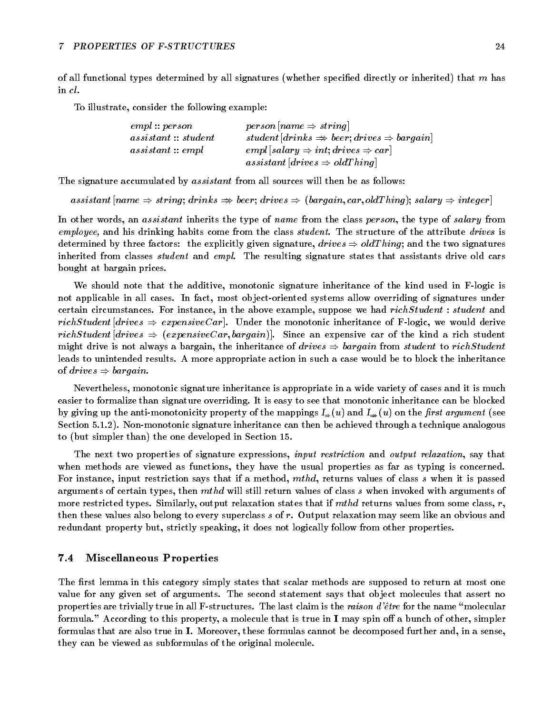of all functional types determined by all signatures (whether specified directly or inherited) that m has in cl-

To illustrate, consider the following example:

| empl::person                       | $person name \Rightarrow string $                                                                |
|------------------------------------|--------------------------------------------------------------------------------------------------|
| $\emph{assignment}::student$       | student $\left[drinks \Rightarrow beer; drives \Rightarrow bargain \right]$                      |
| $\emph{assignment} :: \emph{empl}$ | $\mathit{empl}\left[\mathit{salary}\Rightarrow\mathit{int};drives\Rightarrow\mathit{car}\right]$ |
|                                    | $\mathit{assignment}\left \mathit{drives} \Rightarrow \mathit{oldThird}\right $                  |

The signature accumulated by *assistant* from all sources will then be as follows:

 $\textit{assignment}~|name \Rightarrow \textit{string};~drinks \Rightarrow \textit{been};~drives \Rightarrow~(bargain, car, oldThinking);~salary \Rightarrow integer|$ 

In other words, an assistant inherits the type of name from the class person, the type of salary from employee, habit and interesting and the come from the come from the attribute drives is the attribute at determined by three factors: the explicitly given signature,  $drives \Rightarrow oldThis$  and the two signatures inherited from classes studient and employees studies that assistants drive old cars of  $\mathbf{M}$ bought at bargain prices.

We should note that the additive, monotonic signature inheritance of the kind used in F-logic is not appendente in all cases- in fact most object cases- in fact most of signatures under under certain circumstances-instances-instances-in-the above example suppose we had richS tudent and richS tudent an rich Student drives  $\Rightarrow$  expensiveCar. Under the monotonic inheritance of F-logic, we would derive richStudent drives  $\Rightarrow$  (expensiveCar, bargain). Since an expensive car of the kind a rich student might drive is not always a bargain, the inheritance of drives  $\Rightarrow$  bargain from student to rich Student leads to unintended results- A more appropriate action in such a case would be to block the inheritance of drives  $\Rightarrow$  bargain.

Nevertheless, monotonic signature inheritance is appropriate in a wide variety of cases and it is much easier to formalize than signature overring- it is easy to see that monotonic indicated and the blocked by giving up the anti-monotonicity property of the mappings  $I_{\Rightarrow}(u)$  and  $I_{\Rightarrow}(u)$  on the *first argument* (see Section --- Nonmonotonic signature inheritance can then be achieved through a technique analogous to (but simpler than) the one developed in Section 15.

The next two properties of signature expressions, *input restriction* and *output relaxation*, say that when methods are viewed as functions, they have the usual properties as far as typing is concerned. For instance, input restriction says that if a method,  $mthd$ , returns values of class s when it is passed arguments of certain types, then  $mhd$  will still return values of class s when invoked with arguments of more restricted types- Similarly output relaxation states that if mthd returns values from some class r then these values also belong to every superclass s of r- Output relaxation may seem like an obvious and redundant property but, strictly speaking, it does not logically follow from other properties.

#### $7.4$ Miscellaneous Properties

The first lemma in this category simply states that scalar methods are supposed to return at most one value for any given set of arguments- that statement says that of pics molecules that assert in properties are trivially true in all Fstructures- The last claim is the raison detre for the name molecular formula- According to this property a molecule that is true in I may spin o a bunch of other simpler formulas that are also true in I- Moreover these formulas cannot be decomposed further and in a sense they can be viewed as subformulas of the original molecule-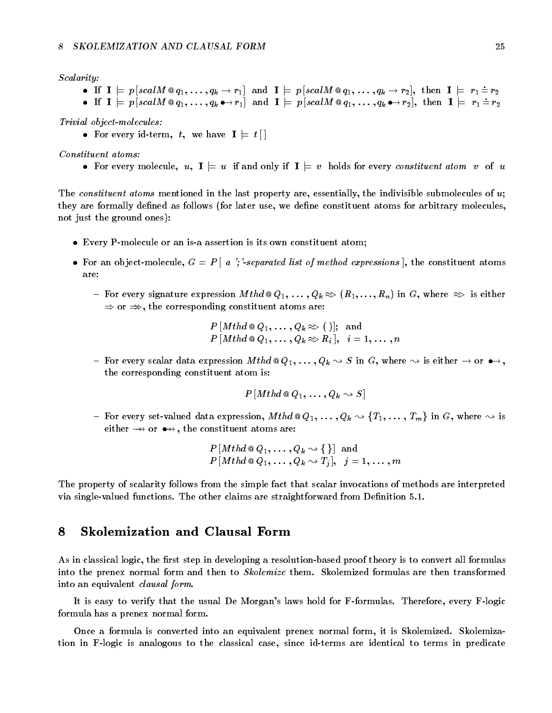### Scalarity:

- $\bullet\;\; \mathrm{If}\;\; \mathrm{I}\;=\;p\,[scal\,M\circledcirc q_1,\,\ldots\,,q_k\rightarrow r_1]\;\;\mathrm{and}\;\;\mathrm{I}\;=\;p\,[scal\,M\circledcirc q_1,\,\ldots\,,q_k\rightarrow r_2],\;\;\mathrm{then}\;\;\mathrm{I}\;=\;r_1\stackrel{.}{=}r_2$
- $\bullet\;\; \mathrm{If}\;\; \mathrm{I}\;=\;p\,[scal\,M\circledcirc q_1,\,\ldots\,,q_k\bullet\rightarrow r_1]\;\;\mathrm{and}\;\; \mathrm{I}\;=\;p\,[scal\,M\circledcirc q_1,\,\ldots\,,q_k\bullet\rightarrow r_2],\;\;\mathrm{then}\;\;\; \mathrm{I}\;=\;r_1=r_2$

Trivial object-molecules:

 $\bullet~~$  For every id-term,  $~t,~~$  we have  $~\mathbf{I}~\models~t~[~]$ 

Constituent atoms

• For every molecule,  $u,$   $\textbf{I} \models u$  if and only if  $\textbf{I} \models v$  holds for every *constituent atom*  $\textit{v}$  of  $\textit{u}$ 

The constituent atoms mentioned in the last property are, essentially, the indivisible submolecules of  $u$ ; they are formally defined as follows (for later use, we define constituent atoms for arbitrary molecules, not just the ground ones

- $\bullet$  -Every P-molecule or an is-a assertion is its own constituent atom;
- $\bullet$  for an object-molecule,  $G = P \mid a \mid$ ; -separated list of method expressions , the constituent atoms are
	- For every signature expression M thd Q- Qk R- Rn in G where is either  $\Rightarrow$  or  $\Rightarrow$ , the corresponding constituent atoms are:

 $P | Mthd \& Q_1, \ldots, Q_k \, \gg$  ( ) ; and  $P \mid M \, t \, h \, a \otimes Q_1, \ldots, Q_k \otimes B_i \mid, \quad i = 1, \ldots, n$ 

 $-$  for every scalar data expression  $\mathit{M}$  thd  $\circledast Q_1,\ldots,Q_k \rightsquigarrow S$  in G, where  $\rightsquigarrow$  is either  $\rightarrow$  or  $\bullet \rightarrow$  , the corresponding constituent atom is

$$
P\left[ Mthd \, @ \, Q_1, \, \ldots \, , Q_k \rightsquigarrow S \right]
$$

 $-$  For every set-valued data expression,  $Mthd$  @  $Q_1,\,\ldots\,,Q_k\sim\{T_1,\,\ldots\,,\,T_m\}$  in  $G,$  where  $\sim$  is either  $\rightarrow$  or  $\rightarrow$ , the constituent atoms are:

> $P\left[ Mthd \, @ \, Q_{1},\, \ldots\, , Q_{\,k} \sim\ \{\,\}\right]\ \ \text{and}$  $P$   $\mathbf{u}$   $\mathbf{v}$   $\mathbf{v}$   $\mathbf{v}$   $\mathbf{v}$   $\mathbf{v}$   $\mathbf{v}$   $\mathbf{v}$   $\mathbf{v}$   $\mathbf{v}$   $\mathbf{v}$   $\mathbf{v}$   $\mathbf{v}$   $\mathbf{v}$   $\mathbf{v}$   $\mathbf{v}$   $\mathbf{v}$   $\mathbf{v}$   $\mathbf{v}$   $\mathbf{v}$   $\mathbf{v}$   $\mathbf{v}$   $\mathbf{v}$   $\mathbf{v}$

The property of scalarity follows from the simple fact that scalar invocations of methods are interpreted via singlevalued functions- The other claims are straightforward from Denition --

#### 8 Skolemization and Clausal Form

As in classical logic, the first step in developing a resolution-based proof theory is to convert all formulas into the prenex normal form and then to Skolemize them- Skolemized formulas are then transformed into an equivalent *clausal form*.

It is easy to verify that the usual De Morgans laws hold for Fformulas- Therefore every Flogic formula has a prenex normal form-

Once a formula is converted into an equivalent prenex normal form it is Skolemized- Skolemiza tion in F-logic is analogous to the classical case, since id-terms are identical to terms in predicate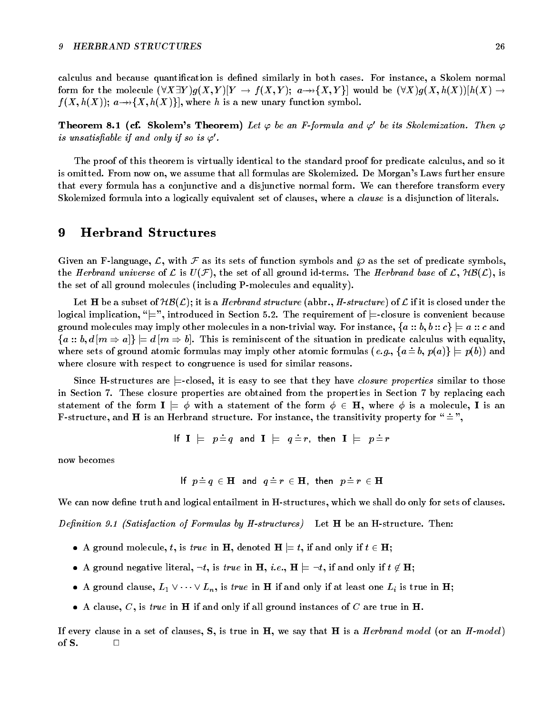calculus and because quantication is dened similarly in both cases- For instance a Skolem normal form for the molecule  $(\forall X\exists Y)g(X,Y)[Y \to f(X,Y); a \to \{X,Y\}]$  would be  $(\forall X)g(X,h(X))[h(X) \to$  $f(X, h(X)); a \rightarrow \{X, h(X)\}\,$ , where h is a new unary function symbol.

**Theorem 8.1 (cf. Skolem's Theorem)** Let  $\varphi$  be an F-formula and  $\varphi$  be its Skolemization. Then  $\varphi$ is unsatisfiable if and only if so is  $\varphi'$ .

The proof of this theorem is virtually identical to the standard proof for predicate calculus, and so it is omitted- From now on we assume that all formulas are Skolemized- De Morgans Laws further ensure that every formula has a conjunctive and a disjunctive normal form- We can therefore transform every Skolemized formula into a logically equivalent set of clauses, where a *clause* is a disjunction of literals.

# Herbrand Structures

Given an F-language, L, with F as its sets of function symbols and  $\wp$  as the set of predicate symbols. the *Herbrand universe* of L is  $U(F)$ , the set of all ground id-terms. The *Herbrand base* of L,  $H\mathcal{B}(L)$ , is the set of all ground molecules (including P-molecules and equality).

Let  ${\bf H}$  be a subset of  ${\cal HB}({\cal L});$  it is a  $Herbrand$  structure (abbr.,  $H\text{-}structure$  ) of  ${\cal L}$  if it is closed under the logical implication, " $\vert =$  ", introduced in Section 5.2. The requirement of  $\vert$ =-closure is convenient because ground molecules may imply other molecules in a non-trivial way. For instance,  $\{a::b,b::c\} \models a::c$  and  $\{a::b,d \left[ m\Rightarrow a\right] \} \models d \left[ m\Rightarrow b\right] .$  This is reminiscent of the situation in predicate calculus with equality, where sets of ground atomic formulas may imply other atomic formulas  $(e.g.,\,\{a=b,\,p(a)\}\models p(b))$  and where closure with respect to congruence is used for similar reasons.

Since H-structures are  $=$  closed, it is easy to see that they have *closure properties* similar to those in Section - These closure properties are obtained from the properties in Section by replacing each statement of the form  ${\rm\bf I}\, \models\, \phi$  with a statement of the form  $\phi\, \in\, {\rm\bf H},$  where  $\phi$  is a molecule,  ${\rm\bf I}$  is an F-structure, and **H** is an Herbrand structure. For instance, the transitivity property for  $=$  ",

$$
\text{If I } \models \hspace{.1cm} p \doteq q \hspace{.1cm} \text{and} \hspace{.1cm} I \hspace{.1cm} \models \hspace{.1cm} q \doteq r, \hspace{.1cm} \text{then} \hspace{.1cm} I \hspace{.1cm} \models \hspace{.1cm} p \doteq r
$$

now becomes

$$
\text{If} \quad p \doteq q \in \mathbf{H} \quad \text{and} \quad q \doteq r \in \mathbf{H}, \text{ then} \quad p \doteq r \in \mathbf{H}
$$

We can now define truth and logical entailment in H-structures, which we shall do only for sets of clauses.

denition - Satisfaction of Formulas by Hstructure-Basic by Hstructure-Basic by Hstructure-Basic by Hstructure-

- $\bullet\;$  A ground molecule,  $t,$  is  $\mathit{true}\;$  in  $\mathbf{H},$  denoted  $\mathbf{H}\models t,$  if and only if  $t\in\mathbf{H};$
- $\bullet\;$  A ground negative literal,  $\neg t,$  is  $\mathit{true}\;$  in  $\mathbf{H},\ i.e.,$   $\mathbf{H}\models\neg t,$  if and only if  $t\not\in\mathbf{H};$
- A ground clause,  $L_1 \vee \cdots \vee L_n$ , is true in **H** if and only if at least one  $L_i$  is true in **H**;
- A clause,  $C$ , is true in **H** if and only if all ground instances of  $C$  are true in **H**.

If every clause in a set of clauses,  $S$ , is true in  $H$ , we say that  $H$  is a *Herbrand model* (or an *H-model*) of S-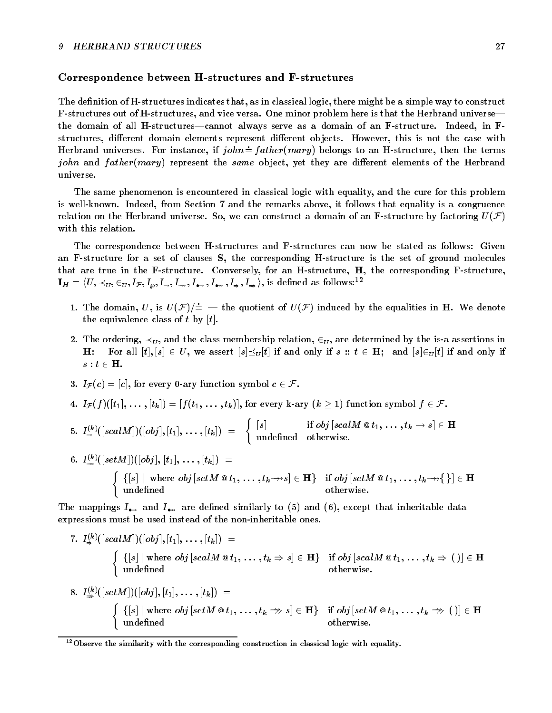## Correspondence between H-structures and F-structures

The definition of H-structures indicates that, as in classical logic, there might be a simple way to construct Fstructures out of Hstructures and vice versa- One minor problem here is that the Herbrand universe the domain of all Hstructurescannot always serve as a domain of an Fstructure- Indeed in F structures dierent die represent represent observations represent die eerste die van die versie with the case Herbrand universes. For instance, if  $\jmath \rho h n = \jmath \tau h e r (m a r y)$  belongs to an H-structure, then the terms john and father(mary) represent the same object, yet they are different elements of the Herbrand universe-

The same phenomenon is encountered in classical logic with equality and the cure for this problem is wellknown- Indeed from Section and the remarks above it follows that equality is a congruence relation on the Herbrand universe. So, we can construct a domain of an F-structure by factoring  $U(\mathcal{F})$ with this relation.

The correspondence between H-structures and F-structures can now be stated as follows: Given an F-structure for a set of clauses S, the corresponding H-structure is the set of ground molecules that are true in the Fstructure- Conversely for an Hstructure H the corresponding Fstructure  ${\bf I}_{H}=\langle U,\prec_{\scriptscriptstyle U},\in_{\scriptscriptstyle U}, I_{\mathcal F}, I_{\varphi}, I_{\rightarrow}, I_{\rightarrow\!\rightarrow}, I_{\bullet\!\rightarrow}, I_{\rightarrow\!\rightarrow}, I_{\rightarrow\!\rightarrow}\rangle,$  is defined as follows:  $^{12}$ 

- 1. The domain, U, is  $U(\mathcal{F})/=$  the quotient of  $U(\mathcal{F})$  induced by the equalities in H. We denote the equivalence class of t by  $[t]$ .
- 2. The ordering,  $\prec_U$ , and the class membership relation,  $\in_U$ , are determined by the is-a assertions in **H**: For all  $[t], [s] \in U$ , we assert  $[s] \preceq_{U} [t]$  if and only if  $s :: t \in H$ ; and  $[s] \in_{U} [t]$  if and only if  $s:t\in \mathbf{H}.$
- 3. I $\mathcal{F}(c) = |c|$ , for every 0-ary function symbol  $c \in \mathcal{F}$ .
- 4.  $I_{\mathcal{F}}(f)(|t_1|, \ldots, |t_k|) = |f(t_1, \ldots, t_k)|$ , for every k-ary  $(k \geq 1)$  function symbol  $f \in \mathcal{F}$ .

$$
5. \ \ I_{\rightarrow}^{(k)}( [scalM])([obj], [t_1], \ \ldots \ , [t_k]) \ \ = \ \ \left \{ \begin{array}{ll} [s] & \text{if } obj\, [scalM \ @ \ t_1, \ \ldots \ , t_k \rightarrow s] \in \textbf{H} \\ \text{undefined} & \text{otherwise}. \end{array} \right.
$$

6. 
$$
I_{\rightarrow}^{(k)}([set M])([obj], [t_1], \ldots, [t_k]) =
$$
\n
$$
\begin{cases}\n\{[s] \mid \text{ where } obj[set M \otimes t_1, \ldots, t_k \rightarrow s] \in \mathbf{H}\} & \text{if } obj[set M \otimes t_1, \ldots, t_k \rightarrow t]\} \in \mathbf{H} \\
\text{undefined} & \text{otherwise.}\n\end{cases}
$$

The mappings  $I_{\bullet\bullet}$  and  $I_{\bullet\bullet}$  are defined similarly to (5) and (6), except that inheritable data expressions must be used instead of the non-inheritable ones.

7. 
$$
I_{\Rightarrow}^{(k)}([scal M])([obj], [t_1], \ldots, [t_k]) =
$$
\n
$$
\begin{cases}\n\{[s] \mid \text{where } obj[scal M \otimes t_1, \ldots, t_k \Rightarrow s] \in \mathbf{H}\} & \text{if } obj[scal M \otimes t_1, \ldots, t_k \Rightarrow ()] \in \mathbf{H} \\
\text{undefined} & \text{otherwise.} \n\end{cases}
$$

8. 
$$
I_{\nRightarrow}^{(k)}([set M])([obj], [t_1], \ldots, [t_k]) =
$$
\n
$$
\begin{cases}\n\{[s] \mid \text{where } obj[set M \otimes t_1, \ldots, t_k \Rightarrow s] \in \mathbf{H}\} & \text{if } obj[set M \otimes t_1, \ldots, t_k \Rightarrow ()] \in \mathbf{H} \\
\text{undefined} & \text{otherwise.} \n\end{cases}
$$

<sup>-</sup>Observe the similarity with the corresponding construction in classical logic with equality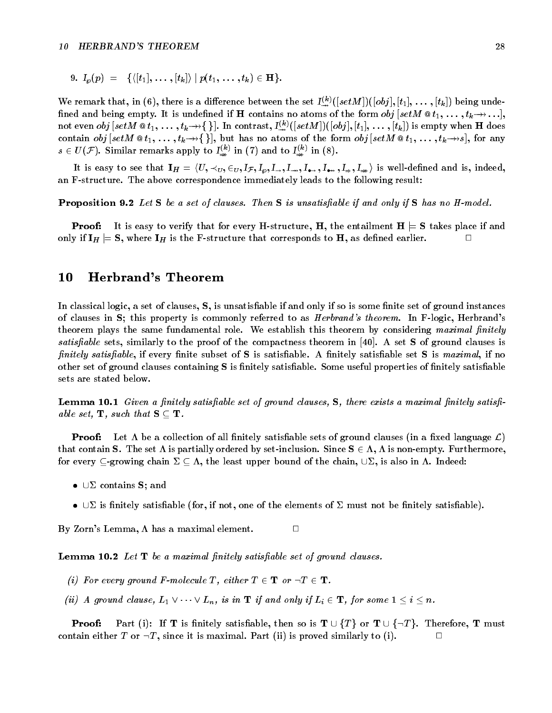$\text{9. \ }I_{\wp}(p) \;=\; \;\; \{\langle [t_1],\,\ldots\,, [t_k]\rangle\;|\; p(t_1,\,\ldots\,,t_k)\in \mathbf{H} \}.$ 

We remark that, in (6), there is a difference between the set  $I^{(\kappa)}_{\ldots}(|setM|)(|obj|,|t_1|,\ldots,|t_k|)$  being undenned and being empty. It is undenned if **H** contains no atoms of the form  $oo$  [SetM  $@$  t $_1,\ldots,$  t $_k$   $\rightarrow\cdots$  . not even  $obj$  [setM @  $t_1,\,\ldots\,,t_k$   $\to$  { }]. In contrast,  $I^{(k)}_{\to\uparrow}([setM])([obj],[t_1],\,\ldots\,,[t_k])$  is empty when  ${\bf H}$  does contain  $obj\,[set M\ @\ t_1,\ \ldots,\ t_k{\to}{\to}\{\,\}\],$  but has no atoms of the form  $obj\,[set M\ @\ t_1,\ \ldots,\ t_k{\to}{\star}s],$  for any  $s\in U(\mathcal{F}).$  Similar remarks apply to  $I_{\Rightarrow}^{(k)}$  in (7) and to  $I_{\Rightarrow}^{(k)}$  in (8).

It is easy to see that  ${\bf I}_H=\langle U,\prec_{\scriptscriptstyle U},\in_{\scriptscriptstyle U}, I_{\mathcal F}, I_{\scriptscriptstyle\phi}, I_{\scriptscriptstyle\rightarrow}, I_{\scriptscriptstyle\rightarrow}, I_{\scriptscriptstyle\rightarrow}, I_{\scriptscriptstyle\leftrightarrow}, I_{\scriptscriptstyle\rightarrow}, I_{\scriptscriptstyle\Rightarrow}\rangle$  is well-defined and is, indeed, an Fatro above correspondence immediately leads to the following results to the following results in the following results in the following results in the following results in the following results in the following results

. The set is a set of set of set of clauses- the set of and only if and only if  $\pi$  is the set of  $\pi$ 

**Proof:** It is easy to verify that for every H-structure, **H**, the entailment  $\mathbf{H} \models \mathbf{S}$  takes place if and only if  $I_H \models S$ , where  $I_H$  is the F-structure that corresponds to H, as defined earlier.  $\Box$ 

# 10 Herbrand's Theorem

In classical logic, a set of clauses,  $S$ , is unsatisfiable if and only if so is some finite set of ground instances of clauses in S this property is commonly referred to as Herbrands theorem- In Flogic Herbrands theorem plays the same fundamental role-considering maximal role-considering maximal nitely maximal process, wh satisable sets similarly to the proof of the compactness theorem in - A set S of ground clauses is nitely satisable if every nite subset of S is satisable- A nitely satisable set S is maximal if no other set of ground clauses containing S is nitely satisfactory satisfactory satisfactory satisfactory satisfactory sets are stated below-

Lemma -- Given a nitely satisable set of ground clauses S
 there exists a maximal nitely satis able set,  $\mathbf{T}$ , such that  $\mathbf{S} \subseteq \mathbf{T}$ .

**Proof:** Let  $\Lambda$  be a collection of all finitely satisfiable sets of ground clauses (in a fixed language  $\mathcal{L}$ ) that contain S. The set  $\Lambda$  is partially ordered by set-inclusion. Since  $S \in \Lambda$ ,  $\Lambda$  is non-empty. Furthermore, for every  $\subseteq$ -growing chain  $\Sigma\subseteq \Lambda,$  the least upper bound of the chain,  $\cup \Sigma,$  is also in  $\Lambda.$  Indeed:

- $\bullet$   $\cup \Sigma$  contains S; and
- $\bullet \cup \Sigma$  is finitely satisfiable (for, if not, one of the elements of  $\Sigma$  must not be finitely satisfiable).

By Zorn's Lemma,  $\Lambda$  has a maximal element.

Lemma - Let T be a maximal nitely satisable set of ground clauses-

- (i) For every ground F-molecule T, either  $T \in {\bf T}$  or  $\neg T \in {\bf T}$ .
- (ii) A ground clause,  $L_1 \vee \cdots \vee L_n$ , is in **T** if and only if  $L_i \in \mathbf{T}$ , for some  $1 \leq i \leq n$ .

**Proof:** Part (i): If **T** is finitely satisfiable, then so is  $\mathbf{T} \cup \{T\}$  or  $\mathbf{T} \cup \{\neg T\}$ . Therefore, **T** must  $\Box$ contain either  $I$  or  $\neg I$ , since it is maximal. Part (ii) is proved similarly to (i).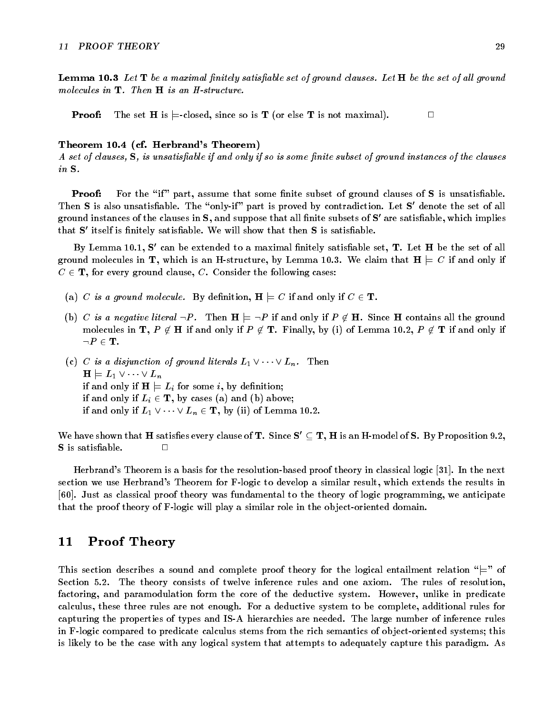Lemma - Let T be a maximal nitely satisable set of ground clauses- Let H be the set of all ground

**Proof:** The set **H** is  $=$  closed, since so is **T** (or else **T** is not maximal).

### $\mathbf{I}$  and  $\mathbf{I}$  are more matrix  $\mathbf{I}$

A set of clauses, S, is unsatisfiable if and only if so is some finite subset of ground instances of the clauses  $in S$ .

**Proof:** For the "if" part, assume that some finite subset of ground clauses of  $S$  is unsatisfiable. Then S is also unsatisfiable. The "only-if" part is proved by contradiction. Let S denote the set of all ground instances of the clauses in  $S$ , and suppose that all finite subsets of  $S'$  are satisfiable, which implies that S riself is influely satisfiable. We will show that their S is satisfiable.

 $\mathbf{p}_N$  Lemma 10.1,  $\mathbf{S}_1$  can be extended to a maximal nintery satisfiable set,  $\mathbf{I}_1$ . Let  $\mathbf{H}_2$  be the set of all ground molecules in T, which is an H-structure, by Lemma 10.3. We claim that  ${\bf H}\models C$  if and only if  $C \in \mathbf{T},$  for every ground clause,  $C$  . Consider the following cases:

- (a) C is a ground molecule. By definition,  $\mathbf{H} \models C$  if and only if  $C \in \mathbf{T}$ .
- (b)  $C$  is a negative literal  $\neg P$ . Then  $\mathbf{H} \models \neg P$  if and only if  $P \not\in \mathbf{H}.$  Since  $\mathbf{H}$  contains all the ground molecules in  $\mathbf{T},\,P\not\in\mathbf{H}$  if and only if  $P\not\in\mathbf{T}.$  Finally, by (i) of Lemma 10.2,  $P\not\in\mathbf{T}$  if and only if  $\neg P \in \mathbf{T}_+$
- (c) C is a disjunction of ground literals  $L_1 \vee \cdots \vee L_n$ . Then  $\mathbf{H} \models L_1 \vee \cdots \vee L_n$ if and only if  $\mathbf{H} \models L_i$  for some i, by definition; if and only if  $L_i \in \mathbf{T}$ , by cases (a) and (b) above; if and only if  $L_1 \vee \cdots \vee L_n \in \mathbf{T}$ , by (ii) of Lemma 10.2.

We have shown that **H** satisfies every clause of **T**. Since  $S' \subseteq T$ , **H** is an H-model of S. By Proposition 9.2, S is satisfiable.  $\Box$ 

Herbrands Theorem is a basis for the resolutionbased proof theory in classical logic - In the next section we use Herbrand's Theorem for F-logic to develop a similar result, which extends the results in , as construction proof theory was fundamental to the theory of logic programming we anticipate that the proof theory of F-logic will play a similar role in the object-oriented domain.

# 11 Proof Theory

This section describes a sound and complete proof theory for the logical entailment relation " $\models$ " of Section -- The theory consists of twelve inference rules and one axiom- The rules of resolution factoring and paramodulation form the core of the deductive system- However unlike in predicate calculus these three rules are not enough- For a deductive system to be complete additional rules for capturing the properties of types and ISA hierarchies are needed-inference rules are number of inference rules in F-logic compared to predicate calculus stems from the rich semantics of object-oriented systems; this is likely to be the case with any logical system that attempts to adequately capture this paradigm- As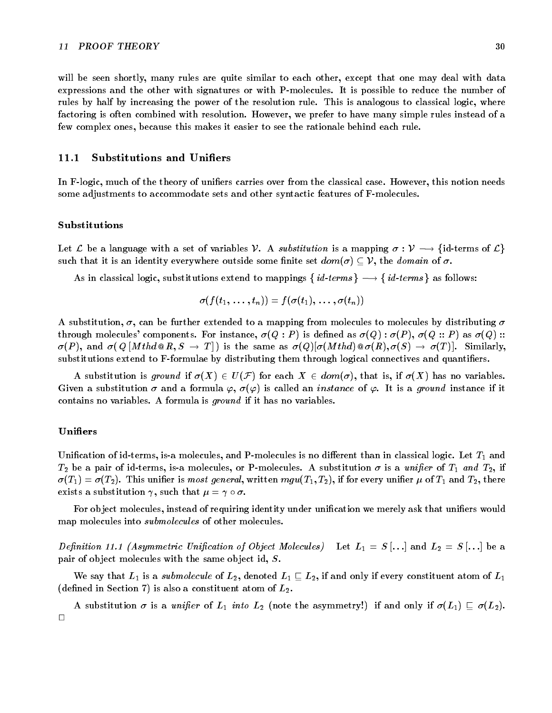will be seen shortly, many rules are quite similar to each other, except that one may deal with data expressions and the other with signatures or with Pmolecules- It is possible to reduce the number of rules by half by increasing the power of the resolution rule- This is analogous to classical logic where factoring is often combined with resolution- However we prefer to have many simple rules instead of a few complex ones, because this makes it easier to see the rationale behind each rule.

#### 11.1 Substitutions and Unifiers

in Flogic much of the theory of uniters carries over the classical case-  $\alpha$  and  $\alpha$  and  $\alpha$  and  $\alpha$  are  $\alpha$ some adjustments to accommodate sets and other syntactic features of F-molecules.

### Substitutions

Let  $\mathcal L$  be a language with a set of variables  $\mathcal V$ . A substitution is a mapping  $\sigma:\mathcal V\longrightarrow \{\text{id-terms of }\mathcal L\}$ such that it is an identity everywhere outside some finite set  $dom(\sigma) \subseteq \mathcal{V}$ , the domain of  $\sigma$ .

As in classical logic, substitutions extend to mappings  $\{id\text{-terms}\}\longrightarrow\{id\text{-terms}\}$  as follows:

$$
\sigma(f(t_1,\,\ldots\,,t_n))=f(\sigma(t_1),\,\ldots\,,\sigma(t_n))
$$

A substitution,  $\sigma$ , can be further extended to a mapping from molecules to molecules by distributing  $\sigma$ the components is the product of the components of  $\mathcal{A}$  ,  $\mathcal{A}$  ,  $\mathcal{A}$  ,  $\mathcal{A}$  ,  $\mathcal{A}$  ,  $\mathcal{A}$  ,  $\mathcal{A}$  ,  $\mathcal{A}$  ,  $\mathcal{A}$  ,  $\mathcal{A}$  ,  $\mathcal{A}$  ,  $\mathcal{A}$  ,  $\mathcal{A}$  ,  $\mathcal{A}$  ,  $\mathcal{A}$  ,  $\mathcal{$  $\sigma(P)$ , and  $\sigma(Q)$   $M$  that  $\mathcal{Q}(R, S) \to T$  is the same as  $\sigma(Q)$  or  $M$  that  $\mathcal{Q}(R), \sigma(S) \to T$  is similarly, substitutions extend to F-formulae by distributing them through logical connectives and quantifiers.

A substitution is ground if  $\sigma(X) \in U(\mathcal{F})$  for each  $X \in dom(\sigma)$ , that is, if  $\sigma(X)$  has no variables. and a substitution of the and a formula  $\mu$  is called an instance of  $\mu$  . The second instance is a contains no variables- is continued if it has no variables- and variables-

# Unifiers

Unication of identical logical logical logical logical logical logical logical logical logical logica substitution is a part of interest or Pmolecules-Controllerium of the substitution of the substitution of  $\mu$  and  $\mu$ t is the street three contracts with the contract with the street of the street with the street with the street exists a substitution  $\gamma$ , such that  $\mu = \gamma \circ \sigma$ .

For object molecules, instead of requiring identity under unification we merely ask that unifiers would map molecules into *submolecules* of other molecules.

Denition - Asymmetric Unication of Object Molecules Let L- \$ <sup>S</sup> and L \$ <sup>S</sup> be a pair of object molecules with the same object id,  $S$ .

We say that  $L_1$  is a submolecule of  $L_2$ , denoted  $L_1 \sqsubseteq L_2$ , if and only if every constituent atom of  $L_1$ (defined in Section 7) is also a constituent atom of  $L_2$ .

A substitution  $\sigma$  is a unifier of  $L_1$  into  $L_2$  (note the asymmetry!) if and only if  $\sigma(L_1) \sqsubseteq \sigma(L_2)$ .  $\Box$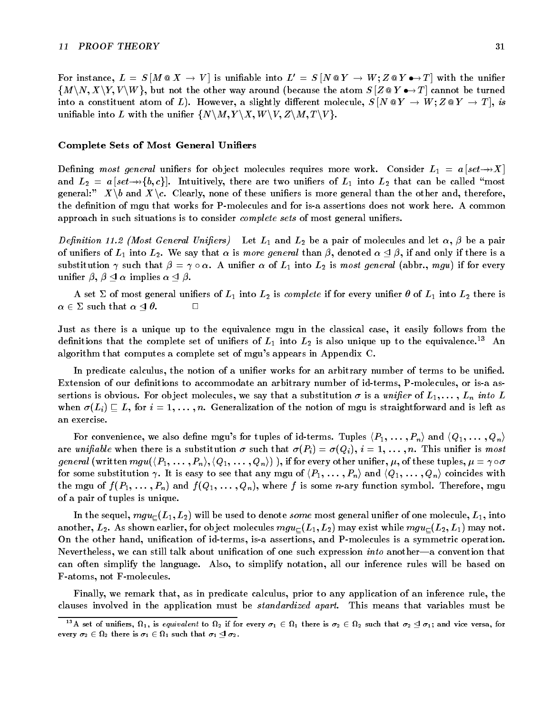For instance,  $L = S[M \otimes X \to V]$  is unifiable into  $L' = S[N \otimes Y \to W; Z \otimes Y \to T]$  with the unifier  $\{M\setminus N, X\setminus Y, V\setminus W\}$ , but not the other way around (because the atom  $S[Z\otimes Y \rightarrow T]$  cannot be turned into a constituent atom of  $L$  ). However, a slightly different molecule,  $S \, | N \otimes Y \; \to \; W$  ;  $Z \otimes Y \; \to \; I \, |, \; i \bar s$ unifiable into L with the unifier  $\{N\setminus M, Y\setminus X, W\setminus V, Z\setminus M, T\setminus V\}.$ 

## Complete Sets of Most General Unifiers

Denning *most general* uniners for object molecules requires more work. Consider  $L_1 \; = \; a\, |8e t \rightarrow \!\!\rightarrow \!\! X \, |$ and  $L_2 = a[\textit{set}{\rightarrow} \{b,c\}]$ . Intuitively, there are two unifiers of  $L_1$  into  $L_2$  that can be called "most general:"  $X\backslash b$  and  $X\backslash c.$  Clearly, none of these unifiers is more general than the other and, therefore, the denition of magic that works for Pmolecules and for is assertions does not work here is assertions of the approach in such situations is to consider *complete sets* of most general unifiers.

Denition - Most General Uniers Let L- and L be a pair of molecules and let be a pair of unifiers of  $L_1$  into  $L_2$ . We say that  $\alpha$  is more general than  $\beta$ , denoted  $\alpha \trianglelefteq \beta$ , if and only if there is a substitution  $\gamma$  such that  $\rho = \gamma \circ \alpha$ . A unifier  $\alpha$  of  $L_1$  into  $L_2$  is *most general* (abbr.,  $mgu$ ) if for every unifier  $\beta$ ,  $\beta \leq \alpha$  implies  $\alpha \leq \beta$ .

A set  $\Sigma$  of most general unifiers of  $L_1$  into  $L_2$  is *complete* if for every unifier  $\theta$  of  $L_1$  into  $L_2$  there is  $\alpha \in \Sigma$  such that  $\alpha \leq \theta$ .

Just as there is a unique up to the equivalence mgu in the classical case, it easily follows from the demitions that the complete set of unifiers of  $L_1$  into  $L_2$  is also unique up to the equivalence.<sup>--</sup> An algorithm that computes a complete set of mgu's appears in Appendix C.

In predicate calculus, the notion of a unifier works for an arbitrary number of terms to be unified. Extension of our definitions to accommodate an arbitrary number of id-terms, P-molecules, or is-a assertions is obvious-to-contract model we say that a substitution  $\mathbf{u}^*$  and  $\mathbf{u}^*$  and  $\mathbf{u}^*$  and  $\mathbf{u}^*$ when  $\sigma(L_i) \sqsubseteq L$ , for  $i = 1, \ldots, n$ . Generalization of the notion of mgu is straightforward and is left as an exercise.

For convenience, we also define mgu's for tuples of id-terms. Tuples  $\langle P_1,\,\ldots\,,P_n\rangle$  and  $\langle Q_1,\,\ldots\,,Q_n\rangle$ are uniquently defined the substitution of the such that  $\alpha$  is a  $\alpha$   $\{ \gamma_{i}\}$  in  $\gamma_{i}$  in  $\gamma_{i}$  is most constant to the substitution of  $\alpha$  $general$  (written  $mgu(\langle P_1,\,\ldots,\,P_n\rangle,\langle Q_1,\,\ldots,\,Q_n\rangle)$  ), if for every other unifier,  $\mu,$  of these tuples,  $\mu=\gamma\circ\sigma$ for some substitution  $\gamma.$  It is easy to see that any mgu of  $\langle P_1,\,\ldots\,,P_n\rangle$  and  $\langle Q_1,\,\ldots\,,Q_n\rangle$  coincides with the magnetic matrix of the magnetic matrix of the matrix of the matrix of the matrix of the matrix of the matr of a pair of tuples is unique-

 $1$  in the sequel most general units general units general units general units general units general units general units general units general units general units general units general units general units general units ge another L- As shown earlier for ob ject molecules mguvL- L may exist while mguvL L- may not-On the other hand, unification of id-terms, is-a assertions, and P-molecules is a symmetric operation. Nevertheless, we can still talk about unification of one such expression *into* another—a convention that can often simplify the language- Also to simplify notation all our inference rules will be based on F-atoms, not F-molecules.

Finally, we remark that, as in predicate calculus, prior to any application of an inference rule, the clauses involved in the application must be standardized apart- This means that variables must be

<sup>&</sup>lt;sup>1</sup>. A set of unifiers,  $\Omega_1$ , is equivalent to  $\Omega_2$  if for every  $\sigma_1 \in \Omega_1$  there is  $\sigma_2 \in \Omega_2$  such that  $\sigma_2 \trianglelefteq \sigma_1$ ; and vice versa, for every  $\sigma_2\in\Omega_2$  there is  $\sigma_1\in\Omega_1$  such that  $\sigma_1\trianglelefteq\sigma_2.$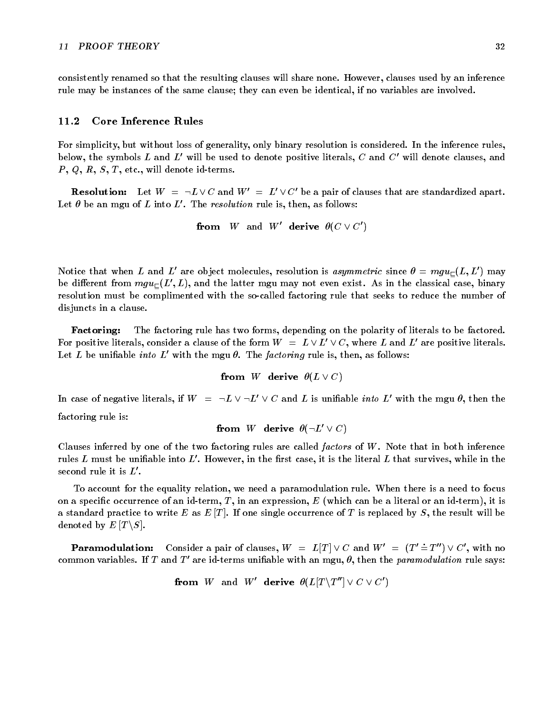consistently renamed so that the resulting clauses will share none- However clauses used by an inference rule may be instances of the same clause; they can even be identical, if no variables are involved.

#### $11.2$ Core Inference Rules

For simplicity but without loss of generality only binary resolution is considered- In the inference rules below, the symbols L and L' will be used to denote positive literals, C and  $C'$  will denote clauses, and P Q R S T etc- will denote idterms-

**Resolution:** Let  $W = \neg L \vee C$  and  $W' = L' \vee C'$  be a pair of clauses that are standardized apart. Let  $\sigma$  be an ingu of L into L . The resolution rule is, then, as follows:

```
from W and W' derive \theta(C \vee C')
```
Notice that when L and L' are object molecules, resolution is asymmetric since  $\theta = mgu_{\mathbb{C}}(L, L')$  may be different from  $mgu_{\square}(L\ ,L),$  and the latter mgu may not even exist. As in the classical case, binary resolution must be complimented with the socalled factoring rule that seeks to reduce the number of disjuncts in a clause.

Factoring: The factoring rule has two forms, depending on the polarity of literals to be factored. For positive literals, consider a clause of the form  $W = L \vee L' \vee C$ , where L and L' are positive literals. Let L be uninable *into* L with the mgu  $\sigma$ . The *factoring* rule is, then, as follows:

from W derive  $\theta(L \vee C)$ 

In case of negative literals, if  $W = \neg L \vee \neg L' \vee C$  and L is unifiable *into* L' with the mgu  $\theta$ , then the factoring rule is

$$
\textbf{from} \hspace{2mm} W \hspace{2mm} \textbf{derive} \hspace{2mm} \theta(\neg L' \vee C)
$$

Clauses inferred by one of the two factoring rules are called factors of W- Note that in both inference rules  $L$  must be uninable into  $L$  . However, in the lifst case, it is the literal  $L$  that survives, while in the  $\sim$ second rule it is  $L'$ .

To account for the equality relation we need a paramodulation rule- When there is a need to focus on a specific occurrence of an id-term,  $T$ , in an expression,  $E$  (which can be a literal or an id-term), it is a standard practice to write E as E as E T is replaced by S the result will be replaced by S the result will be denoted by  $E\left[T\backslash S\right]$ .

**Paramodulation:** Consider a pair of clauses,  $W = L[T] \vee C$  and  $W' = (T' \div T'') \vee C'$ , with no common variables. If T and T are id-terms unifiable with an ingu,  $\sigma$ , then the paramodulation rule says:

from W and W' derive  $\theta(L[T\setminus T''] \vee C \vee C')$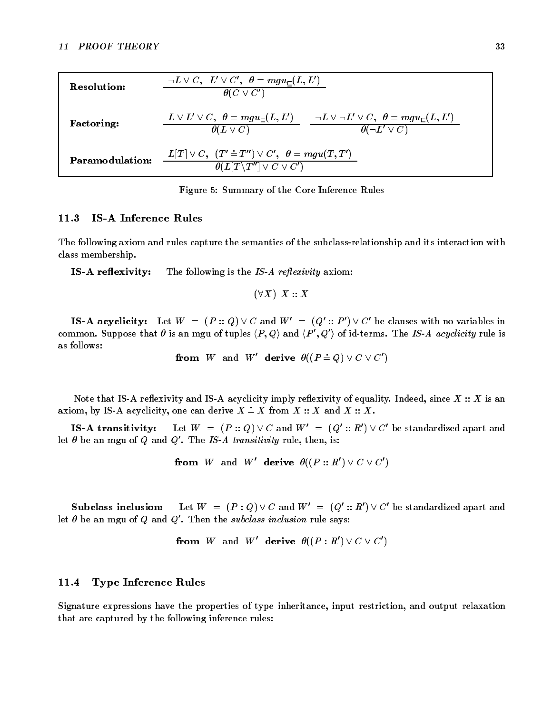| Resolution:     | $\neg L \vee C$ , $L' \vee C'$ , $\theta = mgu_C(L, L')$<br>$\theta(C \vee C')$                                                                                       |  |  |
|-----------------|-----------------------------------------------------------------------------------------------------------------------------------------------------------------------|--|--|
| Factoring:      | $L \vee L' \vee C$ , $\theta = mgu_{\square}(L, L')$<br>$\neg L \vee \neg L' \vee C, \ \theta = mgu_{\Box}(L, L').$<br>$\theta(\neg L' \vee C)$<br>$\theta(L \vee C)$ |  |  |
| Paramodulation: | $L[T] \vee C$ , $(T' \doteq T'') \vee C'$ , $\theta = mgu(T, T')$<br>$\theta(L[T\setminus T'']\vee C\vee C')$                                                         |  |  |

Figure 5: Summary of the Core Inference Rules

#### 11.3 ISA Inference Rules

The following axiom and rules capture the semantics of the subclass-relationship and its interaction with class membership-

**IS-A reflexivity:** The following is the  $IS-A$  reflexivity axiom:

$$
(\forall X)\ \ X::X
$$

IS-A acyclicity: Let  $W = (P : Q) \vee C$  and  $W' = (Q' : P') \vee C'$  be clauses with no variables in common. Suppose that  $\theta$  is an mgu of tuples  $\langle P,Q\rangle$  and  $\langle P',Q'\rangle$  of id-terms. The  $IS$ -A acyclicity rule is as follows

from W and W derive  $\theta((P=Q) \vee C \vee C')$ 

Note that ISA reexivity and ISA acyclicity imply reexivity of equality- Indeed since X X is an axiom, by IS-A acyclicity, one can derive  $X = X$  from  $X :: X$  and  $X :: X$ .

IS-A transitivity: Let  $W = (P : Q) \vee C$  and  $W' = (Q' : R') \vee C'$  be standardized apart and let  $\sigma$  be an ingu of  $Q$  and  $Q$  . The IS-A transitivity rule, then, is:

from W and W' derive  $\theta$  ( $(P:: R') \vee C \vee C'$ )

Subclass inclusion: Let  $W = (P:Q) \vee C$  and  $W' = (Q'::R') \vee C'$  be standardized apart and let  $\sigma$  be an ingu of  $Q$  and  $Q$  . Then the subclass inclusion rule says:

```
from W and W' derive \theta ((P: R') \vee C \vee C')
```
#### **11.4** Type Inference Rules

Signature expressions have the properties of type inheritance, input restriction, and output relaxation that are captured by the following inference rules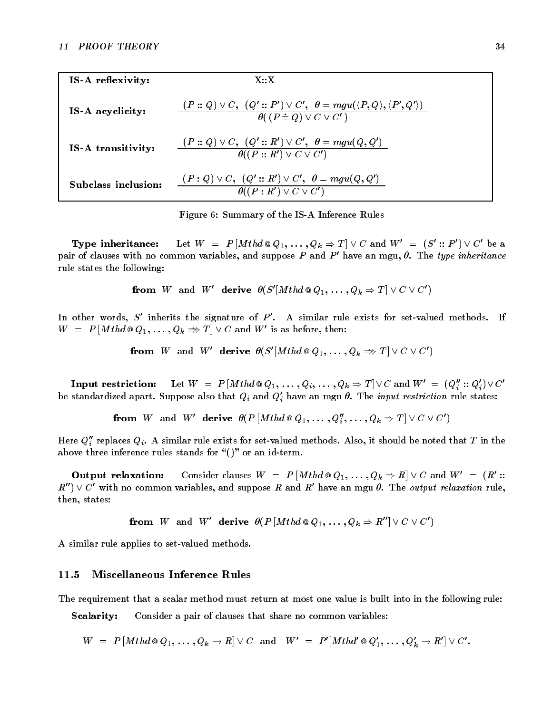| IS-A reflexivity:   | X::X                                                                                                                                                |
|---------------------|-----------------------------------------------------------------------------------------------------------------------------------------------------|
| IS-A acyclicity:    | $(P:: Q) \vee C$ , $(Q': P') \vee C'$ , $\theta = mgu(\langle P, Q \rangle, \langle P', Q' \rangle)$<br>$\theta(\left(P = Q\right) \vee C \vee C')$ |
| IS-A transitivity:  | $(P::Q) \vee C, \ \ (Q':R') \vee C', \ \ \theta= mgu(Q,Q')$<br>$\theta((P::R')\vee C\vee C')$                                                       |
| Subclass inclusion: | $(P:Q) \vee C$ , $(Q':R') \vee C'$ , $\theta = mgu(Q,Q')$<br>$\theta((P:R')\vee C\vee C')$                                                          |

Figure 6: Summary of the IS-A Inference Rules

Type inheritance: Let  $W = P \mid M \text{ } thd \otimes Q_1, \ldots, Q_k \Rightarrow T \mid \vee C$  and  $W' = (S' :: P') \vee C'$  be a pair of clauses with no common variables, and suppose  $P$  and  $P$  -have an mgu,  $\sigma$ . The *type inheritance* rule states the following

from W and W' derive  $\theta(S'|Mthd \otimes Q_1, \ldots, Q_k \Rightarrow T | \vee C \vee C')$ 

In other words,  $\beta$  -inherits the signature of  $P$  . A similar rule exists for set-valued methods. If  $W = P | Mthd \& Q_1, \ldots, Q_k \Rightarrow T | V C$  and W' is as before, then:

from W and W' derive  $\theta(S'|Mthd@Q_1, \ldots, Q_k \Rightarrow T \, V \, C \, V \, C')$ 

Input restriction: Let  $W = P \mid Mthd \, @ \, Q_1, \ldots, Q_i, \ldots, Q_k \Rightarrow T \mid \forall \, C \, \text{ and } W' = (Q_i'': Q_i') \lor C'$ be standardized apart. Suppose also that  $Q_i$  and  $Q_i$  have an mgu  $\sigma$ . The mput restriction rule states:

from W and W derive  $\theta(P | Mthd \tQ Q_1, \ldots, Q_i, \ldots, Q_k \Rightarrow T | V C V C')$ 

Here  $Q_i$  replaces  $Q_i$ . A similar rule exists for set-valued methods. Also, it should be noted that T in the above three inference rules stands for " $()$ " or an id-term.

Output relaxation: Consider clauses  $W = P \mid M \, th \, d \otimes Q_1, \ldots, Q_k \Rightarrow R \mid \vee C$  and  $W' = (R' ::$  $R''$ )  $\vee$  C' with no common variables, and suppose R and R' have an mgu  $\theta$ . The *output relaxation* rule, then, states:

from W and W' derive  $\theta(P|M\, thd \otimes Q_1, \ldots, Q_k \Rightarrow R'' \, | \, \vee \, C \vee C')$ 

A similar rule applies to set-valued methods.

#### <u>11.5</u> Miscellaneous Inference Rules

The requirement that a scalar method must return at most one value is built into in the following rule

Scalarity: Consider a pair of clauses that share no common variables:

 $W = P[Mthd \circledast Q_1, \ldots, Q_k \to R] \vee C$  and  $W' = P'[Mthd' \circledast Q'_1, \ldots, Q'_k \to R'] \vee C'.$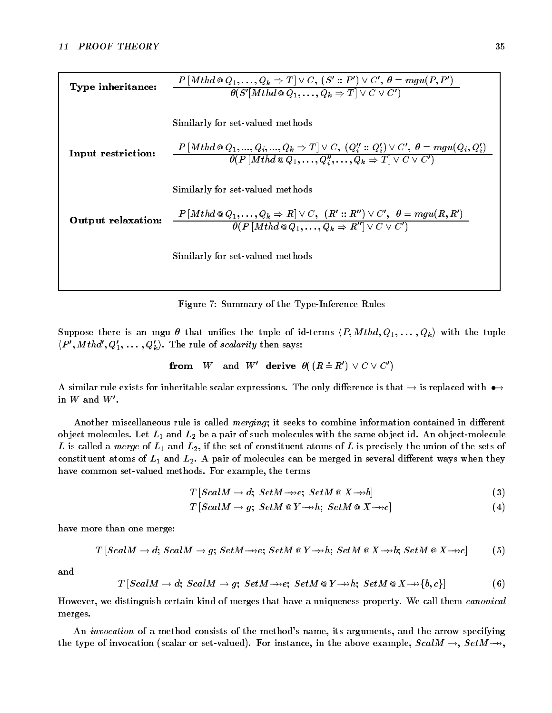| Type inheritance:  | $P[Mthd \otimes Q_1, \ldots, Q_k \Rightarrow T] \vee C, (S': P') \vee C', \theta = mgu(P, P')$<br>$\theta(S'[Mthd \otimes Q_1, \ldots, Q_k \Rightarrow T] \vee C \vee C')$                                                           |
|--------------------|--------------------------------------------------------------------------------------------------------------------------------------------------------------------------------------------------------------------------------------|
|                    | Similarly for set-valued methods                                                                                                                                                                                                     |
| Input restriction: | $\frac{P\left[ Mthd \circledast Q_1,,Q_i,,Q_k \Rightarrow T \right] \vee C, \; (Q_i'':Q_i') \vee C', \; \theta = mgu(Q_i,Q_i')}{\theta(P\left[ Mthd \circledast Q_1,\ldots,Q_i'',\ldots,Q_k \Rightarrow T \right] \vee C \vee C') }$ |
|                    | Similarly for set-valued methods                                                                                                                                                                                                     |
| Output relaxation: | $\frac{P\left[ Mthd \circledast Q_1, \ldots, Q_k \Rightarrow R \right] \vee C, \ \ (R' :: R'') \vee C', \ \ \theta = mgu(R,R')}{\theta(P\left[ Mthd \circledast Q_1, \ldots, Q_k \Rightarrow R'' \right] \vee C \vee C') }$          |
|                    | Similarly for set-valued methods                                                                                                                                                                                                     |

Figure 7: Summary of the Type-Inference Rules

Suppose there is an mgu  $\theta$  that unifies the tuple of id-terms  $\langle P, Mthd, Q_1, \ldots, Q_k \rangle$  with the tuple  $\langle P', Mthd', Q_1', \, \ldots \, , Q_k' \rangle.$  The rule of *scalarity* then says:

**from** W and W' derive 
$$
\theta(R = R') \vee C \vee C'
$$

A similar rule exists for inheritable scalar expressions. The only difference is that  $\to$  is replaced with  $\bullet\!\!\rightarrow$ in  $W$  and  $W'$ .

Another miscellaneous rule is called *merging*; it seeks to combine information contained in different ob ject molecules- Let L- and L be a pair of such molecules with the same ob ject id- An ob jectmolecule L is called a merge of L- and L if the set of constituent atoms of <sup>L</sup> is precisely the union of the sets of constituent atoms of L- and L- A pair of molecules can be merged in several dierent ways when they have common setvalued methods- For example the terms

$$
T\left[Scal\, \rightarrow d; \; SetM \rightarrow e; \; SetM \circledcirc X \rightarrow b\right] \tag{3}
$$

$$
T\left[Scal\, \rightarrow g;\; SetM \otimes Y \rightarrow h;\; SetM \otimes X \rightarrow c\right] \tag{4}
$$

have more than one merge:

$$
T\left[Scal\, \rightarrow d;\, Scal M \rightarrow g;\, Set M \rightarrow e;\, Set M \circledast Y \rightarrow h;\, Set M \circledast X \rightarrow b;\, Set M \circledast X \rightarrow c \right] \qquad \quad (5)
$$

and

$$
T\left[Scal\, \rightarrow d;~Scal\, M\rightarrow g;~Set\, M\rightarrow e;~Set\, M\, @\, Y\rightarrow h;~Set\, M\, @\, X\rightarrowtail \{b,c\}\right] \tag{6}
$$

However we distinguish certain kind of merges that have a uniqueness property- We call them canonical merges.

An *invocation* of a method consists of the method's name, its arguments, and the arrow specifying the type of invocation (scalar or set-valued). For instance, in the above example,  $\textit{scal} \, \mathfrak{m} \to \textit{sel} \, \mathfrak{m} \to \textit{sel} \, \mathfrak{m}$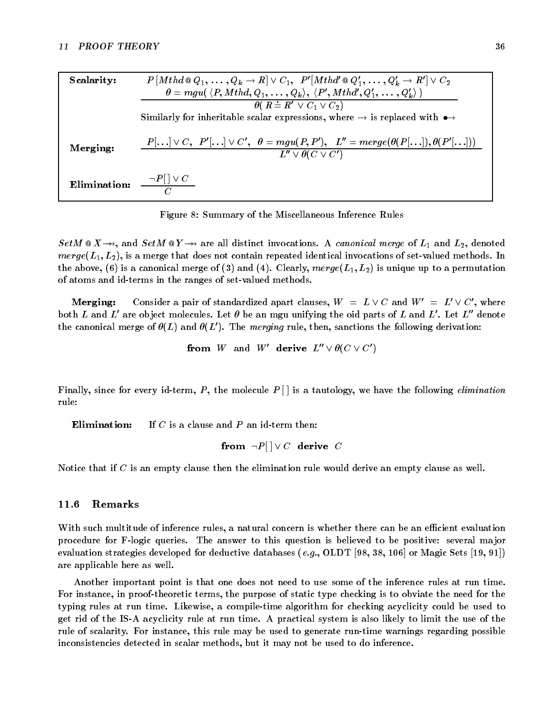| Scalarity:                                 | $P[ Mthd \otimes Q_1, \ldots, Q_k \to R] \vee C_1, P'[ Mthd' \otimes Q'_1, \ldots, Q'_k \to R'] \vee C_2$       |
|--------------------------------------------|-----------------------------------------------------------------------------------------------------------------|
|                                            | $\theta = mgu(\langle P, Mthd, Q_1, \ldots, Q_k \rangle, \langle P', Mthd', Q'_1, \ldots, Q'_k \rangle)$        |
|                                            | $\theta(R = R' \vee C_1 \vee C_2)$                                                                              |
|                                            | Similarly for inheritable scalar expressions, where $\rightarrow$ is replaced with $\rightarrow$                |
|                                            |                                                                                                                 |
| Merging:                                   | $P[\ldots] \vee C, P'[\ldots] \vee C', \theta = mgu(P, P'), L'' = merge(\theta(P[\ldots]), \theta(P'[\ldots]))$ |
|                                            | $L'' \vee \theta(C \vee C')$                                                                                    |
|                                            |                                                                                                                 |
| Elimination: $\frac{\neg P[\ ] \vee C}{C}$ |                                                                                                                 |
|                                            |                                                                                                                 |

Figure 8: Summary of the Miscellaneous Inference Rules

SetM  $\mathfrak{A} \twoheadrightarrow$ , and SetM  $\mathfrak{A}$  to are all distinct invocations. A *canonical merge* of  $L_1$  and  $L_2$ , denoted mergeL- L is a merge that does not contain repeated identical invocations of setvalued methods- In the above  $\{ \cdot \}$  is a canonical merger of  $\{ \cdot \}$  and  $\{ \cdot \}$  is unique up to a permutation of  $\{ \cdot \}$ of atoms and id-terms in the ranges of set-valued methods.

Merging: Consider a pair of standardized apart clauses,  $W = L \vee C$  and  $W' = L' \vee C'$ , where both  $L$  and  $L$  are object molecules. Let  $\theta$  be an mgu unifying the oid parts of  $L$  and  $L$  . Let  $L$  denote the canonical merge of  $\sigma(L)$  and  $\sigma(L)$  . The *merging* rule, then, sanctions the following derivation:

from W and W' derive  $L'' \vee \theta(C \vee C')$ 

Finally, since for every id-term, P, the molecule  $P[\ ]$  is a tautology, we have the following *elimination* rule

**Elimination:** If C is a clause and P an id-term then:

```
from \neg P \Box \lor C derive C
```
Notice that if  $C$  is an empty clause then the elimination rule would derive an empty clause as well.

# Remarks

With such multitude of inference rules, a natural concern is whether there can be an efficient evaluation procedure for Flogic queries- The answer to this question is believed to be positive several ma jor evaluation strategies developed for deductive databases e-g- OLDT 
  or Magic Sets 
 are applicable here as well-

Another important point is that one does not need to use some of the inference rules at run time-For instance, in proof-theoretic terms, the purpose of static type checking is to obviate the need for the typing rules at run time- Likewise a compiletime algorithm for checking acyclicity could be used to get rid of the ISA acyclicity rule at run time- is practical system is also likely to limit the use of the use rule of scalarity-be used to generate this rule may be used to generate rule may be used to generate runtime w inconsistencies detected in scalar methods, but it may not be used to do inference.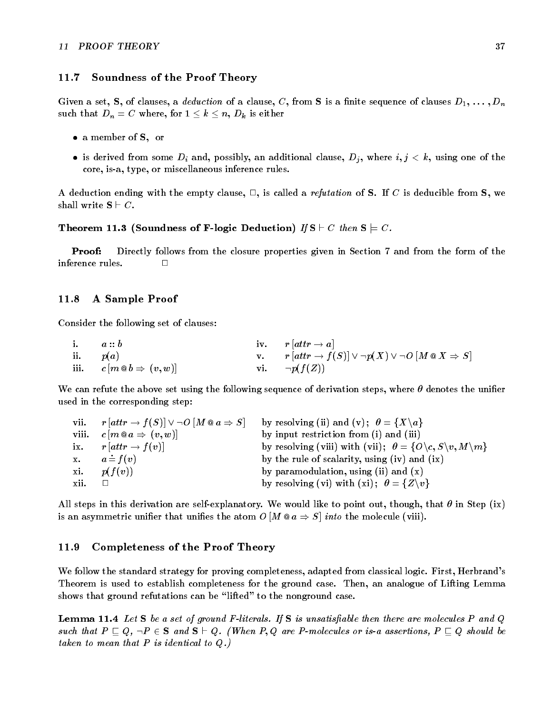#### 11.7 Soundness of the Proof Theory

 $\Box$  of a clause a deduction of a clause  $\Box$  is a nite sequence of  $\Box$  is a nite sequence of clauses  $\Box$ such that  $D_n = C$  where, for  $1 \leq k \leq n$ ,  $D_k$  is either

- $\bullet$  a member of  $\mathbf{5}, \; \text{ or }$
- $\bullet$  is derived from some  $D_i$  and, possibly, an additional clause,  $D_j,$  where  $i,j < k,$  using one of the core, is-a, type, or miscellaneous inference rules.

a deduction the empty with the empty clause is a refutation of S-C is deduction of S-C is deducted a refutation shall write  $S \vdash C$ .

Theorem 11.3 (Soundness of F-logic Deduction) If S  $\vdash C$  then S  $\models C$ .

**Proof:** Directly follows from the closure properties given in Section 7 and from the form of the inference rules.

#### 11.8 A Sample Proof

Consider the following set of clauses

| $\mathbf{i}$ . | a::b                                      | iv. $r _{\text{attr}} \rightarrow a $                                                    |
|----------------|-------------------------------------------|------------------------------------------------------------------------------------------|
| ii. $p(a)$     |                                           | v. $r[attr \rightarrow f(S)] \vee \neg p(X) \vee \neg O[M \circledcirc X \Rightarrow S]$ |
|                | iii. $c [m \otimes b \Rightarrow (v, w)]$ | vi. $\neg p(f(Z))$                                                                       |

We can refute the above set using the following sequence of derivation steps, where  $\theta$  denotes the unifier used in the corresponding step

| $r [attr \rightarrow f(S)] \vee \neg O [M @ a \Rightarrow S].$ | by resolving (ii) and (v); $\theta = \{X \setminus a\}$                                    |
|----------------------------------------------------------------|--------------------------------------------------------------------------------------------|
| viii. $c [m \otimes a \Rightarrow (v, w)]$                     | by input restriction from (i) and (iii)                                                    |
| ix. $r[attr \rightarrow f(v)]$                                 | by resolving (viii) with (vii); $\theta = \{O \setminus c, S \setminus v, M \setminus m\}$ |
| $a = f(v)$                                                     | by the rule of scalarity, using (iv) and (ix)                                              |
| p(f(v))                                                        | by paramodulation, using (ii) and $(x)$                                                    |
|                                                                | by resolving (vi) with (xi); $\theta = \{Z \setminus v\}$                                  |
|                                                                |                                                                                            |

All steps in this derivation are selfexplanatory- We would like to point out though that in Step ix is an asymmetric unifier that unifies the atom  $O\left[M\otimes a \Rightarrow S\right]$  *into* the molecule (viii).

#### $11.9$  Completeness of the Proof Theory

we follow the strategies in adapted from proving complete from province from complete from classical logical lo Theorem is used to establish completeness for the ground case- Then an analogue of Lifting Lemma shows that ground refutations can be "lifted" to the nonground case.

Lemma -- Let S be a set of ground Fliterals- If S is unsatisable then there are molecules P and Q such that  $P \sqsubseteq Q$ ,  $\neg P \in S$  and  $S \vdash Q$ . (When P, Q are P-molecules or is-a assertions,  $P \sqsubseteq Q$  should be  $\mathbf{u}_l$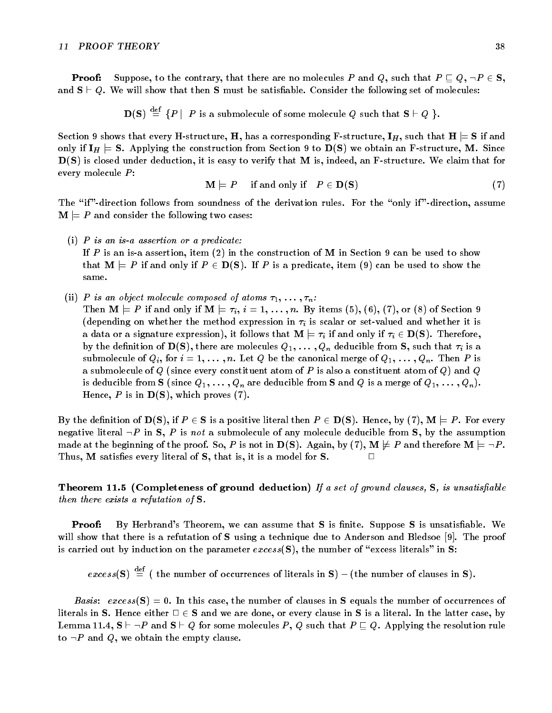**Proof:** Suppose, to the contrary, that there are no molecules  $P$  and  $Q$ , such that  $P \sqsubseteq Q, \neg P \in S$ , and  $S \vdash Q$ . We will show that then S must be satisfiable. Consider the following set of molecules:

 $\mathbf{D}(S) \stackrel{\text{def}}{=} \{P \mid P \text{ is a submodule of some molecule } Q \text{ such that } S \vdash Q \}.$ 

Section 9 shows that every H-structure, H, has a corresponding F-structure,  $\mathbf{I}_H$ , such that  $\mathbf{H} \models \mathbf{S}$  if and only if  $I_H \models S$ . Applying the construction from Section 9 to  $D(S)$  we obtain an F-structure, M. Since DS is closed under deduction it is easy to verify that M is indeed an Fstructure- We claim that for every molecule P

$$
\mathbf{M} \models P \quad \text{if and only if} \quad P \in \mathbf{D}(\mathbf{S}) \tag{7}
$$

The if direction follows from soundness of the derivation rules- For the only if direction assume  $\mathbf{M} \models P$  and consider the following two cases:

(i)  $P$  is an is-a assertion or a predicate:

If P is an is-a assertion, item  $(2)$  in the construction of M in Section 9 can be used to show that  $\mathbf{M} \models P$  if and only if  $P \in \mathbf{D}(\mathbf{S}).$  If  $P$  is a predicate, item  $(9)$  can be used to show the same.

ii P is an object model of a composed of atoms  $\mathbf{u} = \mathbf{u}$ Then  $\mathbf{M} \models P$  if and only if  $\mathbf{M} \models \tau_i, \, i = 1, \, \ldots \,, n.$  By items  $(5),$   $(6),$   $(7),$  or  $(8)$  of Section 9 (depending on whether the method expression in  $\tau_i$  is scalar or set-valued and whether it is a data or a signature expression), it follows that  ${\bf M}\models \tau_i$  if and only if  $\tau_i\in {\bf D}({\bf S}).$  Therefore, by the decomposition of  $\Gamma$  there are molecules are molecules  $\gamma$  in  $\gamma$  is a such that is a such that is a such that is a such that is a such that is a such that is a such that is a such that is a such that is a such submolecule of Qi for i \$ n- Let Q be the canonical merge of Q- Qn- Then P is a submolecule of  $Q$  (since every constituent atom of  $P$  is also a constituent atom of  $Q$ ) and  $Q$ is deducible from S since  $\mathcal{L}$  and  $\mathcal{L}$  and  $\mathcal{L}$  and  $\mathcal{L}$  and  $\mathcal{L}$  and  $\mathcal{L}$  and  $\mathcal{L}$  and  $\mathcal{L}$  and  $\mathcal{L}$  and  $\mathcal{L}$  and  $\mathcal{L}$  and  $\mathcal{L}$  and  $\mathcal{L}$  and  $\mathcal{L}$  and  $\mathcal{L}$  and Hence,  $P$  is in  $D(S)$ , which proves (7).

By the definition of  $\bf{D}(S),$  if  $P\in \bf{S}$  is a positive literal then  $P\in \bf{D}(S).$  Hence, by  $(7),$   $\bf{M}\models P.$  For every  $\log$ ative literal  $\neg$   $\Gamma$  in  $\mathcal{S},\Gamma$  is not a submolecule of any molecule deducible from  $\mathcal{S},$  by the assumption made at the beginning of the proof. So,  $P$  is not in  $\bf{D}(S)$ . Again, by (7),  $\bf{M} \not\models P$  and therefore  $\bf{M} \models \neg P.$ Thus, M satisfies every literal of  $S$ , that is, it is a model for  $S$ .

Theorem -- Completeness of ground deduction If a set of ground clauses S
 is unsatisable then there exists a refutation of  $S$ .

Proof By Herbrands Theorem we can assume that S is nite- Suppose S is unsatisable- We will show that the state is a refutation of S using a technique due to Andreson and Bledsoe (P) and Bledsoe (P is carried out by induction on the parameter  $excess(S)$ , the number of "excess literals" in S:

 $excess(S) \stackrel{\text{def}}{=}$  (the number of occurrences of literals in S) – (the number of clauses in S).

s are the number of the number of clauses in Section of the number of our section of occurrences of  $\sim$ literals in S. Hence either  $\Box \in S$  and we are done, or every clause in S is a literal. In the latter case, by Lemma 11.4,  ${\bf S}\vdash \neg P$  and  ${\bf S}\vdash Q$  for some molecules  $P,$   $Q$  such that  $P\sqsubseteq Q.$  Applying the resolution rule to  $\neg r$  and  $Q$ , we obtain the empty clause.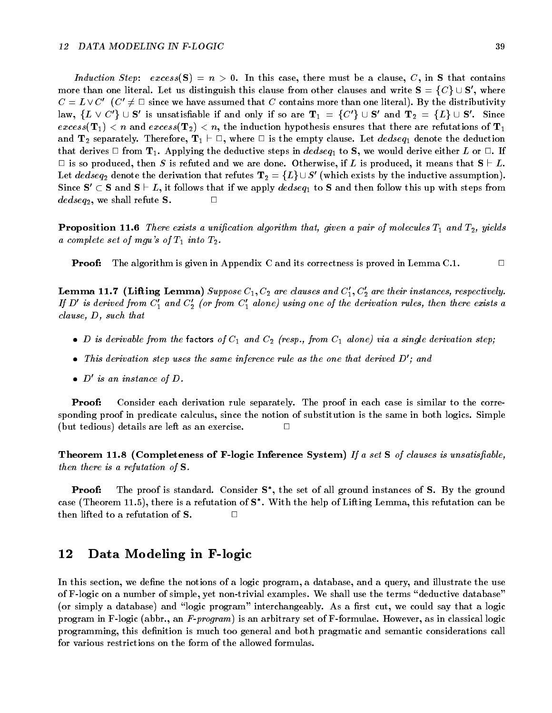In this case the step excess  $\mathbf I$  -case there must be a clause  $\mathbf I$  -case there must be a clause  $\mathbf I$ more than one literal. Let us distinguish this clause from other clauses and write  ${\bf S} = \{C\} \cup {\bf S}',$  where  $C = L \vee C' \ \ (C' \neq \Box$  since we have assumed that  $C$  contains more than one literal). By the distributivity law,  $\{L \vee C'\} \cup {\bf S'}$  is unsatisfiable if and only if so are  ${\bf T}_1$  =  $\{C'\}\cup{\bf S'}$  and  ${\bf T}_2$  =  $\{L\}\cup{\bf S}'.$  Since excess T-1 in and excess the induction hypothesis ensures that the induction that there are refutations of T-1 and  ${\bf T}_2$  separately. Therefore,  ${\bf T}_1 \vdash \Box$ , where  $\Box$  is the empty clause. Let  $\emph{dedseq}_1$  denote the deduction that derives a from T-1, the delivery the determines the determine steps in derive would derive the control of  $\Box$  is so produced, then S is refuted and we are done. Otherwise, if L is produced, it means that  $S \vdash L$ . Let dedseq<sub>2</sub> denote the derivation that refutes  $T_2 = \{L\} \cup S'$  (which exists by the inductive assumption). Since  $\bf S' \subset \bf S$  and  $\bf S \vdash L$ , it follows that if we apply  $dedseq_1$  to  $\bf S$  and then follow this up with steps from  $dedeq_2$ , we shall refute S.  $\Box$ 

Proposition -- There exists a unication algorithm that
 given a pair of molecules T- and T
 yields a complete set of mgus of T- into T-

Proof The algorithm is given in Appendix C and its correctness is proved in Lemma C-- $\Box$ 

**Lemma 11.1** (Litting Lemma) suppose  $C_1, C_2$  are clauses and  $C_1, C_2$  are their instances, respectively. If  $\nu$  is derived from  ${\mathbf e}_1$  and  ${\mathbf e}_2$  (or from  ${\mathbf e}_1$  alone) using one of the derivation rules, then there exists a clause, D, such that

- $\bullet$  D is derivable from the factors of  $C_1$  and  $C_2$  (resp., from  $C_1$  alone) via a single derivation step;
- $\bullet$  -Inis derivation step uses the same inference rule as the one that derived  $D$  ; and
- $\bullet$   $\,\nu$  is an instance of  $\,\nu$  .

Proof Consider each derivation rule separately- The proof in each case is similar to the corre sponding proof in predicate calculus since the notion is the notion of substitution is the samples of substitu (but tedious) details are left as an exercise.  $\Box$ 

Theorem -- Completeness of Flogic Inference System If a set S of clauses is unsatisable then there is a refutation of  $S$ .

**Proof:** The proof is standard. Consider  $S$  , the set of all ground instances of  $S$ . By the ground case (Theorem 11.5), there is a refutation of  $S$  . With the help of Lifting Lemma, this refutation can be then lifted to a refutation of S- $\Box$ 

### 12 Data Modeling in F-logic

In this section, we define the notions of a logic program, a database, and a query, and illustrate the use of Flogic on a number of simple yet notes the terms places. We shall use the terms decliness the terms decline or simply a database and logic program interchangeably- As a rst cut we could say that a logic program in Flogic (in Flogic abbre- program is an arbitrary set of Fformulae- and the construction of  $\rho$ programming, this definition is much too general and both pragmatic and semantic considerations call for various restrictions on the form of the allowed formulas.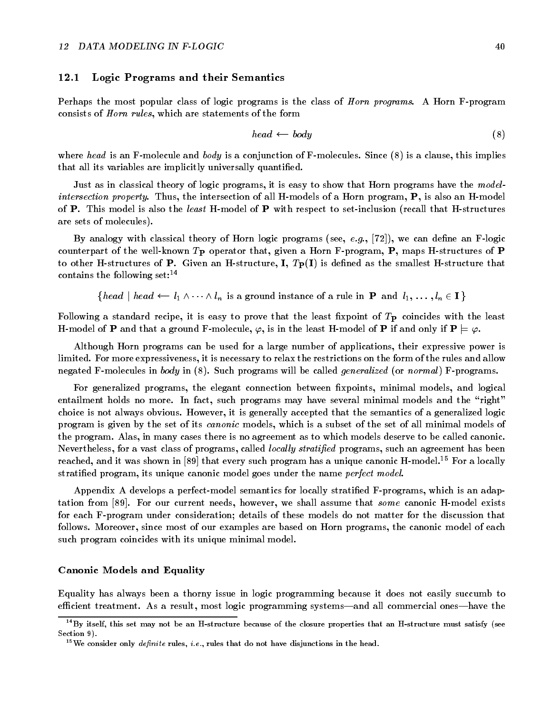#### $12.1$ Logic Programs and their Semantics

Perhaps the most popular class of logic programs is the class of Horn programs- A Horn Fprogram consists of *Horn rules*, which are statements of the form

$$
head \leftarrow body \tag{8}
$$

where head is a conjunction of Fmolecules-induction of Fmolecules-induction of Fmolecules-induction of Fmolecules-induction of Fmolecules-induction of Fmolecules-induction of Fmolecules-induction of Fmolecules-induction o that all its variables are implicitly universally quantified.

Just as in classical theory of logic programs, it is easy to show that Horn programs have the modelintersection property- Thus the intersection of all Hmodels of a Horn program P is also an Hmodel of P-1 - This model is also the least Hmodel of P with recall that Hollowell that Hstructures are called that are sets of molecules).

By analogy with classical theory of Horn logic programs see e-g- we can dene an Flogic counterpart of the well-known  $T_{\textbf{P}}$  operator that, given a Horn F-program,  $\textbf{P},$  maps H-structures of  $\textbf{P}$ to other Hstructures of P-I TPI in Hstructure I  $\gamma$   $\gamma$   $\tau$  is denoted as the smallest Hstructure that  $\tau$ contains the following set-

 $\{head \mid head \leftarrow l_1 \wedge \cdots \wedge l_n \text{ is a ground instance of a rule in } \mathbf{P} \text{ and } l_1, \ldots, l_n \in \mathbf{I}\}$ 

Following a standard recipe, it is easy to prove that the least fixpoint of  $T<sub>P</sub>$  coincides with the least H-model of **P** and that a ground F-molecule,  $\varphi$ , is in the least H-model of **P** if and only if  $P \models \varphi$ .

Although Horn programs can be used for a large number of applications their expressive power is limited- For more expressiveness it is necessary to relax the restrictions on the form of the rules and allow negated Fmolecules in body in - Such programs will be called generalized or normal Fprograms-

For generalized programs, the elegant connection between fixpoints, minimal models, and logical entailment holds no more- In fact such programs may have several minimal models and the right choice is not always obvious-distribution and a generally accepted that the semantics of a generalized logic program is given by the set of its canonic models which is a subset of the set of all minimal models of the program- Alas in many cases there is no agreement as to which models deserve to be called canonic-Nevertheless, for a vast class of programs, called locally stratified programs, such an agreement has been reached, and it was shown in  $|\circ \theta|$  that every such program has a unique canonic  ${\bf n}$ -model. For a locally stratified program, its unique canonic model goes under the name *perfect model*.

Appendix A develops a perfect-model semantics for locally stratified F-programs, which is an adaptation from  $\mathbf{r}$  , and the shall assume that some can our complete that some canonic However the some for each F-program under consideration; details of these models do not matter for the discussion that follows- Moreover since most of our examples are based on Horn programs the canonic model of each such program coincides with its unique minimal model.

## Canonic Models and Equality

Equality has always been a thorny issue in logic programming because it does not easily succumb to ecient treatment- As a result most logic programming systemsand all commercial oneshave the

 $^{14}$ By itself, this set may not be an H-structure because of the closure properties that an H-structure must satisfy (see Section 9).

<sup>&</sup>lt;sup>15</sup>We consider only *definite* rules, *i.e.*, rules that do not have disjunctions in the head.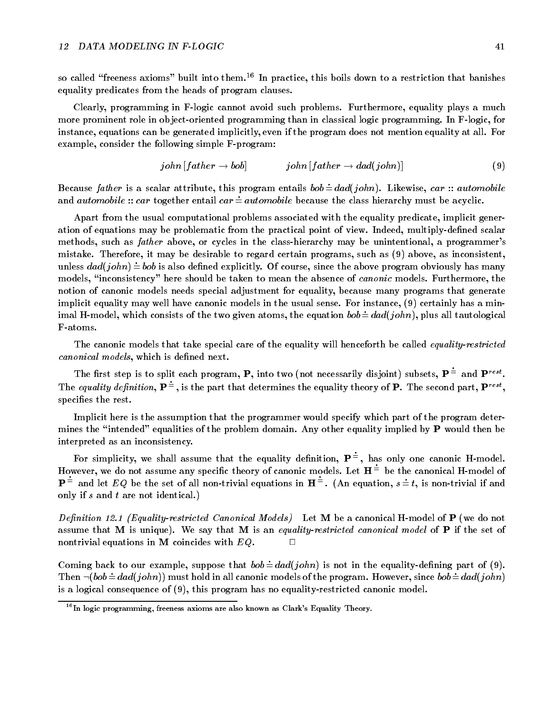so called "freeness axioms" built into them.- "In practice, this boils down to a restriction that banishes equality predicates from the heads of program clauses-

Clearly programming in Flogic cannot avoid such problems- Furthermore equality plays a much more prominent role in object than in programming than in classical logic programming- in regression instance equations can be generated implicitly even if the program does not mention equality at all- For example, consider the following simple F-program:

$$
john\left\lceil father \rightarrow bob \right\rceil \qquad \qquad john\left\lceil father \rightarrow dad(john) \right\rceil \qquad \qquad (9)
$$

Because father is a scalar attribute, this program entails  $bob = dad(John)$ . Likewise, car :: automobile and *automobile* :: car together entail car = automobile because the class hierarchy must be acyclic.

Apart from the usual computational problems associated with the equality predicate, implicit generation of equations may be problematic from the practical point of view- Indeed multiplydened scalar methods, such as *father* above, or cycles in the class-hierarchy may be unintentional, a programmer's mistake- Therefore it may be desirable to regard certain programs such as 
 above as inconsistent unless  $dad(1)$   $(0)$   $=$   $bob$  is also defined explicitly. Of course, since the above program obviously has many models inconsistency here should be taken to mean the absence of canonic models- Furthermore the notion of canonic models needs special adjustment for equality, because many programs that generate implicit equality may well have canonic models in the usual sense- For instance 
 certainly has a min imal H-model, which consists of the two given atoms, the equation  $bob = dad(john)$ , plus all tautological F-atoms.

The canonic models that take special care of the equality will henceforth be called equality-restricted canonical models, which is defined next.

The first step is to split each program, **P**, into two (not necessarily disjoint) subsets,  $P^{\pm}$  and  $P^{rest}$ . The *equality definition*,  $\mathbf{P}^{\pm}$ , is the part that determines the equality theory of P. The second part,  $\mathbf{P}^{rest}$ , specifies the rest.

Implicit here is the assumption that the programmer would specify which part of the program deter mines the intended equalities of the problem domain- Any other equality implied by P would then be interpreted as an inconsistency-

For simplicity, we shall assume that the equality definition,  $P^=$ , has only one canonic H-model. However, we do not assume any specific theory of canonic models. Let  $\mathbf{H}^{\pm}$  be the canonical H-model of  ${\bf P}$  = and let EQ be the set of all non-trivial equations in  ${\bf H}$  = . (An equation,  $s=t$ , is non-trivial if and only if s and the notation is and the second that  $\mathcal{L}_{\mathcal{A}}$ 

- qualityrestricted canonical models and models we do not be a canonical model of the second contract of the second assume that M is unique-yi that M is an equality restricted canonical model of P is an equality  $\alpha$ nontrivial equations in  $M$  coincides with  $EQ$ .  $\Box$ 

Coming back to our example, suppose that  $bob = dad(john)$  is not in the equality-defining part of (9). Then  $\neg(bob = dad(John))$  must hold in all canonic models of the program. However, since  $bob = dad(John)$ is a logical consequence of (9), this program has no equality-restricted canonic model.

 $16$ In logic programming, freeness axioms are also known as Clark's Equality Theory.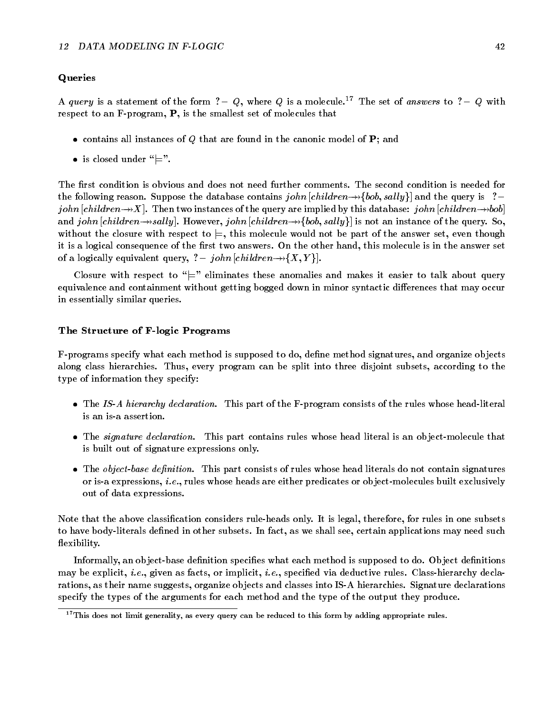## Queries

- $\bullet$  contains all instances of  $Q$  that are found in the canonic model of  $\mathbf{P}$ ; and
- $\bullet\,$  is closed under " $\models$ ".

the following reason. Suppose the database contains  $john$   $[children{\rightarrow\!\!\rightarrow} \{bob, silly\}]$  and the query is  $\hspace{0.1cm} ? \{nonn\}$  children  $\rightarrow$   $\Lambda$   $\mid$  . Then two instances of the query are implied by this database:  $\{non\}$  children  $\rightarrow$   $\{non\}$ and  $john$   $[children{\to}sally]$ . However,  $john$   $[children{\to}+ \{bob,sally\}]$  is not an instance of the query. So, without the closure with respect to  $\models$ , this molecule would not be part of the answer set, even though it is a logical consequence of the rst two answers- On the other hand this molecule is in the answer set of a logically equivalent query,  $i-john [children \rightarrow \{X, Y\}].$ 

Closure with respect to " $\models$ " eliminates these anomalies and makes it easier to talk about query equivalence and containment without getting bogged down in minor syntactic differences that may occur in essentially similar queries.

# The Structure of F-logic Programs

F-programs specify what each method is supposed to do, define method signatures, and organize objects along class hierarchies- Thus every program can be split into three disjoint subsets according to the type of information they specify

- $\bullet$  The IS-A hierarchy declaration. This part of the F-program consists of the rules whose head-literal  $\bullet$ is an is-a assertion.
- $\bullet$  The *signature aeclaration*. This part contains rules whose head literal is an object-molecule that is built out of signature expressions only-
- $\bullet$  The *object-base de* $n$ *nition*. This part consists of rules whose head literals do not contain signatures e- or i-spressions i-si-sions i-mail exclusive or observe predicates or object modern constants built exclusively out of data expressions-

Note that the above classication considers rules rules rules  $\mathbf{I}$  is legal therefore for rules in one subsets in one subsets in one subsets in one subsets in one subsets in one subsets in  $\mathbf{I}$ to have bodyliterals dened in other subsets- In fact as we shall see certain applications may need such flexibility.

Informally an ob jectbase denition species what each method is supposed to do- Ob ject denitions e-complicit i-dependent i-dependent i-declared via declared via declared via declared via declared via declare rations as their name suggests organize ob jects and classes into ISA hierarchies- Signature declarations specify the types of the arguments for each method and the type of the output they produce-

 $17$ This does not limit generality, as every query can be reduced to this form by adding appropriate rules.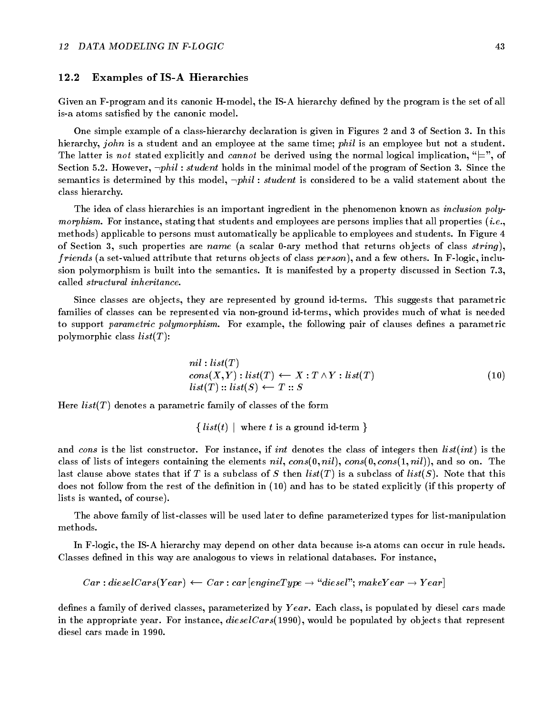#### 12.2 **Examples of IS-A Hierarchies**

Given an F-program and its canonic H-model, the IS-A hierarchy defined by the program is the set of all is a atoms satisfied by the canonic model.

One simple example of a classhierarchy declaration is given in Figures and of Section - In this hierarchy, john is a student and an employee at the same time; phil is an employee but not a student. The latter is not stated explicitly and *cannot* be derived using the normal logical implication, " $\vert z$ ", of Section -- However phil student holds in the minimal model of the program of Section - Since the semantics is determined by this model,  $\neg \mathit{pnu}$  ;  $\mathit{snu}$  is considered to be a valid statement about the class hierarchy-

The idea of class hierarchies is an important ingredient in the phenomenon known as *inclusion poly*morphism-catalogue stating that students are persons implies that all properties that all properties i-mail pro methods applicable to persons must automatically be applicable to employees and students- In Figure of Section 3, such properties are *name* (a scalar 0-ary method that returns objects of class string), f riends a setvalued attribute that returns ob jects of class person and a few others- In Flogic inclu sion polymorphism is built into the semantics- It is manifested by a property discussed in Section called *structural inheritance*.

 $S$ ince classes are represented by ground identity in the represented by ground identity in the parametric support of  $\mu$ families of classes can be represented via non-ground id-terms, which provides much of what is needed to support parametric polymorphism- For example the following pair of clauses denes a parametric polymorphic class  $list(T)$ :

$$
nil: list(T)
$$
  
\n
$$
cons(X,Y): list(T) \leftarrow X : T \wedge Y : list(T)
$$
  
\n
$$
list(T): list(S) \leftarrow T :: S
$$
\n(10)

Here  $list(T)$  denotes a parametric family of classes of the form

 ${list(t) | where t is a ground id-term }$ 

and construction is the listing if integrating the construction integration integrate the construction of inte class of the construction of the elements in the construction of  $\alpha$  and  $\alpha$  on  $\alpha$  on  $\alpha$  on  $\alpha$  on  $\alpha$ last clause above states that if T is a subclass of S then listT is a subclass of listS- Note that this does not follow from the rest of the definition in (10) and has to be stated explicitly (if this property of lists is wanted, of course).

The above family of list-classes will be used later to define parameterized types for list-manipulation methods.

In F-logic, the IS-A hierarchy may depend on other data because is-a atoms can occur in rule heads. Classes dened in this way are analogous to views in relational databases- For instance

$$
Car: diesel Cars (Year) \leftarrow Car: car \, [engineType \rightarrow \text{``diesel''}; \,makeYear \rightarrow Year]
$$

denes a family of derived classify parameterized by Y early When the populated by distribution and density in the appropriate year- For instance dieselCars

 would be populated by ob jects that represent diesel cars made in 1990.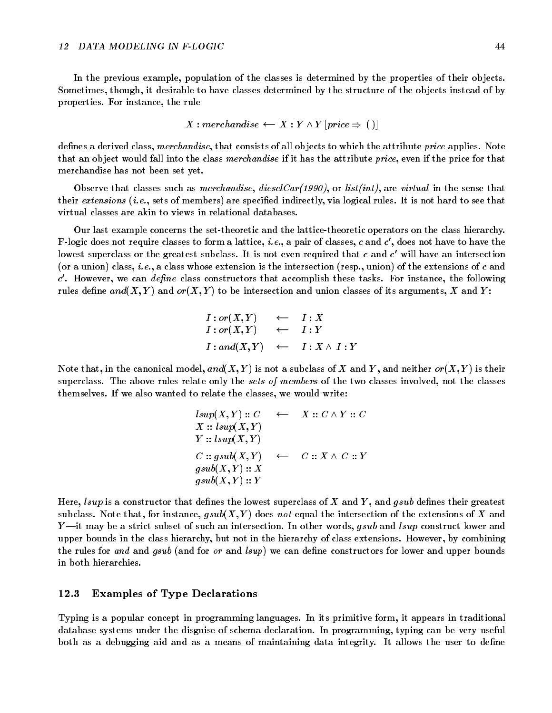In the previous example, population of the classes is determined by the properties of their objects. Sometimes, though, it desirable to have classes determined by the structure of the objects instead of by properties- For instance the rule of the rule of the rule of the rule of the rule of the rule of the rule of th

$$
X: \mathit{merchandise} \leftarrow X: Y \wedge Y \left[ \mathit{price} \Rightarrow \text{ }(\text{ })\right]
$$

denes a derived consists merchandise that consists of all objects to which the attribute prices by prices at the that an object would fall into the class merchandise if it has the attribute price, even if the price for that merchandise has not been set yet-

 $\mathbf{C}$ their extensions indirectly are specied indirectly via a logical rules-completed indirectly via logic to see that virtual classes are akin to views in relational databases-

Our last example concerns the set-theoretic and the lattice-theoretic operators on the class hierarchy.  ${\bf r}$ -logic does not require classes to form a lattice,  ${\it i.e.}$ , a pair of classes,  ${\it c}$  and  ${\it c}$  , does not have to have the lowest superclass or the greatest subclass. It is not even required that  $c$  and  $c$  -will have an intersection , a class whose extension is the intersection respective respective to the extension respectively and the extension of the extension respectively. The extension of the extension respectively and and the extension of the ex  $c$  . However, we can  $\emph{a}$ e $\emph{p}$ ne class constructors that accomplish these tasks. For instance, the following rules define and  $\mathcal{C}(X, Y)$  and  $\mathcal{C}(X, Y)$  to be intersection and union classes of its arguments, X and Y:

$$
I: or(X, Y) \leftarrow I: X\nI: or(X, Y) \leftarrow I: Y\nI: and(X, Y) \leftarrow I: X \wedge I: Y
$$

Note that, in the canonical model,  $and(X, Y)$  is not a subclass of X and Y, and neither  $or(X, Y)$  is their superclass- the above rules relate only the sets of members of the two classes involved not the classes themselves-themselves-themselves-themselves-the-classes we wanted to relate the classes we would write the classes we wanted write the classes we wanted the classes we wanted with  $\alpha$ 

$$
lsup(X, Y) :: C \leftarrow X :: C \land Y :: C
$$
  
\n
$$
X :: lsup(X, Y)
$$
  
\n
$$
Y :: lsup(X, Y)
$$
  
\n
$$
C :: gsub(X, Y) \leftarrow C :: X \land C :: Y
$$
  
\n
$$
gsub(X, Y) :: X
$$
  
\n
$$
gsub(X, Y) :: Y
$$

Here, lsup is a constructor that defines the lowest superclass of X and Y, and gsub defines their greatest subclass- Note that for instance gsubX Y does not equal the intersection of the extensions of X and Y it may be a strict subset of such an intersection- In other words gsub and lsup construct lower and upper bounds in the class hierarchy but not in the hierarchy of class extensions- However by combining the rules for and and gsub (and for or and lsup) we can define constructors for lower and upper bounds in both hierarchies.

#### 12.3 Examples of Type Declarations

Typing is a popular concept in programming languages- In its primitive form it appears in traditional addatabase systems under the disguise of schema declaration-can be programming typing that is the partner. both as a debugging and and as a metallic of maintaining data integrity- it allows the user to denem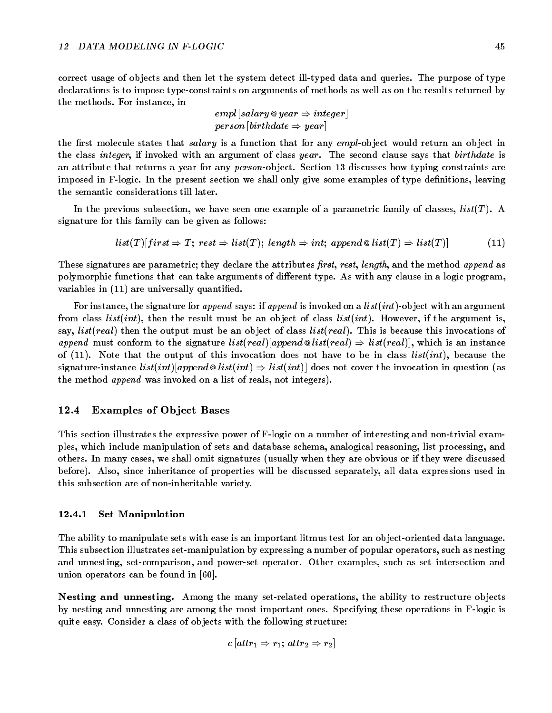correct usage of ob jects and then let the system detect illtyped data and queries- The purpose of type declarations is to impose typeconstraints on arguments of methods as well as on the results returned by the methods-instance instance instance instance instance in  $\mathbf{F}$ 

$$
empl\left[salary@year \Rightarrow integer\right] \\ person\left[birthdate \Rightarrow year\right]
$$

the first molecule states that salary is a function that for any empl-object would return an object in the class integer if in an argument of an argument of class year-official class that birthdate is an attribute that returns a year for any personob ject- Section discusses how typing constraints are imposed in Flogic- In the present section we shall only give some examples of type denitions leaving the semantic considerations till later-

In the previous subsection we have seen one example of a parametric family of classes listT - A signature for this family can be given as follows

$$
list(T)[first \Rightarrow T; rest \Rightarrow list(T); length \Rightarrow int; append @list(T) \Rightarrow list(T)] \qquad (11)
$$

These signatures are parametric; they declare the attributes first, rest, length, and the method append as polymorphic functions that can take arguments of dierent type- that with an any clause program. variables in  $(11)$  are universally quantified.

For instance, the signature for append says: if append is invoked on a  $list(int)$ -object with an argument from class listint then the result must be an ob ject of class listint- However if the argument is say listreal then the output must be an ob ject of class listreal- This is because this invocations of append must conform to the signature  $list (real)$  append  $\&$   $list (real) \Rightarrow list (real)$ , which is an instance of - Note that the output of this invocation does not have to be in class listint because the signature-instance  $list(int)$   $\{append\&list(int) \Rightarrow list(int)]$  does not cover the invocation in question (as the method *append* was invoked on a list of reals, not integers).

#### $12.4$ Examples of Ob ject Bases

This section illustrates the expressive power of F-logic on a number of interesting and non-trivial examples which include manipulation of sets and database schema analogical reasoning list processing and others- In many cases we shall omit signatures usually when they are obvious or if they were discussed before- also since inheritance of properties will be discussed separately all data expressions used in this subsection are of non-inheritable variety.

## Set Manipulation

The ability to manipulate sets with ease is an important litmus test for an object-oriented data language. This subsection illustrates set-manipulation by expressing a number of popular operators, such as nesting and under the powerset of the powerset operator-order-order-order-order-order-order-order-order-order-order-or union operators can be found in  $[60]$ .

Nesting and unnesting. Among the many set-related operations, the ability to restructure objects  $\alpha$  , are and increasing the most influence operations in Flores- operations in Florescence are a supportant  $\blacksquare$  consider a class of observation of observation structure structure structure structure structure structure structure structure structure structure structure structure structure structure structure structure structu

$$
c~[attr_1 \Rightarrow r_1;~attr_2 \Rightarrow r_2]
$$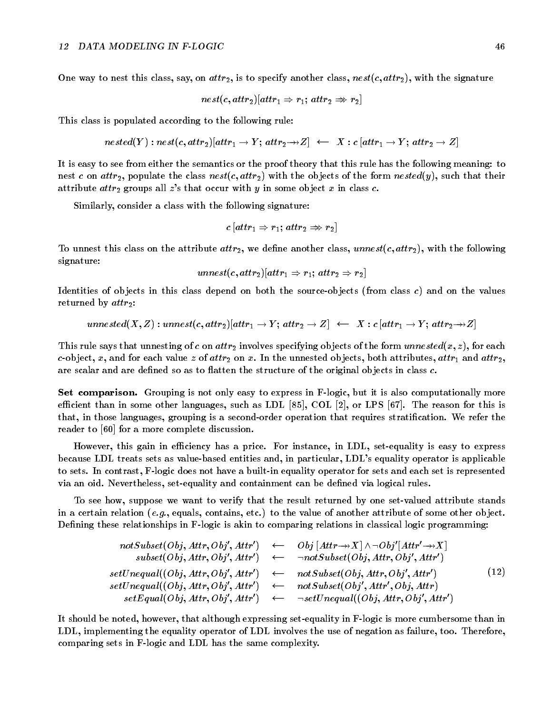One way to nest this class, say, on  $attr_2$ , is to specify another class,  $nest(c,attr_2)$ , with the signature

$$
nest(c,attr_2)|attr_1 \Rightarrow r_1; \,attr_2 \Rightarrow r_2|
$$

This class is populated according to the following rule

$$
nested(Y):nest(c,attr_2)[attr_1 \rightarrow Y; attr_2 \rightarrowtail Z] \ \ \leftarrow \ \ \ X:c\left[attr_1 \rightarrow Y; attr_2 \rightarrow Z \right]
$$

It is easy to see from either the semantics or the proof theory that this rule has the following meaning: to nest c on attr<sub>2</sub>, populate the class nest(c, attr<sub>2</sub>) with the objects of the form nested(y), such that their attribute  $attr_2$  groups all z's that occur with y in some object x in class c.

Similarly, consider a class with the following signature:

$$
c~[attr_1 \Rightarrow r_1;~attr_2 \Rightarrow r_2]
$$

To unnest this class on the attribute  $attr_2$ , we define another class,  $unnest(c,attr_2)$ , with the following signature

$$
unnest(c,attr_2)[attr_1 \Rightarrow r_1; \,attr_2 \Rightarrow r_2]
$$

Identities of objects in this class depend on both the source-objects (from class  $c$ ) and on the values returned by  $attr_2$ :

$$
\mathit{unnested}(X, Z): \mathit{unnest}(c, \mathit{attr}_2)[\mathit{attr}_1 \rightarrow Y; \mathit{attr}_2 \rightarrow Z] \ \leftarrow \ \ X: c \left[ \mathit{attr}_1 \rightarrow Y; \mathit{attr}_2 \rightarrow Z \right]
$$

This rule says that unnesting of c on attr<sub>2</sub> involves specifying objects of the form unnested $(x, z)$ , for each cordinate and form and form value  $\alpha$  is attributed ob in the unit completed objects both attributes at  $\alpha$ are scalar and are defined so as to flatten the structure of the original objects in class  $c$ .

Set comparison. Grouping is not only easy to express in F-logic, but it is also computationally more economies such as LDL  $\Box$  LDL  $\Box$  LDL  $\Box$  LDL  $\Box$  LDL  $\Box$ that is the second that is a second is a secondored is a secondored that requires stratication- and the second reader to  $\lceil 60 \rceil$  for a more complete discussion.

However this gain in eciency has a price- For instance in LDL setequality is easy to express because LDL treats sets as value-based entities and, in particular, LDL's equality operator is applicable to sets- In contrast Flogic does not have a builtin equality operator for sets and each set is represented via an oid-sete setemusing and containing and containment can be denoted via logical rules-

To see how, suppose we want to verify that the result returned by one set-valued attribute stands er a certain relation e-quality relations etc-contains etc-contains attribute of some other attribute of some Defining these relationships in F-logic is akin to comparing relations in classical logic programming:

$$
notSubset(Obj, Attr, Obj', Attr') \leftarrow Obj[Attr \rightarrow X] \land \neg Obj'[Attr' \rightarrow X] subset(Obj, Attr, Obj', Attr') \leftarrow \neg notSubset(Obj, Attr, Obj', Attr') setUnequal((Obj, Attr, Obj', Attr') \leftarrow notSubset(Obj, Attr, Obj', Attr') setUnequal((Obj, Attr, Obj', Attr') \leftarrow notSubset(Obj', Attr',Obj, Attr) setEqual(Obj, Attr, Obj', Attr') \leftarrow notSubset(Obj', Attr',Obj, Attr)
$$
 (12)

It should be noted, however, that although expressing set-equality in F-logic is more cumbersome than in LDL implementing the equality operator of LDL involves the use of negation as failure too- Therefore comparing sets in F-logic and LDL has the same complexity.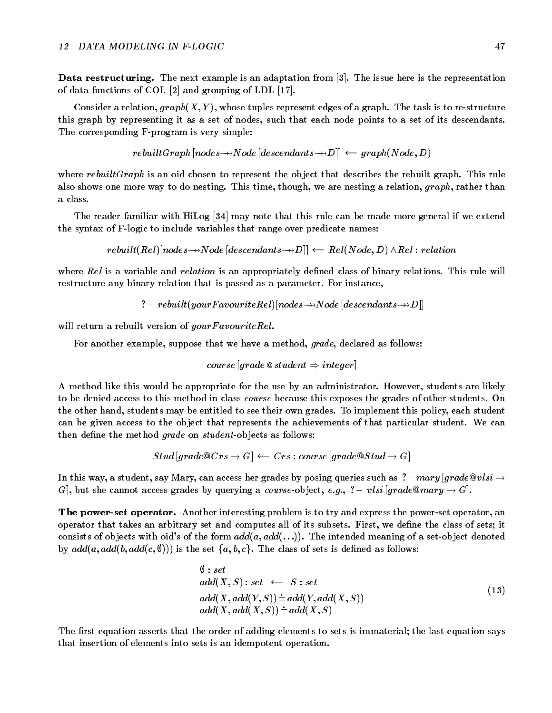Data restructuring The next example is an adaptation from - The issue here is the representation of data functions of COL  $[2]$  and grouping of LDL  $[17]$ .

consider a relation graphy y graphy tuples represent edges of a graph- of a graph- of a graph- of a structure this graph by representing it as a set of nodes, such that each node points to a set of its descendants. The corresponding F-program is very simple:

$$
rebuiltGraph\,[nodes \rightarrow Node\,[descendants \rightarrow D]] \leftarrow graph(Node, D)
$$

where rebuilt Graph is an oid chosen to represent the observed that describes the rebuilt graphalso shows one more way to do nesting, where the appear to do nesting a relation graph rather than a class.

The reader familiar with Hilog pay note that the more can be made more general if we extend the syntax of F-logic to include variables that range over predicate names:

 $rebuilt(Rel) | nodes \rightarrow Node | descendants \rightarrow D] | \leftarrow Rel(Node, D) \wedge Rel : relation$ 

where also a variable and relation is an appropriately density from  $\mu$  and binary relationsrestructure any binary relation that is passed as a parameter- For instance

? - rebuilt(yourFavouriteRel) $[nodes \rightarrow Node[descendants \rightarrow D]]$ 

will return a rebuilt version of  $yourFavouriteRel.$ 

For another example, suppose that we have a method,  $grade$ , declared as follows:

course  $\lceil grade \otimes student \Rightarrow integer \rceil$ 

A method like this would be appropriate for the use by an administrator- However students are likely to be denied access to this method in class course because the grades of other students-weight  $\mathbf{M}$ the other hand students may be entitled to see their own grades- is ampletment this policy each students. can be given access to the object that represents the achievement the achievement studentthen define the method grade on student-objects as follows:

$$
Stud\left[ grade@C\,rs \rightarrow G \right] \leftarrow \ Crs: course\left[ grade@Stud \rightarrow G \right]
$$

In this way, a student, say Mary, can access her grades by posing queries such as  $\ell - \frac{mary}{grade}$  $\mathbb{Q} vlsi \rightarrow$ G), but she cannot access grades by querying a *course*-object, e.g.,  $\Box$  = visi  $|q \textit{raae} \textit{w} \textit{mar} \textit{y} \rightarrow \textit{G}|$ .

The power-set operator. Another interesting problem is to try and express the power-set operator, an operator that that the density set and computes all of its subsets- its subsets- the computer  $\mathcal{L}_{\mathcal{A}}$ consists of observation of the form add-data add-data add-data add-data add-data add-data add-data add-data ad by  $add(a,add(b,add(c, \emptyset)))$  is the set  $\{a,b,c\}.$  The class of sets is defined as follows:

$$
\varnothing: setadd(X, S): set \leftarrow S: setadd(X, add(Y, S)) \doteq add(Y, add(X, S))add(X, add(X, S)) \doteq add(X, S)
$$
\n
$$
(13)
$$

The first equation asserts that the order of adding elements to sets is immaterial; the last equation says that insertion of elements into sets is an idempotent operation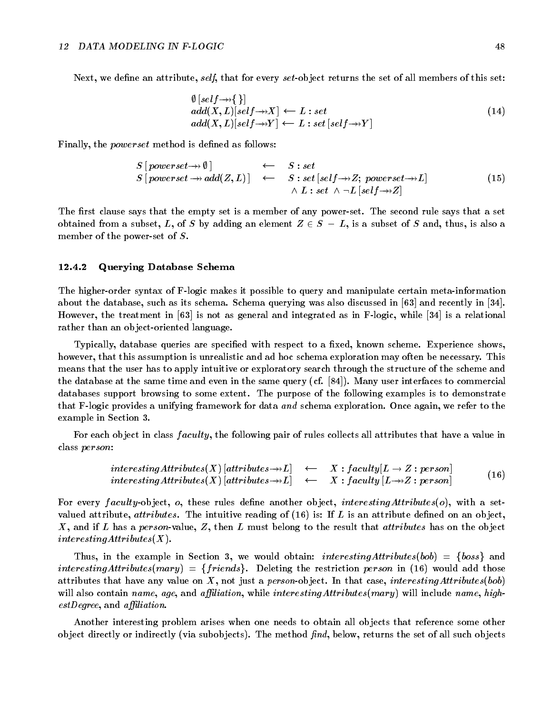Next, we define an attribute, self, that for every set-object returns the set of all members of this set:

$$
\varnothing\left[\begin{array}{c}\n\varnothing\left[\begin{array}{c}\n\mathit{self}\rightarrow\rightarrow\{\end{array}\right]\n\end{array}\right] \\
add(X, L)\left[\begin{array}{c}\n\mathit{self}\rightarrow\rightarrow X\n\end{array}\right] \leftarrow L : set \\
add(X, L)\left[\begin{array}{c}\n\mathit{self}\rightarrow\rightarrow Y\n\end{array}\right] \leftarrow L : set\left[\begin{array}{c}\n\mathit{self}\rightarrow\rightarrow Y\n\end{array}\right]\n\tag{14}
$$

Finally, the *powerset* method is defined as follows:

$$
S[powerset \rightarrow \emptyset] \leftarrow S: set\nS[powerset \rightarrow add(Z, L)] \leftarrow S: set[self \rightarrow Z; powerset \rightarrow L]\n\land L: set \land \neg L[self \rightarrow Z]
$$
\n(15)

The rst clause says that the empty set is a member of any powerset- The second rule says that a set obtained from a subset, L, of S by adding an element  $Z \in S - L$ , is a subset of S and, thus, is also a member of the power-set of  $S$ .

#### 12.4.2 Querying Database Schema

The higher-order syntax of F-logic makes it possible to query and manipulate certain meta-information about the database such as its schema- Schema querying was also discussed in and recently in -However the treatment in is not as general and integrated as in Flogic while is a relational rather than an object-oriented language.

Typically database queries are specied with respect to a xed known scheme- Experience shows however that this assumption is unrealistic and ad hoc schema exploration may often be necessary- This means that the user has to apply intuitive or exploratory search through the structure of the scheme and the database at the same time same time and even in the commercial case of the commercial continuous to commercial databases support browsing to some extent- The purpose of the following examples is to demonstrate that Flores a unifying framework for data and schema explores the schema explorers to the schema explorers of the schema example in Section 3.

For each object in class *faculty*, the following pair of rules collects all attributes that have a value in class person

$$
interesting Attributes(X) [attributes \rightarrow L] \leftarrow X : faculty [L \rightarrow Z : person] interesting Attributes(X) [attributes \rightarrow L] \leftarrow X : faculty [L \rightarrow Z : person] \qquad (16)
$$

For every faculty-object, o, these rules define another object, interestingAttributes $(o)$ , with a setvalued attribute attributes- The intuitive reading of is If L is an attribute dened on an ob ject X, and if L has a person-value, Z, then L must belong to the result that *attributes* has on the object  $interestingAttributes(X).$ 

Thus, in the example in Section 3, we would obtain: *interestingAttributes(bob)* =  $\{boss\}$  and  $interesting Attributes(mary) = {friends}.$  Deleting the restriction person in (16) would add those attributes that have any value on X not just a personob ject- In that case interestingAttributesbob will also contain name, age, and affiliation, while interesting  $Attributes(mary)$  will include name, high $estDegree$ , and *affiliation*.

Another interesting problem arises when one needs to obtain all objects that reference some other ob ject directly or indirectly via subob jects- The method nd below returns the set of all such ob jects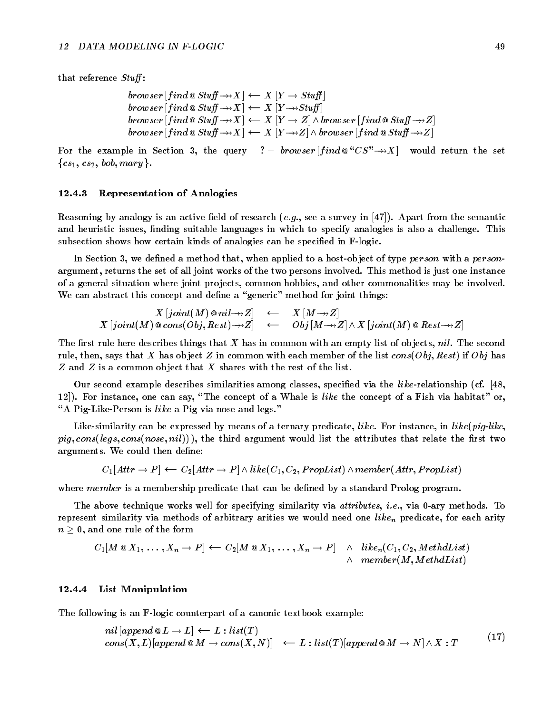that reference  $Stuff$ :

$$
\begin{array}{l} \textit{browser}\ [\textit{find} \ @\ \textit{Stuff} \to X] \longleftarrow X\ [Y \to \textit{Stuff}] \\ \textit{browser}\ [\textit{find} \ @\ \textit{Stuff} \to X] \longleftarrow X\ [Y \to \textit{Stuff}] \\ \textit{browser}\ [\textit{find} \ @\ \textit{Stuff} \to X] \longleftarrow X\ [Y \to Z] \wedge \textit{browser}\ [\textit{find} \ @\ \textit{Stuff} \to Z] \\ \textit{browser}\ [\textit{find} \ @\ \textit{Stuff} \to X] \longleftarrow X\ [Y \to Z] \wedge \textit{browser}\ [\textit{find} \ @\ \textit{Stuff} \to Z] \end{array}
$$

For the example in Section 3, the query ? - browser  $\lceil \frac{find \omega C S''}{\longrightarrow X} \rceil$  would return the set  $\{cs_1,\,cs_2,\,bob,\,mary\}\hspace{0.05cm}.$ 

#### 12.4.3 Representation of Analogies

Reasoning by analogy is an active eld of research e-g- see a survey in - Apart from the semantic and heuristic issues nding suitable languages in which to specify analogies is also a challenge- This subsection shows how certain kinds of analogies can be specified in F-logic.

In Section 3, we defined a method that, when applied to a host-object of type *person* with a *person*argument returns the set of all joint works of the two persons involved-method instance instances in of a general situation where joint projects, common hobbies, and other commonalities may be involved. We can abstract this concept and define a "generic" method for joint things:

$$
X[joint(M)@nil\rightarrow Z] \leftarrow X[M\rightarrow Z] X[joint(M)@cons(Obj, Rest)\rightarrow Z] \leftarrow Obj[M\rightarrow Z]\wedge X[joint(M)@Rest\rightarrow Z]
$$

The rst rule here describes things that X has in common with an empty list of ob jects nil- The second rule, then, says that X has object Z in common with each member of the list  $cons(Obj, Rest)$  if  $Obj$  has Z and Z is a common object that X shares with the rest of the list.

Our second example describes similarities among classes specied via the likerelationship cf-  $\mathbf{F}$  instance one can say The concept of a Whale is like the concept of a Fish via habitat or a Fish via habitat or a Fish via habitat or a Fish via habitat or a Fish via habitat or a Fish via habitat or a Fish via ha A PigLikePerson is like a Pig via nose and legs-

Likesimilarity can be expressed by means of a ternary predicate like- For instance in likepiglike  $pig, cons(logs, cons(nose, nil))$ , the third argument would list the attributes that relate the first two arguments- We could then dene

$$
C_1[Attr \rightarrow P] \leftarrow C_2[Attr \rightarrow P] \wedge like(C_1, C_2, PropList) \wedge member(Attr, PropList)
$$

where *member* is a membership predicate that can be defined by a standard Prolog program.

. The above technique works were specifying similarity via attribute i-may similar i-may methodsrepresent similarity via methods of arbitrary arities we would need one  $like_n$  predicate, for each arity  $n\geq 0,$  and one rule of the form

$$
C_1[M \t\circledast X_1, \ldots, X_n \to P] \gets C_2[M \t\circledast X_1, \ldots, X_n \to P] \quad \land \quad like_n(C_1, C_2, MethodList) \\\hspace{1cm} \land \quad member(M, MethodList)
$$

#### 12.4.4 List Manipulation

The following is an F-logic counterpart of a canonic textbook example:

$$
nil [append \otimes L \to L] \leftarrow L : list(T)
$$
  

$$
cons(X, L) [append \otimes M \to cons(X, N)] \leftarrow L : list(T) [append \otimes M \to N] \wedge X : T
$$
 (17)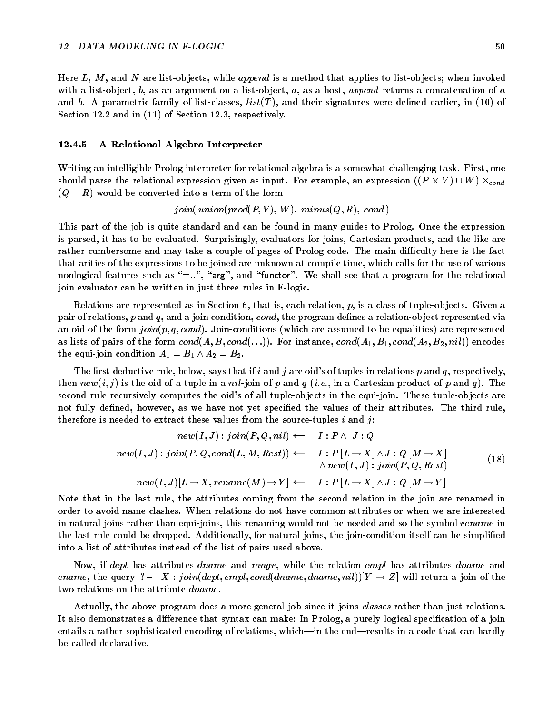Here  $L, M$ , and N are list-objects, while append is a method that applies to list-objects; when invoked with a list-object, b, as an argument on a list-object, a, as a host, append returns a concatenation of a and b- A parametric family of listclasses listT and their signatures were dened earlier in  of Section - and in order and in order and in order and in order and in order and in order and in order and

#### 12.4.5 A Relational Algebra Interpreter

Writing an intelligible Prolog interpreter for relational algebra is a somewhat challenging task- First one should parse the relational expression given as input. For example, an expression  $((P \times V) \cup W) \bowtie_{cond}$  $(Q - R)$  would be converted into a term of the form

$$
join(union(pred(P, V), W),\,minus, \,minus Q, R),\, \,cond\,)
$$

This part of the job is quite standard and can be found in many guides to Prolog- Once the expression is parted, it must be evaluated and the products for joins  $\alpha$  is the like are producted, and the like are are rather cumbersome and may take a couple of pages of Prolog code- The main diculty here is the fact that arities of the expressions to be joined are unknown at compile time, which calls for the use of various nonlogical features such as - arg and functor- argument and the shall see the program for the relation join evaluator can be written in just three rules in F-logic.

Relations are represented as in Section that is each relation p is a class of tupleob jects- Given a pair of relations,  $p$  and  $q$ , and a join condition, cond, the program defines a relation-object represented via an oid of the form joinp q cond- Joinconditions which are assumed to be equalities are represented as lists of pairs of the form condA B condA B condA B conditions and the form  $\gamma$  instance condA B nil encodes the equi-join condition  $A_1 = B_1 \wedge A_2 = B_2$ .

The first deductive rule, below, says that if i and j are oid's of tuples in relations  $p$  and  $q$ , respectively, then new in a niljoin of p and quality in a niljoin of p and quality in a niljoin of p and quality in a niljoin of p and quality in a niljoin of p and quality in a niljoin of p and quality in a niljoin of p and quality in second rule recursively computes the oids of all tupleob jects in the equijoin- These tupleob jects are not function as we have as we have not yet species the values of the values of the values of the third rules therefore is needed to extract these values from the source-tuples  $i$  and  $j$ :

$$
new(I, J): join(P, Q, nil) \leftarrow I: P \wedge J: Q
$$
  
\n
$$
new(I, J): join(P, Q, cond(L, M, Rest)) \leftarrow I: P[L \rightarrow X] \wedge J: Q[M \rightarrow X]
$$
  
\n
$$
\wedge new(I, J): join(P, Q, Rest)
$$
  
\n
$$
new(I, J)[L \rightarrow X, rename(M) \rightarrow Y] \leftarrow I: P[L \rightarrow X] \wedge J: Q[M \rightarrow Y]
$$
  
\n(18)

Note that in the last rule, the attributes coming from the second relation in the join are renamed in in natural joins rather than equi-joins, this renaming would not be needed and so the symbol *rename* in the last rule could be dropped- additionally for natural joins the joins the simplified can be simplified as into a list of attributes instead of the list of pairs used above-

Now, if dept has attributes dname and  $m n r$ , while the relation empl has attributes dname and ename, the query ?- X : join(dept, empl, cond(dname, dname, nil))  $[Y \to Z]$  will return a join of the two relations on the attribute *dname*.

Actually, the above program does a more general job since it joins *classes* rather than just relations. It also demonstrates a difference that syntax can make: In Prolog, a purely logical specification of a join entails a rather sophisticated encoding of relations, which—in the end—results in a code that can hardly be called declarative.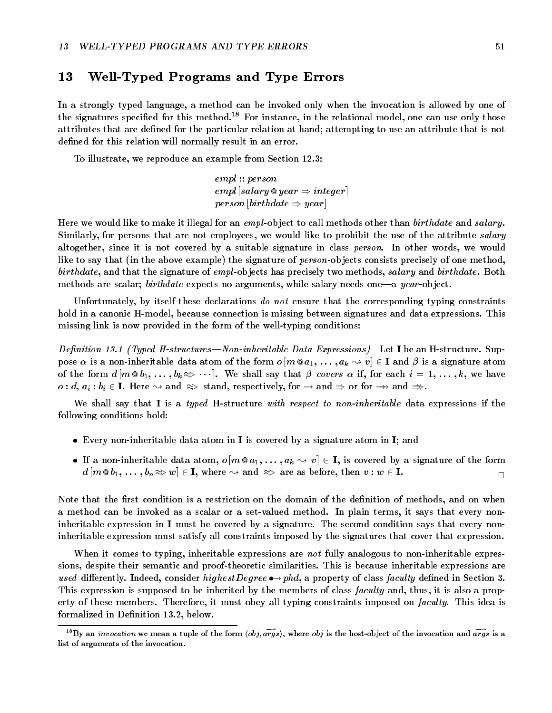### 13 Well-Typed Programs and Type Errors

In a strongly typed language, a method can be invoked only when the invocation is allowed by one of the signatures specified for this method. For instance, in the relational model, one can use only those  $\,$ attributes that are defined for the particular relation at hand; attempting to use an attribute that is not defined for this relation will normally result in an error.

To illustrate we reproduce an example from Section -

 $empl :: person$  $empl$  [salary  $\omega$  year  $\Rightarrow$  integer]  $person [birthdate \Rightarrow year]$ 

Here we would like to make it illegal for an  $empl$ -object to call methods other than  $birthdate$  and salary. Similarly, for persons that are not employees, we would like to prohibit the use of the attribute salary altogether since it is not covered by a suitable signature in class person-words  $\mu$ like to say that (in the above example) the signature of  $person\text{-}objects$  consists precisely of one method, birthdate and that the signature of empl ob jects has precisely two methods salary and birthdate- Both methods are scalar; *birthdate* expects no arguments, while salary needs one—a year-object.

Unfortunately, by itself these declarations do not ensure that the corresponding typing constraints hold in a canonic Hmodel because connection is missing between signatures and data expressions- This missing link is now provided in the form of the well-typing conditions:

Denition - Typed HstructuresNoninheritable Data Expressions Let I be an Hstructure- Sup pose  $\alpha$  is a non-inheritable data atom of the form  $o$   $|m \ @ a_1, \ldots, a_k \leadsto v| \in I$  and  $\beta$  is a signature atom of the form  $d|m\otimes b_1,\ldots,b_k\otimes\cdots|$ . We shall say that  $\beta$  covers  $\alpha$  if, for each  $i=1,\ldots,k,$  we have  $o:d, \, a_i:b_i\in \mathbf{I}.$  Here  $\rightsquigarrow$  and  $\,\approx\,$  stand, respectively, for  $\rightarrow$  and  $\Rightarrow$  or for  $\rightarrow\!\!\rightarrow$  and  $\,\Rightarrow\!\!\rightarrow$ 

We shall say that I is a *typed* H-structure with respect to non-inheritable data expressions if the following conditions hold

- $\bullet$  Every non-inheritable data atom in I is covered by a signature atom in I; and
- If a non-inheritable data atom,  $o|m@a_1, \ldots, a_k \leadsto v| \in I$ , is covered by a signature of the form  $d | m @ b_1, \ldots, b_n \approx \infty w | \in I$ , where  $\rightsquigarrow$  and  $\approx \triangleright$  are as before, then  $v : w \in I$ .  $\Box$

Note that the first condition is a restriction on the domain of the definition of methods, and on when a method can be invoked as a standar or a setvalued method or plain terms it says that they men inheritable expression in I must be covered by a signature- in I condition says that every noninheritable expression must satisfy all constraints imposed by the signatures that cover that expression-

When it comes to typing, inheritable expressions are not fully analogous to non-inheritable expressions despite their semantic and prooftheoretic similarities- This is because inheritable expressions are used differently. Indeed, consider  $n y n e s t \nu e q r e e \rightarrow p n a$ , a property of class faculty defined in Section 3. This expression is supposed to be inherited by the members of class  $\emph{faculty}$  and, thus, it is also a property of these members- Therefore it must obey all typing constraints imposed on faculty- This idea is formalized in Denition - below-

 $^{18}$ By an *invocation* we mean a tuple of the form  $\langle obj, \overline{args} \rangle$ , where  $obj$  is the host-object of the invocation and  $\overline{args}}$  is a list of arguments of the invocation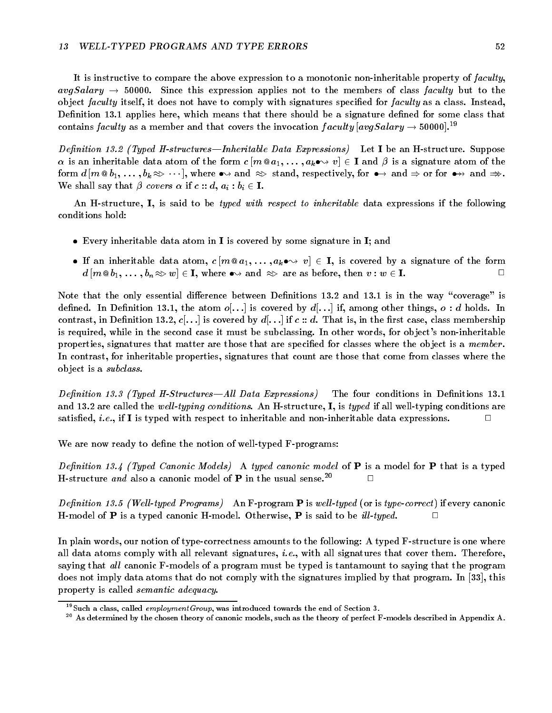It is instructive to compare the above expression to a monotonic non-inheritable property of faculty,  $avgSalary$   $\rightarrow$  50000. Since this expression applies not to the members of class *faculty* but to the ob ject faculty itself it does not have to comply with signatures specied for faculty as a class- Instead Denition - applies here which means that there should be a signature dened for some class that contains *faculty* as a member and that covers the invocation *faculty*  $|avgS_{\mathit{align}} \rightarrow 500001.$ 

denition - Denition - Denition - Denitions - Denite Data Expressions - Denite Data Expressions - Denite Data E  $\alpha$  is an inheritable data atom of the form  $c | m \t\t@ a_1, \ldots, a_k \bullet \leadsto v | \in I$  and  $\beta$  is a signature atom of the form  $d\,|\,m\,{\rm \textcircled{a}}\, 0_{1},$   $\ldots,$   $b_{k}\!\approx\!\cdot\cdot\cdot\!|,$  where  $\bullet\!\!\!\rightsquigarrow$  and  $\approx\!\!\!\rightsquigarrow$  stand, respectively, for  $\bullet\!\!\!\rightarrow\!\!\!\rightsquigarrow$  and  $\Rightarrow$  and  $\Rightarrow$  and  $\Rightarrow$  . We shall say that  $\beta$  covers  $\alpha$  if  $c : d, a_i : b_i \in I$ .

An H-structure, I, is said to be typed with respect to inheritable data expressions if the following conditions hold

- $\bullet\,$  Every inheritable data atom in 1 is covered by some signature in 1; and
- If an inheritable data atom,  $c | m \t\t@ a_1, \ldots, a_k \bullet \leadsto v | \in I,$  is covered by a signature of the form  $\Box$  $d\,|\,m\,{\rm \textcircled{a}}\, t_1,\,\ldots\,,b_n\approx>\hspace{-4pt}w\,|\,\in\, {\bf I},\,$  where  $\bullet\!\!\!\!\!\bullet\!\!\!\!\!\bullet\!\!\!\!\bullet\text{ and }\approx>\hspace{-4pt} \text{are as before, then }v:w\in {\bf I}.$

Note that the only essential dierence between Denitions - and - is in the way coverage is dened- In Denition - the atom o is covered by d if among other things o d holds- In contrast in Denition - covered by discussion and if case covered by discussion and the recent company of the r is required while in the second case it must be subclassing- In other words for ob jects noninheritable properties, signatures that matter are those that are specified for classes where the object is a member. In contrast, for inheritable properties, signatures that count are those that come from classes where the object is a *subclass*.

Denition - Typed HStructuresAl l Data Expressions and - are called the wel ltyping conditions- An Hstructure I is typed if all welltyping conditions are  $\Box$ satised i-e- if I is typed with respect to inheritable and noninheritable data expressions-

We are now ready to define the notion of well-typed F-programs:

Denition - Typed Canonic Models A typed canonic model of P is a model for P that is a typed  $\Box$ H-structure *ana* also a canonic model of **P** in the usual sense.

Denition - Wel ltyped Programs An Fprogram P is welltyped or is typecorrect if every canonic Hmodel of P is a typed canonic Hmodel- Otherwise P is said to be il ltyped-

In plain words, our notion of type-correctness amounts to the following: A typed F-structure is one where all data atoms comply with all relevant signatures i-e- with all signatures that cover them- Therefore saying that *all* canonic F-models of a program must be typed is tantamount to saying that the program does not imply data atoms that do not comply with the signatures implied by that program- In this property is called *semantic adequacy*.

<sup>&</sup>lt;sup>19</sup> Such a class, called *employment Group*, was introduced towards the end of Section 3.

 $^\texttt{-}$  As determined by the chosen theory of canonic models, such as the theory of perfect F-models described in Appendix A.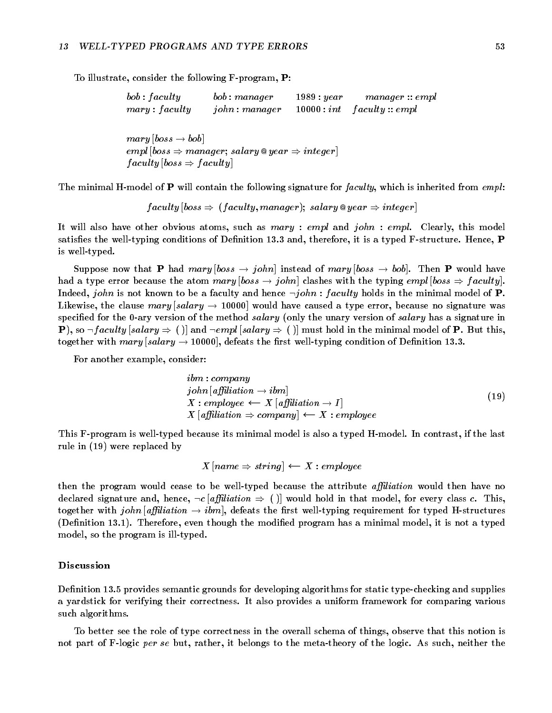To illustrate, consider the following  $F$ -program,  $P$ :

| bob: faculty                                                                                     | bob: manager                                                          | 1989 : year | manaqer::emb                    |
|--------------------------------------------------------------------------------------------------|-----------------------------------------------------------------------|-------------|---------------------------------|
| many: faculty                                                                                    | john: manager                                                         |             | $10000: int \quad faculty::emb$ |
|                                                                                                  |                                                                       |             |                                 |
| $\left\langle \textit{mary} \left[ \textit{boss} \rightarrow \textit{bob} \right] \right\rangle$ |                                                                       |             |                                 |
|                                                                                                  | $empl~[boss \Rightarrow manager; salary \t@year \Rightarrow integer]$ |             |                                 |
| $faculty$ [boss $\Rightarrow$ faculty]                                                           |                                                                       |             |                                 |

The minimal H-model of P will contain the following signature for faculty, which is inherited from empl:

 $\mathit{faculty}$  [boss  $\Rightarrow$  ( $\mathit{faculty}$ , manager); salary  $\mathcal Q$  year  $\Rightarrow$  integer]

It will also have other obvious atoms such as mary empl and john empl- Clearly this model satises the welltyping conditions of Denition - and therefore it is a typed Fstructure- Hence P is well-typed.

Suppose now that **P** had  $\textit{maxy} \, |\textit{loss} \rightarrow \textit{ponn}|$  instead of  $\textit{maxy} \, |\textit{loss} \rightarrow \textit{loop}|.$  Then **P** would have had a type error because the atom mary [boss  $\rightarrow$  john] clashes with the typing empl [boss  $\Rightarrow$  faculty]. Indeed, *john* is not known to be a faculty and hence  $\neg$ *john* : *faculty* holds in the minimal model of **F** . Likewise, the clause  $many|salary \rightarrow 10000|$  would have caused a type error, because no signature was specified for the 0-ary version of the method salary (only the unary version of salary has a signature in **P**), so  $\neg$  *faculty* |*salary*  $\Rightarrow$  ( )| and  $\neg$ *empl* |*salary*  $\Rightarrow$  ( )| must hold in the minimal model of **P**. But this, together with  $\left< max \right>$  isalary  $\rightarrow$  10000), defeats the first well-typing condition of Definition 13.3.

For another example, consider:

$$
ibm: company\n
$$
john [affiliation \rightarrow ibm]
$$
  
\n
$$
X: employee \leftarrow X [affiliation \rightarrow I]
$$
  
\n
$$
X [affiliation \Rightarrow company] \leftarrow X: employee
$$
\n(19)
$$

This Farogram is wellty ped because its minimal model is also as the last its contrast if the last its contra rule in (19) were replaced by

$$
X\left[name \Rightarrow string \right] \leftarrow \ X: employee
$$

then the program would cease to be well-typed because the attribute *affiliation* would then have no declared signature and, hence,  $\neg c \left| \alpha \right|$  attitudion  $\Rightarrow$  ( ) would hold in that model, for every class c. This, together with john affiliation  $\rightarrow ibm$ , defeats the first well-typing requirement for typed H-structures Denition -- Therefore even though the modied program has a minimal model it is not a typed model, so the program is ill-typed.

# Discussion

, and the semantic grounds for developing algorithms for developing algorithms for static type and supplies and a yardstick for verifying their correctness- it also provides a uniform framework form framework for comparing such algorithms.

To better see the role of type correctness in the overall schema of things, observe that this notion is not part of Flogic per se but rather it belongs to the metatheory of the logic- As such neither the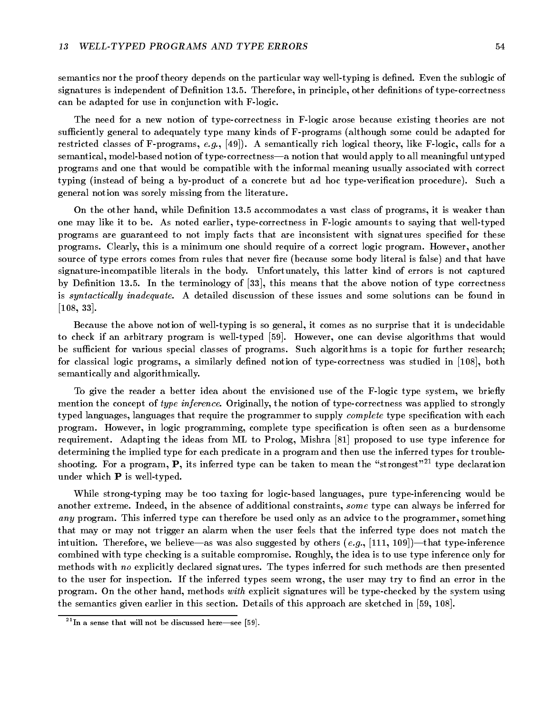semantics nor the proof theory depends on the particular way welltyping is dened- Even the sublogic of signatures is independent of Denition -- Therefore in principle other denitions of typecorrectness can be adapted for use in conjunction with F-logic.

The need for a new notion of type-correctness in F-logic arose because existing theories are not sufficiently general to adequately type many kinds of F-programs (although some could be adapted for restricted classes of Fprograms e-quilibrily the communications of group leases a segment calls for a semantical, model-based notion of type-correctness—a notion that would apply to all meaningful untyped programs and one that would be compatible with the informal meaning usually associated with correct typing instead of being a byproduct of a concrete but ad hoc typeverication procedure- Such a general notion was sorely missing from the literature-

.commodates a vast class of the other contribution - accommodates a vast class of programs it is weaker thanks .... as not control to be-corrected that it to according the same that we have the same  $\alpha$ programs are guaranteed to not imply facts that are inconsistent with signatures specified for these programs - Clearly this is a minimum one should require to a correct logic program - how they want made source of type errors comes from rules that never fire (because some body literal is false) and that have signatureincompatible literals in the body- Unfortunately this latter kind of errors is not captured by Denition -- In the terminology of this means that the above notion of type correctness is syntactical ly inadequate- A detailed discussion of these issues and some solutions can be found in  $[108, 33]$ 

Because the above notion of well-typing is so general, it comes as no surprise that it is undecidable to check if an arbitrary program is welltyped 
- However one can devise algorithms that would ... such also various special classes of programs- such algorithms is a topic for further research for classical logic programs, a similarly defined notion of type-correctness was studied in  $[108]$ , both semantically and algorithmically-

To give the reader a better idea about the envisioned use of the F-logic type system, we briefly mention the concept of type inference- Originally the notion of typecorrectness was applied to strongly typed languages, languages that require the programmer to supply *complete* type specification with each program- However in logic programming complete type specication is often seen as a burdensome requirement- Adapting the ideas from ML to Prolog Mishra proposed to use type inference for determining the implied type for each predicate in a program and then use the inferred types for trouble shooting. For a program, **P**, its inferred type can be taken to mean the "strongest" - type declaration under which  $P$  is well-typed.

While strong-typing may be too taxing for logic-based languages, pure type-inferencing would be and the absence of additional constraints some the additional constraints some type can always be inferred for any program- This inferred type can therefore be used only as an advice to the programmer something that may or may not trigger an alarm when the user feels that the inferred type does not match the that therefore we believe was also suggested by others e-ray from the control that the control that the control combined with type checking is a suitable compromise on appear in the is to use type inference only for a methods with no explicitly declared signatures- The types inferred for such methods are then presented to the insert for inspection- in the inferred types seems the user mass sharp the user may the user in the programs in the other hand methods with the system explicit signatures with the system of the system using the the semantics given earlier in this section- Details of this approach are sketched in 
  -

 $^{-1}$  In a sense that will not be discussed here—see  $\lfloor 59 \rfloor.$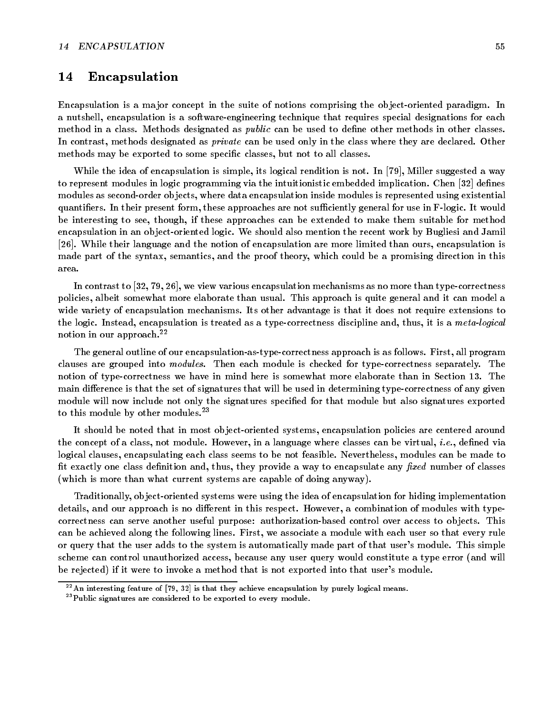### 14 Encapsulation

Encapsulation is a ma jor concept in the suite of notions comprising the ob jectoriented paradigm- In a nutshell, encapsulation is a software-engineering technique that requires special designations for each method in a class- Methods designated as public can be used to dene other methods in other classes-In contrast methods designated as private can be used only in the class where they are declared- Other methods may be exported to some specific classes, but not to all classes.

while the idea of the internation is simple its logical rendition is not a way in the simple suggested a way to to represent modules in logic programming via the intuitionistic embedded implication- Chen denes modules as second-order objects, where data encapsulation inside modules is represented using existential quantiers- In their present form these approaches are not suciently general for use in Flogic- It would be interesting to see, though, if these approaches can be extended to make them suitable for method encapsulation in an ob jectoriented logic- We should also mention the recent work by Bugliesi and Jamil , which the notion is the notion of the notion of encapsulation are more limited than ourse, the notion is tha made part of the syntax, semantics, and the proof theory, which could be a promising direction in this area-

In contrast to  $[32, 79, 26]$ , we view various encapsulation mechanisms as no more than type-correctness policies albeit somewhat more elaborate than usual- This approach is quite general and it can model a wide variety of encapsulation mechanisms-is that it does not require advantage is that it does not require to the logic-is the logic-stream encapsulation is treated as a type-induction in the metal-streated as metal-strea notion in our approach-

The general outline of our encapsulationastypecorrectness approach is as follows- First all program clauses are grouped into modules- Then each module is checked for typecorrectness separately- The notion of type corrections we have in have in mind here is some than in Section - Here is some than in Section main difference is that the set of signatures that will be used in determining type-correctness of any given module will now include not only the signatures specified for that module but also signatures exported to this module by other modules-

It should be noted that in most object-oriented systems, encapsulation policies are centered around the concept of a classes in a language where concept of a language where can be virtual ilogical clauses encapsulating each class seems to be not feasible- Nevertheless modules can be made to fit exactly one class definition and, thus, they provide a way to encapsulate any fixed number of classes (which is more than what current systems are capable of doing anyway).

Traditionally, object-oriented systems were using the idea of encapsulation for hiding implementation added in this respectation is no dierement in this respectively in this respectively with the compiler  $\mathcal{H}$ correctness can serve another useful purpose authorizationbased control over access to ob jects- This can be achieved along the following lines- First we associate a module with each user so that every rule or query that the user adds to the system is automatically made part of that users module- This simple scheme can control unauthorized access, because any user query would constitute a type error (and will be rejected) if it were to invoke a method that is not exported into that user's module.

 $^{-1}$  An interesting feature of [79, 32] is that they achieve encapsulation by purely logical means.  $\,$ 

<sup>-</sup>Public signatures are considered to be exported to every module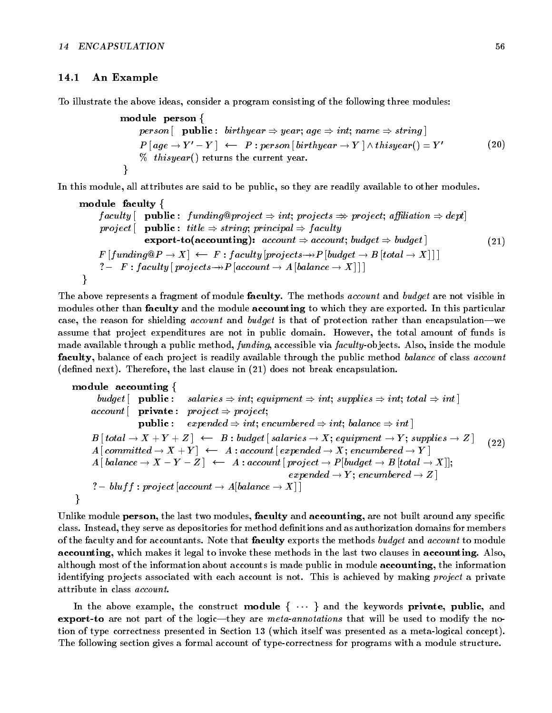#### 14.1 An Example

To illustrate the above ideas, consider a program consisting of the following three modules:

```
module person f
      person [ public : birthyear \Rightarrow year, age \Rightarrow int; name \Rightarrow string ]
      P \left[ a q e \rightarrow Y' - Y \right] \leftarrow P : person \left[ \text{ birth year} \rightarrow Y \right] \wedge \text{ this year}() = Y'\% thisyear() returns the current year.
\mathcal{E}(20)
```
In this module, all attributes are said to be public, so they are readily available to other modules.

```
module faculty \{\textit{faculty} [ public : \textit{funding@project} \Rightarrow \textit{int}; \textit{ projects} \Rightarrow \textit{project}; \textit{affilation} \Rightarrow \textit{dept}]
       project \lceil public : title \Rightarrow string; principal \Rightarrow faculty
                         export-to(accounting): account \Rightarrow account; budget \Rightarrow budgetF[funding \mathbb{Q}P \to X] \leftarrow F: faculty [projects \to P[budget \to B[total \to X]]]\hat{F}: f\acute{a} \text{curl } y \text{ }[ \text{ projects} \rightarrow P \text{ } [ \text{account} \rightarrow A \text{ } [ \text{balance} \rightarrow X \text{ } ] \text{ } ]\overline{ }(21)
```
The above represents a fragment of module faculty- The methods account and budget are not visible in modules other than fact they and the module accounting to which they are exported and particular case, the reason for shielding *account* and *budget* is that of protection rather than encapsulation—we assume that pro ject expenditures are not in public domain- However the total amount of funds is made available through a public method funding accessible via faculty ob jects- Also inside the module faculty, balance of each project is readily available through the public method balance of class account dened next- Therefore the last clause in does not break encapsulation-

```
module accounting f
         \textit{budget} \left[ \quad \textbf{public}: \quad \textit{salaries} \Rightarrow \textit{int}; \textit{equiment} \Rightarrow \textit{int}; \textit{supplies} \Rightarrow \textit{int}; \textit{total} \Rightarrow \textit{int} \right]account [ private: project \Rightarrow project;public : expended \Rightarrow int; encumbered \Rightarrow int; balance \Rightarrow int
       B | total \rightarrow X + Y + Z | \leftarrow B : budget | salaries \rightarrow X; equipment \rightarrow Y; supplies \rightarrow Z |A \,|\, committed \rightarrow X + Y \,|\, \leftarrow \, A: account \,|\,ex\,pended \rightarrow X; encountered \rightarrow Y \,]A\left[\,baldance \rightarrow X - Y - Z\,\right] \;\leftarrow\; A: account\left[\,project \rightarrow P[budget \rightarrow B\, [total \rightarrow X\, ]\,];expended \rightarrow Y; encumbered \rightarrow Z]
       \hat{i} - bluff : project [account \rightarrow A[balance \rightarrow X]]\}(22)
```
Unlike module **person**, the last two modules, **faculty** and **accounting**, are not built around any specific class-instead they serve as depositories for method denitions and as authorizations international contents for of the faculty and for accountants- Note that faculty exports the methods budget and account to module accounting which makes it legal to invoke these methods in the last two clauses in accounting- Also although most of the information about accounts is made public in module **accounting**, the information identifying pro jects associated with each account is not- This is achieved by making project a private attribute in class account-

In the above example, the construct module  $\{ \cdots \}$  and the keywords private, public, and export-to are not part of the logic—they are meta-annotations that will be used to modify the notion of type correctness presented in Section 13 (which itself was presented as a meta-logical concept). The following section gives a formal account of type-correctness for programs with a module structure.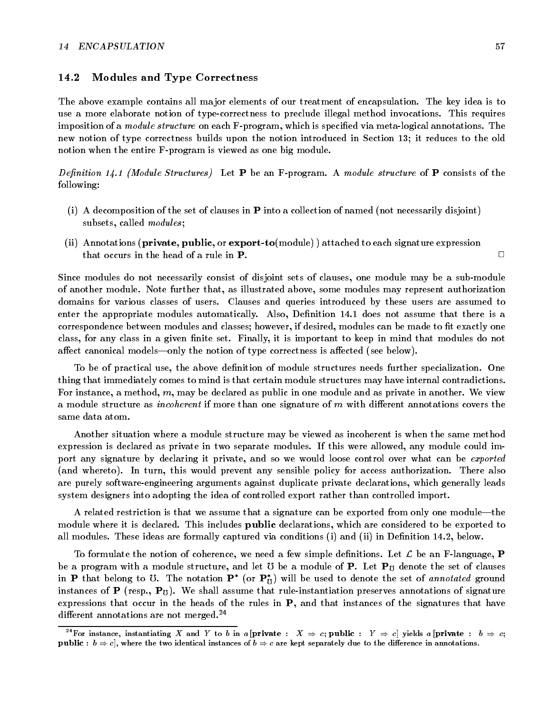#### 14.2 Modules and Type Correctness

The above example contains all ma jor elements of our treatment of encapsulation- The key idea is to use a more elaborate notion of typecorrectness to preclude illegal method invocations- This requires imposition of a module structure on each Fprogram which is specied via metalogical annotations- The new notion of type correctness builds upon the notion introduced in Section 13; it reduces to the old notion when the entire F-program is viewed as one big module.

- quantition - producture and an extraction of the and the programmation and an extraction of the constant of following

- (i) A decomposition of the set of clauses in  $P$  into a collection of named (not necessarily disjoint) subsets, called modules;
- (ii) Annotations (private, public, or export-to(module)) attached to each signature expression that occurs in the head of a rule in  $P$ .

Since modules do not necessarily consist of disjoint sets of clauses, one module may be a sub-module of another module- Note further that as illustrated above some modules may represent authorization domains for various classes of users- Clauses and queries introduced by these users are assumed to ----- the appropriate modules automatically-contributed and modules are interesting that there is a correspondence between modules and classes; however, if desired, modules can be made to fit exactly one class for any class in a given nite set- set-off it is implied to the module that modules do not the affect canonical models—only the notion of type correctness is affected (see below).

To be of practical use the above denition of module structures needs further specialization- One thing that immediately comes to mind is that certain module structures may have internal contradictions-For instance a method m may be declared as public in one module and as private in another- We view a module structure as *incoherent* if more than one signature of  $m$  with different annotations covers the same data atom-

Another situation where a module structure may be viewed as incoherent is when the same method expression is declared as private in two separate modules- If this were allowed any module could im port any signature by declaring it private, and so we would loose control over what can be exported , in turn the present and there are no more policy for any sensible policy for accession-there are also also are purely software-engineering arguments against duplicate private declarations, which generally leads system designers into adopting the idea of controlled export rather than controlled import-

A related restriction is that we assume that a signature can be exported from only one module—the module where it is declared-this included-public declarations which are considered to be exposition to all modules- These ideas are formally captured via conditions i and ii in Denition - below-

To formulate the notion of coherence, we need a few simple definitions. Let  $\mathcal L$  be an F-language,  ${\bf P}$ be a program with a module structure and let be a module of P- Let P denote the set of clauses in  ${\bf P}$  that belong to O. The notation  ${\bf P}$  (or  ${\bf P}_0$ ) will be used to denote the set of *annotatea* ground instances of P respective With a statement and model and the constantiation preserves annotations of signatures expressions that occur in the heads of the rules in  $P$ , and that instances of the signatures that have dierent annotations are not merged-

 $\Box$ 

<sup>-</sup> For instance, instantiating  $X$  and  $Y$  to  $b$  in a private :  $X \Rightarrow c$ ; public :  $Y \Rightarrow c$  yields a private :  $b \Rightarrow c$ ; **public** :  $b \Rightarrow c$ , where the two identical instances of  $b \Rightarrow c$  are kept separately due to the difference in annotations.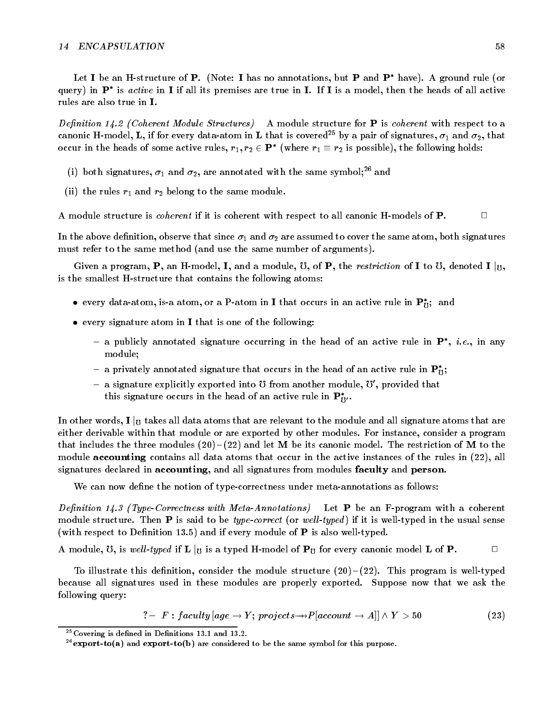Let I be an I-structure of P. (Note: I has no annotations, but P and P mave). A ground rule (or query) in  $P$  is active in 1 if all its premises are true in 1. If 1 is a model, then the heads of all active rules are also true in I-

Denition - Coherent Module Structures A module structure for P is coherent with respect to a canonic in-model, **L**, if for every data-atom in **L** that is covered by a pair of signatures,  $\sigma_1$  and  $\sigma_2$ , that occur in the heads of some active rules,  $r_1, r_2 \in \mathbf{P}^*$  (where  $r_1 \equiv r_2$  is possible), the following holds:

- (1) both signatures,  $\sigma_1$  and  $\sigma_2$ , are annotated with the same symbol;  $\overline{\ }$  and
- ii the rules rate  $\mathbf{r}_1$  and  $\mathbf{r}_2$  to the same module-the same module-

A module structure is *coherent* if it is coherent with respect to all canonic H-models of  $P$ .  $\Box$ 

In the above denition observe that since  $\mathbf{I}$  and since the same atom both since the same atom both signatures  $\mathbf{I}$ must refer to the same method (and use the same number of arguments).

Given a program, P, an H-model, I, and a module, U, of P, the *restriction* of I to U, denoted I |U, is the smallest H-structure that contains the following atoms:

- $\bullet\,$  every data-atom, is-a atom, or a P-atom in I that occurs in an active rule in  ${\bf P}_0;\,$  and
- $\bullet\,$  every signature atom in 1 that is one of the following:
	- $-$  a publicly annotated signature occurring in the head of an active rule in  $\mathbf{F}$  ,  $\imath.e.$ , in any module
	- a privately annotated signature that occurs in the head of an active rule in  $\mathbf{P}_{i}^{*}$ ;
	- a signature explicitly exported into U from another module, U', provided that this signature occurs in the head of an active rule in  ${\bf P}^*_{\scriptscriptstyle\rm IV}$ .

In other words, I |v takes all data atoms that are relevant to the module and all signature atoms that are either derivative with that modules-distribution or are exported by other modules-instance consider a programm  $\mathbf{t} = \mathbf{t}$  includes the three modules three model-begins canonic model-begins canonic model-begins  $\mathbf{t} = \mathbf{t}$ module accounting contains all data atoms that occur in the active instances of the rules in  $(22)$ , all signatures declared in accounting, and all signatures from modules faculty and person.

We can now define the notion of type-correctness under meta-annotations as follows:

- TypeCorrect - Type - Protections with Metal Metalsty - And Annotations are an Ferningh man Francisco - Protection module structure- The same to be the same if it is well leads to be in the usual sense in the usual sense in th with respect to Denition - and if we have the if the product of P is also well also well also well as  $\mathcal{L}$ 

A module, U, is well-typed if L |U is a typed H-model of  $P_U$  for every canonic model L of P.

To illustrate this denition consider the module structure  - This program is welltyped because we algebraic are not model we assessed in the properly exported- are properly exported and the support following query

$$
?- F: faculty \left[age \rightarrow Y; projects \rightarrow P[account \rightarrow A] \right] \wedge Y > 50 \tag{23}
$$

 $^{-1}$ Covering is defined in Definitions 13.1 and 13.2.  $\,$ 

 $^{-1}$ export-to(a) and export-to(b) are considered to be the same symbol for this purpose.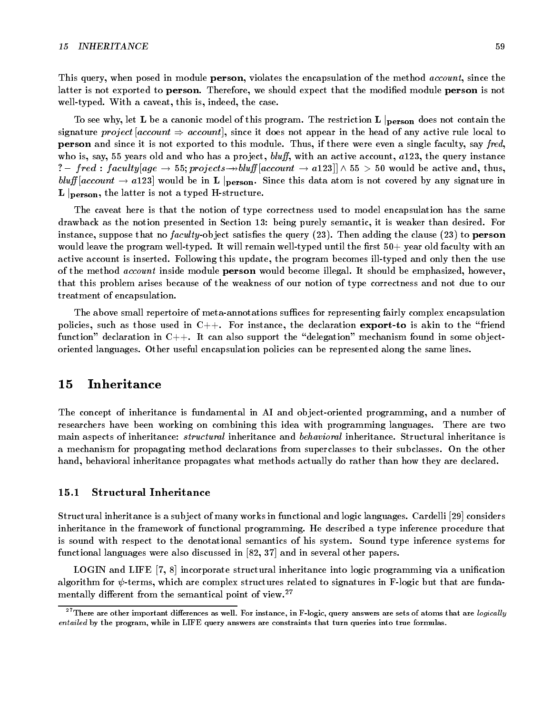This query, when posed in module **person**, violates the encapsulation of the method *account*, since the latter is not exported to person- Therefore we should expect that the modied module person is not welltyped- With a caveat this is indeed the case-

To see why, let  ${\bf L}$  be a canonic model of this program. The restriction  ${\bf L}$   $|_{\bf person}$  does not contain the signature project  $[account \rightarrow account]$ , since it does not appear in the head of any active rule local to person and since it is not exported to this module-module-there if the single faculty say fred who is, say, 55 years old and who has a project,  $bluff$ , with an active account,  $a123$ , the query instance *fred*:  $faculty[age \rightarrow 55; projects \rightarrow bulkff[account \rightarrow a123]] \land 55 > 50$  would be active and, thus, bluff [account  $\rightarrow a123$ ] would be in L |person. Since this data atom is not covered by any signature in L  $_{\rm person}$ , the latter is not a typed H-structure.

The caveat here is that the notion of type correctness used to model encapsulation has the same drawback as the notion presented in Section 201 weaker than purely semantic it is weaker than desiredinstance suppose that no faculty ob ject satises the query - Then adding the clause to person we well the program welltyped- it will remain welltyped-main welltyped-the rate of the rate old faculty with a active account is inserted- Following this update the program becomes illtyped and only then the use of the method account inside module person would become illegal- It should be emphasized however that this problem arises because of the weakness of our notion of type correctness and not due to our treatment of encapsulation-

The above small repertoire of meta-annotations suffices for representing fairly complex encapsulation policies such as those used in C%%- For instance the declaration exportto is akin to the friend function declaration in  $\Gamma$  . It can also support the declaration mechanism found in some observed in some observed in some observed in some observed in some observed in some observed in some observed in some observed in oriented languages- Other useful encapsulation policies can be represented along the same lines-

### 15 Inheritance

The concept of inheritance is fundamental in AI and object-oriented programming, and a number of researchers have been working on combining this idea with programming languages- There are two main aspects of inheritance structural inheritance and behavioral inheritance- Structural inheritance is a mechanism for propagating method declarations from superclasses to the other subclasses to the other subclas hand, behavioral inheritance propagates what methods actually do rather than how they are declared.

#### Structural Inheritance  $15.1$

structural inheritance is a sub ject of manner, works in functional and logical and logical and logical properties inheritance in the framework of functional programming- He described a type inference procedure that is sound with respect to the denotational semantics of his system- Sound type inference systems for functional languages were also discussed in  $\left[82, 37\right]$  and in several other papers.

LOGIN and LIFE  $\left[7, 8\right]$  incorporate structural inheritance into logic programming via a unification algorithm for -terms which are complex structures related to signatures in Flogic but that are funda mentally dierent from the semantical point of view- 

 $^\circ$  There are other important differences as well. For instance, in F-logic, query answers are sets of atoms that are *logically* entailed by the program while in LIFE query answers are constraints that turn queries into true formulas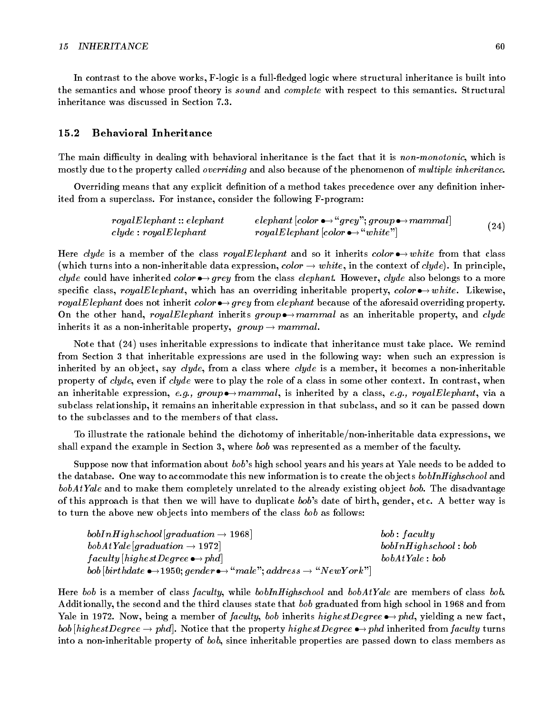In contrast to the above works, F-logic is a full-fledged logic where structural inheritance is built into the semantics and whose proof theory is sound and complete with respect to this semantics, with respect

#### 15.2 Behavioral Inheritance

The main difficulty in dealing with behavioral inheritance is the fact that it is non-monotonic, which is mostly due to the property called *overriding* and also because of the phenomenon of multiple inheritance.

Overriding means that any explicit definition of a method takes precedence over any definition inherited from a superclass- For instance consider the following Fprogram

> $royal Elephant :: elephant$   $elephant$   $elephant$   $elephant$   $[color \rightarrow \rightarrow "grey";$   $group \rightarrow mammal]$  $\lceil \text{cycle} : \text{royal} \times \text{H} \text{e} \rceil$  royal  $\lceil \text{clephant} \rceil \text{color} \rightarrow \text{``white''} \rceil$  $(24)$

Here clyde is a member of the class royal Elephant and so it inherits color  $\rightarrow$  white from that class (which turns into a non-inheritable data expression,  $color\rightarrow white,$  in the context of *clyde*). In principle, clyde could have inherited color  $\rightarrow$  grey from the class *elephant*. However, clyde also belongs to a more  ${\rm specinc\,\,\, class,\,\,} ~ rough \, \& \, the \, panat, \,\, which \,\,\, {\rm and} \,\,\, {\rm vertices} \,\, {\rm and} \,\, {\rm vertices} \,\, {\rm vertices} \,\, {\rm vertices} \,\, {\rm vertices} \,\, {\rm vertices} \,\, {\rm vertices} \,\, {\rm vertices} \,\, {\rm vertices} \,\, {\rm vertices} \,\, {\rm vertices} \,\, {\rm vertices} \,\, {\rm vertices} \,\, {\rm vertices} \,\, {\rm vertices} \,\, {\rm vertices} \,\, {\rm vertices} \,\, {\rm vertices} \,\, {\rm vertices} \,\, {\rm vertices} \,\, {\rm vertices} \,\, {\rm vertices} \,\, {\rm vertices} \,\, {\rm vertices} \,\, {\rm$ royalElephant does not inherit color  $\rightarrow$  grey from elephant because of the aforesaid overriding property. On the other hand, royal Elephant inherits group  $\rightarrow$  mammal as an inheritable property, and clyde inherits it as a non-inheritable property,  $group \rightarrow mammal$ .

Note that uses inheritable expressions to indicate that inheritance must take place- We remind from Section 3 that inheritable expressions are used in the following way: when such an expression is inherited by an object, say *clyde*, from a class where *clyde* is a member, it becomes a non-inheritable property of clyde even if clyde were to play the role of a class in some other context- In contrast when an inheritable expression, *e.q., qroup*  $\rightarrow$  mammal, is inherited by a class, *e.q., royalElephant*, via a subclass relationship, it remains an inheritable expression in that subclass, and so it can be passed down to the subclasses and to the members of that class-

To illustrate the rationale behind the dichotomy of inheritable/non-inheritable data expressions, we shall expand the example in Section 3, where bob was represented as a member of the faculty.

Suppose now that information about bob's high school years and his years at Yale needs to be added to the database- One way to accommodate this new information is to create the ob jects bobInHighschool and bobAtYale and to make them completely unrelated to the already existing ob ject bob- The disadvantage of the approach is that the will have to duplicate bobs dates to during general is a better way is to turn the above new objects into members of the class bob as follows:

| $\textit{bobInH\textsc{if}n}$ ighschool [graduation $\rightarrow 1968$ ]                                                                                              | $bob: \mathit{faculty}$ |
|-----------------------------------------------------------------------------------------------------------------------------------------------------------------------|-------------------------|
| $\mathit{bobAtYale}$ [graduation $\rightarrow$ 1972]                                                                                                                  | bobInHigh school: bob   |
| $faculty[highestDegree \rightarrow phd]$                                                                                                                              | both At Yale : bob      |
| $\textit{bob}\left[ \textit{birthdate} \rightarrow\text{1950}; \textit{gender} \rightarrow ``\textit{male}";\textit{address} \rightarrow ``\textit{NewYork}" \right]$ |                         |

Here bob is a member of class faculty, while bobInHighschool and bobAtYale are members of class bob. Additionally, the second and the third clauses state that bob graduated from high school in 1968 and from rale in 1972. Now, being a member of *faculty, bob* inherits *highestDegree*  $\rightarrow pna$ , yielding a new fact, bob |nighestDegree  $\to$  pha|. Notice that the property highestDegree  $\bullet\!\!\rightarrow$  pha inherited from faculty turns into a non-inheritable property of bob, since inheritable properties are passed down to class members as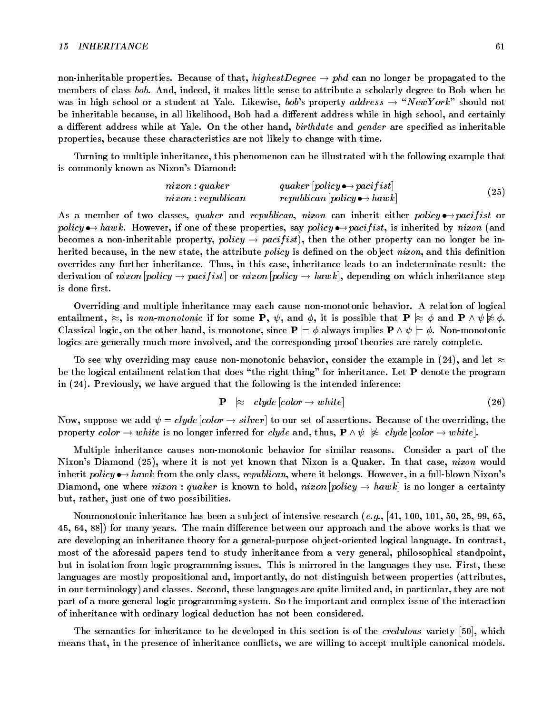### 15 INHERITANCE 61

non-inheritable properties. Because of that,  $nq\,nesp\,\nu eq\,r e e \rightarrow p\hbar\,a$  can no longer be propagated to the members of class book-sense it makes it makes little sense to attribute a scholarly degree to Bob when he scho was in high school or a student at Yale. Likewise, *000* s property *duaress*  $\rightarrow$  *"NewY ork"* should not be inheritable because, in all likelihood, Bob had a different address while in high school, and certainly a dierent address while- at Yale-Care- and the other hand planets which are species as inheritable as properties, because these characteristics are not likely to change with time.

Turning to multiple inheritance, this phenomenon can be illustrated with the following example that is commonly known as Nixon's Diamond:

$$
nixon: quaker \qquad \qquad quaker \left[policy \rightarrow pacifist\right] nixon: republican \qquad \qquad republican \left[policy \rightarrow hawk\right]
$$
 (25)

As a member of two classes, quaker and republican, nixon can inherit either policy  $\rightarrow$  pacifist or  $policy \leftrightarrow raw$ . However, if one of these properties, say  $policy \leftrightarrow pac$  is inherited by  $nixon$  (and becomes a non-inheritable property, policy  $\rightarrow$  pacifist), then the other property can no longer be inherited because, in the new state, the attribute *policy* is defined on the object nixon, and this definition overrides any further inheritance-inherital leads in this case inheritance in the indeterminate result the cas derivation of nixon  $[policy \rightarrow pacifist]$  or nixon  $[policy \rightarrow hawk]$ , depending on which inheritance step is done first.

Overriding and multiple inheritance may each cause nonmonotonic behavior- A relation of logical entailment,  $\approx$ , is non-monotonic if for some  ${\bf P},\;\psi,$  and  $\phi,$  it is possible that  ${\bf P} \,\approx\, \phi$  and  ${\bf P} \wedge \psi \not\approx \phi.$ Classical logic, on the other hand, is monotone, since  ${\bf P}\models \phi$  always implies  ${\bf P} \wedge \psi \models \phi.$  Non-monotonic logics are generally much more involved, and the corresponding proof theories are rarely complete.

To see why overriding may cause non-monotonic behavior, consider the example in (24), and let  $\approx$ be the logical entailment relation that does the right thing for inheritance- Let P denote the program in - Previously we have argued that the following is the intended inference

$$
\mathbf{P} \quad \approx \quad \text{elyde } [\text{color} \rightarrow \text{white}] \tag{26}
$$

Now, suppose we add  $\psi=cyae$  |color  $\rightarrow$  suver| to our set of assertions. Because of the overriding, the property  $color \rightarrow white$  is no longer inferred for  $\emph{cycle}$  and, thus,  $\textbf{P} \wedge \psi \not \hspace{1mm}\not\approx\hspace{1mm} \emph{cycle}$   $[color \rightarrow\rightarrow white]$  .

Multiple inheritance causes nonmonotonic behavior for similar reasons- Consider a part of the Nixons Diamond where it is not yet known that Nixon is a Quaker- In that case nixon would inherit  $policy \rightarrow{} raw$  from the only class,  $rep$   $value$ n, where it belongs. However, in a full-blown Nixon's Diamond, one where nixon : quaker is known to hold, nixon policy  $\rightarrow$  hawk is no longer a certainty but, rather, just one of two possibilities.

Nonmonotonic inheritance has been a sub ject of intensive research e-g-    

 ... any the main dierence between our approach and the above works in the above works is that we are well as are developing an inheritance theory for a generalpurpose ob jectoriented logical language- In contrast most of the aforesaid papers tend to study inheritance from a very general, philosophical standpoint, ... In isolation from logic programming issues-the languages the languages they use the languages the language languages are mostly propositional and, importantly, do not distinguish between properties (attributes, in our terminology and classes- are classed the classes and in particular the most particular they are not the part of a more general logic programming systems is the important and complex issue of the important and complex of inheritance with ordinary logical deduction has not been considered-

The semantics for inheritance to be developed in this section is of the *credulous* variety [50], which means that, in the presence of inheritance conflicts, we are willing to accept multiple canonical models.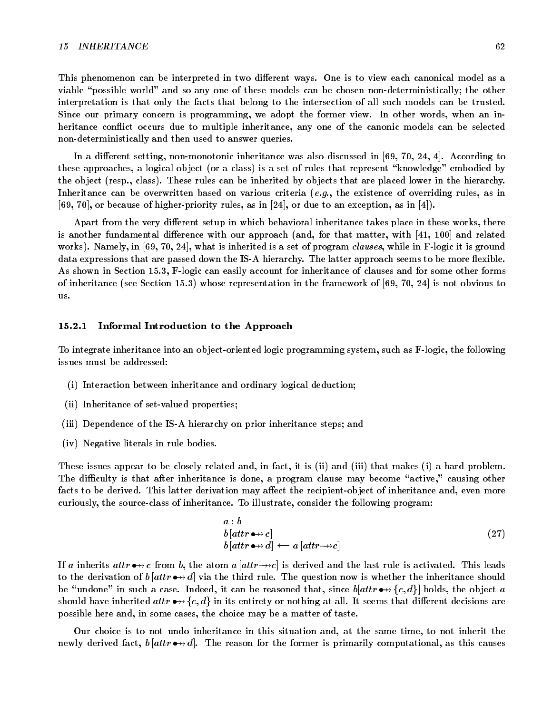This phenomenon can be interpreted in two dierent ways- One is to view each canonical model as a viable "possible world" and so any one of these models can be chosen non-deterministically; the other interpretation is that only the facts that belong to the intersection of all such models can be trusted-Since our primary concern is programming we adopt the former view- In other words when an in heritance conflict occurs due to multiple inheritance, any one of the canonic models can be selected non-deterministically and then used to answer queries.

In a dierent setting nonmonotonic inheritance was also discussed in 
  - According to these approaches, a logical object (or a class) is a set of rules that represent "knowledge" embodied by the ob ject resp- class- These rules can be inherited by ob jects that are placed lower in the hierarchyinheritance can be over written based on various criteria e-visite criteria e-visitence as in the complete ord  or because of higherpriority rules as in or due to an exception as in -

Apart from the very different setup in which behavioral inheritance takes place in these works, there is another fundamental dierence with our approach and for that matter with  and related where it is in the set of program clause which is in the set of program clauses which it is ground that it is data expressions that are passed down the ISA hierarchy- The latter approach seems to be more exible-As shown in Section - Flogic can easily account for inheritance of clauses and for some other forms of inheritance see Section - and the framework of the framework of the framework of the framework of the framework us-

## Informal Introduction to the Approach

To integrate inheritance into an object-oriented logic programming system, such as F-logic, the following issues must be addressed

- (i) Interaction between inheritance and ordinary logical deduction;
- (ii) Inheritance of set-valued properties;
- (iii) Dependence of the IS-A hierarchy on prior inheritance steps; and
- (iv) Negative literals in rule bodies.

These issues appear to be closely related and, in fact, it is (ii) and (iii) that makes (i) a hard problem. The difficulty is that after inheritance is done, a program clause may become "active," causing other facts to be derived- This latter derivation may aect the recipientob ject of inheritance and even more curiously the source consideration of inheritances of inheritance-the following programs.

$$
a : b
$$
  
\n
$$
b [attr \leftrightarrow c]
$$
  
\n
$$
b [attr \leftrightarrow d] \leftarrow a [attr \rightarrow c]
$$
  
\n(27)

If a inherits  $attr \leftrightarrow c$  from  $b$ , the atom  $a$   $|attr{\rightarrow}c|$  is derived and the last rule is activated. This leads to the derivation of  $\theta$  attr  $\rightarrow$  a via the third rule. The question now is whether the inheritance should be "undone" in such a case. Indeed, it can be reasoned that, since  $b[attr \rightarrow\{c, d\}]$  holds, the object  $a$ should have inherited  $attr \leftrightarrow \{c, d\}$  in its entirety or nothing at all. It seems that different decisions are possible here and, in some cases, the choice may be a matter of taste.

Our choice is to not undo inheritance in this situation and, at the same time, to not inherit the newly derived fact,  $\theta$  *attr*  $\leftrightarrow$   $a$  . The reason for the former is primarily computational, as this causes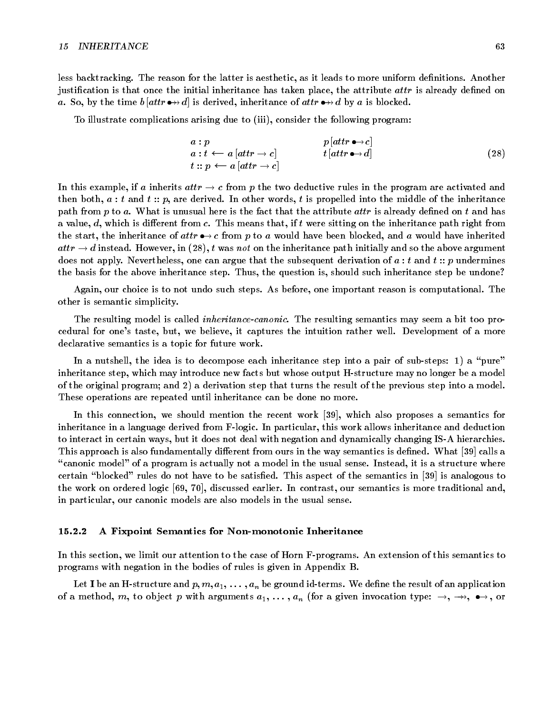less backtracking- The reason for the latter is aesthetic as it leads to more uniform denitions- Another justification is that once the initial inheritance has taken place, the attribute  $attr$  is already defined on a. So, by the time  $b$  attro  $\rightarrow$  a is derived, inheritance of attro  $\rightarrow$  a by a is blocked.

To illustrate complications arising due to  $(iii)$ , consider the following program:

$$
a: p \t a[attr \rightarrow c] \t a[attr \rightarrow c] \t t[attr \rightarrow d] \t (28)
$$

In this example, if a inherits attr  $\rightarrow c$  from p the two deductive rules in the program are activated and then both a t and t and t and t p are derived-to the middle of the middle of the middle of the middle of the in paths from p to all the fact the fact that the fact that the fact the attribute at the attribute attribute attr a value d which is dierent from c- This means that if t were sitting on the inheritance path right from the start, the inheritance of attr  $\rightarrow c$  from p to a would have been blocked, and a would have inherited  $attr \rightarrow a$  instead. However, in (28), t was not on the inheritance path initially and so the above argument does not apply- Nevertheless one can argue that the subsequent derivation of a t and t p undermines the basis for the above inheritance step- Thus the question is should such inheritance step be undone

Again our choice is to not undo such steps- As before one important reason is computational- The other is semantic simplicity-

. The resulting semantic control inheritance controlling semantics may seem a bit too provide the resulting se cedural for ones tasted the interval of the intervals the intervals the intervals of a more well-but well-but w declarative semantics is a topic for future work-

In a nutshell, the idea is to decompose each inheritance step into a pair of sub-steps: 1) a "pure" inheritance step, which may introduce new facts but whose output H-structure may no longer be a model of the original program; and  $2)$  a derivation step that turns the result of the previous step into a model. These operations are repeated until inheritance can be done no more-

In this connection, we should mention the recent work  $[39]$ , which also proposes a semantics for inheritance in a language derived from Flogic- In particular this work allows inheritance and deduction to interact in certain ways, but it does not deal with negation and dynamically changing IS-A hierarchies. This approach is also fundamentally dierent from ours in the way semantics is dened- What 
 calls a canonic model of a program is actually not a model in the usual sense- Instead it is a structure where certain blocked rules do not have to be satisfactor. The semantics in the semantics in the semantics in the se the work of the contrast order is in contrast our contrast our semantics is more traditional and the contrast o in particular, our canonic models are also models in the usual sense.

#### 15.2.2 A Fixpoint Semantics for Non-monotonic Inheritance

In this section we limit our attention to the case of Horn Fprograms- An extension of this semantics to programs with negation in the bodies of rules is given in Appendix B-

 $\blacksquare$  and p matrix and p mass and p mass are supported in a set and p mass are supported in a set of an application of an application of an application of an application of an application of an application of an applicat of a method,  $m,$  to object  $p$  with arguments  $a_1,\,\ldots\,,$   $a_n$  (for a given invocation type:  $\;\rightarrow\;$   $\;\rightarrow\;$   $\;\rightarrow\;$  or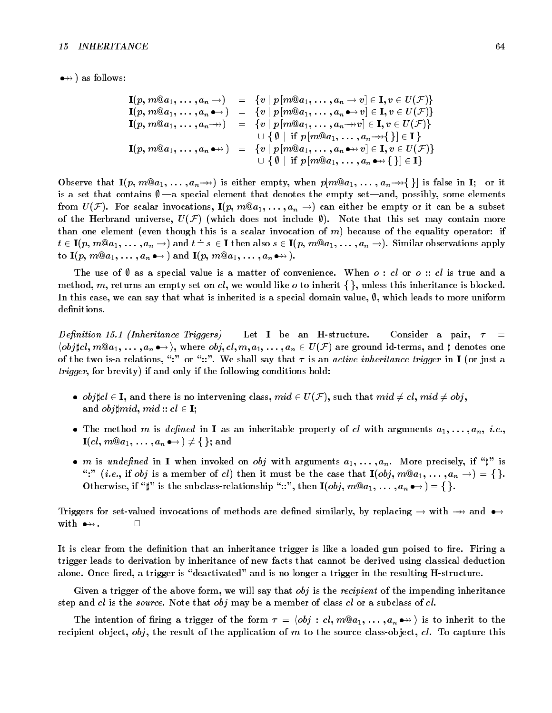## $\rightarrow$  ) as follows:

$$
\begin{array}{rcll} {\bf I}(p,\,m@{a_1},\,\ldots\,,a_n\to) & = & \{v\mid p\,[m@{a_1},\,\ldots\,,a_n\to v]\in{\bf I},v\in U(\mathcal{F})\} \\ {\bf I}(p,\,m@{a_1},\,\ldots\,,a_n\to\to) & = & \{v\mid p\,[m@{a_1},\,\ldots\,,a_n\to v]\in{\bf I},v\in U(\mathcal{F})\} \\ {\bf I}(p,\,m@{a_1},\,\ldots\,,a_n\to\to) & = & \{v\mid p\,[m@{a_1},\,\ldots\,,a_n\to\to v]\in{\bf I},v\in U(\mathcal{F})\} \\ & & \cup\;\{\emptyset\mid \hbox{if }p\,[m@{a_1},\,\ldots\,,a_n\to\to v]\in{\bf I},v\in U(\mathcal{F})\} \\ {\bf I}(p,\,m@{a_1},\,\ldots\,,a_n\bullet\to\to) & = & \{v\mid p\,[m@{a_1},\,\ldots\,,a_n\bullet\to v]\in{\bf I},v\in U(\mathcal{F})\} \\ & & \cup\;\{\emptyset\mid \hbox{if }p\,[m@{a_1},\,\ldots\,,a_n\bullet\to\{\}\in{\bf I}\} \end{array}
$$

Observe that  $I(p, m@a_1, \ldots, a_n \rightarrow)$  is either empty, when  $p[m@a_1, \ldots, a_n \rightarrow\ \{\}]$  is false in I; or it is a set that contains  $\emptyset$  —a special element that denotes the empty set—and, possibly, some elements from  $U(\mathcal{F})$ . For scalar invocations,  $\mathbf{I}(p, m@a_1, \ldots, a_n \rightarrow)$  can either be empty or it can be a subset of the Herbrand universe,  $U(\mathcal{F})$  (which does not include  $\emptyset$ ). Note that this set may contain more than one element (even though this is a scalar invocation of  $m$ ) because of the equality operator: if  $t\in\mathbf{I}(p,\,m@a_1,\,\ldots\,,a_n\to)$  and  $t=s\,\in\mathbf{I}$  then also  $s\in\mathbf{I}(p,\,m@a_1,\,\ldots\,,a_n\to)$ . Similar observations apply to  $\mathbf{1}(p, m \leq a_1, \ldots, a_n \rightarrow)$  and  $\mathbf{1}(p, m \leq a_1, \ldots, a_n \rightarrow)$ .

The use of  $\emptyset$  as a special value is a matter of convenience. When  $o : cl$  or  $o :: cl$  is true and a method, m, returns an empty set on cl, we would like o to inherit  $\{\}$ , unless this inheritance is blocked. In this case, we can say that what is inherited is a special domain value,  $\emptyset$ , which leads to more uniform definitions.

denition - Inheritance Triggers - Inheritance Triggers - Inheritance Triggers - Inheritance Triggers - Inherita Let  $I$  be an H-structure. Consider a pair,  $\tau$  $\langle obj\sharp cl, m@a_1,\, \ldots, a_n \bullet \to \rangle,$  where  $obj, cl, m, a_1, \ldots, a_n \in U(\mathcal{F})$  are ground id-terms, and  $\sharp$  denotes one of the two isa relations or - We shall say that is an active inheritance trigger in I or just a  $trigger$ , for brevity) if and only if the following conditions hold:

- $\bullet\;\; obj$ t $cl \in \mathbf{I}, \text{ and there is no intervening class},\,mid\; \in U(\mathcal{F}), \text{ such that }\,mid\neq cl,\,mid\neq obj,$ and  $obj \mid mid, mid :: cl \in I;$
- $\bullet$  The method  $m$  is defined in  ${\bf 1}$  as an inheritable property of cl with arguments  $a_1,\,\ldots\,,a_n,\,\,i.e.,$  $\mathbf{I}(cl,\, m@a_1,\, \ldots\, ,a_n \bullet \rightarrow) \neq \{\,\}; \text{ and }$
- $\bullet$  m is undefined in I when invoked on  $o \flat \jmath$  with arguments  $a_1, \ldots, a_n.$  More precisely, if "f" is ":" (i.e., if obj is a member of cl) then it must be the case that  $\mathbf{I}(obj, m@a_1, \ldots, a_n \rightarrow) = \{\}.$ Otherwise, if "#" is the subclass-relationship "::", then  $I(obj, m@a_1, \ldots, a_n \rightarrow) = \{\}$ .

Triggers for set-valued invocations of methods are defined similarly, by replacing  $\rightarrow$  with  $\rightarrow$  and  $\rightarrow$ with  $\rightarrow$ .  $\Box$ 

It is constructed that an inheritance trigger is like an inheritance trigger is like a local point  $\mathbb{I}$  is a local point  $\mathbb{I}$ trigger leads to derivation by inheritance of new facts that cannot be derived using classical deduction alone-the-the-the-the-the-longer is deach is deach is deach in the resulting  $\sim$  the resulting Hstructure-the-

Given a trigger of the above form, we will say that  $obj$  is the recipient of the impending inheritance step and cl is the source- Note that obj may be a member of class cl or a subclass of cl-

The intention of firing a trigger of the form  $\tau\,=\,\langle obj\,:\,cl,\,m@\,a_1,\,\ldots\,,a_n\bullet \mapsto\,\rangle$  is to inherit to the recipient ob ject obj the result of the application of m to the source classob ject cl- To capture this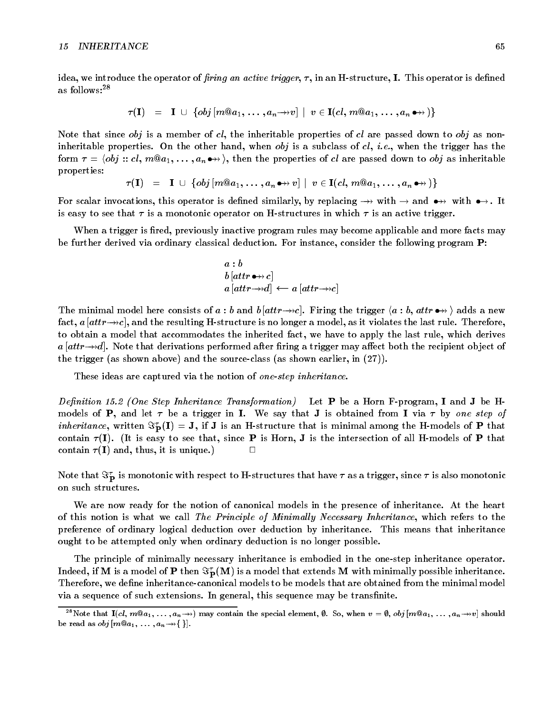idea we introduce the operator of ring an active trigger in an Hstructure I- This operator is dened as follows

 $\tau({\bf I}) \;\; = \;\; {\bf I} \; \cup \; \left\{ obj\left[m@a_1, \, \ldots \, , a_n{\scriptstyle \rightarrow\rightarrow} v\right] \; \middle| \; \; v\in {\bf I}(cl, \, m@a_1, \, \ldots \, , a_n{\scriptstyle \rightarrow\rightarrow} \, ) \right\}$ 

Note that since  $obj$  is a member of  $cl$ , the inheritable properties of  $cl$  are passed down to  $obj$  as noninheritable properties- is a subclass of client when  $\alpha$  is a subclass of client the trigger has the the form  $\tau = \langle obj::cl, m@a_1, \ldots, a_n \bullet \rightarrowtail \rangle,$  then the properties of  $cl$  are passed down to  $obj$  as inheritable properties

$$
\tau({\bf I}) \;\; = \;\; {\bf I} \; \cup \; \{ {\it obj} \, [m@a_1, \, \ldots \, , a_n \, \bullet \mapsto v] \, \mid \; v \in {\bf I}(cl, \, m@a_1, \, \ldots \, , a_n \, \bullet \mapsto) \}
$$

For scalar invocations, this operator is denned similarly, by replacing  $\to$  with  $\to$  and  $\bullet\to$  with  $\bullet\to$  . It is easy to see that  $\tau$  is a monotonic operator on H-structures in which  $\tau$  is an active trigger.

When a trigger is fired, previously inactive program rules may become applicable and more facts may be further derived via ordinary classical deduction- For instance consider the following program P

$$
a : b
$$
  
\n
$$
b [attr \leftrightarrow c]
$$
  
\n
$$
a [attr \rightarrow d] \leftarrow a [attr \rightarrow c]
$$

The minimal model here consists of  $a:b$  and  $b\left[attr{\to}c\right].$  Firing the trigger  $\langle a:b,attr{\leftrightarrow}\rangle$  adds a new fact,  $a$   $\ket{attr\rightarrow\!\sim}c$  , and the resulting H-structure is no longer a model, as it violates the last rule. Therefore, to obtain a model that accommodates the inherited fact, we have to apply the last rule, which derives  $a$  attr  $\rightarrow$  a). Note that derivations performed after firing a trigger may affect both the recipient object of the trigger (as shown above) and the source-class (as shown earlier, in  $(27)$ ).

These ideas are captured via the notion of one-step inheritance.

, and step Indian I are step Indian or the step in horn from  $\mathcal{L}$  , and  $\mathcal{L}$  be a Horn From  $\mathcal{L}$  and  $\mathcal{L}$ models of P and let in I-let in I-let in I-let in I-let in I-let in I-let is one step of the letter of the step of *inheritance*, written  $\mathfrak{F}_{\mathbf{p}}(I) = J$ , if J is an H-structure that is minimal among the H-models of P that contains it is the since  $\alpha$  is the intersection of all Horn J is the intersection of all Hmodels of  $\alpha$  that contain  $\tau(I)$  and, thus, it is unique.)  $\Box$  $\mathbf{r}$  and  $\mathbf{r}$  and  $\mathbf{r}$  and  $\mathbf{r}$  and  $\mathbf{r}$  and  $\mathbf{r}$  and  $\mathbf{r}$  and  $\mathbf{r}$  and  $\mathbf{r}$  and  $\mathbf{r}$  and  $\mathbf{r}$  and  $\mathbf{r}$  and  $\mathbf{r}$  and  $\mathbf{r}$  and  $\mathbf{r}$  and  $\mathbf{r}$  and  $\mathbf{r}$  and

Note that  $\Im_{\bf p}^{\bf r}$  is monotonic with respect to H-structures that have  $\tau$  as a trigger, since  $\tau$  is also monotonic on such structures-

 $M$  are notion of canonical models in the presence of inheritance-beam of inheritanceof this notion is what we call The Principle of Minimally Necessary Inheritance, which refers to the preference of ordinary logical deduction over deduction by inheritance-that inheritanceought to be attempted only when ordinary deduction is no longer possible-

The principle of minimally necessary inheritance is embodied in the onestep inheritance operator-Indeed, if M is a model of **P** then  $\Im^{\mathcal{T}}_{\mathbf{D}}(\mathbf{M})$  is a model that extends M with minimally possible inheritance. Therefore, we define inheritance-canonical models to be models that are obtained from the minimal model via a sequence of such extensions- In general this sequence may be transnite-

<sup>&</sup>lt;sup>28</sup>Note that  $I(cl, m@a_1, \ldots, a_n \rightarrow)$  may contain the special element, Ø. So, when  $v = \emptyset$ ,  $obj[m@a_1, \ldots, a_n \rightarrow v]$  should be read as  $obj[m@a_1, \ldots, a_n \rightarrow\{]\}.$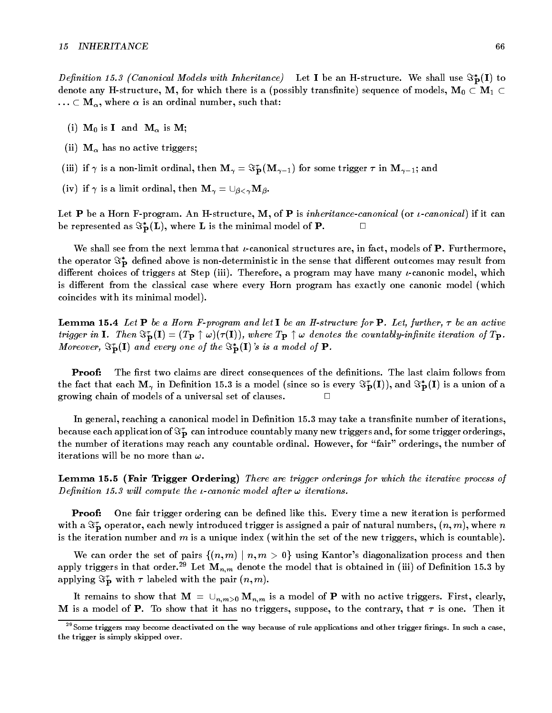*Definition 15.3 (Canonical Models with Inheritance)* Let **I** be an H-structure. We shall use  $\Im^{\ast}_{\mathbf{P}}(\mathbf{I})$  to denote any H-structure, M, for which there is a (possibly transfinite) sequence of models,  $M_0\subset M_1\subset$  $\dots \subset \mathbf{M}_{\alpha}$ , where  $\alpha$  is an ordinal number, such that:

- (i)  $M_0$  is I and  $M_\alpha$  is M;
- (ii)  $\mathbf{M}_{\alpha}$  has no active triggers;
- (iii) if  $\gamma$  is a non-limit ordinal, then  $\bf{M}_{\gamma}=\Im^{\tau}_{\bf P}(M_{\gamma-1})$  for some trigger  $\tau$  in  $\bf{M}_{\gamma-1};$  and
- (iv) if  $\gamma$  is a limit ordinal, then  $\mathbf{M}_{\gamma} = \cup_{\beta < \gamma} \mathbf{M}_{\beta}$ .

Let P be a Horn Fprogram- An Hstructure M of P is inheritancecanonical or canonical if it can be represented as  $\Im^*_{\mathbf{P}}(\mathbf{L})$ , where **L** is the minimal model of **P**.  $\Box$ 

We shall see from the next lemma that canonical structures are in fact models of P- Furthermore the operator  $\mathfrak{F}_{\mathbf{p}}^*$  defined above is non-deterministic in the sense that different outcomes may result from dierent choices of triggers at Step iii-, there are the group many canonic model which may canonic model which is different from the classical case where every Horn program has exactly one canonic model (which coincides with its minimal model).

Lemma - Let P be a Horn Fprogram and let I be an Hstructure for P- Let
 further be an active trigger in I. Then  $\Im^{\tau}_{\bf P}({\bf I})=(T_{\bf P}\uparrow\omega)(\tau({\bf I})),$  where  $T_{\bf P}\uparrow\omega$  denotes the countably-infinite iteration of  $T_{\bf P}$ . Moreover,  $\Im_P^{\tau}(I)$  and every one of the  $\Im_P^{\tau}(I)$ 's is a model of  $P$ .

Proof The rst two claims are direct consequences of the denitions- The last claim follows from the fact that each  $\bf{M}_\gamma$  in Definition 15.3 is a model (since so is every  $\Im^{\tau}_{\bf P}({\bf I})$ ), and  $\Im^{\ast}_{\bf P}({\bf I})$  is a union of a growing chain of models of a universal set of clauses- $\Box$ 

In general reaching a canonical model in Denition - may take a transnite number of iterations because each application of  $\Im \tau$  can introduce countably many new triggers and, for some trigger orderings, the number of iterations may reach any countries the number of the number of fair ordinal - the number of the iterations will be no more than  $\omega$ .

Lemma - Fair Trigger Ordering There are trigger orderings for which the iterative process of Denition - will compute the canonic model after iterations-

Proof One fair trigger ordering can be dened like this- Every time a new iteration is performed with a  $\Im_{\mathbf{p}}^{\tau}$  operator, each newly introduced trigger is assigned a pair of natural numbers,  $(n, m)$ , where n is the iteration number and  $m$  is a unique index (within the set of the new triggers, which is countable).

We can order the set of pairs  $\{(n, m) | n, m > 0\}$  using Kantor's diagonalization process and then apply triggers in that order. Thet  $\mathbf{m}_{n,m}$  denote the model that is obtained in (iii) of Dennition 15.3 by applying  $\Im_{\mathbf{p}}^{\tau}$  with  $\tau$  labeled with the pair  $(n, m)$ .

It remains to show that  $\mathbf{M} = \cup_{n,m>0} \mathbf{M}_{n,m}$  is a model of P with no active triggers. First, clearly, M is a model of P- To show that it has no triggers suppose to the contrary that is one- Then it

 $^\circ$  Some triggers may become deactivated on the way because of rule applications and other trigger firings. In such a case, the trigger is simply skipped over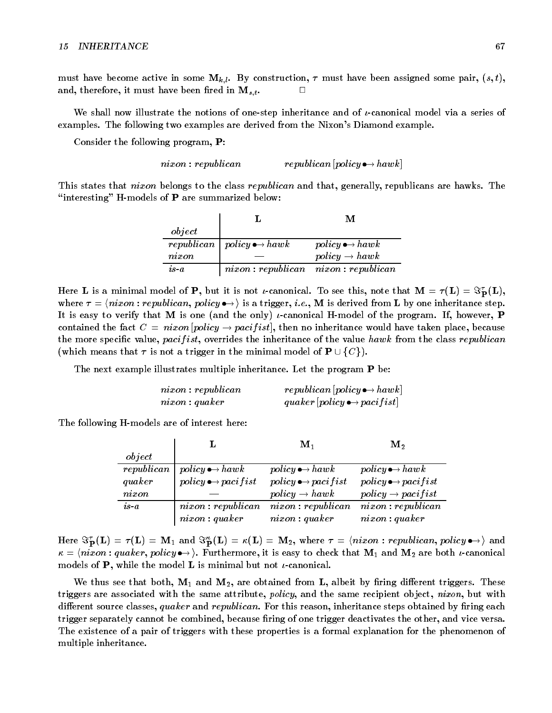### 15 INHERITANCE 67

must have been active in some  $\mathbf{p}$  construction  $\mathbf{p}$  assigned some pair s that  $\mathbf{p}$  assigned some pair s that  $\mathbf{p}$  and  $\mathbf{p}$  and  $\mathbf{p}$  and  $\mathbf{p}$  and  $\mathbf{p}$  and  $\mathbf{p}$  and  $\mathbf{p}$  and  $\mathbf{p}$ and, therefore, it must have been fired in  $\mathbf{M}_{s,t}$ .

We shall now illustrate the notions of one-step inheritance and of  $\iota$ -canonical model via a series of examples- The following two examples are derived from the Nixons Diamond example-

Consider the following program,  $P$ :

$$
nixon: republican \qquad \qquad republican [policy \rightarrow hawk]
$$

This states that nixon belongs to the class republican and that generally republicans are hawks- The "interesting" H-models of  $P$  are summarized below:

|                 |                                           | M                         |
|-----------------|-------------------------------------------|---------------------------|
| object          |                                           |                           |
|                 | republican   policy $\rightarrow$ hawk    | $policy \rightarrow hawk$ |
| $nix$ <i>on</i> |                                           | $policy \rightarrow hawk$ |
| $is-a$          | $nixon : republican - nixon : republican$ |                           |

Here **L** is a minimal model of **P**, but it is not *t*-canonical. To see this, note that  $\mathbf{M} = \tau(\mathbf{L}) = \Im^{\tau}\mathbf{p}(\mathbf{L}),$ where  $\tau = \langle nixon : republican, policy \rightarrow \rangle$  is a trigger,  $i.e., \mathbf{M}$  is derived from  $\mathbf L$  by one inheritance step. It is easy to verify that M is one and the one and the one and the only canonical However Program-Company is t contained the fact  $C = nixon[policy \rightarrow pacifist]$ , then no inheritance would have taken place, because the more specific value, pacifist, overrides the inheritance of the value hawk from the class republican (which means that  $\tau$  is not a trigger in the minimal model of  $P \cup \{C\}$ ).

. The next example is much in the program P between the program P between  $\mathcal{L}$ 

| nixon : republican | $republican[policy \rightarrow hawk]$  |
|--------------------|----------------------------------------|
| nixon:quaker       | quaker $[policy \rightarrow pacifist]$ |

The following H-models are of interest here:

|                 |                               | $\mathbf{M}_1$                | $\mathbf{M}_2$                |
|-----------------|-------------------------------|-------------------------------|-------------------------------|
| object          |                               |                               |                               |
| republican      | $policy \rightarrow hawk$     | $policy \rightarrow hawk$     | $policy \rightarrow hawk$     |
| quaker          | $policy \rightarrow pacifist$ | $policy \rightarrow pacifist$ | $policy \rightarrow pacifist$ |
| $nix$ <i>on</i> |                               | $policy \rightarrow hawk$     | $policy \rightarrow pacifist$ |
| $is-a$          | nixon: republican             | nixon: republican             | nixon : republican            |
|                 | nixon: quaker                 | nixon: quaker                 | nixon: quaker                 |

Here  $\Im^{\tau}_{\bf P}({\bf L})\,=\,\tau({\bf L})\,=\,{\bf M}_1\,$  and  $\,\Im^{\kappa}_{\bf P}({\bf L})\,=\,\kappa({\bf L})\,=\,{\bf M}_2,\,$  where  $\,\tau\,=\,\langle\,nixon\,:\,republican,\,policy\,\bullet\,\to\,\rangle\,$  and  $\kappa = \langle nixon: quaker, policy \bullet \rightarrow \rangle.$  Furthermore, it is easy to check that  $\mathbf{M}_1$  and  $\mathbf{M}_2$  are both  $\iota$ -canonical models of **P**, while the model **L** is minimal but not *t*-canonical.

we the see the distribution of  $\mu$  and  $\mu$  are obtained from L albeit  $\mu$  and the  $\mu$  albeit distribution of  $\mu$ triggers are associated with the same attribute, *policy*, and the same recipient object, *nixon*, but with dierent source classes quaker and republican- For this reason inheritance steps obtained by ring each trigger separately cannot be combined, because firing of one trigger deactivates the other, and vice versa. The existence of a pair of triggers with these properties is a formal explanation for the phenomenon of multiple inheritance.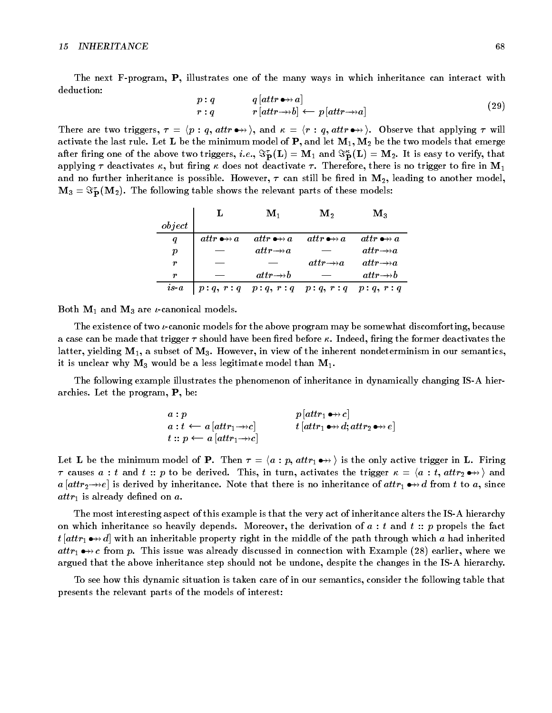The next F-program,  $P$ , illustrates one of the many ways in which inheritance can interact with deduction

$$
\begin{array}{ll}\np: q & q[attr \rightarrow a] \\
r: q & r[attr \rightarrow b] \leftarrow p[attr \rightarrow a] \\
\end{array} \tag{29}
$$

There are two triggers,  $\tau~=~\langle p:~q,~attr\leftrightarrow\rangle,$  and  $\kappa~=~\langle r:~q,~attr\leftrightarrow\rangle.$  Observe that applying  $\tau$  will activate the last rule- activate the model of P and let  $\alpha$  and  $\alpha$  and  $\alpha$  and  $\alpha$  are two models that emerges after firing one of the above two triggers,  $i.e.,$   $\Im^{\tau}_{\bf P}({\bf L})={\bf M}_1$  and  $\Im^{\kappa}_{\bf P}({\bf L})={\bf M}_2.$  It is easy to verify, that applying the decadtivates is not deach of the does not deach  $\alpha$  is no trigger to reform the definition of the  $\alpha$ and communication in the red in M leading is the still be red in M leading to another model in M leading to an  $\mathbf{M}_3=\Im^{\boldsymbol{\tau}}_{\mathbf{P}}(\mathbf{M}_2).$  The following table shows the relevant parts of these models:

|                  | L                             | $\mathbf{M}_1$                                                  | $\mathbf{M}_2$                                                  | $\mathbf{M}_3$       |
|------------------|-------------------------------|-----------------------------------------------------------------|-----------------------------------------------------------------|----------------------|
| object           |                               |                                                                 |                                                                 |                      |
| q                | $\it{attr} \leftrightarrow a$ | $\it{attr} \rightarrow a$                                       | $\textit{attr} \rightarrow a \quad \textit{attr} \rightarrow a$ |                      |
| $\boldsymbol{p}$ |                               | $attr \rightarrow a$                                            |                                                                 | $attr \rightarrow a$ |
| $\boldsymbol{r}$ |                               |                                                                 | $attr \rightarrow a$                                            | $attr \rightarrow a$ |
| $\boldsymbol{r}$ |                               | $attr \rightarrow b$                                            |                                                                 | $attr \rightarrow b$ |
| $i s-a$          |                               | $p: q, r: q \quad p: q, r: q \quad p: q, r: q \quad p: q, r: q$ |                                                                 |                      |

and are can meet and models-canonical models-

The existence of two  $\iota$ -canonic models for the above program may be somewhat discomforting, because a case can be made that trigger  $\mathbf{I}$  indeed ring the former deach ring the former deach ring the former deach ring the former deach ring the former deach ring the former deach ring the former deach ring the former dea latter yielding M- a subset of M- However in view of the inherent nondeterminism in our semantics it is unclearned being that we are a less length model than M- would be a letter  $\mathbf{I}$ 

The following example illustrates the phenomenon of inheritance in dynamically changing IS-A hierarchies- archies-program p best distribution

$$
a: p \t a: t \leftarrow a [attr_1 \rightarrow c] \t a: t \leftarrow a [attr_1 \rightarrow c] \t t [attr_1 \leftrightarrow d; attr_2 \leftrightarrow e]
$$

Let **L** be the minimum model of **P**. Then  $\tau = \langle a : p, \mathit{attr}_1 \leftrightarrow \rangle$  is the only active trigger in **L**. Firing  $\tau$  causes  $a$  :  $t$  and  $t$  ::  $p$  to be derived. This, in turn, activates the trigger  $\kappa \,=\, \langle a\,:\,t,\,attr_2\bullet\!\!\!\rightarrow\rangle$  and  $a \ket{attr_2 \to \!\!\rightarrow} e$  is derived by inheritance. Note that there is no inheritance of  $attr_1 \bullet \!\!\rightarrow\!\!\rightarrow a$  from  $t$  to  $a,$  since attribute the contract of the contract of the contract of the contract of the contract of the contract of the c

The most interesting aspect of this example is that the very act of inheritance alters the IS-A hierarchy on which inheritance so heavily depends- Moreover the derivation of a t and t p propels the fact  $t \left| attr_1 \longrightarrow u \right|$  with an inheritable property right in the middle of the path through which  $a$  had inherited  $\emph{attr}_1 \leftrightarrow c$  from  $p.$  This issue was already discussed in connection with Example (28) earlier, where we argued that the above inheritance step should not be undone, despite the changes in the IS-A hierarchy.

To see how this dynamic situation is taken care of in our semantics consider the following table that presents the relevant parts of the models of interest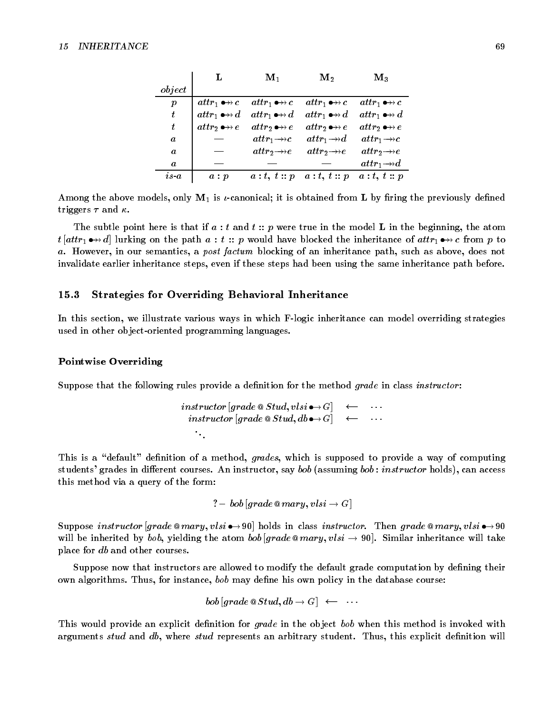|                  | L                      | $\mathbf{M}_1$         | $\mathbf{M}_2$         | $\mathbf{M}_3$         |
|------------------|------------------------|------------------------|------------------------|------------------------|
| object           |                        |                        |                        |                        |
| $\boldsymbol{p}$ | $attr_1 \rightarrow c$ | $attr_1 \rightarrow c$ | $attr_1 \rightarrow c$ | $attr_1 \rightarrow c$ |
| t                | $attr_1 \rightarrow d$ | $attr_1 \rightarrow d$ | $attr_1 \rightarrow d$ | $attr_1 \rightarrow d$ |
| t                | $attr_2 \rightarrow e$ | $attr_2 \rightarrow e$ | $attr_2 \rightarrow e$ | $attr_2 \rightarrow e$ |
| $\boldsymbol{a}$ |                        | $attr_1 \rightarrow c$ | $attr_1 \rightarrow d$ | $attr_1 \rightarrow c$ |
| $\boldsymbol{a}$ |                        | $attr_2 \rightarrow e$ | $attr_2 \rightarrow e$ | $attr_2 \rightarrow e$ |
| $\boldsymbol{a}$ |                        |                        |                        | $attr_1 \rightarrow d$ |
| is a             | a : p                  | a:t, t:p               | a:t, t:p               | a:t, t:p               |

Among the above models only M- is canonical it is obtained from <sup>L</sup> by ring the previously dened triggers  $\tau$  and  $\kappa$ .

The subtle point here is that if  $a : t$  and  $t :: p$  were true in the model L in the beginning, the atom  $t$   $\ket{attr_1 \rightarrow}$   $a_{\parallel}$  lurking on the path  $a:t::p$  would have blocked the inheritance of  $attr_1 \rightarrowtail c$  from  $p$  to a- However in our semantics a post factum blocking of an inheritance path such as above does not invalidate earlier inheritance steps, even if these steps had been using the same inheritance path before.

#### $15.3$ Strategies for Overriding Behavioral Inheritance

In this section, we illustrate various ways in which F-logic inheritance can model overriding strategies used in other object-oriented programming languages.

## Pointwise Overriding

Suppose that the following rules provide a definition for the method grade in class instructor:

$$
instructor\ [grade \ @\ Stud, vlsi \rightarrow G] \leftarrow
$$
  

$$
instructor\ [grade \ @\ Stud, db \rightarrow G] \leftarrow
$$

This is a "default" definition of a method, grades, which is supposed to provide a way of computing students grades in dierent courses- An instructor say bob assuming bob instructor holds can access this method via a query of the form

$$
?-\;bob\,[grade\,\textcircled{a}\,mary, vlsi\rightarrow\,G]
$$

Suppose instructor  $|q \, ra$ de @ mary, visi  $\bullet \rightarrow$  90 | noids in class instructor. Then  $q \, ra$ de @ mary, visi  $\bullet \rightarrow$  90 will be inherited by *000*, yielding the atom *000*  $qraae \leq maxy, visi \rightarrow y0$ . Similar inheritance will take place for  $db$  and other courses.

Suppose now that instructors are allowed to modify the default grade computation by defining their .... algorithms: bob may dene his own policy in the database course the database course and database

$$
\it bob \ [grade \,\textcircled{\hspace*{1pt}}{{\mathcal S}{\textit{tud}}}, db \rightarrow G] \ \ \leftarrow \ \ \cdots
$$

This would provide an explicit definition for  $grade$  in the object  $bob$  when this method is invoked with arguments stud and dij where stud represents and arbitrary student- minimum student- will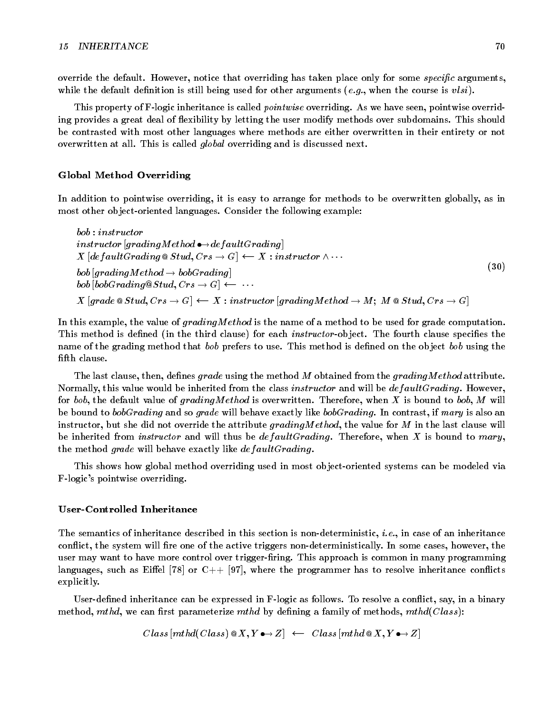override the default- However notice that overriding has taken place only for some specic arguments while the default definition is still being used for other arguments e-quality the course is very p

. This property of Flogic inheritance is called pointwise overring-in the matrix over the second contracts of ing provides a great deal of exibility by letting the user modify methods over subdomains- This should be contrasted with most other languages where methods are either overwritten in their entirety or not overwritten at all- This is called global overriding and is discussed next-

### Global Method Overriding

In addition to pointwise overriding, it is easy to arrange for methods to be overwritten globally, as in most other ob jectoriented languages- Consider the following example

bob instructor instructor  $[gradientMethod \rightarrow de faultGradient]$  $X \left[ \text{defaultGrading} @ \text{Stud}, \text{Crs} \rightarrow G \right] \leftarrow X : \text{instructor} \wedge \cdots$  $\boldsymbol{b}$ ob [grading Method  $\rightarrow \boldsymbol{b}$ ob Grading] bob  $[bobGrading@Stud, Crs \rightarrow G] \leftarrow \cdots$  $X\left[ grade \otimes Stud, Crs \rightarrow G \right] \leftarrow X: instructor\left[ gradingMethod \rightarrow M; M \otimes Stud, Crs \rightarrow G \right]$  $(30)$ 

In this example, the value of  $gradingMethod$  is the name of a method to be used for grade computation. This method is dened in the third clause for each instructor ob ject- The fourth clause species the name of the grading method that bob prefers to use- method is dened to the ob ject bob using the  $\sim$ fifth clause.

The last clause, then, defines grade using the method M obtained from the grading Method attribute. Normally this value would be inherited from the class instructor and will be def aultGrading- However for book the default value of grading method is overwelling to book is over when  $\alpha$  is book method is bob M will be bound to bobGrading and so grade will behave exactly like bobGrading- In contrast if mary is also an instructor, but she did not override the attribute  $grading Method$ , the value for M in the last clause will be inherited from instructor and will thus be def aultGrading- Therefore when X is bound to mary the method grade will behave exactly like  $defaultGrading$ .

This shows how global method overriding used in most object-oriented systems can be modeled via F-logic's pointwise overriding.

### User-Controlled Inheritance

The semantics of inheritance described in this section is nondeterministic i-e- in case of an inheritance conict the system will re one of the active triggers nondeterministically- In some cases however the user more want to have control over the computer control over the problems in common in many programming the c languages, such as Eiffel [78] or  $C++$  [97], where the programmer has to resolve inheritance conflicts explicitly-

Userdened inheritance can be expressed in Flogic as follows-the same in a binary in a binary in a binary in a b method, mthd, we can first parameterize mthd by defining a family of methods,  $mthd(Class)$ :

$$
Class [mthd(Class) \otimes X, Y \rightarrow Z] \leftarrow Class [mthd \otimes X, Y \rightarrow Z]
$$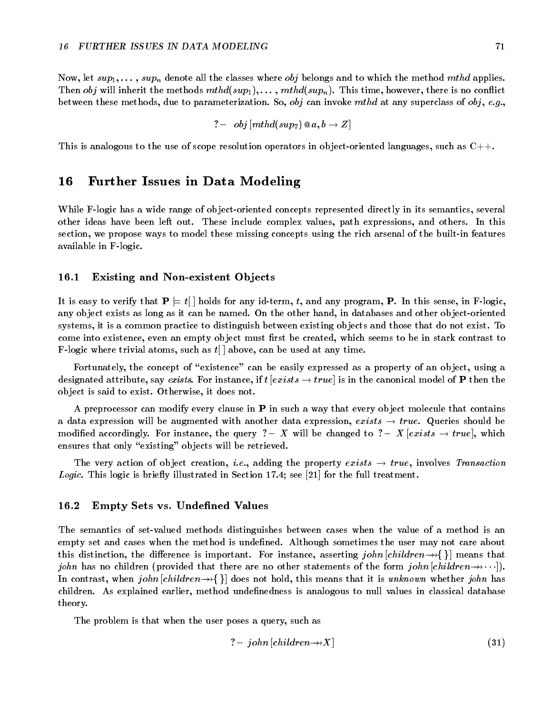Now let sup- supn denote all the classes where obj belongs and to which the method mthd applies-Then  $\cdots$  , we have the methods methods may consider the  $\mu$  ,  $\cdots$  ,  $\cdots$  . This  $\mu$  ,  $\cdots$  control  $\cdots$  , and  $\cdots$  and  $\cdots$ between these methods due to parameterization- So obj can invoke mthd at any superclass of obj e-g-

$$
? - \;\; obj\,[mthd(sup_7) \, @ \, a, b \rightarrow Z]
$$

This is analogous to the use of scope resolution operators in object-oriented languages, such as  $C++$ .

## 16 Further Issues in Data Modeling

While F-logic has a wide range of object-oriented concepts represented directly in its semantics, several other ideas have been left out- These include complex values path expressions and others- In this section, we propose ways to model these missing concepts using the rich arsenal of the built-in features available in F-logic.

### Existing and Non-existent Objects

It is easy to verify that  $\mathbf{P} \models t[~]$  holds for any id-term,  $t,$  and any program,  $\mathbf{P}.$  In this sense, in F-logic, any object exists as long as it can be named-in the can be named give and other facts and other observes systems it is a common practice to distinguish between existing ob jects and those that do not exist- To come into existence, even an empty object must first be created, which seems to be in stark contrast to F-logic where trivial atoms, such as  $t \mid$  above, can be used at any time.

Fortunately, the concept of "existence" can be easily expressed as a property of an object, using a designated attribute, say *exists*. For instance, if  $t$   $|ex\,t$ sts  $\rightarrow$   $true|$  is in the canonical model of **P** then the ob ject is said to exist-to exist-to exist-to exist-to exist-to exist-to exist-to exist-to exist-to exist-to exist-

A preprocessor can modify every clause in  $P$  in such a way that every object molecule that contains a data expression will be augmented with another data expression,  $exiss \rightarrow true$ . Queries should be modified accordingly. For instance, the query  $\beta \to \Lambda$  will be changed to  $\beta \to \Lambda$  [exists  $\to \ell r u e$ ], which ensures that only "existing" objects will be retrieved.

The very action of object creation, *i.e.*, adding the property  $exists \rightarrow true$ , involves *Transaction* Logic- This logic is briey illustrated in Section - see for the full treatment-

### Empty Sets vs- Unde ned Values

The semantics of set-valued methods distinguishes between cases when the value of a method is an empty set and cases when the method is undened- Although sometimes the user may not care about this distinction, the difference is important. For instance, asserting  $john\left[children \rightarrow\right\} \left]$  means that *john* has no children (provided that there are no other statements of the form *john*  $\lfloor \text{children}\rightarrow \cdots \rfloor$ ). In contrast, when john  $\lceil \text{children} \rightarrow \{ \} \rceil$  does not hold, this means that it is unknown whether john has children- As explained earlier method undenedness is analogous to null values in classical database theory-

The problem is that when the user poses a query, such as

$$
?-john[children \rightarrow X] \tag{31}
$$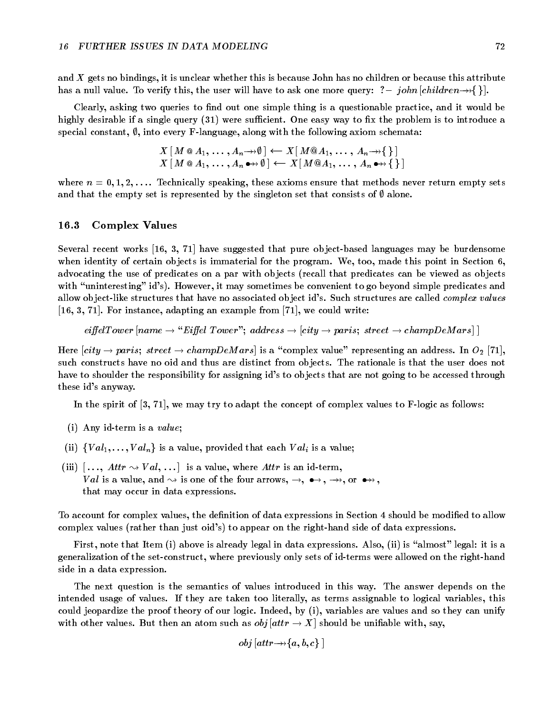and X gets no bindings, it is unclear whether this is because John has no children or because this attribute has a null value. To verify this, the user will have to ask one more query:  $\emph{?}-john\,[children \rightarrow\text{\{}\}]$ .

Clearly, asking two queries to find out one simple thing is a questionable practice, and it would be higher, desirable if a single query (i.e., was the problem is the problem is to the problem is to internal an special constant,  $\emptyset$ , into every F-language, along with the following axiom schemata:

$$
X [ M \otimes A_1, \ldots, A_n \rightarrow \emptyset ] \leftarrow X [ M \otimes A_1, \ldots, A_n \rightarrow \{ \} ]
$$
  

$$
X [ M \otimes A_1, \ldots, A_n \leftrightarrow \emptyset ] \leftarrow X [ M \otimes A_1, \ldots, A_n \leftrightarrow \{ \} ]
$$

where  $\alpha$  is a speaking the surface are as interesting the sets as a method in the sets are return empty sets and that the empty set is represented by the singleton set that consists of  $\emptyset$  alone.

### Complex Values

Several recent works  $[16, 3, 71]$  have suggested that pure object-based languages may be burdensome when identity of certain observation ob jects is immaterial for the programadvocating the use of predicates on a par with objects (recall that predicates can be viewed as objects with uninteresting ids- However it may sometimes be convenient to go beyond simple predicates and allow observes that have no associated ob jectlies that have no associated ob ject is structured complex values - For instance adapting an example from we could write

$$
eiffel Tower \ket{name \rightarrow ``Eiffel \color{red} Tower''; \color{red} address \rightarrow [city \rightarrow pairs; \color{red}street \rightarrow \color{red}champDe Mars}]
$$

Here city paris street champDeM ars is a complex value representing an address- In O such constructs have no oid and thus are distinct from objects-interactionale into the user here. have to shoulder the responsibility for assigning id's to objects that are not going to be accessed through these id's anyway.

In the spirit of  $\left[3, 71\right]$ , we may try to adapt the concept of complex values to F-logic as follows:

- (i) Any id-term is a value:
- (ii)  $\{Val_1, \ldots, Val_n\}$  is a value, provided that each  $Val_i$  is a value;
- ii is a value where where  $\alpha$  is a value where  $\alpha$  is an identical contract  $\alpha$  is an identically an identical contract  $\alpha$ v at is a value, and  $\sim$  is one of the four arrows,  $\rightarrow$   $\rightarrow$   $\rightarrow$  ,  $\rightarrow$  , or  $\rightarrow$  , that may occur in data expressions-

To account for complex values the denition of data expressions in Section should be modied to allow complex values (rather than just oid's) to appear on the right-hand side of data expressions.

First note that Item i above is already legal in data expressions- Also ii is almost legal it is a generalization of the set-construct, where previously only sets of id-terms were allowed on the right-hand side in a data expression-

The next question is the semantics of values introduced in this way- The answer depends on the intended usage of values- If they are taken too literally as terms assignable to logical variables this cours jeopardize the proof theory of our logic-dimension, i jeg cannot are cannot and so they can unify with other values. But then an atom such as  $oo$   $\eta$   $|attr \rightarrow X|$  should be unifiable with, say,

$$
obj\left[attr {\rightarrowtail} \{a,b,c\}\; \right]
$$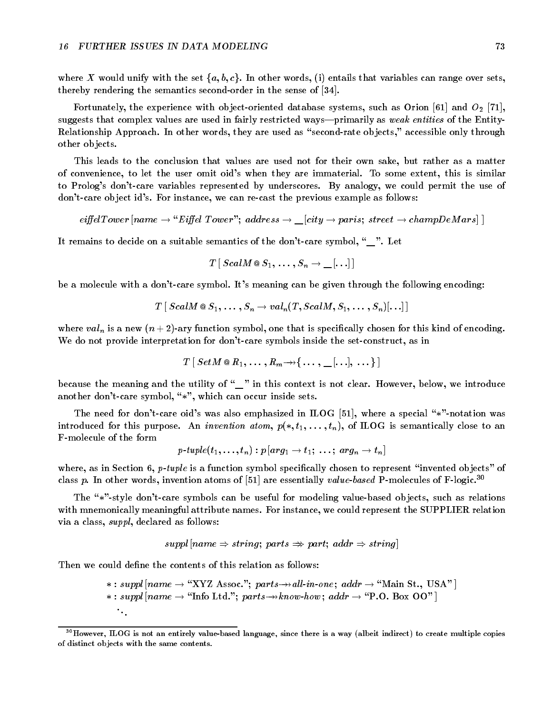where  $X$  would unify with the set  $\{a,b,c\}$ . In other words, (i) entails that variables can range over sets, thereby rendering the semantics secondorder in the sense of -

Fortunately, the experience with object-oriented database systems, such as Orion  $[61]$  and  $O_2$  [71], suggests that complex values are used in fairly restricted ways—primarily as weak entities of the Entity-Relationship Approach- In other words they are used as secondrate ob jects accessible only through other objects.

This leads to the conclusion that values are used not for their own sake, but rather as a matter of convenience to let the user omit oids when they are immaterial- To some extent this is similar to Prologs dontcare variables represented by underscores- By analogy we could permit the use of dontcare ob ject ids- For instance we can recast the previous example as follows

$$
\textit{eiffel Tower}\ [\textit{name} \rightarrow ``\textit{Eiffel}\ \textit{Tower''};\ \textit{address} \rightarrow \_\textit{[city} \rightarrow \textit{pairs};\ \textit{street} \rightarrow \textit{champDeMars}]\ ]
$$

It remains to decide on a suitable semantics of the dontcare symbol - Let

$$
T\,[\,Scal\,M\,\text{\textcircled{a}}\,S_1,\,\ldots\,,S_n\rightarrow\,\_\,\left[\ldots\right]\,]\,
$$

 $\mathbf{M}$  molecule with a dontcare symbol-symbol-symbol-symbol-symbol-symbol-symbol-symbol-symbol-symbol-symbol-symbol-symbol-symbol-symbol-symbol-symbol-symbol-symbol-symbol-symbol-symbol-symbol-symbol-symbol-symbol-symbo

$$
T\left[\right. Scal M \,{\otimes}\, S_1,\, \ldots\, , S_n\rightarrow val_n(T,Scal M,S_1,\, \ldots\, ,S_n)[\ldots]\left.\right]
$$

where val<sub>n</sub> is a new  $(n+2)$ -ary function symbol, one that is specifically chosen for this kind of encoding. We do not provide interpretation for don't-care symbols inside the set-construct, as in

$$
T\left[\,S\,et\,M\stackrel{\raisebox{-1pt}{\text{\circle*{1.5}}}}{\phantom{|}}\! R_1,\,\ldots\,,R_m\!\!\rightarrow\!\!\cdot\{ \,\ldots\,,\,\_\_\!\!\!\ldots[\ldots],\,\,\ldots\,\}\,\right]
$$

because the meaning and the utility of in the utility of the utility of the utility and measured another don't-care symbol, " $*$ ", which can occur inside sets.

The need for don't-care oid's was also emphasized in ILOG  $[51]$ , where a special "\*"-notation was introduced for this purpose. An invention atom,  $p(*, t_1, \ldots, t_n),$  of ILOG is semantically close to an F-molecule of the form

$$
p\textit{-tuple}(t_1,\ldots,t_n): p\left[arg_1\to t_1;\ \ldots;\ arg_n\to t_n\right]
$$

where, as in Section 6, *p*-tuple is a function symbol specifically chosen to represent "invented objects" of class  $p$ . In other words, invention atoms of  $|p_1|$  are essentially value-vased P-molecules of P-logic.

The "\*"-style don't-care symbols can be useful for modeling value-based objects, such as relations with matrix matrix means  $\Gamma$ via a class,  $suppl$ , declared as follows:

$$
suppl \left| name \Rightarrow string; \ parts \Rightarrow part; \ addr \Rightarrow string \right|
$$

Then we could define the contents of this relation as follows:

 $\ast:supp1\mid name\rightarrow "XYL|Assoc"$ ; parts  $\rightarrow all\text{-}ine$ ; addr  $\rightarrow$  "Main St., USA"  $\ast:supp$ l name  $\rightarrow$  "Info Ltd.";  $parts{\rightarrow}$ know-how; addr  $\rightarrow$  "P.O. Box OO" | --

 $\lq$  - However, ILOG is not an entirely value-based language, since there is a way (albeit indirect) to create multiple copies of distinct objects with the same contents.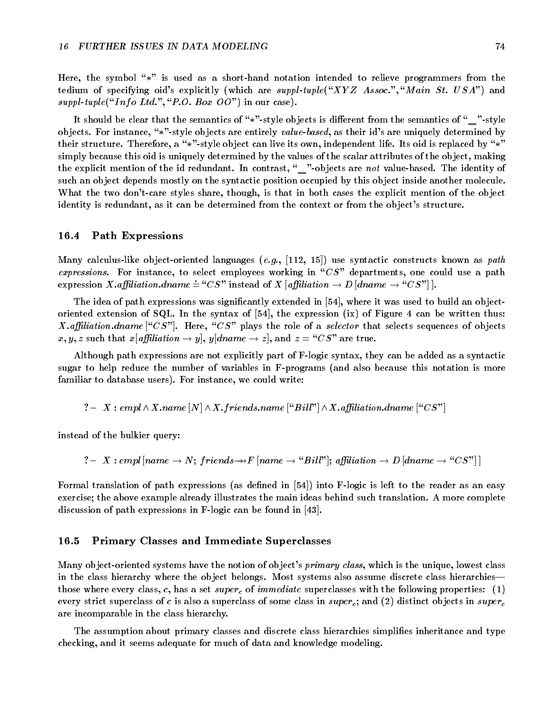Here, the symbol "\*" is used as a short-hand notation intended to relieve programmers from the tedium of specifying oid's explicitly (which are suppl-tuple "XYZ Assoc.", "Main St. USA") and suppl-tuple ("Info Ltd.", "P.O. Box  $OO$ ") in our case).

It should be clear that the semantics of "\*"-style objects is different from the semantics of " $"$ "-style objects. For instance, " $\ast$ " style objects are entirely *value-based*, as their id's are uniquely determined by their structure. Therefore, a "\*"-style object can live its own, independent life. Its oid is replaced by "\*" simply because this oid is uniquely determined by the values of the scalar attributes of the object, making the explicit mention of the id redundant- In contrast ob jects are not valuebased- The identity of such an object depends mostly on the syntactic position occupied by this object inside another molecule. What the two don't-care styles share, though, is that in both cases the explicit mention of the object identity is redundant, as it can be determined from the context or from the object's structure.

### Path Expressions

any calculus and the processes of the pathological constructs in the construction and the pathological expressions- For instance to select employees working in CS departments one could use a path expression X affiliation dname  $\doteq$  "CS" instead of X [affiliation  $\rightarrow D$  [dname  $\rightarrow$  "CS"]].

The idea of path extended in  $M$  where it was significantly extended in  $M$  , we ject to build an obsed to build an obsed to build an obsed to build an obsed to build an obsed to build an obsed to build an obsed to build oriented extension of SQL- In the syntax of the expression ix of Figure can be written thus Xaliationdname CS- Here CS plays the role of a selector that selects sequences of ob jects  $x, y, z$  such that  $x[affiliation \rightarrow y], y[dname \rightarrow z],$  and  $z = "CS"$  are true.

Although path expressions are not explicitly part of F-logic syntax, they can be added as a syntactic sugar to help reduce the number of variables in  $F$ -programs (and also because this notation is more familiar to database users- For instance we could write

 $X: emb \wedge X.name [N] \wedge X.$  friends. name  $[``Bill''] \wedge X.$  affiliation. dname  $[``CS"']$ 

instead of the bulkier query

 $\hat{X}$  : empl [name  $\rightarrow N$ ; friends  $\rightarrow F$  [name  $\rightarrow$  "Bill"]; affiliation  $\rightarrow D$  [dname  $\rightarrow$  "CS"]]

Formal translation of path expressions as dened in into Flogic is left to the reader as an easy exercise the above example already illustrates the main ideas behind such translation- A more complete discussion of path expressions in Flogic can be found in Flogic can be found in Flogic can be found in Flogic c

#### 16.5 Primary Classes and Immediate Superclasses

Many object-oriented systems have the notion of object's primary class, which is the unique, lowest class in the class hierarchy where the ob ject belongs- Most systems also assume discrete class hierarchies those where every class, c, has a set super<sub>c</sub> of *immediate* superclasses with the following properties: (1) every strict superclass of c is also a superclass of some class in super<sub>c</sub>; and (2) distinct objects in super<sub>c</sub> are incomparable in the class hierarchy-

The assumption about primary classes and discrete class hierarchies simplifies inheritance and type checking, and it seems adequate for much of data and knowledge modeling.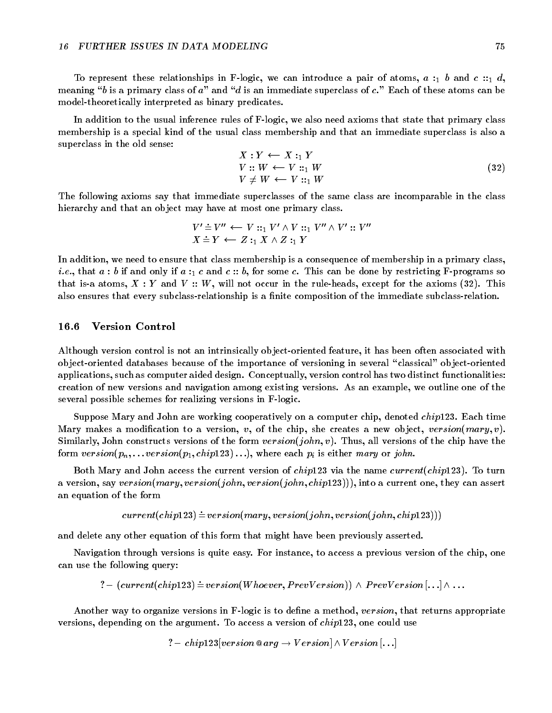To represent these relationships in Fig. , and can introduce a pair of atoms a pair of atoms a  $\pm$ meaning b is a primary class of a and d is an immediate superclass of c- Each of these atoms can be model-theoretically interpreted as binary predicates.

In addition to the usual inference rules of F-logic, we also need axioms that state that primary class membership is a special kind of the usual class membership and that an immediate superclass is also a superclass in the old sense

$$
X: Y \leftarrow X : Y
$$
  
\n
$$
V :: W \leftarrow V ::_1 W
$$
  
\n
$$
V \neq W \leftarrow V ::_1 W
$$
  
\n(32)

The following axioms say that immediate superclasses of the same class are incomparable in the class hierarchy and that an object may have at most one primary class.

$$
V' \doteq V'' \leftarrow V ::_1 V' \wedge V ::_1 V'' \wedge V' :: V''
$$
  

$$
X \doteq Y \leftarrow Z ::_1 X \wedge Z ::_1 Y
$$

In addition, we need to ensure that class membership is a consequence of membership in a primary class, if is and contract  $\alpha$  if and contract if  $\alpha$  is a canonical form one by restricting  $\alpha$  if and  $\alpha$ that is at our independent is at our in the rule  $\mathbf{r}$  is a set of the axioms -  $\mathbf{r}$ also ensures that every subclass-relationship is a finite composition of the immediate subclass-relation.

## Version Control

Although version control is not an intrinsically object-oriented feature, it has been often associated with object-oriented databases because of the importance of versioning in several "classical" object-oriented applications such as computer aided design- Conceptually version control has two distinct functionalities creation of new versions and navigations among the theory versions- and the theory versions of the contract one several possible schemes for realizing versions in F-logic.

suppose many and computer working cooperatively on a computer chip-denoted chip-part chip-Mary makes a modification to a version, v, of the chip, she creates a new object, version(mary, v). similarly John constructs versions of the form version, joining var versions of the chip have the chip have the  $\mathbf{v}_i$  is the chip is each pixel pixel or  $\mathbf{v}_i$  is either matrix or john-

Both Mary and John access the current version of chip via the name currentchip- To turn a version, say version(mary, version(john, version(john, chip 123)), into a current one, they can assert an equation of the form

 $current(chip 123) = version(mary, version(john, version(john, chip 123)))$ 

and delete any other equation of this form that might have been previously asserted-

Navigation through versions is quite easy- For instance to access a previous version of the chip one can use the following query

$$
? - (current(chip123) = version(Whoever, PrevVersion)) \wedge PrevVersion[...] \wedge ...
$$

Another way to organize versions in F-logic is to define a method, version, that returns appropriate versions depending on the argument- To access a version of chip one could use

? - chip $123 [version \otimes arg \rightarrow Version] \wedge Version$  ...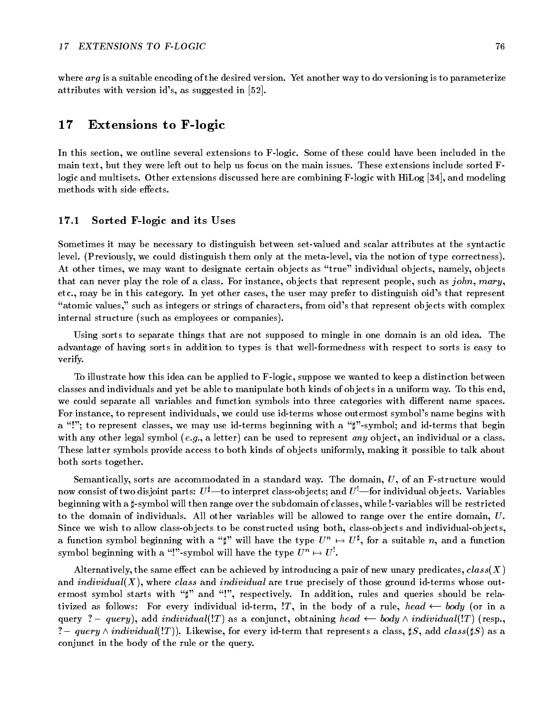where are argued version-desired version-desired version-desired version-desired version-desired version-desired versionattributes with version id's, as suggested in  $[52]$ .

### $17$ Extensions to F-logic

In this section we outline several extensions to Flogic- Some of these could have been included in the main text but they were left out to help us focus on the main issues- These extensions include sorted F logic and multisets- Other extensions discussed here are combining Flogic with HiLog and modeling methods with side effects.

#### $17.1$ Sorted F-logic and its Uses

Sometimes it may be necessary to distinguish between setvalued and scalar attributes at the syntactic level- Previously we could distinguish them only at the metalevel via the notion of type correctness-At other times, we may want to designate certain objects as "true" individual objects, namely, objects that can never play the role of a class- For instance ob jects that represent people such as john mary etc- may be in this category- In yet other cases the user may prefer to distinguish oids that represent "atomic values," such as integers or strings of characters, from oid's that represent objects with complex internal structure (such as employees or companies).

Using sorts to separate things that are not supposed to mingle in one domain is an old idea- The advantage of having sorts in addition to types is that well-formedness with respect to sorts is easy to verify-

To illustrate how this idea can be applied to F-logic, suppose we wanted to keep a distinction between classes and individuals and yet be able to manipulate both kinds of observations way, we use the unit we could separate all variables and function symbols into three categories with different name spaces. For instance, to represent individuals, we could use id-terms whose outermost symbol's name begins with a "!"; to represent classes, we may use id-terms beginning with a "#"-symbol; and id-terms that begin with any other legal symbol e-d-can be used to represent any observation and individual or a class-These latter symbols provide access to both kinds of objects uniformly, making it possible to talk about both sorts together.

semantically sorts are accommodated in a standard way-the domain up to an Fstructure would now consist of two disjoint parts:  $\,U^*\!\!=\!$ to interpret class-objects; and  $U=\!\!$ ior individual objects. variables beginning with a  $\sharp$ -symbol will then range over the subdomain of classes, while !-variables will be restricted to the domain of individuals- all other the entire variables will be allowed to range over the entire domain U Since we wish to allow class-objects to be constructed using both, class-objects and individual-objects, a function symbol beginning with a  $\mathbb{T}^n$  will have the type  $U^* \mapsto U^*$ , for a suitable  $n,$  and a function symbol beginning with a "!"-symbol will have the type  $U^*\mapsto U^*$ .

Alternatively, the same effect can be achieved by introducing a pair of new unary predicates,  $class(X)$ and individual $(X)$ , where class and individual are true precisely of those ground id-terms whose outermost symbol starts with and respectively- In addition rules and queries should be rela tivized as follows: For every individual id-term,  $T$ , in the body of a rule, head  $\leftarrow$  body (or in a query  $\ell - query$ , add individual(T) as a conjunct, obtaining head  $\leftarrow$  body  $\wedge$  individual(T) (resp.,  $T - query \land individual(!T)$ ). Likewise, for every id-term that represents a class,  $\sharp S$ , add class( $\sharp S$ ) as a conjunct in the body of the rule or the query-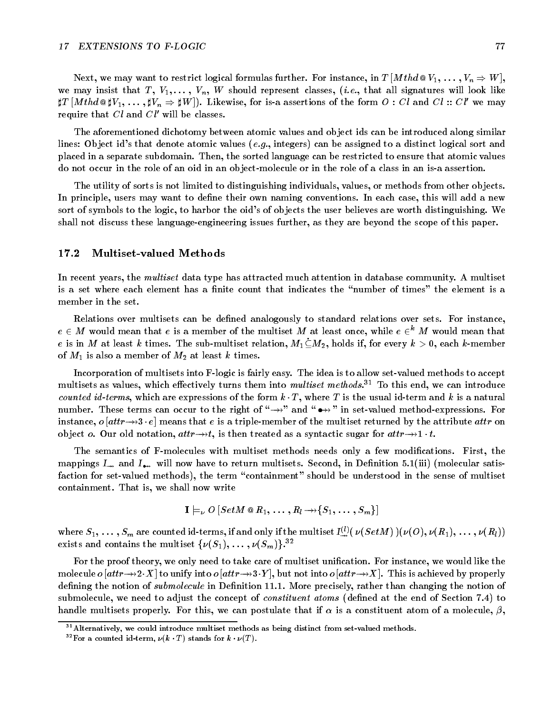Next, we may want to restrict logical formulas further. For instance, in  $T$   $\mid$   $M$  thd @  $V_1, \ldots, V_n \Rightarrow W \mid$ , we may instruct that  $\alpha$  ,  $\alpha$   $\beta$  ,  $\beta$  ,  $\beta$  , all since the classes in that all signatures will define  $\sharp T \, | M \, t h d \otimes \sharp V_1, \ldots, \sharp V_n \Rightarrow \sharp W \, |).$  Likewise, for is a assertions of the form  $O:Cl$  and  $Cl: Cl$  we may require that  $Cl$  and  $Cl'$  will be classes.

The aforementioned dichotomy between atomic values and ob ject ids can be introduced along similar lines Ob ject ids that denote atomic values e-g- integers can be assigned to a distinct logical sort and placed in a separate subdomain-can be restricted to ensure the sorted to ensure the sorted to ensure that atomic do not occur in the role of an oid in an object-molecule or in the role of a class in an is-a assertion.

The utility of sorts is not limited to distinguishing individuals, values, or methods from other objects. In principle users may want to dene their own naming conventions- In each case this will add a new sort of symbols to the logic to harbor the oids of ob jects the user believes are worth distinguishing- We shall not discuss these language-engineering issues further, as they are beyond the scope of this paper.

#### $17.2$ Multiset-valued Methods

In recent years the multiset data type has attracted much attention in database community-Amultiset is a set where each element has a finite count that indicates the "number of times" the element is a member in the set.

Relations over multisets can be dened analogously to standard relations over sets- For instance  $e \in M$  would mean that e is a member of the multiset M at least once, while  $e \in K$  M would mean that e is in M at least  $k$  times. The sub-multiset relation,  $M_1{\subseteq} M_2,$  holds if, for every  $k>0,$  each  $k$ -member of M- is also a member of M at least <sup>k</sup> times-

In corporation of multisets into  $\mathbf{M}$  is to allow sets to allow sets to allow sets to allow sets to accept multisets as values, which ellectively turns them into *multiset methods*. The this end, we can introduce counted id-terms, which are expressions of the form  $k \cdot T$ , where T is the usual id-term and k is a natural number. These terms can occur to the right of " $\to$  " and "  $\bullet$  -> " in set-valued method-expressions. For instance,  $o[attr \rightarrow 3 \cdot e]$  means that e is a triple-member of the multiset returned by the attribute attr on ob ject o- Our old notation attr t is then treated as a syntactic sugar for attr t-

The semantics of Fmolecules with multiset methods needs only a few modications- First the mappings  $I_{\rightarrow}$  and  $I_{\bullet\cdots}$  will now have to return multisets. Second, in Definition 5.1(iii) (molecular satisfaction for set-valued methods), the term "containment" should be understood in the sense of multiset containment-was a shall now write in the shall now write in the shall now write in the shall now write in the s

$$
\mathbf{I} \models_{\nu} O \ [SetM \ @ \ R_1, \ \ldots \ , R_l \mathop{\rightarrow\!\!\!\rightarrow} \{ S_1, \ \ldots \ , S_m \} ]
$$

where  $S_1,\,\ldots\,,S_m$  are counted id-terms, if and only if the multiset  $I^{(\iota)}_\to(\,\nu(Set M)\,)(\nu(O),\nu(R_1),\,\ldots\,,\nu(R_l))$ exists and contains the multiset  $\{\nu(S_1), \ldots, \nu(S_m)\}$ .<sup>32</sup>

For the proof theory we only need to take care of multiset unication- For instance we would like the molecule o attr X to unify into o attr Y but not into o attr X- This is achieved by properly dening the notion of submolecule in Denition - and a changing the notion of the notion of the notion of the no submodelecture we need to adjust the concept of conceptions atoms at the end of Section - The end of Section handle multisets properly- For this we can postulate that if is a constituent atom of a molecule

<sup>&</sup>lt;sup>31</sup> Alternatively, we could introduce multiset methods as being distinct from set-valued methods.

 $\lceil$  for a counted id-term,  $\nu(k\cdot 1)$  stands for  $k\cdot \nu(1)$ .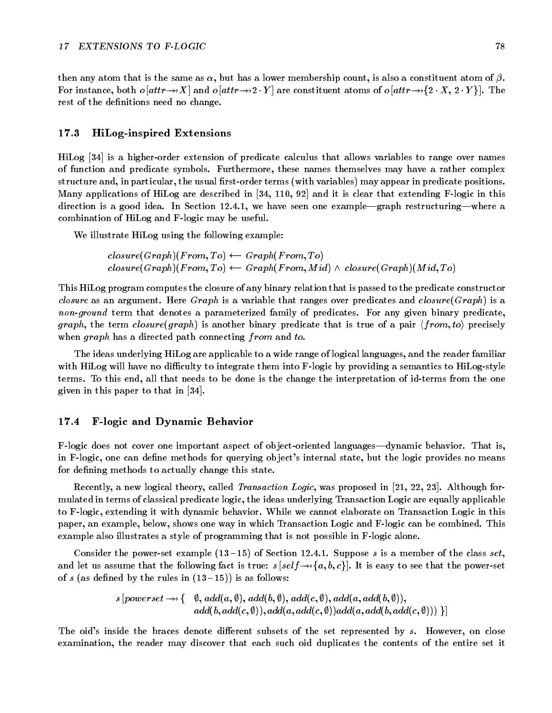then any atom that is the same as  $\alpha$ , but has a lower membership count, is also a constituent atom of  $\beta$ . For instance, both  $o\left[attr{\to \!\!\!\!\!\rightarrow} X\right]$  and  $o\left[attr{\to \!\!\!\!\rightarrow} 2\cdot Y\right]$  are constituent atoms of  $o\left[attr{\to \!\!\!\!\rightarrow} \{2\cdot X, \, 2\cdot Y\}\right]$ . The rest of the definitions need no change.

#### 17.3 HiLog-inspired Extensions

HiLog is a higherorder extension of predicate calculus that allows variables to range over names of functions and predicate symbolses in distinctly themselves may have a rather complex. structure and, in particular, the usual first-order terms (with variables) may appear in predicate positions.  $M$  and it is clear that extending in the description in this clear that extending  $M$ direction is a good ideas are the section of the section of the complete and the section of the section of the combination of HiLog and F-logic may be useful.

We illustrate HiLog using the following example:

 $close(Graph)(From, To) \leftarrow Graph(From, To)$  $close(Graph)(From, To) \leftarrow Graph(From, Mid) \wedge closure(Graph)(Mid, To)$ 

This HiLog program computes the closure of any binary relation that is passed to the predicate constructor closure as an argument- meter of applies a variable that ranges over predicates and closuregraphy is a variable nonground term that denotes a parameterized family of predicates- For any given binary predicate graph, the term closure(graph) is another binary predicate that is true of a pair  $\langle from, to \rangle$  precisely when  $graph$  has a directed path connecting  $from$  and to.

The ideas underlying HiLog are applicable to a wide range of logical languages, and the reader familiar with HiLog will have no difficulty to integrate them into F-logic by providing a semantics to HiLog-style terms- to this end, the these theory is the done is the identify. The interpretation of identify from the one given in this paper to that in -

#### 17.4 Flogic and Dynamic Behavior

Flogic does not cover one important aspect of ob jectoriented languagesdynamic behavior- That is in F-logic, one can define methods for querying object's internal state, but the logic provides no means for defining methods to actually change this state.

Recently a new logical theory called Transaction Logic was proposed in - Although for mulated in terms of classical predicate logic, the ideas underlying Transaction Logic are equally applicable to Flogic extending it with dynamic behavior-dynamic behavior-dynamic  $M$ paper an example below shows one way in which Transaction Logic and Flogic can be combined- This example also illustrates a style of programming that is not possible in F-logic alone.

Consider the powerset example of Section - -- Suppose s is a member of the class set and let us assume that the following fact is true:  $s$  [ $self \rightarrow \{a, b, c\}$ ]. It is easy to see that the power-set of s (as defined by the rules in  $(13-15)$ ) is as follows:

$$
s\left[powerset \rightarrowtail \{\quad \emptyset, \ add(a, \emptyset), add(b, \emptyset), add(c, \emptyset), add(a, add(b, \emptyset)), \\add(b, add(c, \emptyset)), add(a, add(c, \emptyset))add(a, add(b, add(c, \emptyset))) \right\}
$$

The oids inside the braces denote dierent subsets of the set represented by s-close  $\mathbf{H}$ examination, the reader may discover that each such oid duplicates the contents of the entire set it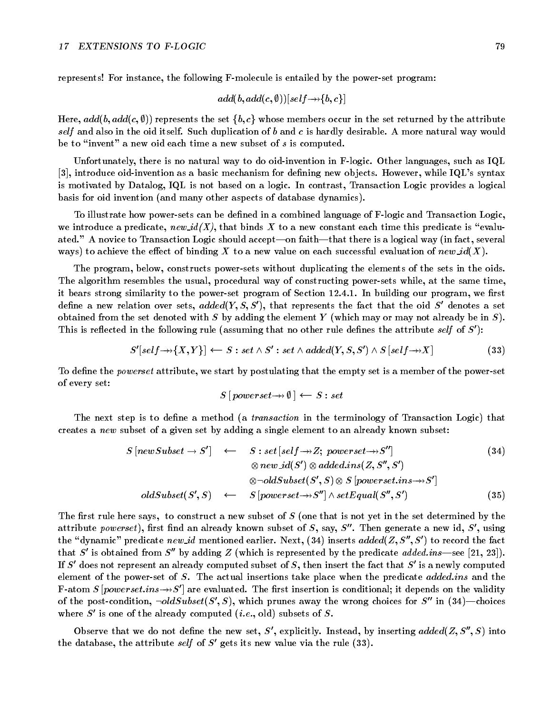represents! For instance, the following F-molecule is entailed by the power-set program:

$$
add(b,add(c,\emptyset))[self \rightarrowtail \{b,c\}]
$$

Here,  $add(b, add(c, \emptyset))$  represents the set  $\{b, c\}$  whose members occur in the set returned by the attribute self-and and and itself-contract the oid itself-metal contraction of and contract the and contract way would be to "invent" a new oid each time a new subset of  $s$  is computed.

Unifortunately there is no natural way to do oidinvention in Flogic-County and  $\alpha$  as IQL introduce oidinvention as a basic mechanism for dening new ob jects- However while IQLs syntax is motivated by Datalog IQL is not based on a logic- In contrast Transaction Logic provides a logical basis for oid invention (and many other aspects of database dynamics).

To illustrate how power-sets can be defined in a combined language of F-logic and Transaction Logic, we introduce a predicate new ideas, the state is evaluated that the second time this predicate is evaluated in ated- A novice to Transaction Logic should accepton faiththat there is a logical way in fact several ways) to achieve the effect of binding X to a new value on each successful evaluation of  $new_id(X)$ .

The program, below, constructs power-sets without duplicating the elements of the sets in the oids. The algorithm resembles the usual, procedural way of constructing power-sets while, at the same time, it bears strong similarity to the powerset program of Section - -- In building our program we rst define a new relation over sets,  $added(Y, S, S')$ , that represents the fact that the oid S' denotes a set obtained from the set denoted with S by adding the element Y (which may or may not already be in S). This is reflected in the following rule (assuming that no other rule defines the attribute self of  $S'$ ):

$$
S'[self \rightarrow\{X,Y\}] \leftarrow S : set \wedge S' : set \wedge added(Y,S,S') \wedge S[self \rightarrowtail X] \tag{33}
$$

To define the *powerset* attribute, we start by postulating that the empty set is a member of the power-set of every set

$$
S\left[\,powerset \scriptstyle \rightarrow\rightarrow 0\, \right] \leftarrow \, S: set
$$

The next step is to define a method (a *transaction* in the terminology of Transaction Logic) that creates a new subset of a given set by adding a single element to an already known subset:

$$
S\left[newSubset \rightarrow S'\right] \leftarrow S : set\left[self \rightarrowtail Z; powerset \rightarrowtail S''\right] \qquad (34)
$$
\n
$$
\otimes new\_id(S') \otimes added.ins(Z, S'', S')
$$
\n
$$
\otimes \neg oldSubset(S', S) \otimes S\left[powerset.ins \rightarrowtail S'\right]
$$
\n
$$
oldSubset(S', S) \leftarrow S\left[powerset \rightarrowtail S''\right] \wedge setEqual(S'', S') \qquad (35)
$$

The first rule here says, to construct a new subset of S (one that is not yet in the set determined by the attribute *powerset*  $r$ , hest ning an already known subset of S, say, S- . Then generate a new id, S-, using the "dynamic" predicate  $new\_ia$  mentioned earlier. Next, (34) inserts  $aaaa$   $\lambda$ ,  $S$  ,  $S$  ) to record the fact that S is obtained from S and  $S$  by adding Z (which is represented by the predicate *daded.ms*—see [21, 23]). If S' does not represent an already computed subset of S, then insert the fact that  $S'$  is a newly computed element of the powerset of S- The actual insertions take place when the predicate addedins and the F-atom 5 powerset  $ins \rightarrow$ 5 | are evaluated. The first insertion is conditional; it depends on the validity of the post-condition,  $\neg \textit{one} \ \sigma$  asset  $\sigma$ ,  $\sigma$ ), which prunes away the wrong choices for  $\sigma$  in (54)—choices where  $S$  is one of the already computed (*i.e.*, old) subsets of  $S$ .

Observe that we do not denne the new set,  $S$  , explicitly. Thistead, by inserting  $aaaa(u, S, S)$  into the database, the attribute self of  $S'$  gets its new value via the rule (33).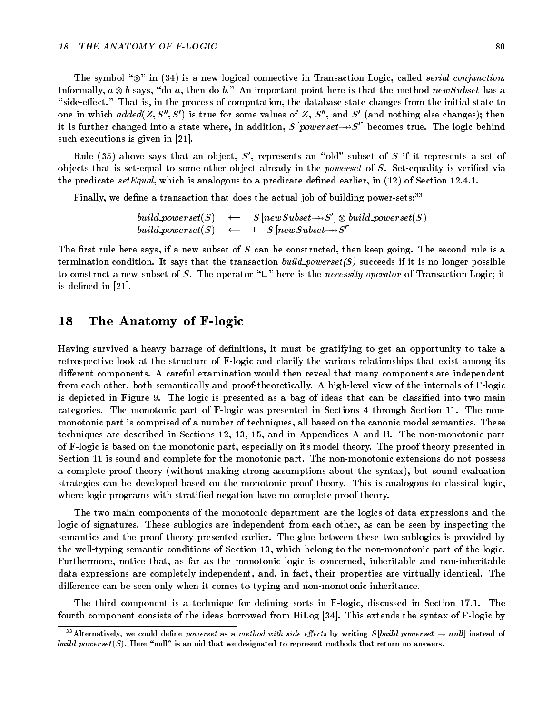The symbol " $\otimes$ " in (34) is a new logical connective in Transaction Logic, called *serial conjunction*. Informally,  $a \otimes b$  says, "do a, then do b." An important point here is that the method  $newSubset$  has a sideeect- That is in the process of computation the database state changes from the initial state to one in which added(Z, S'', S') is true for some values of Z, S'', and S' (and nothing else changes); then it is further changed into a state where, in addition,  $S$   $powers \rightarrow S$  pecomes true. The logic behind such executions is given in  $[21]$ .

Rule (35) above says that an object,  $S'$ , represents an "old" subset of S if it represents a set of ob jects that is setequal to some other ob ject already in the powerset of S- Setequality is veried via the predicate setEqual which is analogous to a predicate dened earlier in of Section - --

Finally, we define a transaction that does the actual job of building power-sets:<sup>33</sup>

build\_powerset(S)  $\leftarrow$   $S[newSubset \rightarrow S'] \otimes build\_powerset(S)$  $\textit{build\_power}\textit{set} \rightarrow \text{S} \rightarrow \text{S} \rightarrow \text{S} \rightarrow \text{S} \rightarrow \text{S} \rightarrow \text{S} \rightarrow \text{S} \rightarrow \text{S} \rightarrow \text{S} \rightarrow \text{S} \rightarrow \text{S} \rightarrow \text{S} \rightarrow \text{S} \rightarrow \text{S} \rightarrow \text{S} \rightarrow \text{S} \rightarrow \text{S} \rightarrow \text{S} \rightarrow \text{S} \rightarrow \text{S} \rightarrow \text{S} \rightarrow \text{S} \rightarrow \text{S} \rightarrow \text{S} \rightarrow \text{S} \rightarrow \text{S} \rightarrow \text{S} \rightarrow \text{S} \rightarrow \text{S} \rightarrow \text$ 

The rst rule here says if a new subset of S can be constructed then keep going- The second rule is a termination-that the transaction-stays that the transaction build powerset  $\mathcal{I}$  is no longer possible powerset. to construct a new subset of S- The operator here is the necessity operator of Transaction Logic it is defined in  $[21]$ .

### 18 The Anatomy of F-logic

Having survived a heavy barrage of definitions, it must be gratifying to get an opportunity to take a retrospective look at the structure of F-logic and clarify the various relationships that exist among its a careful examination and components-independent that many components are independently components are independent from each other both semantically and prooftheoretically- A highlevel view of the internals of Flogic is depicted in Figure . The logic is presented as a bag of ideas that can be considered into two mains categories- In monotonic part of Flogic was presented in Section - The non-through Section - In Section monotonic part is comprised of a number of techniques all based on the canonic model semantics- These techniques are described in Sections and in Appendices A and B- The nonmonotonic part of Flogic is based on the monotonic party specially on its model theory presented presented in Section is sound and complete for the monotonic part- The nonmonotonic extensions do not possess a complete proof theory (without making strong assumptions about the syntax), but sound evaluation strategies can be developed based on the monotonic proof theory, the monotonic complete  $\mathcal{L}_{\mathcal{A}}$ where logic programs with stratified negation have no complete proof theory.

The two main components of the monotonic department are the logics of data expressions and the logic of signatures- These sublogics are independent from each other as can be seen by inspecting the semantics and the proof theory presented earlier- The glue between these two sublogics is provided by the well-typing semantic conditions of Section 13, which belong to the non-monotonic part of the logic. Furthermore, notice that, as far as the monotonic logic is concerned, inheritable and non-inheritable data expressions are completely independent and in fact their properties are virtually identical- The difference can be seen only when it comes to typing and non-monotonic inheritance.

The third component is a technique for dening sorts in Flogic discussed in Section -- The fourth component consists of the ideas borrowed from HiLog - This extends the syntax of Flogic by

<sup>&</sup>lt;sup>33</sup> Alternatively, we could define *powerset* as a method with side effects by writing S [build\_powerset  $\rightarrow$  null] instead of build powers of Here null is an oid that we designated to represent methods that  $\alpha$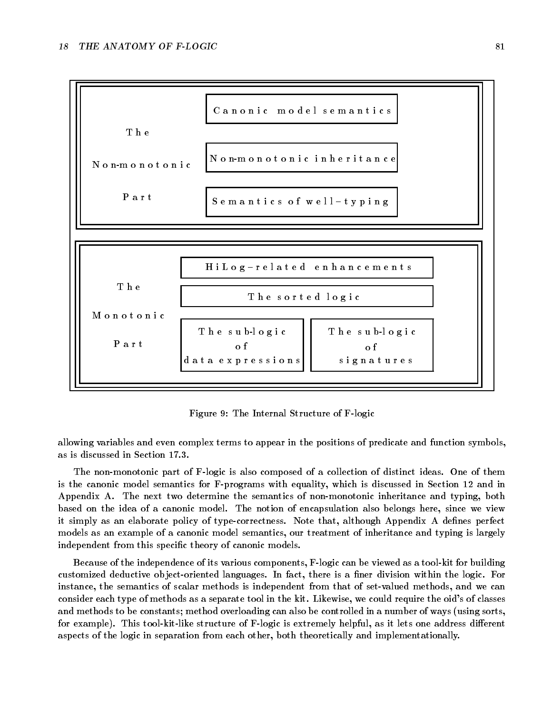

Figure 9: The Internal Structure of F-logic

allowing variables and even complex terms to appear in the positions of predicate and function symbols

The non-monotonic part of  $\mathbf{f}$  also composed of a composed of a collection of distinct ideasis the canonic model semantics for F-programs with equality, which is discussed in Section 12 and in Appendix A- The next two determine the semantics of nonmonotonic inheritance and typing both based on the said of a canonic model-we can also belongs here since we viewed the since we viewed it simply as an elaborate policy of typecorrectness- Note that although Appendix A denes perfect models as an example of a canonic model semantics, our treatment of inheritance and typing is largely independent from this specific theory of canonic models.

Because of the independence of its various components, F-logic can be viewed as a tool-kit for building customized deductive ob jectoriented languages- In fact there is a ner division within the logic- For instance, the semantics of scalar methods is independent from that of set-valued methods, and we can consider each type of methods as as separate to the kit-could require the could require the oids of classes we and methods to be constants; method overloading can also be controlled in a number of ways (using sorts, for example- This toolkitlike structure of Flogic is extremely helpful as it lets one address dierent aspects of the logic in separation from each other, both theoretically and implementationally.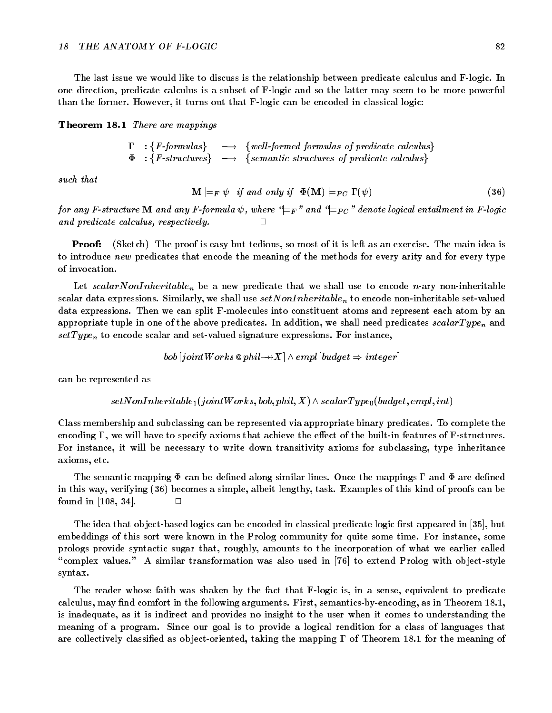The last issue we would like to discuss is the relationship between predicate calculus and Flogic- In one direction, predicate calculus is a subset of F-logic and so the latter may seem to be more powerful than the former-than the flogic can be encoded in classical logic can be encoded in classical logical logical logical logical logical logical logical logical logical logical logical logical logical logical logical logical

Theorem -- There are mappings

$$
\begin{array}{ccc}\n\Gamma & : \{F\text{-}formulas\} & \longrightarrow & \{well-formed\ formulas\ of\ predicate\ calculus\} \\
\Phi & : \{F\text{-}structures\} & \longrightarrow & \{semantic\ structures\ of\ predicate\ calculus\}\n\end{array}
$$

such that

$$
\mathbf{M} \models_F \psi \quad \text{if and only if} \quad \Phi(\mathbf{M}) \models_{PC} \Gamma(\psi) \tag{36}
$$

for any F-structure  ${\bf M}$  and any F-formula  $\psi,$  where " $\models_F$ " and " $\models_{PC}$ " denote logical entailment in F-logic and predicate calculus, respectively.  $\Box$ 

Proof Sketch The proof is easy but tedious so most of it is left as an exercise- The main idea is to introduce new predicates that encode the meaning of the methods for every arity and for every type of invocation-

Let scalarN onInheritable<sub>n</sub> be a new predicate that we shall use to encode n-ary non-inheritable scalar data expressions- shall use shall use shall use sets set in the control  $\mu$  . The set also allowed non-non-nondata expressions- Then we can split Fmolecules into constituent atoms and represent each atom by an appropriate tuple in one of the above predicates- In addition we shall need predicates scalarT ypen and set ypen to encode set set and set value signature expressions - the contract signature expressions  $\cdot$ 

$$
\textit{bob}\ [\textit{jointW orks} \ \textcircled{a\textit{phi1}} \rightarrow X] \wedge \textit{empl}\ [\textit{budget} \Rightarrow \textit{integer}]
$$

can be represented as

$$
setNonInheritable_1(joint Works, bob, phil, X) \wedge scalarType_0(budget, empl, int)
$$

class membership and subclassing can be represented via appropriate binary predicates- in complete the complete encoding  $\Gamma$ , we will have to specify axioms that achieve the effect of the built-in features of F-structures. For instance, it will be necessary to write down transitivity axioms for subclassing, type inheritance axioms, etc.

The semantic mapping \* can be dened along similar lines- Once the mappings ) and \* are dened in this way verifying the proofs can be completed the completed the can be completed of the can be can be call  $f(x) = \frac{1}{2} \int_0^1 \frac{1}{x^2} \, dx$ 

The idea that object-based logics can be encoded in classical predicate logic first appeared in [35], but embeddings of this sort were known in the Prolog community for quite some time- For instance some prologs provide syntactic sugar that roughly amounts to the incorporation of what we earlier called complex values- A similar transformation was also used in to extend Prolog with ob jectstyle syntax.

The reader whose faith was shaken by the fact that F-logic is, in a sense, equivalent to predicate calculus may not component in the following arguments-  $\sim$  collowing as in Theorem III as in Theorem III and is inadequate as it is indirect and provides no insight to the user when it comes to understanding the meaning of a program- Since our goal is to provide a logical rendition for a class of languages that are collectively classied as ob jectoriented taking the mapping ) of Theorem - for the meaning of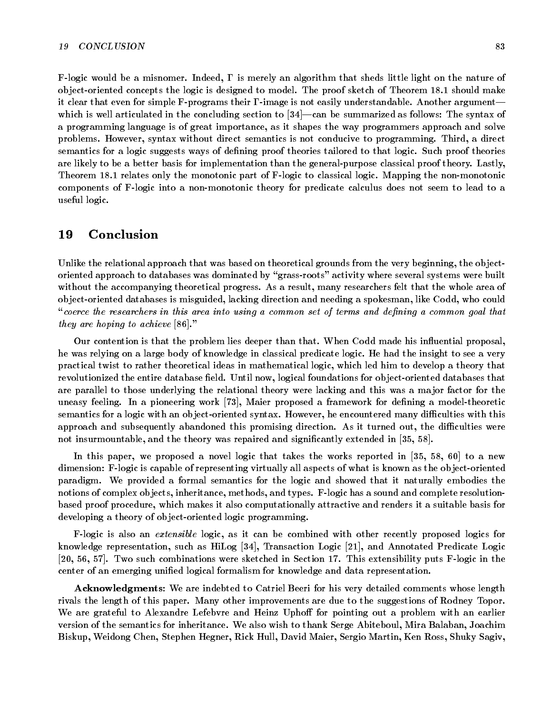Flogic would be a misnomer- Indeed ) is merely an algorithm that sheds little light on the nature of object the concepts the logic is designed to model-proof should be model-proof should make the concepts of  $\mathcal{S}$ it clear that even for simple Fprograms their )image is not easily understandable- Another argument which is well articulated in the concluding section to  $\mathbf{m}$  be summarized as follows The syntax of  $\mathbf{m}$ a programming language is of great importance as it shapes the way programmers approach and solve problems- synthony symthetics with a direct semantics is seen the direct of programming- semants- and conduct semantics for a logic suggests ways of dening proof theories tailored to that logic- Such proof theories are mostly to be a better basis for implementation than the general parties construction proof theory-Theorem - relates only the monotonic part of Flogic to classical logic- Mapping the nonmonotonic components of F-logic into a non-monotonic theory for predicate calculus does not seem to lead to a useful logic-

# Conclusion

Unlike the relational approach that was based on theoretical grounds from the very beginning, the objectoriented approach to databases was dominated by "grass-roots" activity where several systems were built without the accompanying theoretical progress- as a result many results many results felt that the whole area of the whole area of the whole area of the whole area of the whole area of the whole area of the whole area of t object-oriented databases is misguided, lacking direction and needing a spokesman, like Codd, who could "coerce the researchers in this area into using a common set of terms and defining a common goal that they are hoping to achieve  $\mathcal{L}$  and they are hoping to achieve  $\mathcal{L}$ 

Our contention is that the problem lies deeper than that- When Codd made his inuential proposal he was relying on a large body of knowledge in classical predicate logic- He had the insight to see a very practical twist to rather theoretical ideas in mathematical logic which led him to develop a theory that revolutionized the entire database eld- Until now logical foundations for ob jectoriented databases that are parallel to those underlying the relational theory were lacking and this was a major factor for the uneasy feeling- In a pioneering work Maier proposed a framework for dening a modeltheoretic semantics for a logic with an ob jectoriented syntax- However he encountered many diculties with this approach and subsequently abandoned this promising direction- As it turned out the diculties were not insurmountable, and the theory was repaired and significantly extended in  $[35, 58]$ .

In this paper, we proposed a novel logic that takes the works reported in  $\left[35, 58, 60\right]$  to a new dimension: F-logic is capable of representing virtually all aspects of what is known as the object-oriented paradigm- We provided a formal semantics for the logic and showed that it naturally embodies the , a sound and the jects in methods and the sound and types- and the sound and complete resolution. based proof procedure, which makes it also computationally attractive and renders it a suitable basis for developing a theory of object-oriented logic programming.

F-logic is also an extensible logic, as it can be combined with other recently proposed logics for knowledge representation such as HiLog Transaction Logic and Annotated Predicate Logic  - Two such combinations were sketched in Section - This extensibility puts Flogic in the center of an emerging unified logical formalism for knowledge and data representation.

Acknowledgments: We are indebted to Catriel Beeri for his very detailed comments whose length rivals the length of this paper- Many other improvements are due to the suggestions of Rodney Topor-We are grateful to Alexandre Lefebvre and Heinz Uphoff for pointing out a problem with an earlier version of the semantics for inheritance-the-compact wish to thank Serge Abiteboul Mira Balaban Joachimed Serg Biskup, Weidong Chen, Stephen Hegner, Rick Hull, David Maier, Sergio Martin, Ken Ross, Shuky Sagiv,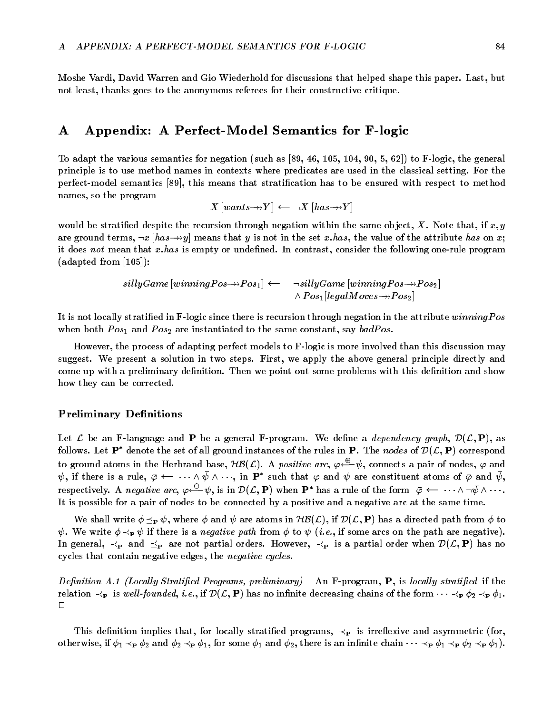Moshe Vardi David Warren and Gio Wiederhold for discussions that helped shape this paper- Last but not least, thanks goes to the anonymous referees for their constructive critique.

# A Appendix: A Perfect-Model Semantics for F-logic

to a margin the various statement in the general such as  $\{x, y, z\}$  as  $\{x, y, z\}$  is the general contract of  $\{y, z\}$ principle is to use method names in contexts where predicates are used in the classical setting- For the perfect-model semantics [89], this means that stratification has to be ensured with respect to method names, so the program

 $\Lambda$  |wants  $\rightarrow$   $\Lambda$  |  $\leftarrow$   $\neg \Lambda$  |  $nas \rightarrow \Lambda$  |

would be strating the recursion through negation through negation with the same observed in the same observed in the same observed in the same observed in the same observed in the same observed in the same observed in the are ground terms,  $\neg x \, \vert \, nas \rightarrow y \vert$  means that  $y$  is not in the set  $x.nas$ , the value of the attribute  $nas$  on  $x;$ it does not mean that xhas is empty or understanding or understanding one computer the following oner  $\mathbb{R}^n$  $(adapted from [105]):$ 

> $s$ uty $G$ ame  $|winning\, Pos \rightarrow P\, os_1| \leftarrow -\frac{1}{2} s$ uty $G$ ame  $|winning\, Pos \rightarrow P\, os_2|$  $\land \, Pos_1$ |legal M oves $\rightarrowtail Pos_2$ |

It is not locally stratified in F-logic since there is recursion through negation in the attribute winning Pos when both P os-called to-the same constant same constant same constant same constant same constant say bad

However, the process of adapting perfect models to F-logic is more involved than this discussion may suggest- We present a solution in two steps- First we apply the above general principle directly and come up with a preliminary denition- then we point out some problems with this denity with the show how they can be corrected.

## **Preliminary Definitions**

Let L be an F-language and **P** be a general F-program. We define a *dependency graph*,  $\mathcal{D}(\mathcal{L}, \mathbf{P})$ , as follows. Let  $\mathbf{P}^*$  denote the set of all ground instances of the rules in  $\mathbf{P}.$  The  $nodes$  of  $\mathcal{D}(\mathcal{L},\mathbf{P})$  correspond to ground atoms in the Herbrand base,  $H\mathcal{B}(\mathcal{L})$ . A *positive arc*,  $\varphi \stackrel{\sim}{\longleftarrow} \psi$ , connects a pair of nodes,  $\varphi$  and  $\psi$ , if there is a rule,  $\bar{\varphi} \leftarrow \cdots \wedge \psi \wedge \cdots$ , in P<sup>\*</sup> such that  $\varphi$  and  $\psi$  are constituent atoms of  $\bar{\varphi}$  and  $\psi$ , respectively. A negative arc,  $\varphi \stackrel{\sim}{\leftarrow} \psi$ , is in  $\mathcal{D}(\mathcal{L}, P)$  when  $P^*$  has a rule of the form  $\bar{\varphi} \leftarrow \cdots \wedge \neg \psi \wedge \cdots$ . It is possible for a pair of nodes to be connected by a positive and a negative arc at the same time-

We shall write  $\phi \preceq_{\bf P} \psi$ , where  $\phi$  and  $\psi$  are atoms in  ${\cal HB}(\mathcal{L}),$  if  $\cal D(\mathcal{L},\bf P)$  has a directed path from  $\phi$  to  $\psi$ . We write  $\phi \prec_{\mathbf{P}} \psi$  if there is a *negative path* from  $\phi$  to  $\psi$  (*i.e.*, if some arcs on the path are negative). In general,  $\prec_{\bf P}$  and  $\preceq_{\bf P}$  are not partial orders. However,  $\prec_{\bf P}$  is a partial order when  $\mathcal{D}(\mathcal{L}, {\bf P})$  has no cycles that contain negative edges, the negative cycles.

Denition A- Local ly Stratied Programs
 preliminary An Fprogram P is local ly stratied if the relation  $\prec_{\bf P}$  is w*ell-founded, i.e.*, if  $\mathcal{D}(\mathcal{L}, {\bf P})$  has no infinite decreasing chains of the form  $\cdots\prec_{\bf P}\phi_2\prec_{\bf P}\phi_1.$ 

This definition implies that, for locally stratified programs,  $\prec_{\mathbf{P}}$  is irreflexive and asymmetric (for, otherwise, if  $\phi_1\prec_{\bf p} \phi_2$  and  $\phi_2\prec_{\bf p} \phi_1,$  for some  $\phi_1$  and  $\phi_2,$  there is an infinite chain  $\cdots\prec_{\bf p} \phi_1\prec_{\bf p} \phi_2\prec_{\bf p} \phi_1$ ).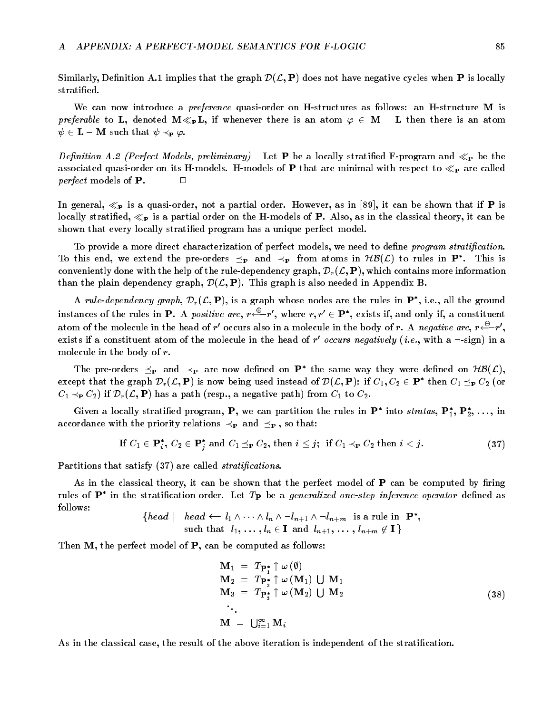Similarly, Definition A.1 implies that the graph  $\mathcal{D}(\mathcal{L},\mathbf{P})$  does not have negative cycles when **P** is locally stratified.

We can now introduce a *preference* quasi-order on H-structures as follows: an H-structure M is preferable to L, denoted  $M \ll_{P} L$ , if whenever there is an atom  $\varphi \in M - L$  then there is an atom  $\psi \in L - M$  such that  $\psi \prec_{\mathbf{P}} \varphi$ .

*Definition A.2 (Perfect Models, preliminary)* Let **P** be a locally stratified F-program and  $\ll_{\mathbf{P}}$  be the associated quasi-order on its H-models. H-models of **P** that are minimal with respect to  $\ll_{\mathbf{P}}$  are called perfect models of **P**.  $\Box$ 

In general,  $\ll_{\mathbf{P}}$  is a quasi-order, not a partial order. However, as in  $|89|,$  it can be shown that if  $\mathbf{P}$  is locally stratified,  $\ll_{\mathbf{P}}$  is a partial order on the H-models of **P**. Also, as in the classical theory, it can be shown that every locally stratified program has a unique perfect model.

To provide a more direct characterization of perfect models, we need to define program stratification. To this end, we extend the pre-orders  $\preceq_{\bf p}$  and  $\prec_{\bf p}$  from atoms in  $\mathcal{HB}(\mathcal{L})$  to rules in  ${\bf P}^*$ . This is conveniently done with the help of the rule-dependency graph,  $\mathcal{D}_r(\mathcal{L},\mathbf{P})$ , which contains more information than the plain dependency graph,  $\mathcal{D}(\mathcal{L}, {\bf P})$ . This graph is also needed in Appendix B.

A rule-dependency graph,  $\mathcal{D}_r(\mathcal{L}, \mathbf{P})$ , is a graph whose nodes are the rules in  $\mathbf{P}^*$ , i.e., all the ground instances of the rules in P. A *positive arc*,  $r \stackrel{\sim}{\leftarrow} r'$ , where  $r, r' \in P^*$ , exists if, and only if, a constituent atom of the molecule in the head of r' occurs also in a molecule in the body of r. A negative arc,  $r \leftarrow r'$ , atom of the molecule in the head of r occurs also in a molecule in the body of r. A *negative arc*,  $r \leftarrow r$ ,<br>exists if a constituent atom of the molecule in the head of r' occurs negatively (*i.e.*, with a  $\neg$ -sign) in a molecule in the body of  $r$ .

The pre-orders  $\preceq_{\bf p}$  and  $\prec_{\bf p}$  are now defined on  ${\bf P}^*$  the same way they were defined on  ${\cal HB}(\mathcal{L}),$ except that the graph  $\mathcal{D}_r(\mathcal{L}, \mathbf{P})$  is now being used instead of  $\mathcal{D}(\mathcal{L}, \mathbf{P})$ : if  $C_1, C_2 \in \mathbf{P}^*$  then  $C_1 \preceq_{\mathbf{P}} C_2$  (or  $C_1 \prec_{\mathbf{P}} C_2$ ) if  $\mathcal{D}_r(\mathcal{L},\mathbf{P})$  has a path (resp., a negative path) from  $C_1$  to  $C_2$ .

Given a locally stratified program,  $\mathbf{F}$ , we can partition the rules in  $\mathbf{F}$  -mto-stratas,  $\mathbf{F}_1, \mathbf{F}_2, \ldots,$  in accordance with the priority relations  $\prec_{\mathbf{P}}$  and  $\preceq_{\mathbf{P}}$ , so that:

$$
\text{If } C_1 \in \mathbf{P}_i^*, C_2 \in \mathbf{P}_i^* \text{ and } C_1 \preceq_{\mathbf{P}} C_2 \text{, then } i \leq j; \text{ if } C_1 \prec_{\mathbf{P}} C_2 \text{ then } i < j. \tag{37}
$$

Partitions that satisfy  $(37)$  are called *stratifications*.

As in the classical theory, it can be shown that the perfect model of  $P$  can be computed by firing rules of  ${\bf r}$  and the stratification order. Let  $I{\bf p}$  be a *generalized one-step inference operator* defined as follows

$$
\begin{array}{ll}\n\{head \mid \quad head \leftarrow l_1 \wedge \cdots \wedge l_n \wedge \neg l_{n+1} \wedge \neg l_{n+m} \text{ is a rule in } \mathbf{P}^*, \\
\text{such that } l_1, \ldots, l_n \in \mathbf{I} \text{ and } l_{n+1}, \ldots, l_{n+m} \notin \mathbf{I}\}\n\end{array}
$$

Then  $M$ , the perfect model of  $P$ , can be computed as follows:

$$
\mathbf{M}_{1} = T_{\mathbf{P}_{1}^{*}} \uparrow \omega (\emptyset)
$$
\n
$$
\mathbf{M}_{2} = T_{\mathbf{P}_{2}^{*}} \uparrow \omega (\mathbf{M}_{1}) \bigcup \mathbf{M}_{1}
$$
\n
$$
\mathbf{M}_{3} = T_{\mathbf{P}_{3}^{*}} \uparrow \omega (\mathbf{M}_{2}) \bigcup \mathbf{M}_{2}
$$
\n
$$
\vdots
$$
\n
$$
\mathbf{M} = \bigcup_{i=1}^{\infty} \mathbf{M}_{i}
$$
\n(38)

As in the classical case, the result of the above iteration is independent of the stratification.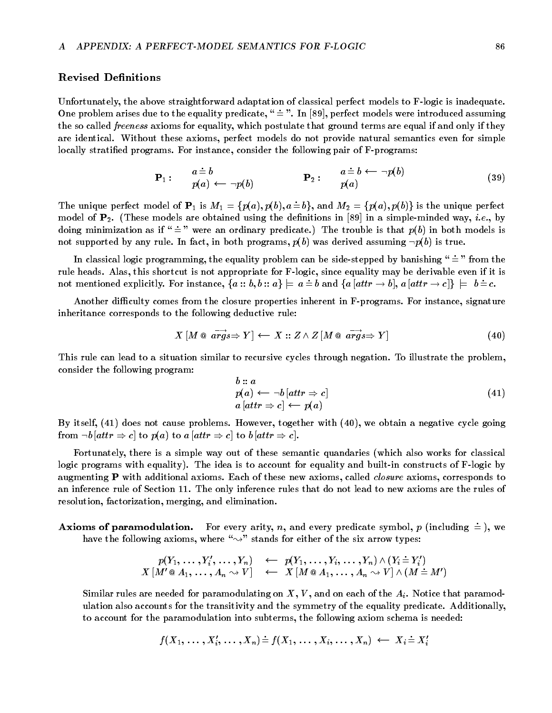### **Revised Definitions**

Unfortunately, the above straightforward adaptation of classical perfect models to F-logic is inadequate. One problem arises due to the equality predicate, " $=$  ". In [89], perfect models were introduced assuming the so called *freeness* axioms for equality, which postulate that ground terms are equal if and only if they are identical- victorial-decisional-models perfect models at most provided identification to not semaphentical locally stratied programs- For instance consider the following pair of Fprograms

$$
\mathbf{P}_1: \qquad \begin{array}{l} a=b \\ p(a) \leftarrow \neg p(b) \end{array} \qquad \qquad \mathbf{P}_2: \qquad \begin{array}{l} a=b \leftarrow \neg p(b) \\ p(a) \end{array} \tag{39}
$$

The unique perfect model of  ${\bf P}_1$  is  $M_1=\{p(a),p(b),a=b\},$  and  $M_2=\{p(a),p(b)\}$  is the unique perfect e-be-codel obtained using the denitions in a simplemindel using the denitions in a simplemindel way i-denition doing minimization as if " $\equiv$ " were an ordinary predicate.) The trouble is that  $p(b)$  in both models is not supported by any rule. In fact, in both programs,  $p(v)$  was derived assuming  $\neg p(v)$  is true.

In classical logic programming, the equality problem can be side-stepped by banishing  $" \doteq"$  from the rule heads- Alas this shortcut is not appropriate for Flogic since equality may be derivable even if it is not mentioned explicitly. For instance,  $\{a::b,b::a\} \models\ a \,\dot =\, b\, \text{ and } \,\{a\,[attr \to b],\, a\,[attr \to c]\} \models\ b = c.$ 

Another diculty comes from the closure properties inherent in Fprograms- For instance signature inheritance corresponds to the following deductive rule

$$
X \left[ M \otimes \overrightarrow{args} \Rightarrow Y \right] \leftarrow X :: Z \wedge Z \left[ M \otimes \overrightarrow{args} \Rightarrow Y \right] \tag{40}
$$

This rule can lead to a situation similar to recursive cycles through negation- To illustrate the problem consider the following program

$$
b :: a\np(a) \leftarrow \neg b [attr \Rightarrow c]\na [attr \Rightarrow c] \leftarrow p(a)
$$
\n(41)

a itself is a not cause to cause the cause of the cause of the context of the context of the plants of the context of the context of the context of the context of the context of the context of the context of the context of from  $\neg b$   $|attr \Rightarrow c|$  to  $p(a)$  to  $a$   $|attr \Rightarrow c|$  to  $b$   $|attr \Rightarrow c|$ .

Fortunately, there is a simple way out of these semantic quandaries (which also works for classical logic programs with equality- The idea is to account for equality and builtin constructs of Flogic by augmenting P with additional axioms- Each of these new axioms called closure axioms corresponds to an inference rules that the section of the only inference rules that do not lead to new axioms are the rules o resolution, factorization, merging, and elimination.

## **Axioms of paramodulation.** For every arity, n, and every predicate symbol, p (including  $\dot{=}$ ), we have the following axioms where - stands for either of the six arrow types

$$
p(Y_1,\ldots,Y'_i,\ldots,Y_n) \quad \leftarrow \quad p(Y_1,\ldots,Y_i,\ldots,Y_n) \land (Y_i=Y'_i)\\ X\left[\begin{matrix}M'\mathbin{@} A_1,\ldots,A_n \rightsquigarrow V\end{matrix}\right] \quad \leftarrow \quad X\left[\begin{matrix}M\mathbin{@} A_1,\ldots,A_n \rightsquigarrow V\end{matrix}\right] \land \left(\begin{matrix}M=M'\end{matrix}\right)
$$

 $S$  rules are needed for paramodulating on  $S$  v  $\{0,1\}$  ,  $\{0,1\}$  ,  $\{1,2\}$  ,  $\{1,3\}$  ,  $\{1,2\}$  ,  $\{1,3\}$  ,  $\{1,4\}$  ,  $\{1,3\}$  ,  $\{1,4\}$  ,  $\{1,3\}$  ,  $\{1,4\}$  ,  $\{1,3\}$  ,  $\{1,4\}$  ,  $\{1,3\}$  ,  $\{1$ ulation also accounts for the transitivity and the symmetry of the equality predicate- Additionally to account for the paramodulation into subterms the following axiom schema is needed

$$
f(X_1,\ldots,X_i',\ldots,X_n)=f(X_1,\ldots,X_i,\ldots,X_n) \ \leftarrow \ X_i=X_i'
$$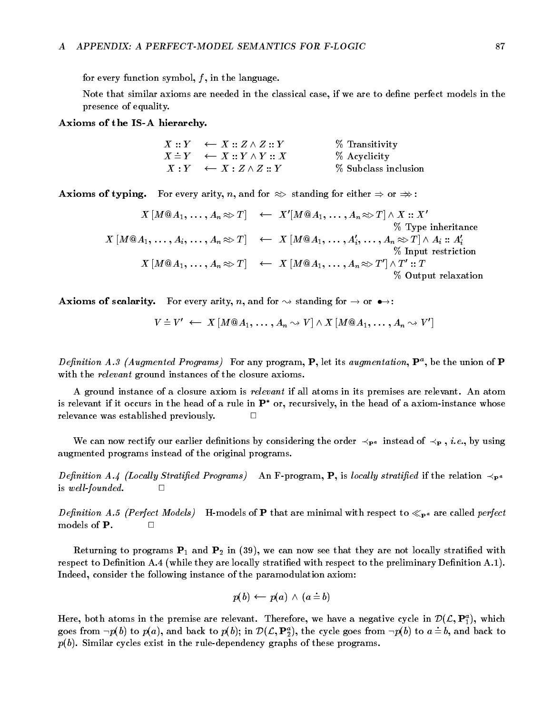for every function symbol,  $f$ , in the language.

Note that similar axioms are needed in the classical case, if we are to define perfect models in the presence of equality-

Axioms of the IS-A hierarchy.

| $X:Y \leftarrow X:Z \wedge Z:Y$       | % Transitivity       |
|---------------------------------------|----------------------|
| $X = Y \leftarrow X : Y \wedge Y : X$ | % Acyclicity         |
| $X:Y \leftarrow X:Z \wedge Z:Y$       | % Subclass inclusion |

**Axioms of typing.** For every arity, n, and for  $\approx$  standing for either  $\Rightarrow$  or  $\Rightarrow$ :

$$
X\left[M@A_1,\ldots,A_n\!\approx\!T\right]\quad\leftarrow\quad X'\left[M@A_1,\ldots,A_n\!\approx\!T\right]\wedge X :: X'\\ \hspace{1.5cm}\raisebox{-1.5ex}{$\forall$ Type inheritance}\\\hspace{1.5cm}\raisebox{-1.5ex}{$\forall$ Type inheritance}\\\hspace{1.5cm}\raisebox{-1.5ex}{$\forall$ Type inheritance}\\\hspace{1.5cm}\raisebox{-1.5ex}{$\forall$ Type inheritance}\\\hspace{1.5cm}\raisebox{-1.5ex}{$\forall$ Type inheritance}\\\hspace{1.5cm}\raisebox{-1.5ex}{$\forall$ Type inheritance}\\\hspace{1.5cm}\raisebox{-1.5ex}{$\forall$ Type inheritance}\\\hspace{1.5cm}\raisebox{-1.5ex}{$\forall$ Type inheritance}\\\hspace{1.5cm}\raisebox{-1.5ex}{$\forall$ Type inheritance}\\\hspace{1.5cm}\raisebox{-1.5ex}{$\forall$ Type inheritance}\\\hspace{1.5cm}\raisebox{-1.5ex}{$\forall$ Type inheritance}\\\hspace{1.5cm}\raisebox{-1.5ex}{$\forall$ Type inheritance}\\\hspace{1.5cm}\raisebox{-1.5ex}{$\forall$ Type inheritance}\\\hspace{1.5cm}\raisebox{-1.5ex}{$\forall$ Type inheritance}\\\hspace{1.5cm}\raisebox{-1.5ex}{$\forall$ Type inheritance}\\\hspace{1.5cm}\raisebox{-1.5ex}{$\forall$ Type inheritance}\\\hspace{1.5cm}\raisebox{-1.5ex}{$\forall$ Type inheritance}\\\hspace{1.5cm}\raisebox{-1.5ex}{$\forall$ Type inheritance}\\\hspace{1.5cm}\raisebox{-1.5ex}{$\forall$ Type inheritance}\\\hspace{1.5cm}\raisebox{-1.5ex}{$\forall$ Type inheritance}\\\hspace{1.5cm}\raisebox{-1.5ex}{$\forall$ Type inheritance}\\\hspace{1.5cm}\raisebox{-1.5ex}{$\forall$ Type inheritance}\\\hspace{1.5cm}\raisebox{-1.5ex}{$\forall$ Type inheritance}\\\hspace{1.5cm}\raisebox{-1.5ex}{$\forall$ Type inheritance}\\\hspace{1.5cm}\raisebox{-1.5ex}{$\forall$ Type inheritance}\\\hspace{1.5cm}\raisebox{-1.5ex}{$\forall$ Type inheritance}\\\hspace{1.5cm}\raisebox{-1.5ex}{$\forall$ Type inheritance}\\\hspace{1.5cm}\raisebox{-1.5ex}{$\forall$ Type inheritance}\\\hspace{1.5cm}\raisebox{-1.5ex}{$\forall$ Type inheritance}\\\hspace{1.5cm}\raisebox{-1.5ex}{$\forall$ Type symmetric}\\\hspace{1.5cm}\raisebox{-
$$

Axioms of scalarity. For every arity, n, and for  $\rightsquigarrow$  standing for  $\rightarrow$  or  $\bullet\rightarrow$ :

$$
V = V' \leftarrow X [M \t\t\t@A_1, \ldots, A_n \rightsquigarrow V] \wedge X [M \t\t\t@A_1, \ldots, A_n \rightsquigarrow V']
$$

*Definition A.3 (Augmented Programs)* For any program, **P**, let its *augmentation*, **P**, be the union of **P** with the relevant ground instances of the closure axioms.

A ground instance of a closure axiom is relevant if all atoms in its premises are relevant- An atom is relevant if it occurs in the head of a rule in  $\mathbf{P}^*$  or, recursively, in the head of a axiom-instance whose relevance was established previously-

We can now rectify our earlier definitions by considering the order  $\prec_{\mathbf{P}}^{\alpha}$  instead of  $\prec_{\mathbf{P}}$ , *i.e.*, by using augmented programs instead of the original programs-

Definition A.4 (Locally Stratified Programs) An F-program, P, is locally stratified if the relation  $\prec_{\mathbf{P}^a}$ is well-founded.  $\Box$ 

*Definition A.5 (Perfect Models)* H-models of P that are minimal with respect to  $\ll_{\mathbf{P}^a}$  are called perfect models of **P**.  $\Box$ 

returning to programs P-1 and P-2 in 1991, we can now see that they are not locally strating are not local respect to 2 <del>they are lo</del>cally straties with respect to the preliminary Denition A- and preferences and preliminary Indeed, consider the following instance of the paramodulation axiom:

$$
p(b) \leftarrow p(a) \land (a = b)
$$

Here, both atoms in the premise are relevant. Therefore, we have a negative cycle in  $\mathcal{D}(\mathcal{L}, \mathbf{P}_1^a)$ , which goes from  $\neg p(b)$  to  $p(a)$ , and back to  $p(b)$ ; in  $\mathcal{D}(\mathcal{L},\mathbf{P}_2^a)$ , the cycle goes from  $\neg p(b)$  to  $a=b,$  and back to pb- Similar cycles exist in the ruledependency graphs of these programs-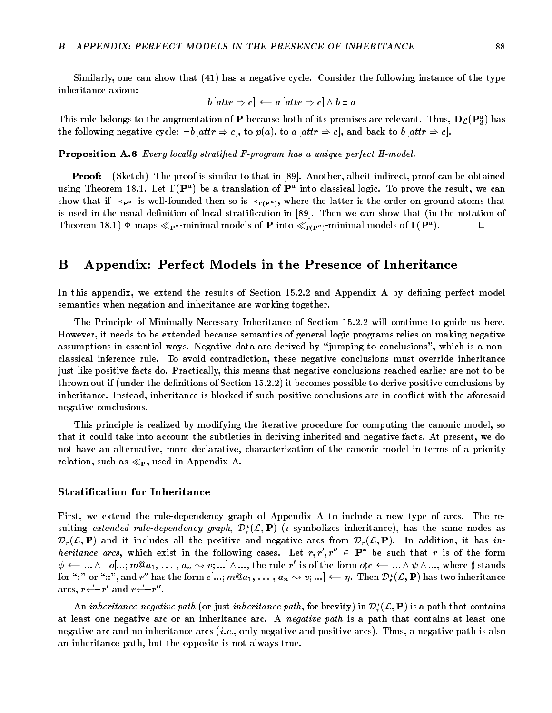$\mathbf{A}$  negative consider the following instance of the following instance of the type  $\mathbf{A}$ inheritance axiom

$$
b~[attr \Rightarrow c] \longleftarrow a~[attr \Rightarrow c] \wedge b::a
$$

This rule belongs to the augmentation of P because both of its premises are relevant. Thus,  ${\bf D}_\mathcal{L}({\bf F}_3^*)$  has the following negative cycle:  $\neg b | \textit{attr} \Rightarrow c|$ , to  $p(a)$ , to  $a | \textit{attr} \Rightarrow c|$ , and back to  $b | \textit{attr} \Rightarrow c|$ .

Proposition A Every local ly stratied Fprogram has a unique perfect Hmodel-

Proof Sketch The proof is similar to that in 
- Another albeit indirect proof can be obtained using Incorem Io.I. Let  $I(F^*)$  be a translation of  $F^*$  into classical logic. To prove the result, we can show that if  $\prec_{\mathbf{P}^a}$  is well-founded then so is  $\prec_{\Gamma(\mathbf{P}^a)}$ , where the latter is the order on ground atoms that is used in the usual denition of local stratication in the notation in the notation in the notation of the not  $\Box$ Theorem 18.1)  $\Phi$  maps  $\ll_{\mathbf{P}^a}$ -minimal models of P into  $\ll_{\Gamma(\mathbf{P}^a)}$ -minimal models of  $\Gamma(\mathbf{P}^a)$ .

### $\bf{B}$ Appendix: Perfect Models in the Presence of Inheritance

In this appendix we extend the results of Section -- and Appendix A by dening perfect model semantics when negation and inheritance are working together.

The Principle of Minimally Necessary Inheritance of Section -- will continue to guide us here-However, it needs to be extended because semantics of general logic programs relies on making negative assumptions in estimation ways-congress-derived by incorporations which is a non-terminate to conclusions which classical inference rule- To avoid contradiction these negative conclusions must override inheritance just like positive facts do- Practically this means that negative conclusions reached earlier are not to be the thrown out it denities of Sections of Section - It becomes possible to derive to derive positive  $\mathbf{r}_1$ inheritance-is blocked inheritance is blocked in the aforesaid if such positive conclusions are in contract with the aforesaid in contract with the aforesaid in contract with the aforesaid in contract with the aforesaid in negative conclusions-

This principle is realized by modifying the iterative procedure for computing the canonic model, so that it could take into account the subtleties in deriving inherited and negative facts in deriving we do not have an alternative, more declarative, characterization of the canonic model in terms of a priority relation, such as  $\ll_{\mathbf{P}}$ , used in Appendix A.

### **Stratification for Inheritance**

First we extend the ruledependency graph of Appendix A to include a new type of arcs- The re sulting extended rule-dependency graph,  $\mathcal{D}_r^{\mu}(\mathcal{L}, \mathbf{P})$  (*i* symbolizes inheritance), has the same nodes as  $\mathcal{D}_r(\mathcal{L},\mathbf{P})$  and it includes all the positive and negative arcs from  $\mathcal{D}_r(\mathcal{L},\mathbf{P})$ . In addition, it has inheritance arcs, which exist in the following cases. Let  $r, r', r'' \in \mathbf{P}^*$  be such that r is of the form  $\phi \leftarrow ... \land \neg o |...; m@a_1, \ldots, a_n \leadsto v; ... | \land ...,$  the rule  $r'$  is of the form  $o\sharp c \leftarrow ... \land \psi \land ...$ , where  $\sharp$  stands for ":" or "::", and  $r''$  has the form  $c_1...; m@a_1, \ldots, a_n \sim v; ...$   $\longleftarrow \eta.$  Then  ${\mathcal D}_r^{\,\iota}({\mathcal L}, {\mathbf P})$  has two inheritance arcs,  $r \longleftarrow r'$  and  $r \longleftarrow r''$ .

An *inheritance-negative path* (or just *inheritance path*, for brevity) in  $\mathcal{D}_r^L(\mathcal{L}, \mathbf{P})$  is a path that contains at least one negative arc-dr one inheritations arc--dr ---quest or path is a path is a contains and e-math arc arcs-connegative arcs-connegative arcs-connegative arcs-connegative arcs-connegative arcs-connegativ an inheritance path, but the opposite is not always true.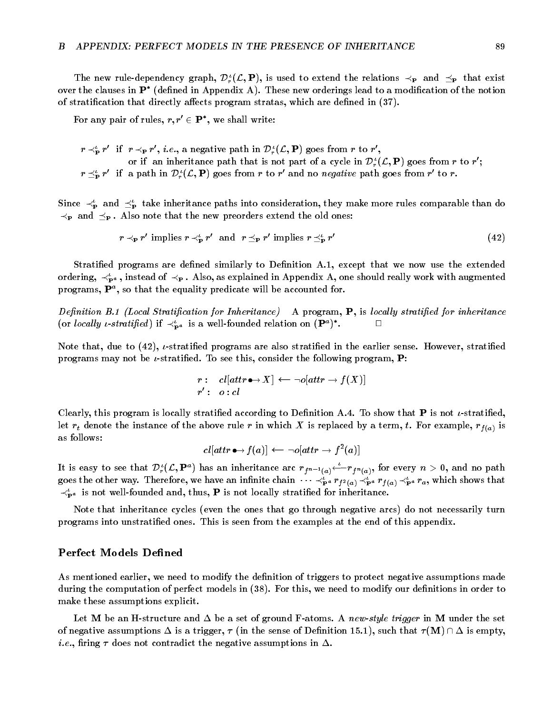The new rule-dependency graph,  $\mathcal{D}_r^L(\mathcal{L}, \mathbf{P})$ , is used to extend the relations  $\prec_{\mathbf{P}}$  and  $\preceq_{\mathbf{P}}$  that exist over the clauses in  ${\bf P}$  ) defined in Appendix A). These new orderings lead to a modification of the notion of stratification that directly affects program stratas, which are defined in  $(37)$ .

For any pair of rules,  $r, r' \in \mathbf{P}^*$ , we shall write:

 $r\prec_\mathbf{P}^t r'$  if  $r\prec_\mathbf{P} r', i.e.,$  a negative path in  $\mathcal{D}_r^\iota(\mathcal{L},\mathbf{P})$  goes from  $r$  to  $r',$ or if an inheritance path that is not part of a cycle in  $\mathcal{D}_r^{\mu}(\mathcal{L}, \mathbf{P})$  goes from r to r'; or it an inneritance path that is not part of a cycle in  $\nu_r^*(\mathcal{L}, \mathbf{r})$  goes from r to r;<br>  $r \preceq_\mathbf{r}^{\iota} r'$  if a path in  $\mathcal{D}_r^{\iota}(\mathcal{L}, \mathbf{P})$  goes from r to r' and no negative path goes from r' to r.

Since  $\prec_{\mathbf{p}}^{\mathbf{c}}$  and  $\preceq_{\mathbf{p}}^{\mathbf{c}}$  take inheritance paths into consideration, they make more rules comparable than do  $\prec_{\mathbf{P}}$  and  $\preceq_{\mathbf{P}}$  . Also note that the new preorders extend the old ones:

$$
r \prec_{\mathbf{P}} r' \text{ implies } r \prec_{\mathbf{P}}^{\iota} r' \text{ and } r \preceq_{\mathbf{P}} r' \text{ implies } r \preceq_{\mathbf{P}}^{\iota} r' \tag{42}
$$

Stratied programs are dened similarly to Denition A- except that we now use the extended ordering,  $\prec_{\mathbf{P}}'$  instead of  $\prec_{\mathbf{P}}$  . Also, as explained in Appendix A, one should really work with augmented programs,  $P^{\pi}$ , so that the equality predicate will be accounted for.

Denition B- Local Stratication for Inheritance A program P is local ly stratied for inheritance (or locally *t*-stratified) if  $\prec_{\mathbf{p}^a}^{\mathbf{p}}$  is a well-founded relation on  $(\mathbf{P}^a)^*$ .

note that due to programs are also stratied in the earlier sense- also straties in the earlier sense- and the programs may not be stratied- To see this consider the following program P

$$
\begin{array}{ll} r: & cl[attr \rightarrow X] \leftarrow \neg o[attr \rightarrow f(X)] \\ r': & o: cl \end{array}
$$

Clearly this program is locally stratied according to Denition A- - To show that P is not stratied let roman the instance of the above rule replace replacement by a term  $\sigma$  is replaced by a term term  $\Gamma$  and  $\Gamma$ as follows

$$
cl[attr \rightarrow f(a)] \leftarrow \neg o[attr \rightarrow f^2(a)]
$$

It is easy to see that  ${\mathcal D}_r^{\,\iota}(\mathcal{L},\mathbf{P}^a)$  has an inheritance arc  $r_{f^{n-1}(a)}$   $\stackrel{\scriptscriptstyle\leftarrow}{\scriptscriptstyle\sim}$  $\longleftarrow$   $r_{f^n(a)},$  for every  $n>0,$  and no path goes the other way. Therefore, we have an infinite chain  $\cdots \prec_{p^a}^b r_{f^2(a)} \prec_{p^a}^b r_{f(a)} \prec_{p^a}^b r_a$ , which shows that  $\prec_{\mathbf{P}^a}^{\iota}$  is not well-founded and, thus, **P** is not locally stratified for inheritance.

Note that inheritance cycles (even the ones that go through negative arcs) do not necessarily turn programs into unstratied ones- This is seen from the examples at the end of this appendix-

### Perfect Models Defined

As mentioned earlier, we need to modify the definition of triggers to protect negative assumptions made during the computation of perfect models in - For this we need to modify our denitions in order to make these assumptions explicit.

 $A$  be a set of ground  $A$  newstyle trigger in M under the set of ground  $A$  newstyle trigger in M under the set of ground  $A$ of negative assumptions  $\Delta$  is a trigger,  $\tau$  (in the sense of Definition 15.1), such that  $\tau(M) \cap \Delta$  is empty, i-e- ring does not contradict the negative assumptions in ,-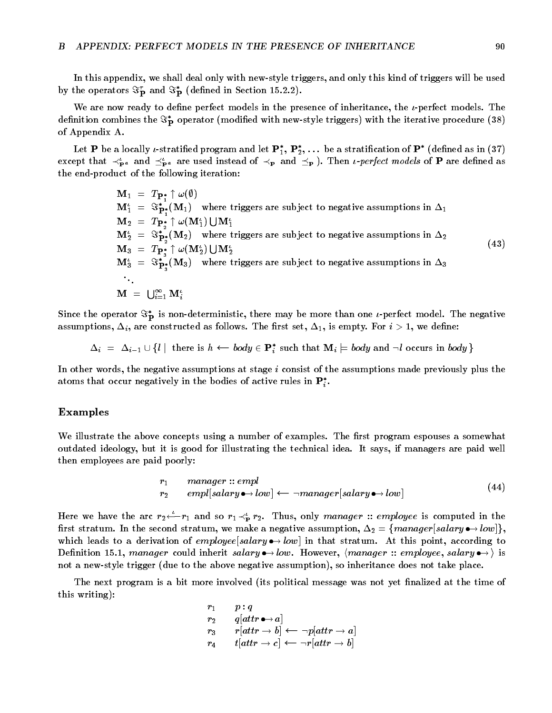In this appendix, we shall deal only with new-style triggers, and only this kind of triggers will be used by the operators  $\Im^{\tau}_{\mathbf{P}}$  and  $\Im^{\ast}_{\mathbf{P}}$  (defined in Section 15.2.2).

we are not come, to denote perfect models in the presence to inheritating the type-state models- the perfect modelsdefinition combines the  $\Im_{\bf D}^*$  operator (modified with new-style triggers) with the iterative procedure (38) of Appendix A-

Let P be a locally *t*-stratified program and let  $\mathbf{P}_1,$   $\mathbf{P}_2,$   $\ldots$  be a stratification of P  $\,$  (defined as in (37)  $\,$ except that  $\prec_{\mathbf{P}^a}^{\iota}$  and  $\preceq_{\mathbf{P}^a}^{\iota}$  are used instead of  $\prec_{\mathbf{P}}$  and  $\preceq_{\mathbf{P}}$ ). Then *i-perfect models* of **P** are defined as the end-product of the following iteration:

> $\mathbf{M}_1$  =  $T_{\mathbf{P}_1^*} \restriction \omega(\emptyset)$  $\mathbf{M}_1^\iota~=~\mathfrak{S}_{\mathbf{P}_1^*}^*(\mathbf{M}_1) ~~~\text{where triggers are subject to negative assumptions in $\Delta_1$}$  $\mathbf{M}_2 \hspace{0.1cm}=\hspace{0.1cm} T_{\mathbf{P}_2^*} \uparrow \omega(\mathbf{M}_1^\iota) \bigcup \mathbf{M}_1^\iota$  $\mathbf{M}_2^{\iota} \;=\; \Im_{\mathbf{P}_2^{\ast}}^{\ast}(\mathbf{M}_2) \quad \text{where triggers are subject to negative assumptions in $\Delta_2$}$ - $\mathbf{M}_3 \;=\; T_{\mathbf{P}_3^*} \uparrow \omega(\mathbf{M}_2^\iota) \bigcup \mathbf{M}_2^\iota$  $\mathbf{M}_3^\iota \;=\; \Im_{\mathbf{P}_3^*}^*(\mathbf{M}_3) \quad \text{where triggers are subject to negative assumptions in $\Delta_3$}$  $\mathbf{M} \; = \; \bigcup_{i=1}^{\infty} \mathbf{M}^{\iota}_i$  $\mathbf{1}$

Since the operator  $\Im^{\bullet}_{\mathbf{P}}$  is non-deterministic, there may be more than one  $\iota$ -perfect model. The negative assumptions , in ( ) are constructed as follows-constructed as follows-constructed as follows-construction as

in the contract of the contract of the contract of the contract of the contract of the contract of the contract of the contract of the contract of the contract of the contract of the contract of the contract of the contrac

 $\Delta_i \;\; = \;\; \Delta_{i-1} \cup \{l \mid \text{ there is } h \;\gets \; body \in \mathbf{P}^*_i \text{ such that } \mathbf{M}_i \models body \text{ and } \neg l \text{ occurs in } body \}$ 

In other words, the negative assumptions at stage  $i$  consist of the assumptions made previously plus the atoms that occur negatively in the bodies of active rules in  $\mathbf{F}_i$  .

## Examples

We illustrate the above concepts using a number of examples- The rst program espouses a somewhat outdated in the international international international international ideas, in the same international international international international international international international international international inter then employees are paid poorly

$$
\begin{array}{ll}\nr_1 & manager::empl \\
r_2 & empl[salary \rightarrow low] \leftarrow \neg manager[salary \rightarrow low]\n\end{array} \tag{44}
$$

Here we have the arc  $r_2 \leftarrow r_1$  and so  $r_1 \prec^c_{\mathbf{p}} r_2$ . Thus, only manager :: employee is computed in the first stratum. In the second stratum, we make a negative assumption,  $\Delta_2=\{manager[salary\bullet \rightarrow low]\},$ which leads to a derivation of  $\ell m p$ loy $\ell e|\ell s u l r$  ,  $\ell \to l o w$  in that stratum. At this point, according to Definition 15.1, manager could inherit salary  $\bullet{\to}$  low. However,  $\langle$ manager :: employee, salary  $\bullet{\to}\rangle$  is not a new-style trigger (due to the above negative assumption), so inheritance does not take place.

The next program is a bit more involved (its political message was not yet finalized at the time of this writing

$$
\begin{array}{ll} r_1 & p: q \\ r_2 & q[attr \bullet\hspace{-0.25cm}\to a] \\ r_3 & r[attr \to b] \leftarrow \neg p[attr \to a] \\ r_4 & t[attr \to c] \leftarrow \neg r[attr \to b] \end{array}
$$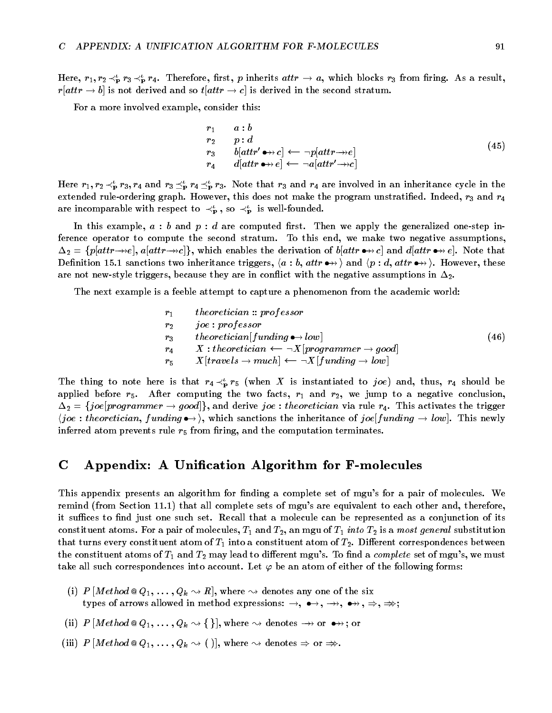Here,  $r_1, r_2 \prec_P^r r_3 \prec_P^r r_4$ . Therefore, first, p inherits  $attr \to a$ , which blocks  $r_3$  from firing. As a result,  $r[attr \rightarrow b]$  is not derived and so  $t[attr \rightarrow c]$  is derived in the second stratum.

For a more involved example, consider this:

$$
r_1 \t a : b\n r_2 \t p : d\n r_3 \t b[attr' \leftrightarrow c] \leftarrow \neg p[attr \rightarrow e]\n r_4 \t d[attr \leftrightarrow e] \leftarrow \neg a[attr' \rightarrow c]
$$
\n(45)

Here  $r_1, r_2 \prec^{\iota}_{\mathbf{p}} r_3, r_4$  and  $r_3 \preceq^{\iota}_{\mathbf{p}} r_4 \preceq^{\iota}_{\mathbf{p}} r_3$ . Note that  $r_3$  and  $r_4$  are involved in an inheritance cycle in the extended rules and rules and rules and rules and rules and rules are and rules and rules are and rules and rul are incomparable with respect to  $\prec_{\mathbf{P}}^{\iota}$ , so  $\prec_{\mathbf{P}}^{\iota}$  is well-founded.

In this example a b and p d are computed rst- Then we apply the generalized onestep in ference operator to compute the second stratum- To this end we make two negative assumptions  $\Delta_2 = \{p[attr\rightarrow e], a[attr\rightarrow e]\}$ , which enables the derivation of  $b[attr\rightarrow e]$  and  $d[attr\rightarrow ee]$ . Note that Definition 15.1 sanctions two inheritance triggers,  $\langle a:b, \,attr \rightarrow \rangle$  and  $\langle p:d, \,attr \rightarrow \rangle$ . However, these are not new-style triggers, because they are in conflict with the negative assumptions in  $\Delta_2$ .

The next example is a feeble attempt to capture a phenomenon from the academic world

$$
\begin{array}{ll}\nr_1 & theoremcr r_2 & joe: professor\\ \nr_3 & theoremcr r_4 & K:theoretical[funding \rightarrow low]\\ \nr_4 & X:theoretical(46) \\ \nr_5 & X[travels \rightarrow much] \leftarrow \neg X[funding \rightarrow low]\\ \n\end{array} \tag{46}
$$

The thing to note here is that  $r_4 \prec^{\iota}_{\mathbf{p}} r_5$  (when X is instantiated to joe) and, thus,  $r_4$  should be applied before r-computing to facts representation and r-computing the two facts representations are represent  $\Delta_2$  = {joe[programmer  $\rightarrow$  good]}, and derive joe : theoretician via rule  $r_4$ . This activates the trigger  $\lang{joe} : theoretical,~funding \rightarrow \rangle,$  which sanctions the inheritance of  $joe[funding \rightarrow low].$  This newly inferred atom prevents rule  $r<sub>5</sub>$  from firing, and the computation terminates.

## C Appendix: A Unification Algorithm for F-molecules

This appendix presents an algorithm for nding a complete set of mgus for a pair of molecules- We remind from Section - that all complete sets of mgus are equivalent to each other and therefore it suces to nd just one such set- Recall that a molecule can be represented as a conjunction of its constituent atoms- - For a pair of molecules T-1 and T-2) and T-8 molecules T-2 molecules T-2 molecules T-2 molecules that turns every constituent atom of T-1  $\mu$ the constituent atoms of T-1 may 12 may lead to different may lead to different matching to the complete set of matching take all such correspondences into account-disc position into account-disc the following forms.

- if  $P$  is a contract of the sixteen  $\alpha$  and  $\alpha$  is any of the sixteen  $\alpha$  of the sixteen  $\alpha$ types of arrows allowed in method expressions:  $\rightarrow$ ,  $\rightarrow$ ,  $\rightarrow$ ,  $\rightarrow$ ,  $\rightarrow$ ,  $\rightarrow$ ;
- (ii)  $P\left[Method\ @Q_1,\ \ldots\ ,Q_k\leadsto\ \{\,\}\right],$  where  $\leadsto\ \mathrm{denotes}\ \twoheadrightarrow\ \mathrm{or}\ \ \bullet\!\!\rightarrow\ ;$  or
- (iii)  $P | Method \& Q_1, \ldots, Q_k \leadsto |$  , where  $\leadsto$  denotes  $\Rightarrow$  or  $\Rightarrow$ .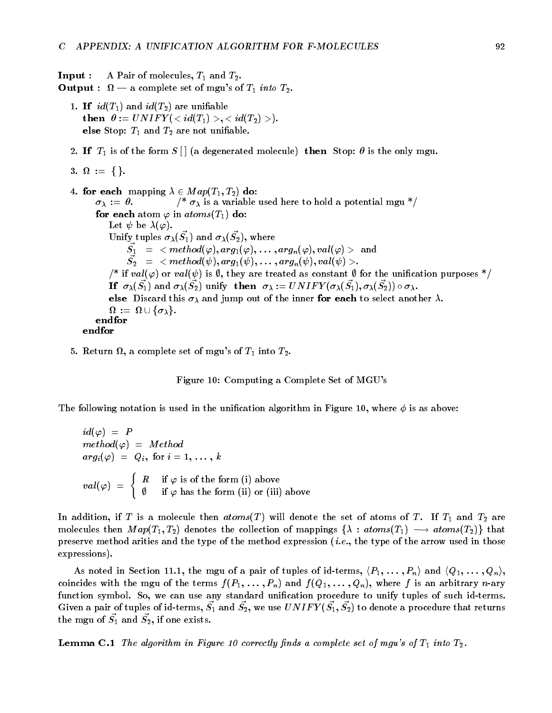In the pair of the model of the second state  $\mathcal{A}$  and  $\mathcal{A}$  and  $\mathcal{A}$ 

- Output a complete set of mgus of T- into T-
	- If idT- and idT are uniable  $\mathbf{1}$  if  $\mathbf{1}$  is the  $\mathbf{1}$  identical intervals of  $\mathbf{1}$ else Stop T-1 and T-1 and T-1 and T-1 and T-1 and T-1 and T-1 and T-1 and T-1 and T-1 and T-1 and T-1 and T-1
	- If T- is of the form <sup>S</sup> a degenerated molecule then Stop is the only mgu-

$$
3. \Omega := \{\}.
$$

4. for each mapping  $\lambda \in Map(T_1, T_2)$  do:  $\sigma_{\lambda}$  :=  $\theta$ . /\*  $\sigma_{\lambda}$  is a variable used here to hold a potential mgu \*/ for each atom in atoms  $\mathbf{r}$  and  $\mathbf{r}$  atoms  $\mathbf{r}$  at  $\mathbf{r}$ ---------Unify tuples  $\sigma_{\lambda}(\omega_1)$  and  $\sigma_{\lambda}(\omega_2)$ ,  $\sigma$ where the contract of the contract of the contract of the contract of the contract of the contract of the contract of the contract of the contract of the contract of the contract of the contract of the contract of the cont  $S_1 = \langle \text{median}(x), \text{arg}_1(\varphi), \dots, \text{arg}_n(\varphi), \text{var}(\varphi) \rangle$  and  $\omega_2 = \sqrt{m \epsilon m \omega_0(\psi)}$ ,  $\omega_1 g_1(\psi)$ ,  $\ldots$ ,  $\omega_r g_n(\psi)$ ,  $\omega u(\psi)$ /\* if  $val(\varphi)$  or  $val(\psi)$  is  $\emptyset$ , they are treated as constant  $\emptyset$  for the unification purposes \*/ If  $\sigma_{\lambda}(s_1)$  and  $\sigma_{\lambda}(s_2)$  unify then  $\sigma_{\lambda} := U N I F Y(\sigma_{\lambda}(s_1), \sigma_{\lambda}(s_2)) \circ \sigma_{\lambda}$ . else Discard this  $\sigma_{\lambda}$  and jump out of the inner for each to select another  $\lambda$ .  $\Omega := \Omega \cup {\sigma_{\lambda}}.$ endfor endfor

- Return - a complete set of mgus of T- into T-



The following notation is used in the unication algorithm in Figure  where is as above

 $\cdots$ ,  $\cdots$  $method(\varphi) = Method$  $arg_i(\varphi) = Q_i$ , for  $i = 1, ..., k$  $\mathit{val}(\varphi) \;=\; \left\{ \begin{array}{ll} R & \text{if $\varphi$ is of the form (i) above} \ \emptyset & \text{if $\varphi$ has the form (ii) or (iii) above} \end{array} \right.$ 

In addition, if T is a molecule theory atomst  $\{ - \}$  will denote the set of atoms of  $\{ - \}$  and  $\{ - \}$  are  $\{ - \}$ molecules then  $Map(T_1,T_2)$  denotes the collection of mappings  $\{\lambda\,:\,atoms(T_1)\,\longrightarrow\,atoms(T_2)\}$  that preserve method arities and the type of the method expression i-type of the arrow used in the arrow used in expressions).

As noted in Section 11.1, the mgu of a pair of tuples of id-terms,  $\langle P_1,\ldots,P_n\rangle$  and  $\langle Q_1,\ldots,Q_n\rangle,$ coincides with the mgu of the terms f P- Pn and f Q- Qn where f is an arbitrary nary function symbol- So we can use any standard unication procedure to unify tuples of such idterms-Given a pair of tuples of id-terms,  $\sigma_1$  and  $\sigma_2$ , we use  $\sigma_N$  if  $T$  ( $\sigma_1$ ,  $\sigma_2$ ) to denote a procedure that returns the mgu of  $\sigma_1$  and  $\sigma_2$ , if one exists. -

Lemma C- The algorithm in Figure correctly nds a complete set of mgus of T- into T-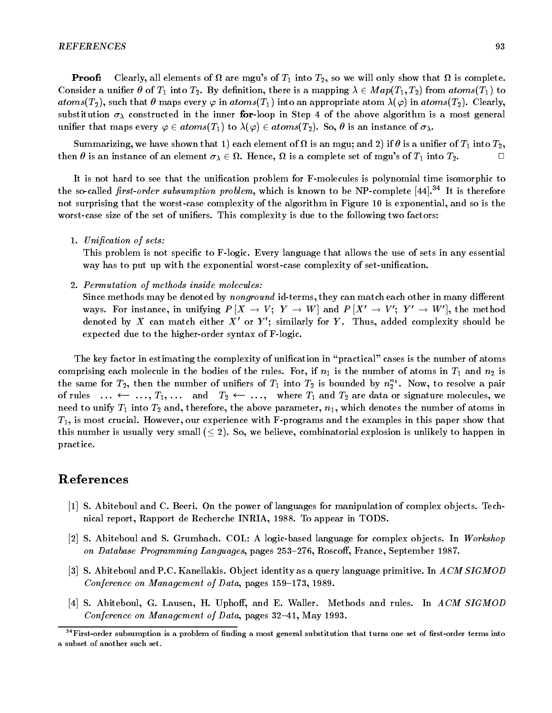$P$ roof Clearly all elements of  $\Gamma$  - into T-is complete-software  $P$  show that  $P$ Consider a unifier  $\theta$  of  $T_1$  into  $T_2$ . By definition, there is a mapping  $\lambda \in Map(T_1, T_2)$  from  $atoms(T_1)$  to atoms that into an appropriate atom and atomst- $\Lambda$  and inner for the inner formula inner formula in Step algorithm is a most general inner for the above algorithm is a most general inner for the above algorithm is a most general inner for the above algorithm is a mos unifier that maps every  $\varphi \in atoms(T_1)$  to  $\lambda(\varphi) \in atoms(T_2)$ . So,  $\theta$  is an instance of  $\sigma_\lambda$ .

Summarizing we have shown that  $\mathcal{L}_f$  . is an interesting of the simulation of  $\mathcal{L}_f$  and  $\mathcal{L}_f$  is a universe of  $\mathcal{L}_f$  ,  $\mathcal{L}_f$  $\Box$ then  $\theta$  is an instance of an element  $\sigma_\lambda \in \Omega$ . Hence,  $\Omega$  is a complete set of mgu's of  $T_1$  into  $T_2$ .

It is not hard to see that the unification problem for F-molecules is polynomial time isomorphic to the so-called *first-order subsumption problem*, which is known to be NP-complete  $[44]$ . This therefore not surprising that the worst-case complexity of the algorithm in Figure 10 is exponential, and so is the we size of the set of uniters-definition of uniters-definition  $\mathbf{I}$  and  $\mathbf{I}$ 

- Unication of sets

This problem is not specic to Flogic- Every language that allows the use of sets in any essential way has to put up with the exponential worst-case complexity of set-unification.

- Permutation of methods inside molecules

Since methods may be denoted by *nonground* id-terms, they can match each other in many different ways. For instance, in unifying  $P | X \to V$ ;  $Y \to W |$  and  $P | X \to V$ ;  $Y \to W |$ , the method denoted by  $\Lambda$  can match either  $\Lambda$  or  $I$  ; similarly for  $I$  . Thus, added complexity should be expected due to the higher-order syntax of F-logic.

The key factor in estimating the complexity of unification in "practical" cases is the number of atoms comprising each molecule in the bodies of the rules-bodies of the rules-the number of atoms in T-1 which is th the same for  $T_2$ , then the number of unifiers of  $T_1$  into  $T_2$  is bounded by  $n_2^{\sim}$  . Now, to resolve a pair of rules T- and T where T- and T are data or signature molecules we need to unify T- into T and therefore the above parameter n- which denotes the number of atoms in T-is most crucial-dependent our examples in this paper show that  $\Gamma$  is paper show that examples in this paper show that  $\Gamma$ this number is usually very small ( $\leq 2$ ). So, we believe, combinatorial explosion is unlikely to happen in practice.

# References

- S- Abiteboul and C- Beeri- On the power of languages for manipulation of complex ob jects- Tech nical report Rapport de Recherche INRIA 
 - To appear in TODS-
- ist and S-abited and S-abitection is a logic distribution for complex of the second and the complex of  $\mathcal{L}$ on Database Programming Languages, pages 253-276, Roscoff, France, September 1987.
- S- Abiteboul and P-C- Kanellakis- Ob ject identity as a query language primitive- In ACM SIGMOD Conference on Management of Data, pages  $159-173$ , 1989.
- S- Abiteboul G- Lausen H- Upho and E- Waller- Methods and rules- In ACM SIGMOD Conference on Management of Data pages May 

-

 $34$  First-order subsumption is a problem of finding a most general substitution that turns one set of first-order terms into a subset of another such set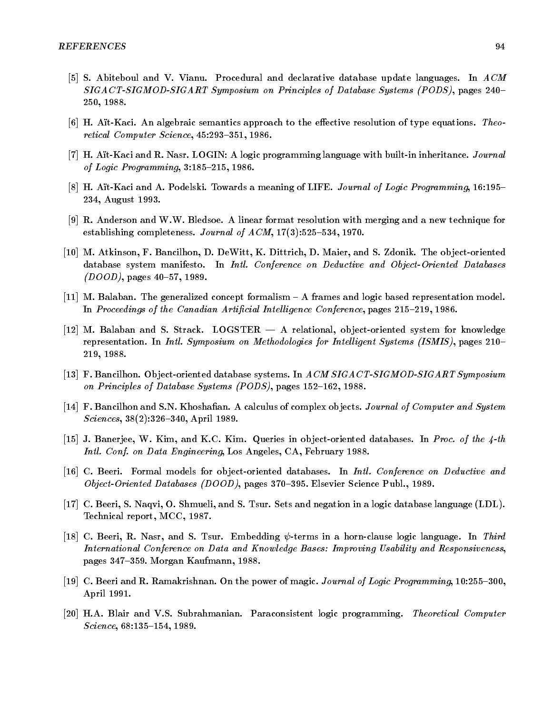- S- Abiteboul and V- Vianu- Procedural and declarative database update languages- In ACM sigated articles in the state of the Principles of Database Systems  $\mathcal{P}$  is the systems of  $\mathcal{P}$ 250, 1988.
- if an and an algebraic semantics approach to the extra contracts and the extremely resolutionsretical Computer Science and the computer Science of the Computer Science of the Computer Science of the Computer Science of the Computer Science of the Computer Science of the Computer Science of the Computer Science of t
- H- AtKaci and R- Nasr- LOGIN A logic programming language with builtin inheritance- Journal of Logic Programming,  $3:185-215$ ,  $1986$ .
- H- AtKaci and A- Podelski- Towards a meaning of LIFE- Journal of Logic Programming 
 august and august and august and august and august and august and august and august and august and august and
- R- Anderson and W-W- Bledsoe- A linear format resolution with merging and a new technique for established and the complete complete the complete of ACM in the complete of ACM in the complete of ACM in the
- M- Atkinson F- Bancilhon D- DeWitt K- Dittrich D- Maier and S- Zdonik- The ob jectoriented database system manifesto- In Intl- Conference on Deductive and ObjectOriented Databases , \_ \_ \_ \_ , , \_ \_ \_ \_ \_ \_ \_ \_ . , \_ \_ . . .
- , and generalized concept formalism and logical concept formalism and logic based representation model-In Proceedings of the Canadian Artificial Intelligence Conference, pages 215-219, 1986.
- , and stracked and S- strack- in the stracked system for the system for the system for the system  $\mathcal{A}$ - In Intel and Methodologies for Intel ligent Systems in American Intel Intel Ligent Systems in Pages – Intel 219, 1988.
- F- Bancilhon- Ob jectoriented database systems- In ACM SIGACTSIGMODSIGART Symposium on Principles of Database Systems (Principles Principal Principal Principal
- F- Bancilhon and S-N- Khoshaan- A calculus of complex ob jects- Journal of Computer and System Sciences  April 

-
- J- Banerjee W- Kim and K-C- Kim- Queries in ob jectoriented databases- In Proc- of the th Intl- Conf- on Data Engineering Los Angeles CA February 
 -
- C- Beeri- Formal models for ob jectoriented databases- In Intl- Conference on Deductive and ObjectOriented Databases DOOD pages  
- Elsevier Science Publ- 

-
- C- Beeri S- Naqvi O- Shmueli and S- Tsur- Sets and negation in a logic database language LDL-Technical report, MCC, 1987.
- terms in a fine start and start and start and starting the start of the start of the start of the start of the International Conference on Data and Knowledge Bases: Improving Usability and Responsiveness, pages and the contract of the contract of the contract of the contract of the contract of the contract of the contract of the contract of the contract of the contract of the contract of the contract of the contract of the
- C- Beeri and R- Ramakrishnan- On the power of magic- Journal of Logic Programming   April 1991.
- H-A- Blair and V-S- Subrahmanian- Paraconsistent logic programming- Theoretical Computer Science of the science of the science of the science of the science of the science of the science of the science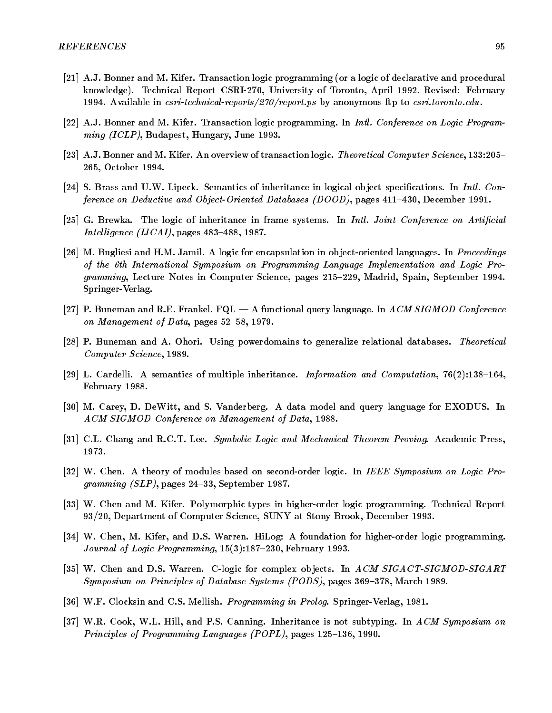- A-J- Bonner and M- Kifer- Transaction logic programming or a logic of declarative and procedural extendity, continuous corporation and continuously to continuous corporations continuously to the - Available in csritechnicalreportsreport-ps by anonymous ftp to csri-toronto-edu-
- A-J- Bonner and M- Kifer- Transaction logic programming- In Intl- Conference on Logic Program ming a structure of the structure of the structure of the structure of the structure of the structure of the s
- , and an overview of the M-state and M-state and M-state Science Science Science Sciences, and the Science Sci October 2008 - Andrew Maria Maria Maria Maria Maria Maria Maria Maria Maria Maria Maria Maria Maria Maria Mari
- , and we consider the unit of international or constant of international or  $\mu$  . The species of the state of the state of the state of the state of the state of the state of the state of the state of the state of the sta ference on Deductive and ObjectOriented Databases DOOD pages  December 

-
- G- Brewka- The logic of inheritance in frame systems- In Intl- Joint Conference on Articial Intel ligence in the light of the light of the light of the light of the light of the light of the light of the light of the light of the light of the light of the light of the light of the light of the light of the light
- M- Bugliesi and H-M- Jamil- A logic for encapsulation in ob jectoriented languages- In Proceedings of the 6th International Symposium on Programming Language Implementation and Logic Programming Lecture Notes in Computer Science pages 
 Madrid Spain September -Springer-Verlag
- , and a functional and results are and results and results are property language- and and and a function of th on Management of Data, pages  $52-58$ , 1979.
- P- Buneman and A- Ohori- Using powerdomains to generalize relational databases- Theoretical Computer Science, 1989.
- L- Cardelli- A semantics of multiple inheritance- Information and Computation February 1988.
- M- Carey D- DeWitt and S- Vanderberg- A data model and query language for EXODUS- In ACM SIGMOD Conference on Management of Data, 1988.
- C-L- Chang and R-C-T- Lee- Symbolic Logic and Mechanical Theorem Proving- Academic Press 1973.
- W- Chen- A theory of modules based on secondorder logic- In IEEE Symposium on Logic Pro gramming SLP pages September 
 -
- W- Chen and M- Kifer- Polymorphic types in higherorder logic programming- Technical Report 93/20, Department of Computer Science, SUNY at Stony Brook, December 1993.
- $\mathcal{C}$  . Chen M-s-and M-s-and  $\mathcal{C}$  and  $\mathcal{C}$  for  $\mathcal{C}$  and  $\mathcal{C}$  are the set of  $\mathcal{C}$  and  $\mathcal{C}$  are the set of  $\mathcal{C}$  and  $\mathcal{C}$  are the set of  $\mathcal{C}$  and  $\mathcal{C}$  are the set of  $\mathcal{C}$  and  $\$ Journal of Logic Programming,  $15(3)$ :187-230, February 1993.
- , we complete the state of complete the complex of the complex observed observed the complete the complete the Symposium on Principles of Database Systems PODS pages 
 March 

-
- W-F- Clocksin and C-S- Mellish- Programming in Prolog- SpringerVerlag 
 -
- re cook was and produce in and P-Cook was and P-Cookies in Act of the subtyping- is not subtypingr and the principles of the pages of Programming and the programming of the pages of the pages of the pages of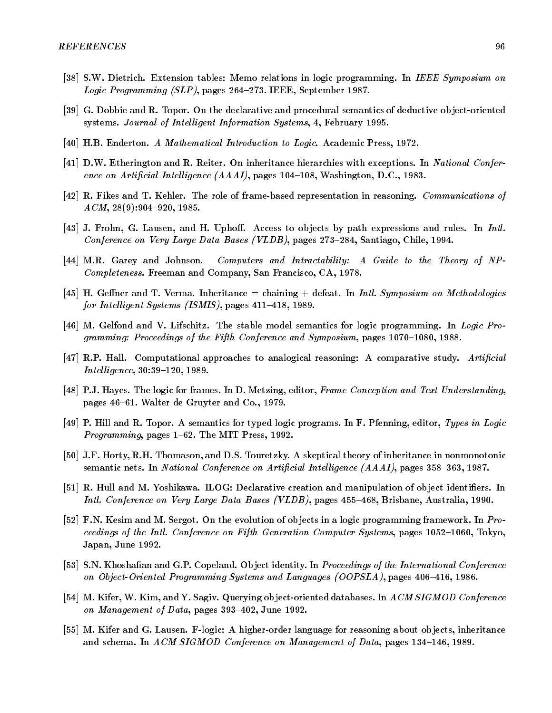- S-W- Dietrich- Extension tables Memo relations in logic programming- In IEEE Symposium on Logic Programming SLP pages - IEEE September 
 -
- G- Dobbie and R- Topor- On the declarative and procedural semantics of deductive ob jectoriented rystems - February - Intel ligent Information Systems Information Systems Intel 2019
- , a mathematical Introduction to Logic-Introduction to Logic-International Press (
- D-W- Etherington and R- Reiter- On inheritance hierarchies with exceptions- In National Confer ence on an international international pages are an international and all actions
- re role of the role of the role of the role of the role of the role of the role of the role of the role of the -----------------------
- J- Frohn G- Lausen and H- Upho- Access to ob jects by path expressions and rules- In Intl-Conference on Very Large Data Bases VLDB pages Santiago Chile -
- M-R- Garey and Johnson-Computers and Intractability: A Guide to the Theory of  $NP$ references and Company San Francisco CA (Company San Francisco CA extensive company San Francisco CA extensive
- , and the thermal and the chaining statement of the form and the chaining statement of the chain statement of  $\mathbf{J}$  , and  $\mathbf{J}$  , and  $\mathbf{J}$  , and  $\mathbf{J}$  , and  $\mathbf{J}$  , and  $\mathbf{J}$  , and  $\mathbf{J}$
- , and stable model semantics for and viewed and alternative programming-programming- and in Logic Programminggramming: Proceedings of the Fifth Conference and Symposium, pages  $1070–1080, 1988.$
- re external approaches to analogical reasoning approaches to analogical reasoning and a computations are expected  $Intelligence, 30:39-120, 1989.$
- , and the logic for framework for framework and the logic formulation and the second text in the second of the pages of the Gruyter and Co-piece and Co-piece and Co-piece the
- P- Hill and R- Topor- A semantics for typed logic programs- In F- Pfenning editor Types in Logic Programming pages - The MIT Press 

-
- J-F- Horty R-H- Thomason and D-S- Touretzky- A skeptical theory of inheritance in nonmonotonic semantic nets- In National Conference on Articial Intel ligence AAAI pages 
 -
- R- Hull and M- Yoshikawa- ILOG Declarative creation and manipulation of ob ject identiers- In Intl- Conference on Very Large Data Bases VLDB pages Brisbane Australia 

-
- F-N- Kesim and M- Sergot- On the evolution of ob jects in a logic programming framework- In Pro ceedings of the International conference on Figure Systems of the International pages Inter International Compu Japan, June 1992.
- S-N- Khoshaan and G-P- Copeland- Ob ject identity- In Proceedings of the International Conference  $\blacksquare$  pages  $\blacksquare$  and  $\blacksquare$  and  $\blacksquare$  and  $\blacksquare$
- , we same the interest water with the property of the property and the same of the same of the state of the state of the state of the state of the state of the state of the state of the state of the state of the state of th on Management of Data pages in the Management of Data pages in the Management of Data pages in the Management o
- M- Kifer and G- Lausen- Flogic A higherorder language for reasoning about ob jects inheritance and schema- In ACM Sigmon Conference on Management on Management of Data pages in Management of Data pages in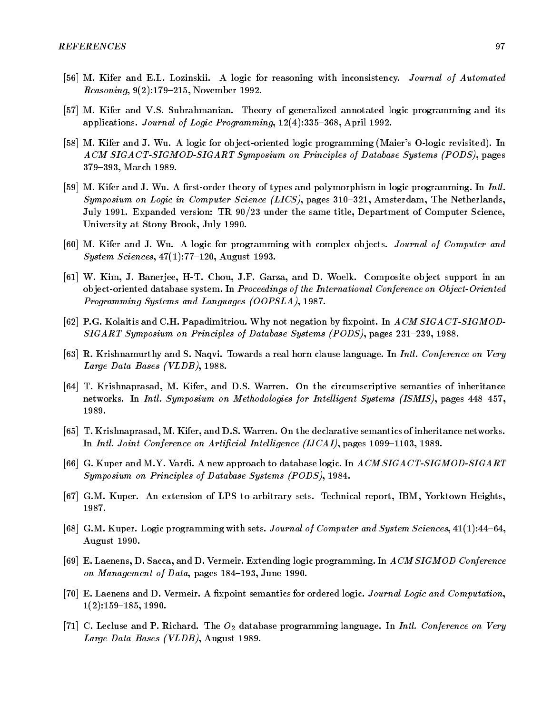- M- Kifer and E-L- Lozinskii- A logic for reasoning with inconsistency- Journal of Automated  $Reasoning, 9(2):179-215$ , November 1992.
- M- Kifer and V-S- Subrahmanian- Theory of generalized annotated logic programming and its appearance is a continued and appearance in the continued of Logic Programming and appearance in the continued
- , we also denote the state of the state of  $\mu$  is the state of  $\mu$  is  $\mu$  and  $\mu$  and  $\mu$  and  $\mu$  and  $\mu$  and  $\mu$  and  $\mu$  and  $\mu$  and  $\mu$  and  $\mu$  and  $\mu$  and  $\mu$  and  $\mu$  and  $\mu$  and  $\mu$  and  $\mu$  and  $\mu$  a active section of the signal symposium on Principles of Database Systems (Principles of Database Systems) 379-393, March 1989.
- , we are and the store theory of the state theory of types and polymorphism in logic programming- and the state Symposium on Logic in Computer Science LICS pages  Amsterdam The Netherlands July 

- Expanded version TR 
# under the same title Department of Computer Science University at Stony Brook, July 1990.
- if and documentation of the programming with complex of computer and computer and  $\alpha$ system is a system of the system of the system of the system of the system of the system of the system of the s
- we are the following and D-Chou J-Chou J-Chou J-Chou J-Chou J-Chou J-Chou J-Chou J-Chou J-Chou J-Chou J-Chou J-Chou J-Chou J-Chou J-Chou J-Chou J-Chou J-Chou J-Chou J-Chou J-Chou J-Chou J-Chou J-Chou J-Chou J-Chou J-Chou J ob jectoriented database system- In Proceedings of the International Conference on ObjectOriented Programming Systems and Languages OOPSLA 
 -
- , and construction by not negative and  $\alpha$  and  $\alpha$  in Acm significant  $\alpha$  is a construction by a construction of  $\alpha$ signation is gong the set of Database Systems of Database Systems  $\rho$  and  $\rho$  pages best because
- re in International and S-Conference on S-Conference and S-Conference and S-Conference on Very 2008. In International Large Data Bases VLDB 
 -
- , and and D-s-circumscriptive semantics of individual materials of individual contents of individual complete semantics of individual contents of individual contents of individual contents of individual contents of individ networks- In Intel ligent System on Methodologies for Intel ligent System in Intel Ligent System in Intel Lig 1989.
- T- Krishnaprasad M- Kifer and D-S- Warren- On the declarative semantics of inheritance networksin Intelligence on Articial Intelligence on Articial Intelligence on Articial Intelligence in the second page o
- G- Kuper and M-Y- Vardi- A new approach to database logic- In ACM SIGACTSIGMODSIGART symposium on Principles of Database Systems (Principles of Systems)
- G-M- Kuper- An extension of LPS to arbitrary sets- Technical report IBM Yorktown Heights 1987.
- G-M- Kuper- Logic programming with sets- Journal of Computer and System Sciences August 1990.
- E- Laenens D- Sacca and D- Vermeir- Extending logic programming- In ACM SIGMOD Conference ... we also give a constructed by the pages of the construction of the construction of the construction of the
- E- Laenens and D- Vermeir- A xpoint semantics for ordered logic- Journal Logic and Computation  $1(2):159-185,1990.$
- C- Lecluse and P- Richard- The O database programming language- In Intl- Conference on Very Large Data Bases VLDB August 

-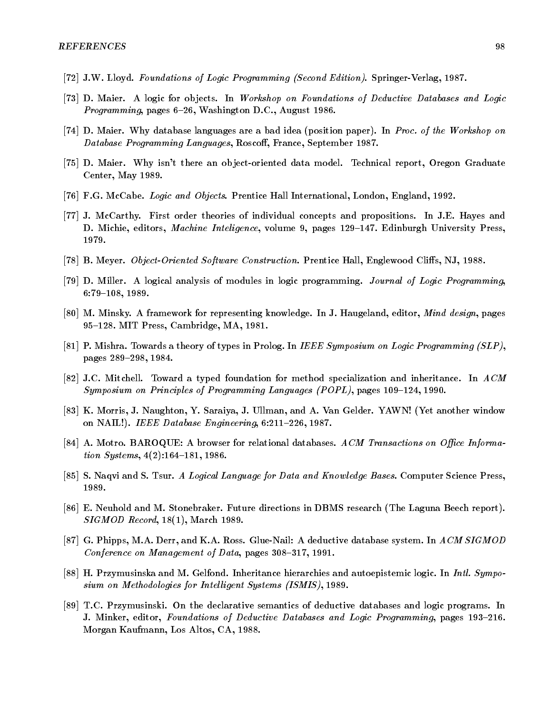- J-W- Lloyd- Foundations of Logic Programming Second Edition SpringerVerlag 
 -
- D- Maier- A logic for ob jects- In Workshop on Foundations of Deductive Databases and Logic region of the programming pages of the programming pages of the programming pages of the programming pages of the programming pages of the programming pages of the programming pages of the programming pages of the programm
- D- Maier- Why database languages are a bad idea position paper- In Proc- of the Workshop on Database Programming Languages, Roscoff, France, September 1987.
- D- Maier- Why isnt there an ob jectoriented data model- Technical report Oregon Graduate Center, May 1989.
- F-G- McCabe- Logic and Objects- Prentice Hall International London England 

-
- J- McCarthy- First order theories of individual concepts and propositions- In J-E- Hayes and - Michigan Stephen, Machine Inteligence, Stephen volume volume variable variable variable press, and 1979.
- B- Meyer- ObjectOriented Software Construction- Prentice Hall Englewood Clis NJ 
 -
- D- Miller- A logical analysis of modules in logic programming- Journal of Logic Programming  $6:79-108, 1989.$
- M- Minsky- A framework for representing knowledge- In J- Haugeland editor Mind design pages - MIT Press Cambridge MA 
 -
- , we are the symposium of the original comparative in the symposium on Logic Production , we have a set p. 2017, 2028 - 2028 - 2028 - 2028 - 2028 - 2028 - 2028 - 2028 - 2028 - 2028 - 2028 - 2028 - 2028 - 2028 - 20
- J-C- Mitchell- Toward a typed foundation for method specialization and inheritance- In ACM symposium on Principles of Principles on Principal Programming to the Programming Programming Company and the
- , and another your stranger can go to manager windows that windows are considered to make the stranger windows on NAIL-IEEE Database Engineering in the NAIL-IEEE Database Engineering in the NAIL-IEEE Database Engineering i
- , and the second a baroque a browser for relations on the relations on  $\sim$  . When  $\sim$  ,  $\sim$  ,  $\sim$  ,  $\sim$  ,  $\sim$ tion system in the system of the system of the system of the system of the system of the system of the system of the system of the system of the system of the system of the system of the system of the system of the system
- S- Naqvi and S- Tsur- A Logical Language for Data and Know ledge Bases- Computer Science Press 1989.
- E- Neuhold and M- Stonebraker- Future directions in DBMS research The Laguna Beech report- $SIGMOD$  Record,  $18(1)$ , March 1989.
- G- Phipps M-A- Derr and K-A- Ross- GlueNail A deductive database system- In ACM SIGMOD Conference on Management of Data, pages  $308-317$ , 1991.
- in and and more historically and M-symposium and and and automatic microscopistemic logic- and and in Internet sium on Methodologies jet Antoniques a getting parameter is a st
- T-C- Przymusinski- On the declarative semantics of deductive databases and logic programs- In , with the compact of the state of Deductive Databases and Digit Programming pages in Disc Morgan Kaufmann, Los Altos, CA, 1988.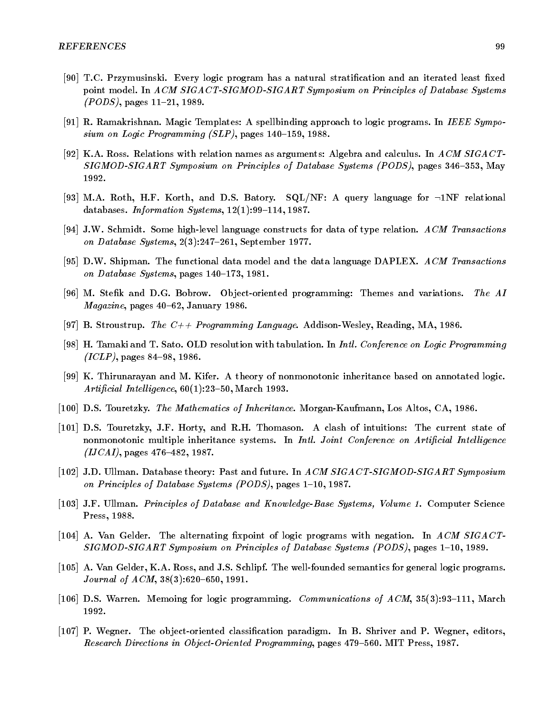- T-C- Przymusinski- Every logic program has a natural stratication and an iterated least xed point in Academy in Academy of Action and Principles of Action of Database Systems of Database Systems of Database Systems PODS pages 

-
- ramakrishnan-bendled a spellbinding a spellbes approach to logic programs- and a sample programssium on Logic Programming SLP pages  

 -
- , and are seen as a ross-common names as arguments and calculus-calculus-calculus-calculus-calculus-calculus-c signous is a principle of the Principles of Database Systems (Principles of Principles Systems) 1992.
- $\mathfrak{g}$ ) ivi.A. Roth, H.F. Rothi, and D.S. Datory. SQL/NF: A query language for  $\lnot$ inf relational databases-information systems in the system of the system of the system of the system of the system of the system of the system of the system of the system of the system of the system of the system of the system of the sys
- J-W- Schmidt- Some highlevel language constructs for data of type relation- ACM Transactions on Database Systems in Database Systems in Database Systems in Database Systems in Database Systems in Database
- D-W- Shipman- The functional data model and the data language DAPLEX- ACM Transactions on Database Systems pages  
 -
- , stek and do step and do the step and variation of the programming themes and variations- The AI Magazine pages  January 
 -
- B- Stroustrup- The C Programming Language- AddisonWesley Reading MA 
 -
- H- Tamaki and T- Sato- OLD resolution with tabulation- In Intl- Conference on Logic Programming ICLP pages 

 -
- ... and the monotonic induced and monotonic international common common and monotonic induced and  $\mathcal{L}_{\mathcal{A}}$  $Artificial\ Intelligence, 60(1):23–50, March\ 1993.$
- D-S- Touretzky- The Mathematics of Inheritance- MorganKaufmann Los Altos CA 
 -
- , and the classical internal control intuition and research intuitions the current state of internal control in nonmonotonic multiple inheritance systems- In Intl- Joint Conference on Articial Intel ligence IJCAI pages 
 -
- J-D- Ullman- Database theory Past and future- In ACM SIGACTSIGMODSIGART Symposium  $\mathcal P$  and  $\mathcal P$  and  $\mathcal P$  and  $\mathcal P$  and  $\mathcal P$  and  $\mathcal P$  and  $\mathcal P$  and  $\mathcal P$  and  $\mathcal P$  and  $\mathcal P$  and  $\mathcal P$  and  $\mathcal P$  and  $\mathcal P$  and  $\mathcal P$  and  $\mathcal P$  and  $\mathcal P$  and  $\mathcal P$  and  $\mathcal P$  and  $\mathcal P$  and  $\mathcal P$  and
- , and the computer strivity in a system system series and the systems , thence so semiples to a computer stri Press, 1988.
- , and alternative continuous continuously with the algebra with negation- and account the sign of  $\sim$  $\boldsymbol{H} = \boldsymbol{I}$  , and  $\boldsymbol{H} = \boldsymbol{I}$  , and  $\boldsymbol{H} = \boldsymbol{I}$  , and  $\boldsymbol{H} = \boldsymbol{I}$  , and  $\boldsymbol{H} = \boldsymbol{I}$  , and  $\boldsymbol{H} = \boldsymbol{I}$  , and  $\boldsymbol{H} = \boldsymbol{I}$  , and  $\boldsymbol{H} = \boldsymbol{I}$  , and  $\boldsymbol{H} = \boldsymbol{I}$  , and  $\boldsymbol{H} = \boldsymbol{I}$  , and
- , and the semantics for the wellfounded semantics for the semantics for general logic programs- $Journal\ of\ A\ CM,\ 38(3): 620-650,\ 1991.$
- , and the communication of the communication of accommunications of  $\alpha$  and  $\alpha$  and  $\alpha$  and  $\alpha$ 1992.
- P- Wegner- The ob jectoriented classication paradigm- In B- Shriver and P- Wegner editors Research Directions in ObjectOriented Programming pages - MIT Press 
 -